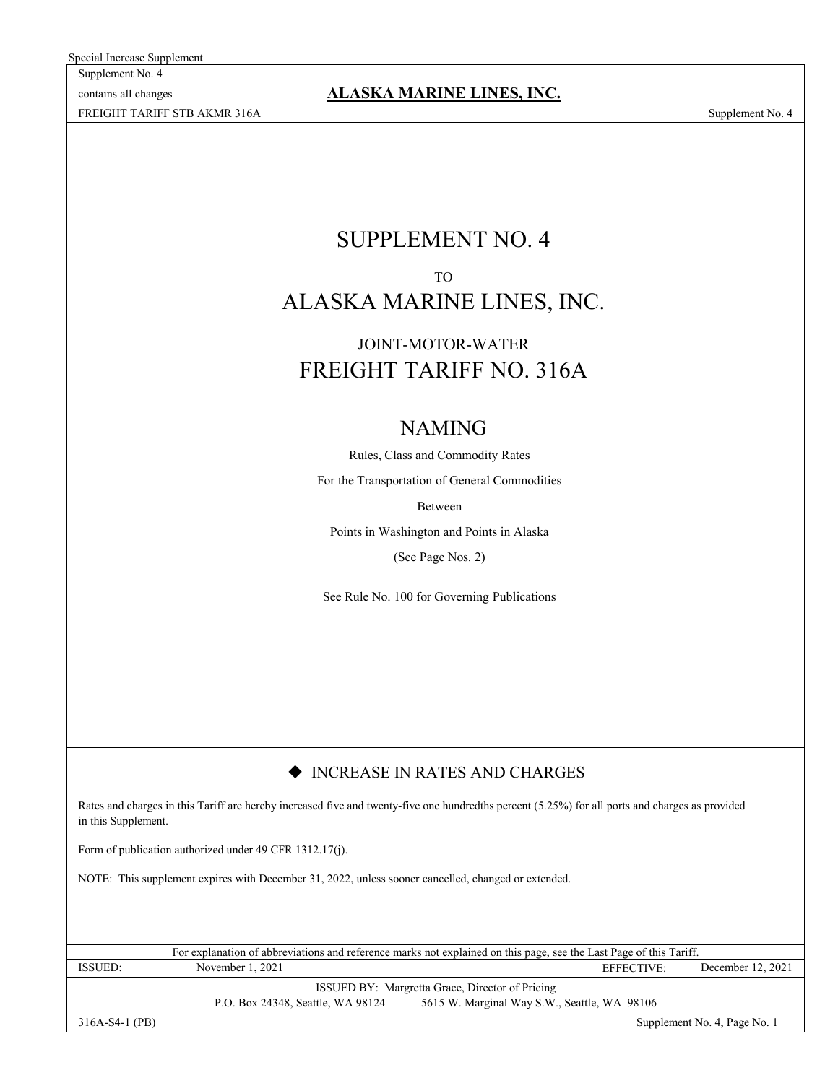Special Increase Supplement

Supplement No. 4 contains all changes FREIGHT TARIFF STB AKMR 316A Supplement No. 4

**ALASKA MARINE LINES, INC.**

# SUPPLEMENT NO. 4 TO ALASKA MARINE LINES, INC.

# FREIGHT TARIFF NO. 316A JOINT-MOTOR-WATER

# NAMING

Rules, Class and Commodity Rates

For the Transportation of General Commodities

Between

Points in Washington and Points in Alaska

(See Page Nos. 2)

See Rule No. 100 for Governing Publications

### $\blacklozenge$  INCREASE IN RATES AND CHARGES

Rates and charges in this Tariff are hereby increased five and twenty-five one hundredths percent (5.25%) for all ports and charges as provided in this Supplement.

Form of publication authorized under 49 CFR 1312.17(j).

NOTE: This supplement expires with December 31, 2022, unless sooner cancelled, changed or extended.

| For explanation of abbreviations and reference marks not explained on this page, see the Last Page of this Tariff. |                                   |                                              |            |                              |
|--------------------------------------------------------------------------------------------------------------------|-----------------------------------|----------------------------------------------|------------|------------------------------|
| <b>ISSUED:</b>                                                                                                     | November 1, 2021                  |                                              | EFFECTIVE: | December 12, 2021            |
| <b>ISSUED BY:</b> Margretta Grace, Director of Pricing                                                             |                                   |                                              |            |                              |
|                                                                                                                    | P.O. Box 24348, Seattle, WA 98124 | 5615 W. Marginal Way S.W., Seattle, WA 98106 |            |                              |
| $316A-S4-1$ (PB)                                                                                                   |                                   |                                              |            | Supplement No. 4, Page No. 1 |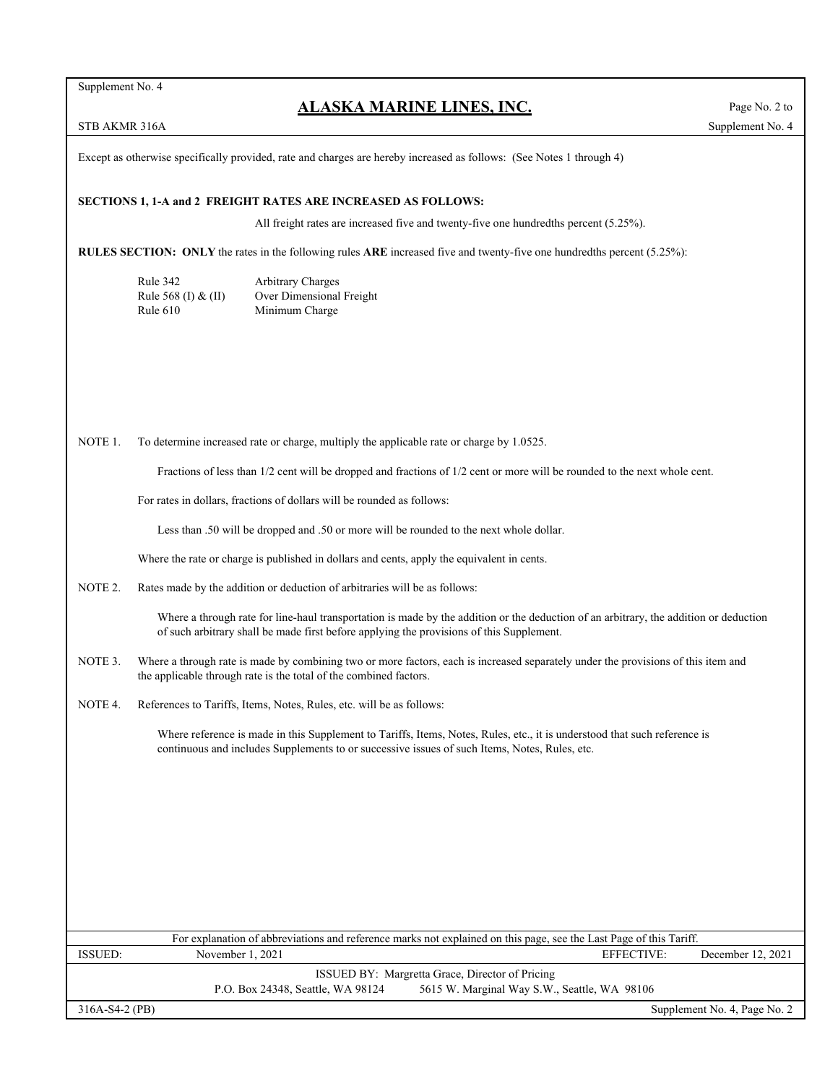Supplement No. 4

### **ALASKA MARINE LINES, INC.**

Except as otherwise specifically provided, rate and charges are hereby increased as follows: (See Notes 1 through 4)

#### **SECTIONS 1, 1-A and 2 FREIGHT RATES ARE INCREASED AS FOLLOWS:**

All freight rates are increased five and twenty-five one hundredths percent (5.25%).

**RULES SECTION: ONLY** the rates in the following rules **ARE** increased five and twenty-five one hundredths percent (5.25%):

| Rule 342            | <b>Arbitrary Charges</b> |
|---------------------|--------------------------|
| Rule 568 (I) & (II) | Over Dimensional Freight |
| Rule $610$          | Minimum Charge           |

NOTE 1. To determine increased rate or charge, multiply the applicable rate or charge by 1.0525.

Fractions of less than 1/2 cent will be dropped and fractions of 1/2 cent or more will be rounded to the next whole cent.

For rates in dollars, fractions of dollars will be rounded as follows:

Less than .50 will be dropped and .50 or more will be rounded to the next whole dollar.

Where the rate or charge is published in dollars and cents, apply the equivalent in cents.

NOTE 2. Rates made by the addition or deduction of arbitraries will be as follows:

Where a through rate for line-haul transportation is made by the addition or the deduction of an arbitrary, the addition or deduction of such arbitrary shall be made first before applying the provisions of this Supplement.

- NOTE 3. Where a through rate is made by combining two or more factors, each is increased separately under the provisions of this item and the applicable through rate is the total of the combined factors.
- NOTE 4. References to Tariffs, Items, Notes, Rules, etc. will be as follows:

Where reference is made in this Supplement to Tariffs, Items, Notes, Rules, etc., it is understood that such reference is continuous and includes Supplements to or successive issues of such Items, Notes, Rules, etc.

| For explanation of abbreviations and reference marks not explained on this page, see the Last Page of this Tariff. |                                   |                                              |            |                              |
|--------------------------------------------------------------------------------------------------------------------|-----------------------------------|----------------------------------------------|------------|------------------------------|
| ISSUED:                                                                                                            | November $1, 2021$                |                                              | EFFECTIVE: | December 12, 2021            |
| <b>ISSUED BY:</b> Margretta Grace, Director of Pricing                                                             |                                   |                                              |            |                              |
|                                                                                                                    | P.O. Box 24348, Seattle, WA 98124 | 5615 W. Marginal Way S.W., Seattle, WA 98106 |            |                              |
| $316A-S4-2(PB)$                                                                                                    |                                   |                                              |            | Supplement No. 4, Page No. 2 |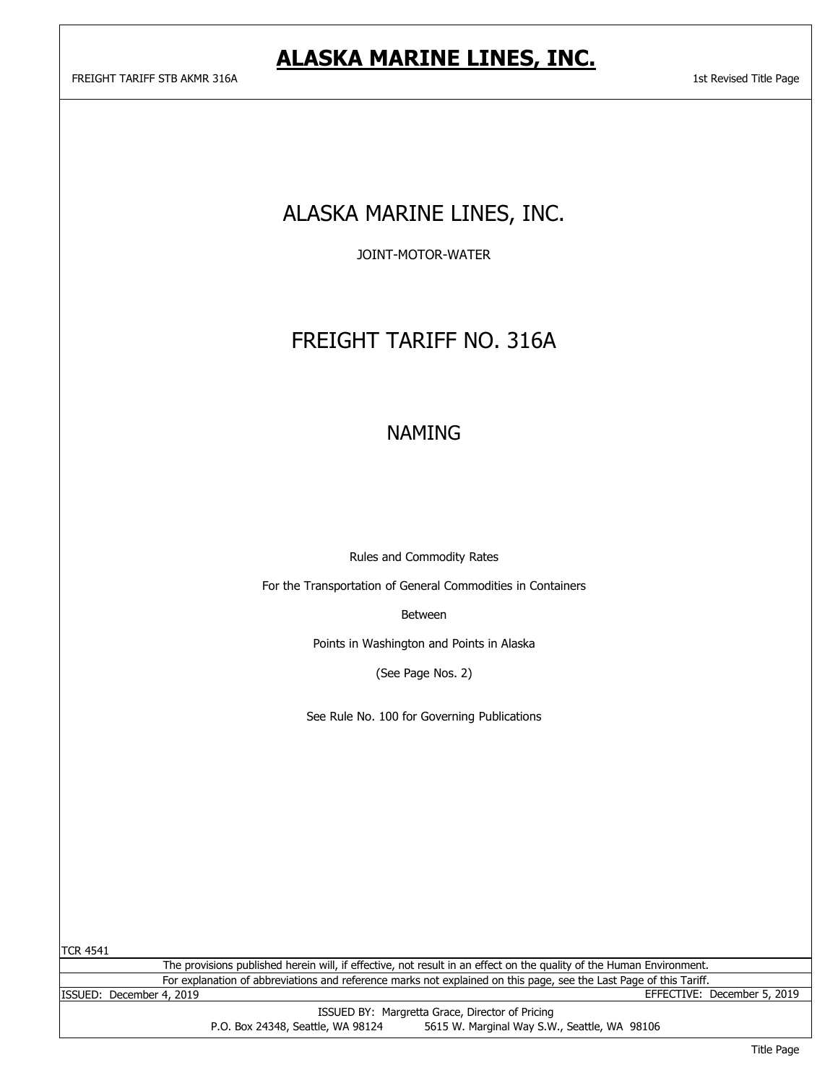# ALASKA MARINE LINES, INC.

JOINT-MOTOR-WATER

# FREIGHT TARIFF NO. 316A

## NAMING

Rules and Commodity Rates

For the Transportation of General Commodities in Containers

Between

Points in Washington and Points in Alaska

(See Page Nos. 2)

See Rule No. 100 for Governing Publications

TCR 4541

For explanation of abbreviations and reference marks not explained on this page, see the Last Page of this Tariff. The provisions published herein will, if effective, not result in an effect on the quality of the Human Environment.

ISSUED BY: Margretta Grace, Director of Pricing P.O. Box 24348, Seattle, WA 98124 5615 W. Marginal Way S.W., Seattle, WA 98106 ISSUED: December 4, 2019 EFFECTIVE: December 5, 2019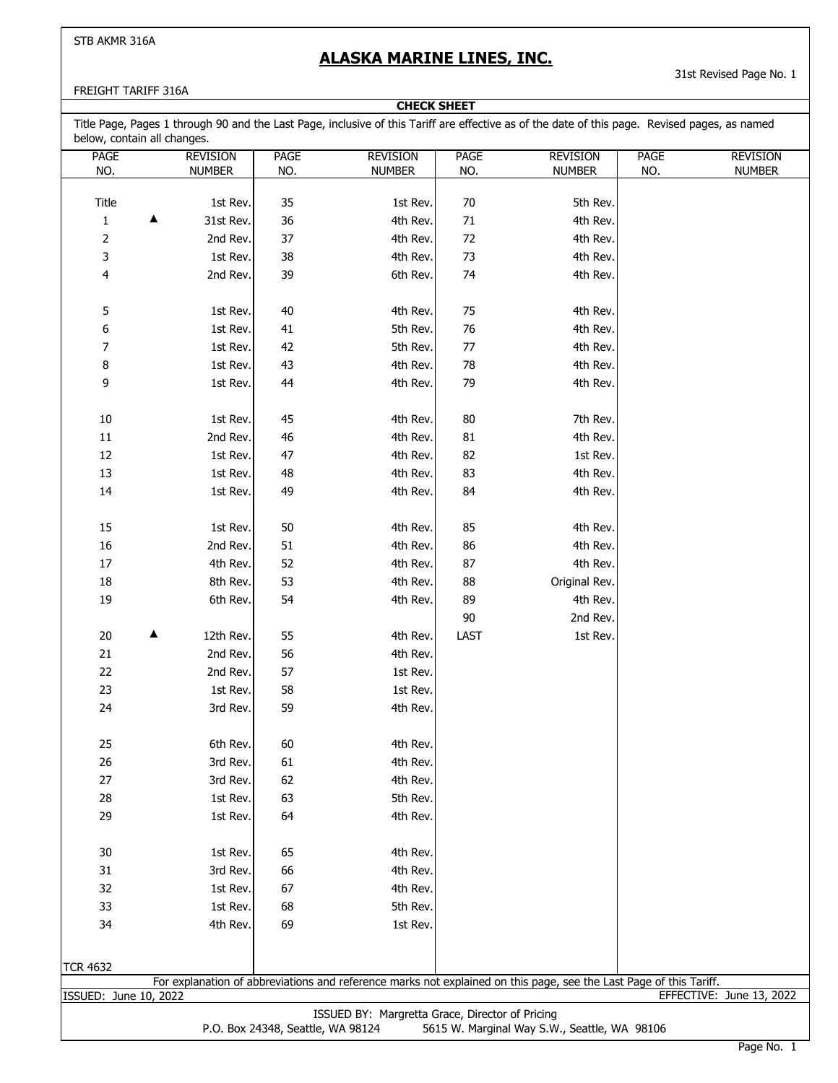### **ALASKA MARINE LINES, INC.**

**CHECK SHEET**

31st Revised Page No. 1

#### FREIGHT TARIFF 316A

| <b>PAGE</b>           | <b>REVISION</b> | <b>PAGE</b> | <b>REVISION</b> | <b>PAGE</b> | <b>REVISION</b>                                                                                                    | <b>PAGE</b> | <b>REVISION</b>          |
|-----------------------|-----------------|-------------|-----------------|-------------|--------------------------------------------------------------------------------------------------------------------|-------------|--------------------------|
| NO.                   | NUMBER          | NO.         | <b>NUMBER</b>   | NO.         | <b>NUMBER</b>                                                                                                      | NO.         | <b>NUMBER</b>            |
|                       |                 |             |                 |             |                                                                                                                    |             |                          |
| Title                 | 1st Rev.        | 35          | 1st Rev.        | 70          | 5th Rev.                                                                                                           |             |                          |
| $\mathbf 1$<br>▲      | 31st Rev.       | 36          | 4th Rev.        | 71          | 4th Rev.                                                                                                           |             |                          |
| $\overline{2}$        | 2nd Rev.        | 37          | 4th Rev.        | 72          | 4th Rev.                                                                                                           |             |                          |
| 3                     | 1st Rev.        | 38          | 4th Rev.        | 73          | 4th Rev.                                                                                                           |             |                          |
| 4                     | 2nd Rev.        | 39          | 6th Rev.        | 74          | 4th Rev.                                                                                                           |             |                          |
| 5                     | 1st Rev.        | 40          | 4th Rev.        | 75          | 4th Rev.                                                                                                           |             |                          |
| 6                     | 1st Rev.        | 41          | 5th Rev.        | 76          | 4th Rev.                                                                                                           |             |                          |
| $\overline{7}$        | 1st Rev.        | 42          | 5th Rev.        | $77$        | 4th Rev.                                                                                                           |             |                          |
| 8                     | 1st Rev.        | 43          | 4th Rev.        | 78          | 4th Rev.                                                                                                           |             |                          |
| 9                     | 1st Rev.        | 44          | 4th Rev.        | 79          | 4th Rev.                                                                                                           |             |                          |
| 10                    | 1st Rev.        | 45          | 4th Rev.        | 80          | 7th Rev.                                                                                                           |             |                          |
| $11\,$                | 2nd Rev.        | 46          | 4th Rev.        | 81          | 4th Rev.                                                                                                           |             |                          |
| 12                    | 1st Rev.        | 47          | 4th Rev.        | 82          | 1st Rev.                                                                                                           |             |                          |
| 13                    | 1st Rev.        | 48          | 4th Rev.        | 83          | 4th Rev.                                                                                                           |             |                          |
| 14                    | 1st Rev.        | 49          | 4th Rev.        | 84          | 4th Rev.                                                                                                           |             |                          |
| 15                    | 1st Rev.        | $50\,$      | 4th Rev.        | 85          | 4th Rev.                                                                                                           |             |                          |
| 16                    | 2nd Rev.        | 51          | 4th Rev.        | 86          | 4th Rev.                                                                                                           |             |                          |
| $17\,$                | 4th Rev.        | 52          | 4th Rev.        | 87          | 4th Rev.                                                                                                           |             |                          |
| 18                    | 8th Rev.        | 53          | 4th Rev.        | 88          | Original Rev.                                                                                                      |             |                          |
| 19                    | 6th Rev.        | 54          | 4th Rev.        | 89          | 4th Rev.                                                                                                           |             |                          |
|                       |                 |             |                 | 90          | 2nd Rev.                                                                                                           |             |                          |
| ▲<br>20               | 12th Rev.       | 55          | 4th Rev.        | LAST        | 1st Rev.                                                                                                           |             |                          |
| 21                    | 2nd Rev.        | 56          | 4th Rev.        |             |                                                                                                                    |             |                          |
| 22                    | 2nd Rev.        | 57          | 1st Rev.        |             |                                                                                                                    |             |                          |
| 23                    | 1st Rev.        | 58          | 1st Rev.        |             |                                                                                                                    |             |                          |
| 24                    | 3rd Rev.        | 59          | 4th Rev.        |             |                                                                                                                    |             |                          |
| 25                    | 6th Rev.        | 60          | 4th Rev.        |             |                                                                                                                    |             |                          |
| 26                    | 3rd Rev.        | 61          | 4th Rev.        |             |                                                                                                                    |             |                          |
| 27                    | 3rd Rev.        | 62          | 4th Rev.        |             |                                                                                                                    |             |                          |
| 28                    | 1st Rev.        | 63          | 5th Rev.        |             |                                                                                                                    |             |                          |
| 29                    | 1st Rev.        | 64          | 4th Rev.        |             |                                                                                                                    |             |                          |
| 30                    | 1st Rev.        | 65          | 4th Rev.        |             |                                                                                                                    |             |                          |
| 31                    | 3rd Rev.        | 66          | 4th Rev.        |             |                                                                                                                    |             |                          |
| 32                    | 1st Rev.        | 67          | 4th Rev.        |             |                                                                                                                    |             |                          |
| 33                    | 1st Rev.        | 68          | 5th Rev.        |             |                                                                                                                    |             |                          |
| 34                    | 4th Rev.        | 69          | 1st Rev.        |             |                                                                                                                    |             |                          |
|                       |                 |             |                 |             |                                                                                                                    |             |                          |
| <b>TCR 4632</b>       |                 |             |                 |             | For explanation of abbreviations and reference marks not explained on this page, see the Last Page of this Tariff. |             |                          |
| ISSUED: June 10, 2022 |                 |             |                 |             |                                                                                                                    |             | EFFECTIVE: June 13, 2022 |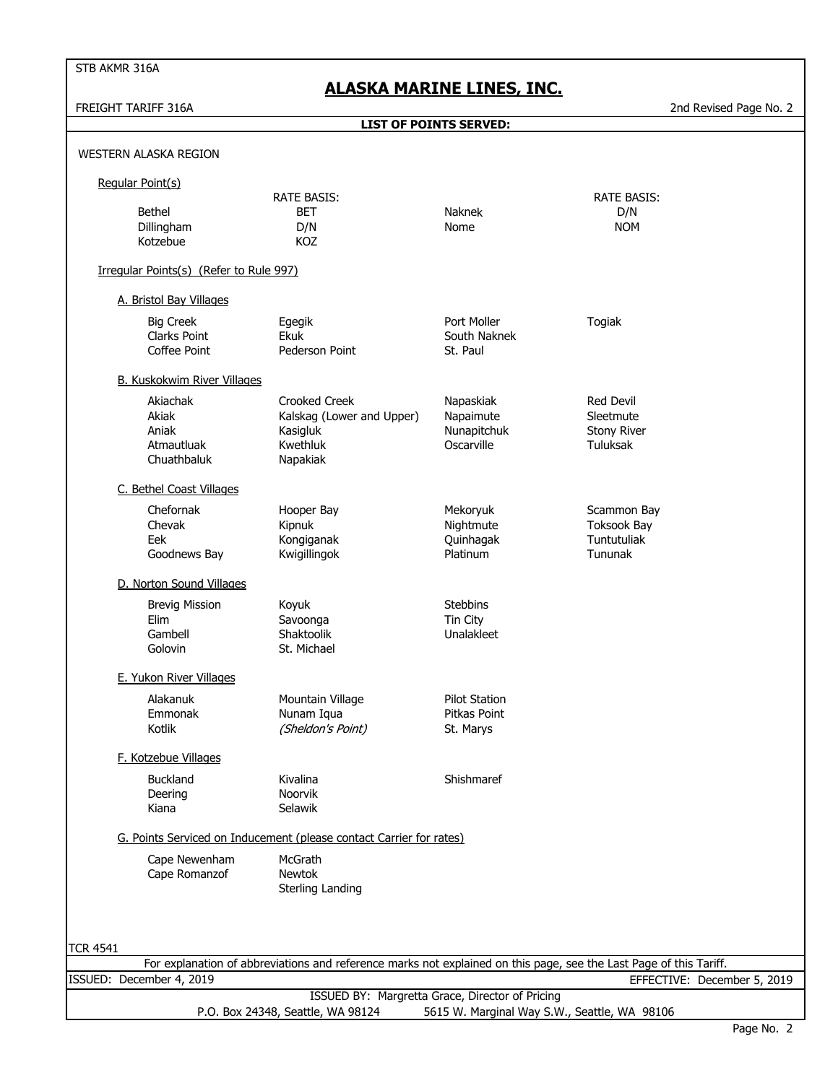FREIGHT TARIFF 316A 2nd Revised Page No. 2

|                 |                                                         | <b>LIST OF POINTS SERVED:</b>                                                                                      |                                                     |                                                                 |
|-----------------|---------------------------------------------------------|--------------------------------------------------------------------------------------------------------------------|-----------------------------------------------------|-----------------------------------------------------------------|
|                 | WESTERN ALASKA REGION                                   |                                                                                                                    |                                                     |                                                                 |
|                 | Regular Point(s)                                        |                                                                                                                    |                                                     |                                                                 |
|                 | <b>Bethel</b><br>Dillingham<br>Kotzebue                 | <b>RATE BASIS:</b><br>BET<br>D/N<br>KOZ                                                                            | <b>Naknek</b><br>Nome                               | <b>RATE BASIS:</b><br>D/N<br><b>NOM</b>                         |
|                 | Irregular Points(s) (Refer to Rule 997)                 |                                                                                                                    |                                                     |                                                                 |
|                 | A. Bristol Bay Villages                                 |                                                                                                                    |                                                     |                                                                 |
|                 | <b>Big Creek</b><br><b>Clarks Point</b><br>Coffee Point | Egegik<br>Ekuk<br>Pederson Point                                                                                   | Port Moller<br>South Naknek<br>St. Paul             | Togiak                                                          |
|                 | <b>B. Kuskokwim River Villages</b>                      |                                                                                                                    |                                                     |                                                                 |
|                 | Akiachak<br>Akiak<br>Aniak<br>Atmautluak<br>Chuathbaluk | <b>Crooked Creek</b><br>Kalskag (Lower and Upper)<br>Kasigluk<br>Kwethluk<br>Napakiak                              | Napaskiak<br>Napaimute<br>Nunapitchuk<br>Oscarville | <b>Red Devil</b><br>Sleetmute<br><b>Stony River</b><br>Tuluksak |
|                 | C. Bethel Coast Villages                                |                                                                                                                    |                                                     |                                                                 |
|                 | Chefornak<br>Chevak<br>Eek<br>Goodnews Bay              | Hooper Bay<br>Kipnuk<br>Kongiganak<br>Kwigillingok                                                                 | Mekoryuk<br>Nightmute<br>Quinhagak<br>Platinum      | Scammon Bay<br><b>Toksook Bay</b><br>Tuntutuliak<br>Tununak     |
|                 | D. Norton Sound Villages                                |                                                                                                                    |                                                     |                                                                 |
|                 | <b>Brevig Mission</b><br>Elim<br>Gambell<br>Golovin     | Koyuk<br>Savoonga<br>Shaktoolik<br>St. Michael                                                                     | <b>Stebbins</b><br>Tin City<br>Unalakleet           |                                                                 |
|                 | E. Yukon River Villages                                 |                                                                                                                    |                                                     |                                                                 |
|                 | Alakanuk<br>Emmonak<br>Kotlik                           | Mountain Village<br>Nunam Iqua<br>(Sheldon's Point)                                                                | <b>Pilot Station</b><br>Pitkas Point<br>St. Marys   |                                                                 |
|                 | F. Kotzebue Villages                                    |                                                                                                                    |                                                     |                                                                 |
|                 | <b>Buckland</b><br>Deering<br>Kiana                     | Kivalina<br>Noorvik<br>Selawik                                                                                     | Shishmaref                                          |                                                                 |
|                 |                                                         | G. Points Serviced on Inducement (please contact Carrier for rates)                                                |                                                     |                                                                 |
|                 | Cape Newenham<br>Cape Romanzof                          | McGrath<br>Newtok<br>Sterling Landing                                                                              |                                                     |                                                                 |
|                 |                                                         |                                                                                                                    |                                                     |                                                                 |
| <b>TCR 4541</b> |                                                         | For explanation of abbreviations and reference marks not explained on this page, see the Last Page of this Tariff. |                                                     |                                                                 |
|                 | ISSUED: December 4, 2019                                |                                                                                                                    |                                                     | EFFECTIVE: December 5, 2019                                     |
|                 |                                                         | ISSUED BY: Margretta Grace, Director of Pricing                                                                    |                                                     |                                                                 |

P.O. Box 24348, Seattle, WA 98124 5615 W. Marginal Way S.W., Seattle, WA 98106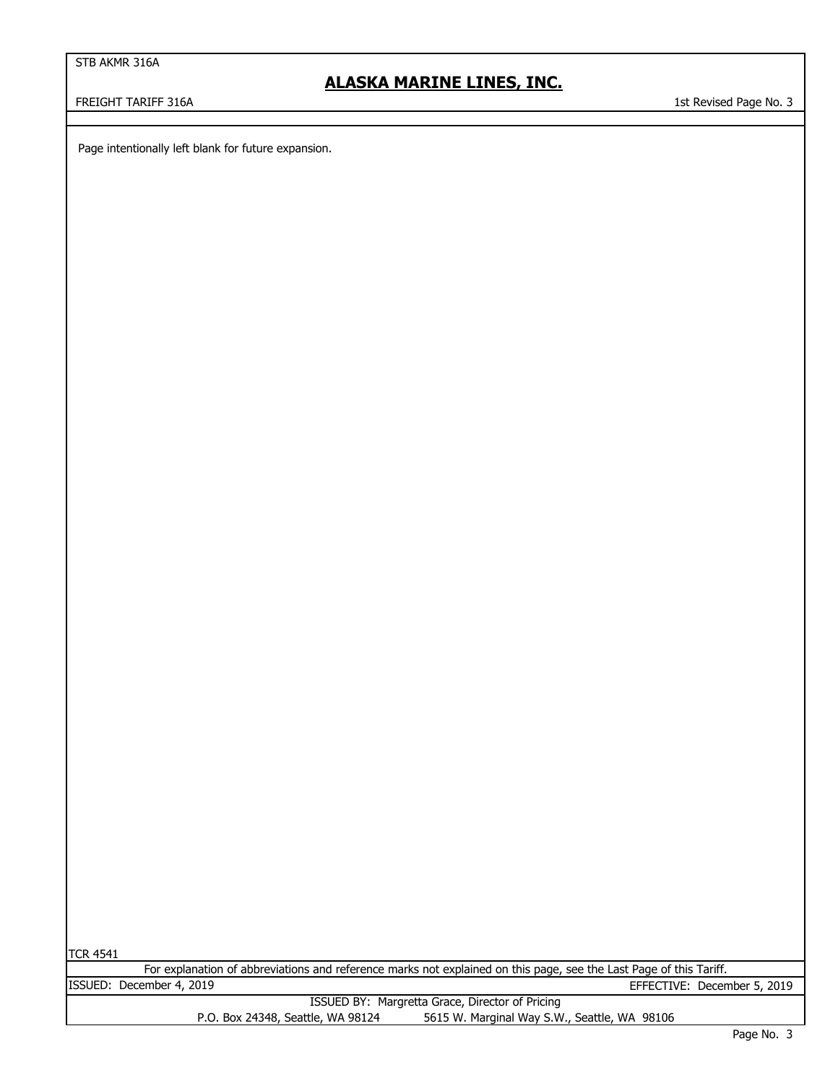### **ALASKA MARINE LINES, INC.**

FREIGHT TARIFF 316A 1st Revised Page No. 3

Page intentionally left blank for future expansion.

|--|

|                          | For explanation of abbreviations and reference marks not explained on this page, see the Last Page of this Tariff.                                                                                                                      |                             |
|--------------------------|-----------------------------------------------------------------------------------------------------------------------------------------------------------------------------------------------------------------------------------------|-----------------------------|
| ISSUED: December 4, 2019 |                                                                                                                                                                                                                                         | EFFECTIVE: December 5, 2019 |
|                          | $TCCUTD. DV. M=112.22, C=22. Div. 22.22, 25.22, 27.22, 28.22, 29.22, 20.22, 21.22, 22.22, 27.22, 28.22, 29.22, 20.22, 21.22, 22.2, 23.2, 24.2, 25.2, 26.2, 27.2, 28.2, 29.2, 20.2, 21.2, 22.2, 27.2, 28.2, 29.2, 20.2, 20.2, 21.2, 22.$ |                             |

|                                   | ISSUED BY: Margretta Grace, Director of Pricing |
|-----------------------------------|-------------------------------------------------|
| P.O. Box 24348, Seattle, WA 98124 | 5615 W. Marginal Way S.W., Seattle, WA 98106    |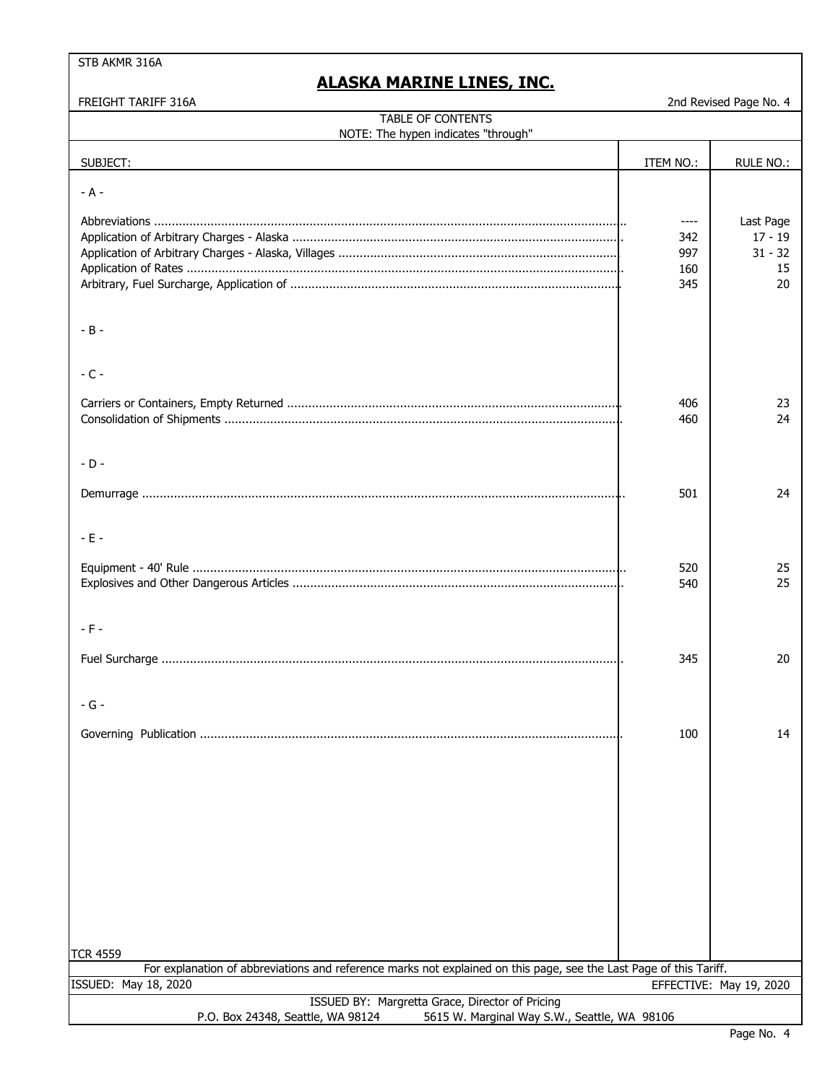### **ALASKA MARINE LINES, INC.**

FREIGHT TARIFF 316A 2nd Revised Page No. 4

| TABLE OF CONTENTS<br>NOTE: The hypen indicates "through"                                                                                   |                                  |                                                 |
|--------------------------------------------------------------------------------------------------------------------------------------------|----------------------------------|-------------------------------------------------|
|                                                                                                                                            |                                  |                                                 |
| SUBJECT:                                                                                                                                   | ITEM NO.:                        | RULE NO.:                                       |
| $- A -$                                                                                                                                    |                                  |                                                 |
|                                                                                                                                            | ----<br>342<br>997<br>160<br>345 | Last Page<br>$17 - 19$<br>$31 - 32$<br>15<br>20 |
| $-B -$                                                                                                                                     |                                  |                                                 |
| $-C -$                                                                                                                                     |                                  |                                                 |
|                                                                                                                                            | 406<br>460                       | 23<br>24                                        |
| $-D -$                                                                                                                                     |                                  |                                                 |
|                                                                                                                                            | 501                              | 24                                              |
| $-E -$                                                                                                                                     |                                  |                                                 |
|                                                                                                                                            | 520<br>540                       | 25<br>25                                        |
| $-F -$                                                                                                                                     |                                  |                                                 |
|                                                                                                                                            | 345                              | 20                                              |
| - G -                                                                                                                                      |                                  |                                                 |
|                                                                                                                                            | 100                              | 14                                              |
|                                                                                                                                            |                                  |                                                 |
|                                                                                                                                            |                                  |                                                 |
|                                                                                                                                            |                                  |                                                 |
|                                                                                                                                            |                                  |                                                 |
| <b>TCR 4559</b>                                                                                                                            |                                  |                                                 |
| For explanation of abbreviations and reference marks not explained on this page, see the Last Page of this Tariff.<br>ISSUED: May 18, 2020 |                                  |                                                 |
| ISSUED BY: Margretta Grace, Director of Pricing                                                                                            |                                  | EFFECTIVE: May 19, 2020                         |
| P.O. Box 24348, Seattle, WA 98124<br>5615 W. Marginal Way S.W., Seattle, WA 98106                                                          |                                  |                                                 |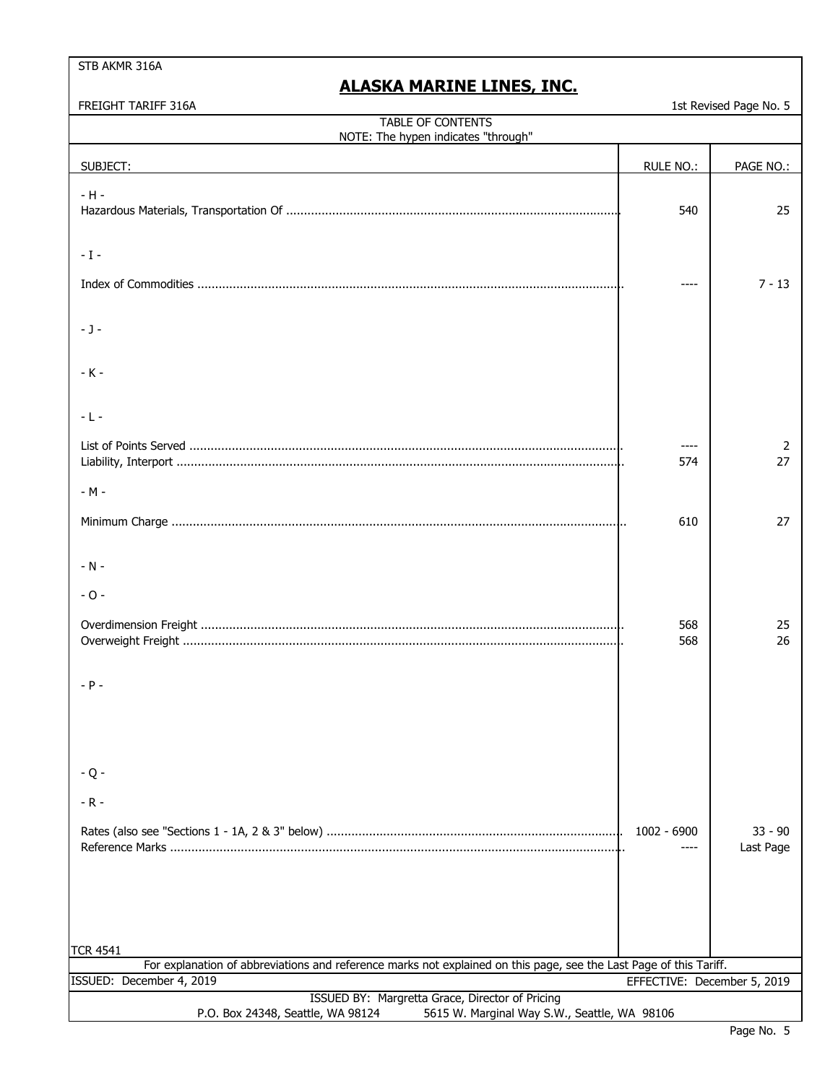FREIGHT TARIFF 316A

|  | 1st Revised Page No. 5 |  |  |
|--|------------------------|--|--|

| TABLE OF CONTENTS<br>NOTE: The hypen indicates "through"                                                                             |                             |                        |  |
|--------------------------------------------------------------------------------------------------------------------------------------|-----------------------------|------------------------|--|
| SUBJECT:                                                                                                                             | <b>RULE NO.:</b>            | PAGE NO.:              |  |
| $-H -$                                                                                                                               | 540                         | 25                     |  |
| $-1-$                                                                                                                                |                             |                        |  |
|                                                                                                                                      |                             | $7 - 13$               |  |
| $-1-$                                                                                                                                |                             |                        |  |
| $-K -$                                                                                                                               |                             |                        |  |
| $-L -$                                                                                                                               |                             |                        |  |
|                                                                                                                                      | 574                         | 2<br>27                |  |
| - M -                                                                                                                                |                             |                        |  |
|                                                                                                                                      | 610                         | 27                     |  |
| $- N -$                                                                                                                              |                             |                        |  |
| $-0-$                                                                                                                                |                             |                        |  |
|                                                                                                                                      | 568<br>568                  | 25<br>26               |  |
| $- P -$                                                                                                                              |                             |                        |  |
|                                                                                                                                      |                             |                        |  |
| $-Q -$                                                                                                                               |                             |                        |  |
| $-R -$                                                                                                                               |                             |                        |  |
|                                                                                                                                      | 1002 - 6900                 | $33 - 90$<br>Last Page |  |
|                                                                                                                                      |                             |                        |  |
| TCR 4541                                                                                                                             |                             |                        |  |
| For explanation of abbreviations and reference marks not explained on this page, see the Last Page of this Tariff.                   |                             |                        |  |
| ISSUED: December 4, 2019                                                                                                             | EFFECTIVE: December 5, 2019 |                        |  |
| ISSUED BY: Margretta Grace, Director of Pricing<br>5615 W. Marginal Way S.W., Seattle, WA 98106<br>P.O. Box 24348, Seattle, WA 98124 |                             |                        |  |
|                                                                                                                                      |                             |                        |  |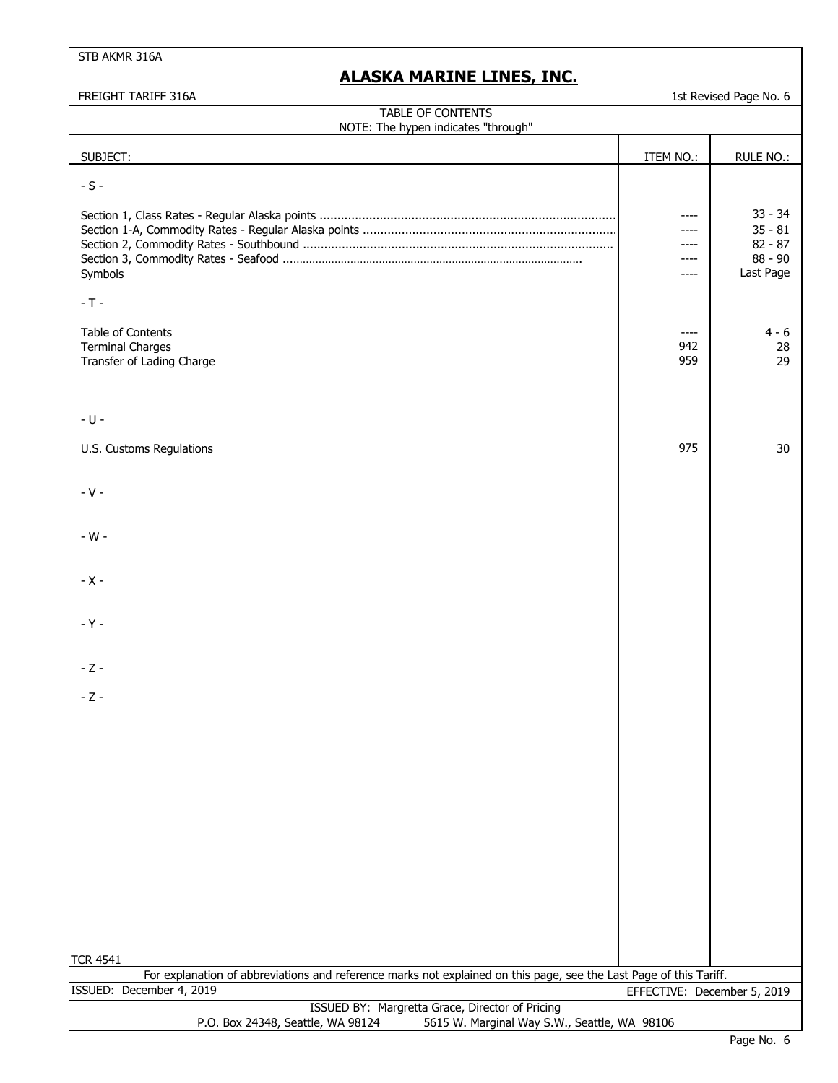| FREIGHT TARIFF 316A                                                                                                                  |                                      | 1st Revised Page No. 6                                        |
|--------------------------------------------------------------------------------------------------------------------------------------|--------------------------------------|---------------------------------------------------------------|
| <b>TABLE OF CONTENTS</b><br>NOTE: The hypen indicates "through"                                                                      |                                      |                                                               |
| SUBJECT:                                                                                                                             | ITEM NO.:                            | RULE NO.:                                                     |
| $-S -$                                                                                                                               |                                      |                                                               |
| Symbols                                                                                                                              | ----<br>----<br>----<br>----<br>---- | $33 - 34$<br>$35 - 81$<br>$82 - 87$<br>$88 - 90$<br>Last Page |
| $-T -$                                                                                                                               |                                      |                                                               |
| Table of Contents<br><b>Terminal Charges</b><br>Transfer of Lading Charge                                                            | ----<br>942<br>959                   | 4 - 6<br>28<br>29                                             |
| $-U -$                                                                                                                               |                                      |                                                               |
| U.S. Customs Regulations                                                                                                             | 975                                  | 30                                                            |
| $-V -$                                                                                                                               |                                      |                                                               |
| - W -                                                                                                                                |                                      |                                                               |
| $-X -$                                                                                                                               |                                      |                                                               |
| $-Y -$                                                                                                                               |                                      |                                                               |
| $-Z -$                                                                                                                               |                                      |                                                               |
| $-Z -$                                                                                                                               |                                      |                                                               |
|                                                                                                                                      |                                      |                                                               |
|                                                                                                                                      |                                      |                                                               |
|                                                                                                                                      |                                      |                                                               |
|                                                                                                                                      |                                      |                                                               |
|                                                                                                                                      |                                      |                                                               |
|                                                                                                                                      |                                      |                                                               |
|                                                                                                                                      |                                      |                                                               |
| <b>TCR 4541</b>                                                                                                                      |                                      |                                                               |
| For explanation of abbreviations and reference marks not explained on this page, see the Last Page of this Tariff.                   |                                      |                                                               |
| ISSUED: December 4, 2019                                                                                                             | EFFECTIVE: December 5, 2019          |                                                               |
| ISSUED BY: Margretta Grace, Director of Pricing<br>P.O. Box 24348, Seattle, WA 98124<br>5615 W. Marginal Way S.W., Seattle, WA 98106 |                                      |                                                               |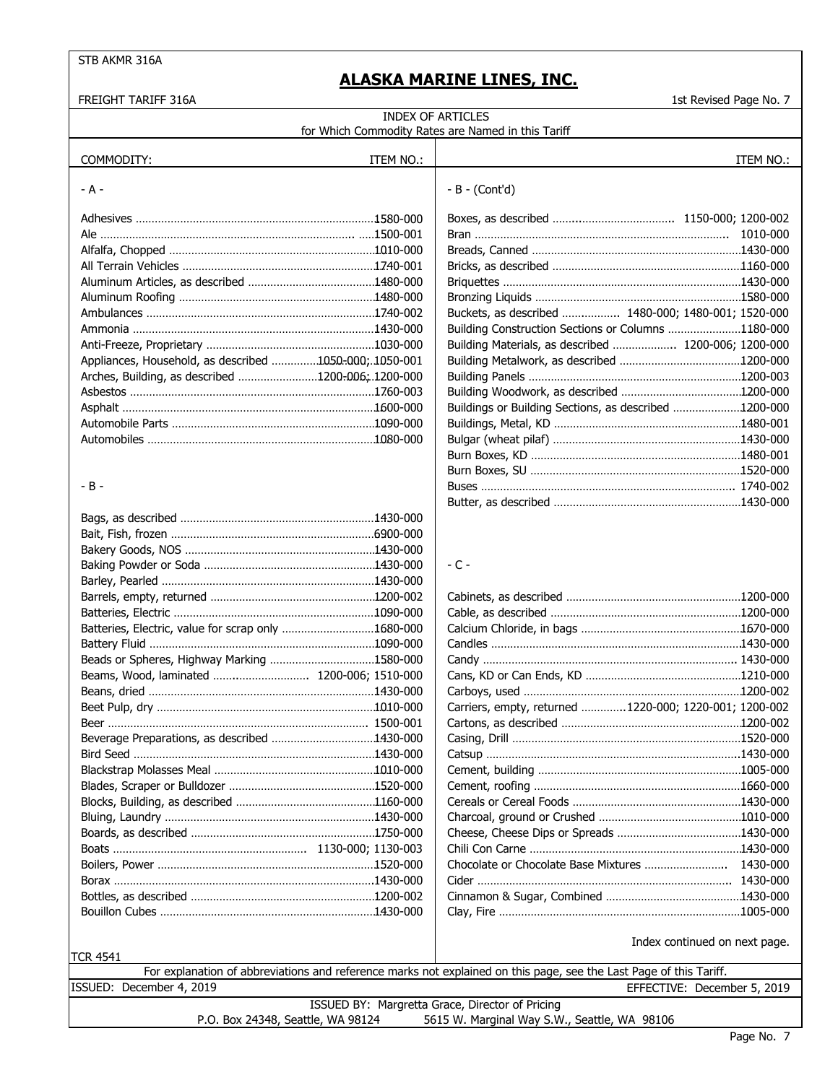| FREIGHT TARIFF 316A                                    |                                                 |                                                                                                                    | 1st Revised Page No. 7        |
|--------------------------------------------------------|-------------------------------------------------|--------------------------------------------------------------------------------------------------------------------|-------------------------------|
|                                                        |                                                 | <b>INDEX OF ARTICLES</b>                                                                                           |                               |
|                                                        |                                                 | for Which Commodity Rates are Named in this Tariff                                                                 |                               |
|                                                        |                                                 |                                                                                                                    |                               |
| COMMODITY:                                             | ITEM NO.:                                       |                                                                                                                    | ITEM NO.:                     |
| - A -                                                  |                                                 | $-B - (Cont'd)$                                                                                                    |                               |
|                                                        |                                                 |                                                                                                                    |                               |
|                                                        |                                                 |                                                                                                                    |                               |
|                                                        |                                                 |                                                                                                                    |                               |
|                                                        |                                                 |                                                                                                                    |                               |
|                                                        |                                                 |                                                                                                                    |                               |
|                                                        |                                                 |                                                                                                                    |                               |
|                                                        |                                                 |                                                                                                                    |                               |
|                                                        |                                                 | Buckets, as described  1480-000; 1480-001; 1520-000                                                                |                               |
|                                                        |                                                 | Building Construction Sections or Columns 1180-000                                                                 |                               |
|                                                        |                                                 | Building Materials, as described  1200-006; 1200-000                                                               |                               |
| Appliances, Household, as described 1050-000; 1050-001 |                                                 |                                                                                                                    |                               |
| Arches, Building, as described 1200-006; 1200-000      |                                                 |                                                                                                                    |                               |
|                                                        |                                                 |                                                                                                                    |                               |
|                                                        |                                                 | Buildings or Building Sections, as described 1200-000                                                              |                               |
|                                                        |                                                 |                                                                                                                    |                               |
|                                                        |                                                 |                                                                                                                    |                               |
|                                                        |                                                 |                                                                                                                    |                               |
|                                                        |                                                 |                                                                                                                    |                               |
| - B -                                                  |                                                 |                                                                                                                    |                               |
|                                                        |                                                 |                                                                                                                    |                               |
|                                                        |                                                 |                                                                                                                    |                               |
|                                                        |                                                 |                                                                                                                    |                               |
|                                                        |                                                 |                                                                                                                    |                               |
|                                                        |                                                 | $-$ C $-$                                                                                                          |                               |
|                                                        |                                                 |                                                                                                                    |                               |
|                                                        |                                                 |                                                                                                                    |                               |
|                                                        |                                                 |                                                                                                                    |                               |
|                                                        |                                                 |                                                                                                                    |                               |
| Batteries, Electric, value for scrap only 1680-000     |                                                 |                                                                                                                    |                               |
|                                                        |                                                 |                                                                                                                    |                               |
| Beads or Spheres, Highway Marking 1580-000             |                                                 |                                                                                                                    |                               |
| Beams, Wood, laminated  1200-006; 1510-000             |                                                 |                                                                                                                    |                               |
|                                                        |                                                 |                                                                                                                    |                               |
|                                                        |                                                 | Carriers, empty, returned 1220-000; 1220-001; 1200-002                                                             |                               |
|                                                        |                                                 |                                                                                                                    |                               |
| Beverage Preparations, as described 1430-000           |                                                 |                                                                                                                    |                               |
|                                                        |                                                 |                                                                                                                    |                               |
|                                                        |                                                 |                                                                                                                    |                               |
|                                                        |                                                 |                                                                                                                    |                               |
|                                                        |                                                 |                                                                                                                    |                               |
|                                                        |                                                 |                                                                                                                    |                               |
|                                                        |                                                 |                                                                                                                    |                               |
|                                                        |                                                 |                                                                                                                    |                               |
|                                                        |                                                 |                                                                                                                    |                               |
|                                                        |                                                 |                                                                                                                    |                               |
|                                                        |                                                 |                                                                                                                    |                               |
|                                                        |                                                 |                                                                                                                    |                               |
|                                                        |                                                 |                                                                                                                    |                               |
|                                                        |                                                 |                                                                                                                    | Index continued on next page. |
| <b>TCR 4541</b>                                        |                                                 | For explanation of abbreviations and reference marks not explained on this page, see the Last Page of this Tariff. |                               |
| ISSUED: December 4, 2019                               |                                                 |                                                                                                                    | EFFECTIVE: December 5, 2019   |
|                                                        | ISSUED BY: Margretta Grace, Director of Pricing |                                                                                                                    |                               |
| P.O. Box 24348, Seattle, WA 98124                      |                                                 | 5615 W. Marginal Way S.W., Seattle, WA 98106                                                                       |                               |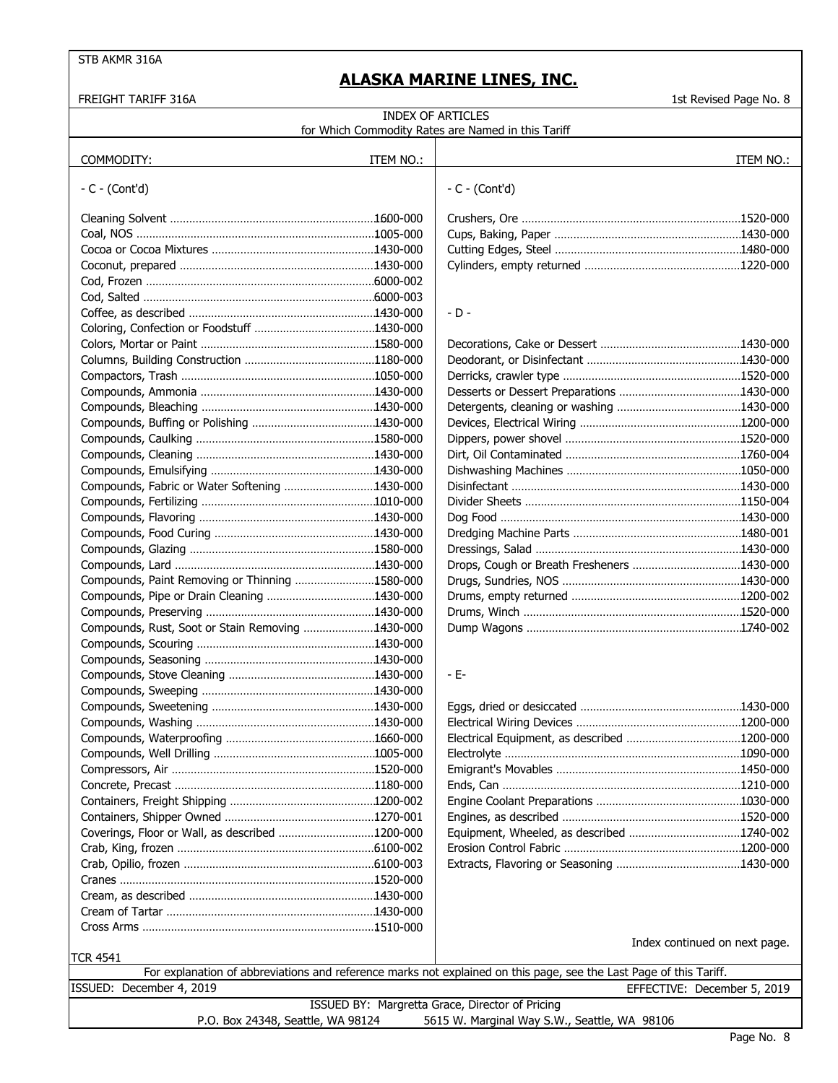FREIGHT TARIFF 316A 1st Revised Page No. 8

| <b>INDEX OF ARTICLES</b><br>for Which Commodity Rates are Named in this Tariff    |           |                                                                                                                                                   |  |  |
|-----------------------------------------------------------------------------------|-----------|---------------------------------------------------------------------------------------------------------------------------------------------------|--|--|
| COMMODITY:                                                                        | ITEM NO.: | ITEM NO.:                                                                                                                                         |  |  |
| $-C - (Cont'd)$                                                                   |           | $-C - (Cont'd)$                                                                                                                                   |  |  |
|                                                                                   |           |                                                                                                                                                   |  |  |
|                                                                                   |           |                                                                                                                                                   |  |  |
|                                                                                   |           |                                                                                                                                                   |  |  |
|                                                                                   |           |                                                                                                                                                   |  |  |
|                                                                                   |           |                                                                                                                                                   |  |  |
|                                                                                   |           |                                                                                                                                                   |  |  |
|                                                                                   |           | $-D -$                                                                                                                                            |  |  |
|                                                                                   |           |                                                                                                                                                   |  |  |
|                                                                                   |           |                                                                                                                                                   |  |  |
|                                                                                   |           |                                                                                                                                                   |  |  |
|                                                                                   |           |                                                                                                                                                   |  |  |
|                                                                                   |           |                                                                                                                                                   |  |  |
|                                                                                   |           |                                                                                                                                                   |  |  |
|                                                                                   |           |                                                                                                                                                   |  |  |
|                                                                                   |           |                                                                                                                                                   |  |  |
|                                                                                   |           |                                                                                                                                                   |  |  |
|                                                                                   |           |                                                                                                                                                   |  |  |
| Compounds, Fabric or Water Softening 1430-000                                     |           |                                                                                                                                                   |  |  |
|                                                                                   |           |                                                                                                                                                   |  |  |
|                                                                                   |           |                                                                                                                                                   |  |  |
|                                                                                   |           |                                                                                                                                                   |  |  |
|                                                                                   |           |                                                                                                                                                   |  |  |
|                                                                                   |           |                                                                                                                                                   |  |  |
| Compounds, Paint Removing or Thinning 1580-000                                    |           |                                                                                                                                                   |  |  |
|                                                                                   |           |                                                                                                                                                   |  |  |
|                                                                                   |           |                                                                                                                                                   |  |  |
| Compounds, Rust, Soot or Stain Removing 1430-000                                  |           |                                                                                                                                                   |  |  |
|                                                                                   |           |                                                                                                                                                   |  |  |
|                                                                                   |           |                                                                                                                                                   |  |  |
|                                                                                   |           | - E-                                                                                                                                              |  |  |
|                                                                                   |           |                                                                                                                                                   |  |  |
|                                                                                   |           |                                                                                                                                                   |  |  |
|                                                                                   |           |                                                                                                                                                   |  |  |
|                                                                                   |           |                                                                                                                                                   |  |  |
|                                                                                   |           |                                                                                                                                                   |  |  |
|                                                                                   |           |                                                                                                                                                   |  |  |
|                                                                                   |           |                                                                                                                                                   |  |  |
|                                                                                   |           |                                                                                                                                                   |  |  |
|                                                                                   |           |                                                                                                                                                   |  |  |
| Coverings, Floor or Wall, as described 1200-000                                   |           | Equipment, Wheeled, as described 1740-002                                                                                                         |  |  |
|                                                                                   |           |                                                                                                                                                   |  |  |
|                                                                                   |           |                                                                                                                                                   |  |  |
|                                                                                   |           |                                                                                                                                                   |  |  |
|                                                                                   |           |                                                                                                                                                   |  |  |
|                                                                                   |           |                                                                                                                                                   |  |  |
|                                                                                   |           | Index continued on next page.                                                                                                                     |  |  |
| <b>TCR 4541</b>                                                                   |           |                                                                                                                                                   |  |  |
| ISSUED: December 4, 2019                                                          |           | For explanation of abbreviations and reference marks not explained on this page, see the Last Page of this Tariff.<br>EFFECTIVE: December 5, 2019 |  |  |
|                                                                                   |           | ISSUED BY: Margretta Grace, Director of Pricing                                                                                                   |  |  |
| P.O. Box 24348, Seattle, WA 98124<br>5615 W. Marginal Way S.W., Seattle, WA 98106 |           |                                                                                                                                                   |  |  |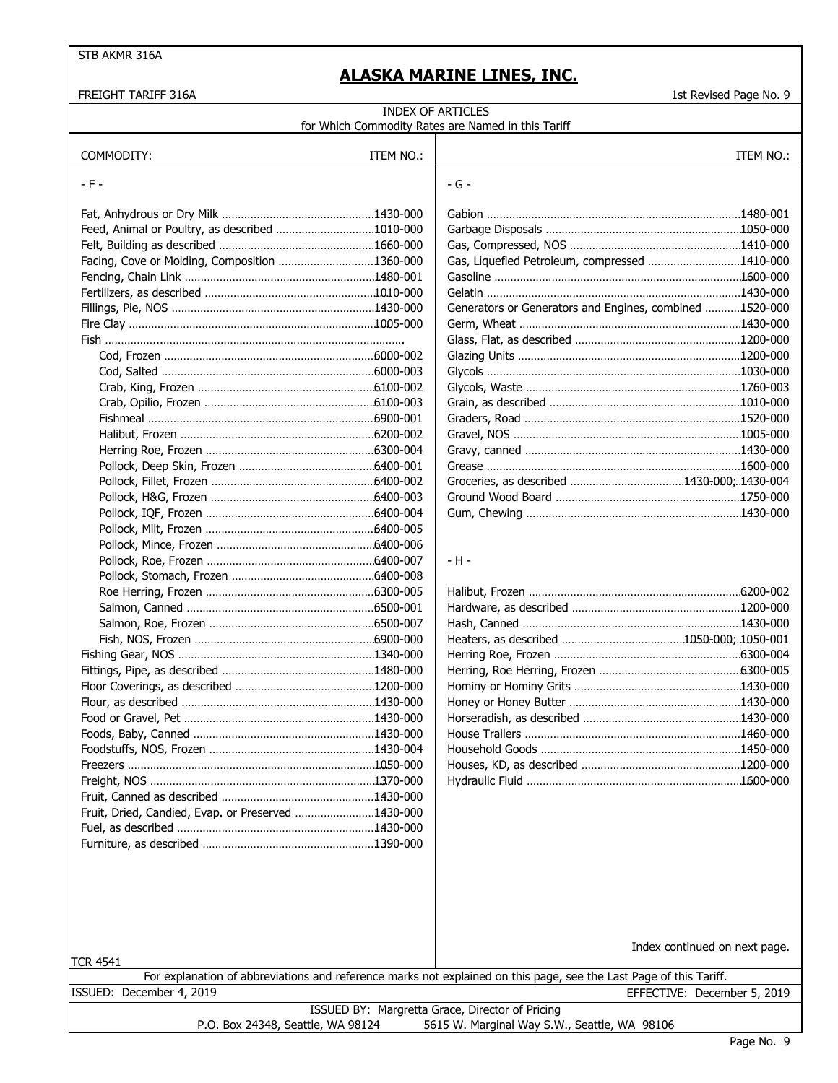FREIGHT TARIFF 316A 1st Revised Page No. 9

| <b>INDEX OF ARTICLES</b>                           |           |                                                         |           |
|----------------------------------------------------|-----------|---------------------------------------------------------|-----------|
|                                                    |           | for Which Commodity Rates are Named in this Tariff      |           |
| COMMODITY:                                         | ITEM NO.: |                                                         | ITEM NO.: |
|                                                    |           |                                                         |           |
| - F -                                              |           | $-G -$                                                  |           |
|                                                    |           |                                                         |           |
|                                                    |           |                                                         |           |
| Feed, Animal or Poultry, as described 1010-000     |           |                                                         |           |
|                                                    |           |                                                         |           |
| Facing, Cove or Molding, Composition 1360-000      |           | Gas, Liquefied Petroleum, compressed 1410-000           |           |
|                                                    |           |                                                         |           |
|                                                    |           |                                                         |           |
|                                                    |           | Generators or Generators and Engines, combined 1520-000 |           |
|                                                    |           |                                                         |           |
|                                                    |           |                                                         |           |
|                                                    |           |                                                         |           |
|                                                    |           |                                                         |           |
|                                                    |           |                                                         |           |
|                                                    |           |                                                         |           |
|                                                    |           |                                                         |           |
|                                                    |           |                                                         |           |
|                                                    |           |                                                         |           |
|                                                    |           |                                                         |           |
|                                                    |           |                                                         |           |
|                                                    |           |                                                         |           |
|                                                    |           |                                                         |           |
|                                                    |           |                                                         |           |
|                                                    |           |                                                         |           |
|                                                    |           | - H -                                                   |           |
|                                                    |           |                                                         |           |
|                                                    |           |                                                         |           |
|                                                    |           |                                                         |           |
|                                                    |           |                                                         |           |
|                                                    |           |                                                         |           |
|                                                    |           |                                                         |           |
|                                                    |           |                                                         |           |
|                                                    |           |                                                         |           |
|                                                    |           |                                                         |           |
|                                                    |           |                                                         |           |
|                                                    |           |                                                         |           |
|                                                    |           |                                                         |           |
|                                                    |           |                                                         |           |
|                                                    |           |                                                         |           |
|                                                    |           |                                                         |           |
| Fruit, Dried, Candied, Evap. or Preserved 1430-000 |           |                                                         |           |
|                                                    |           |                                                         |           |
|                                                    |           |                                                         |           |
|                                                    |           |                                                         |           |
|                                                    |           |                                                         |           |
|                                                    |           |                                                         |           |
|                                                    |           |                                                         |           |

|                                                 |                                   | Index continued on next page.                                                                                      |  |
|-------------------------------------------------|-----------------------------------|--------------------------------------------------------------------------------------------------------------------|--|
| <b>TCR 4541</b>                                 |                                   |                                                                                                                    |  |
|                                                 |                                   | For explanation of abbreviations and reference marks not explained on this page, see the Last Page of this Tariff. |  |
|                                                 | ISSUED: December 4, 2019          | EFFECTIVE: December 5, 2019                                                                                        |  |
| ISSUED BY: Margretta Grace, Director of Pricing |                                   |                                                                                                                    |  |
|                                                 | P.O. Box 24348, Seattle, WA 98124 | 5615 W. Marginal Way S.W., Seattle, WA 98106                                                                       |  |
|                                                 |                                   |                                                                                                                    |  |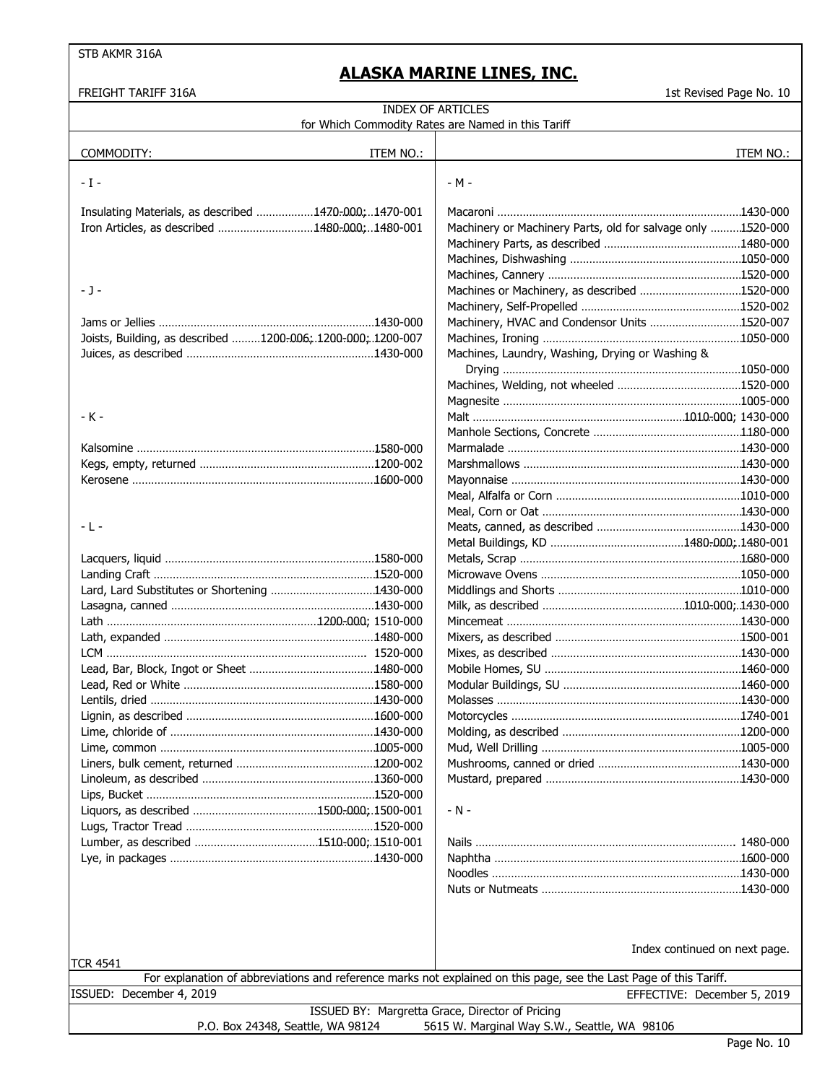| FREIGHT TARIFF 316A                                                                                                | 1st Revised Page No. 10                                     |
|--------------------------------------------------------------------------------------------------------------------|-------------------------------------------------------------|
| <b>INDEX OF ARTICLES</b>                                                                                           |                                                             |
| for Which Commodity Rates are Named in this Tariff                                                                 |                                                             |
|                                                                                                                    |                                                             |
| COMMODITY:<br>ITEM NO.:                                                                                            | ITEM NO.:                                                   |
|                                                                                                                    |                                                             |
| - I -                                                                                                              | - M -                                                       |
|                                                                                                                    |                                                             |
| Insulating Materials, as described 1470-000;1470-001                                                               |                                                             |
| Iron Articles, as described 1480-000;1480-001                                                                      | Machinery or Machinery Parts, old for salvage only 1520-000 |
|                                                                                                                    |                                                             |
|                                                                                                                    |                                                             |
|                                                                                                                    |                                                             |
| - J -                                                                                                              | Machines or Machinery, as described 1520-000                |
|                                                                                                                    |                                                             |
|                                                                                                                    | Machinery, HVAC and Condensor Units 1520-007                |
| Joists, Building, as described 1200-006; 1200-000; 1200-007                                                        |                                                             |
|                                                                                                                    | Machines, Laundry, Washing, Drying or Washing &             |
|                                                                                                                    |                                                             |
|                                                                                                                    |                                                             |
|                                                                                                                    |                                                             |
| - K -                                                                                                              |                                                             |
|                                                                                                                    |                                                             |
|                                                                                                                    |                                                             |
|                                                                                                                    |                                                             |
|                                                                                                                    |                                                             |
|                                                                                                                    |                                                             |
|                                                                                                                    |                                                             |
| - L -                                                                                                              |                                                             |
|                                                                                                                    |                                                             |
|                                                                                                                    |                                                             |
|                                                                                                                    |                                                             |
|                                                                                                                    |                                                             |
|                                                                                                                    |                                                             |
|                                                                                                                    |                                                             |
|                                                                                                                    |                                                             |
|                                                                                                                    |                                                             |
|                                                                                                                    |                                                             |
|                                                                                                                    |                                                             |
|                                                                                                                    |                                                             |
|                                                                                                                    |                                                             |
|                                                                                                                    |                                                             |
|                                                                                                                    |                                                             |
|                                                                                                                    |                                                             |
|                                                                                                                    |                                                             |
|                                                                                                                    |                                                             |
|                                                                                                                    |                                                             |
|                                                                                                                    | $- N -$                                                     |
|                                                                                                                    |                                                             |
|                                                                                                                    |                                                             |
|                                                                                                                    |                                                             |
|                                                                                                                    |                                                             |
|                                                                                                                    |                                                             |
|                                                                                                                    |                                                             |
|                                                                                                                    |                                                             |
|                                                                                                                    |                                                             |
|                                                                                                                    | Index continued on next page.                               |
| TCR 4541                                                                                                           |                                                             |
| For explanation of abbreviations and reference marks not explained on this page, see the Last Page of this Tariff. |                                                             |
| ISSUED: December 4, 2019                                                                                           | EFFECTIVE: December 5, 2019                                 |
| ISSUED BY: Margretta Grace, Director of Pricing                                                                    |                                                             |
| P.O. Box 24348, Seattle, WA 98124                                                                                  | 5615 W. Marginal Way S.W., Seattle, WA 98106                |
|                                                                                                                    | $P$ age No. $10$                                            |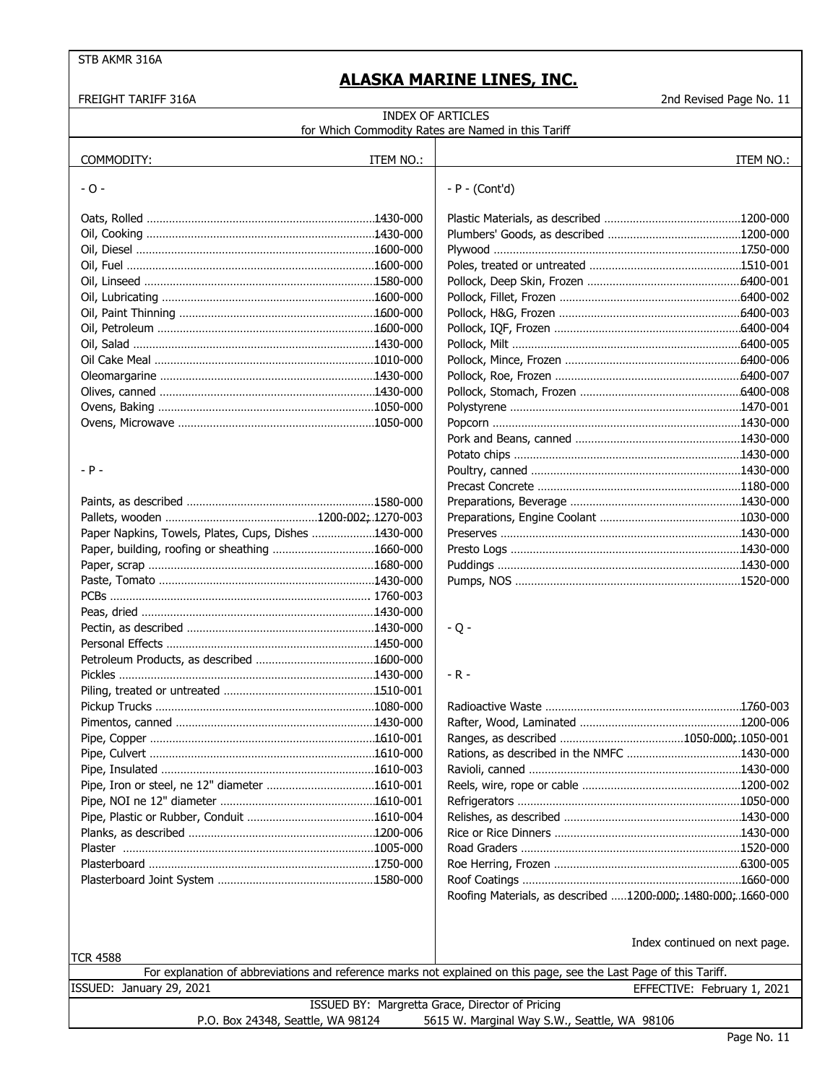| FREIGHT TARIFF 316A                                  |           |                                                                                                                    | 2nd Revised Page No. 11       |
|------------------------------------------------------|-----------|--------------------------------------------------------------------------------------------------------------------|-------------------------------|
|                                                      |           | <b>INDEX OF ARTICLES</b>                                                                                           |                               |
|                                                      |           | for Which Commodity Rates are Named in this Tariff                                                                 |                               |
|                                                      |           |                                                                                                                    |                               |
| COMMODITY:                                           | ITEM NO.: |                                                                                                                    | ITEM NO.:                     |
| $-0-$                                                |           | $-P - (Cont'd)$                                                                                                    |                               |
|                                                      |           |                                                                                                                    |                               |
|                                                      |           |                                                                                                                    |                               |
|                                                      |           |                                                                                                                    |                               |
|                                                      |           |                                                                                                                    |                               |
|                                                      |           |                                                                                                                    |                               |
|                                                      |           |                                                                                                                    |                               |
|                                                      |           |                                                                                                                    |                               |
|                                                      |           |                                                                                                                    |                               |
|                                                      |           |                                                                                                                    |                               |
|                                                      |           |                                                                                                                    |                               |
|                                                      |           |                                                                                                                    |                               |
|                                                      |           |                                                                                                                    |                               |
|                                                      |           |                                                                                                                    |                               |
|                                                      |           |                                                                                                                    |                               |
|                                                      |           |                                                                                                                    |                               |
|                                                      |           |                                                                                                                    |                               |
|                                                      |           |                                                                                                                    |                               |
| - P -                                                |           |                                                                                                                    |                               |
|                                                      |           |                                                                                                                    |                               |
|                                                      |           |                                                                                                                    |                               |
|                                                      |           |                                                                                                                    |                               |
| Paper Napkins, Towels, Plates, Cups, Dishes 1430-000 |           |                                                                                                                    |                               |
| Paper, building, roofing or sheathing 1660-000       |           |                                                                                                                    |                               |
|                                                      |           |                                                                                                                    |                               |
|                                                      |           |                                                                                                                    |                               |
|                                                      |           |                                                                                                                    |                               |
|                                                      |           |                                                                                                                    |                               |
|                                                      |           | $-Q -$                                                                                                             |                               |
|                                                      |           |                                                                                                                    |                               |
|                                                      |           |                                                                                                                    |                               |
|                                                      |           | $-R -$                                                                                                             |                               |
|                                                      |           |                                                                                                                    |                               |
|                                                      |           |                                                                                                                    |                               |
|                                                      |           |                                                                                                                    |                               |
|                                                      |           |                                                                                                                    |                               |
|                                                      |           |                                                                                                                    |                               |
|                                                      |           |                                                                                                                    |                               |
|                                                      |           |                                                                                                                    |                               |
|                                                      |           |                                                                                                                    |                               |
|                                                      |           |                                                                                                                    |                               |
|                                                      |           |                                                                                                                    |                               |
|                                                      |           |                                                                                                                    |                               |
|                                                      |           |                                                                                                                    |                               |
|                                                      |           |                                                                                                                    |                               |
|                                                      |           | Roofing Materials, as described 1200-000; 1480-000; 1660-000                                                       |                               |
|                                                      |           |                                                                                                                    |                               |
|                                                      |           |                                                                                                                    |                               |
|                                                      |           |                                                                                                                    | Index continued on next page. |
| TCR 4588                                             |           |                                                                                                                    |                               |
|                                                      |           | For explanation of abbreviations and reference marks not explained on this page, see the Last Page of this Tariff. |                               |
| ISSUED: January 29, 2021                             |           |                                                                                                                    | EFFECTIVE: February 1, 2021   |
|                                                      |           | ISSUED BY: Margretta Grace, Director of Pricing                                                                    |                               |
| P.O. Box 24348, Seattle, WA 98124                    |           | 5615 W. Marginal Way S.W., Seattle, WA 98106                                                                       |                               |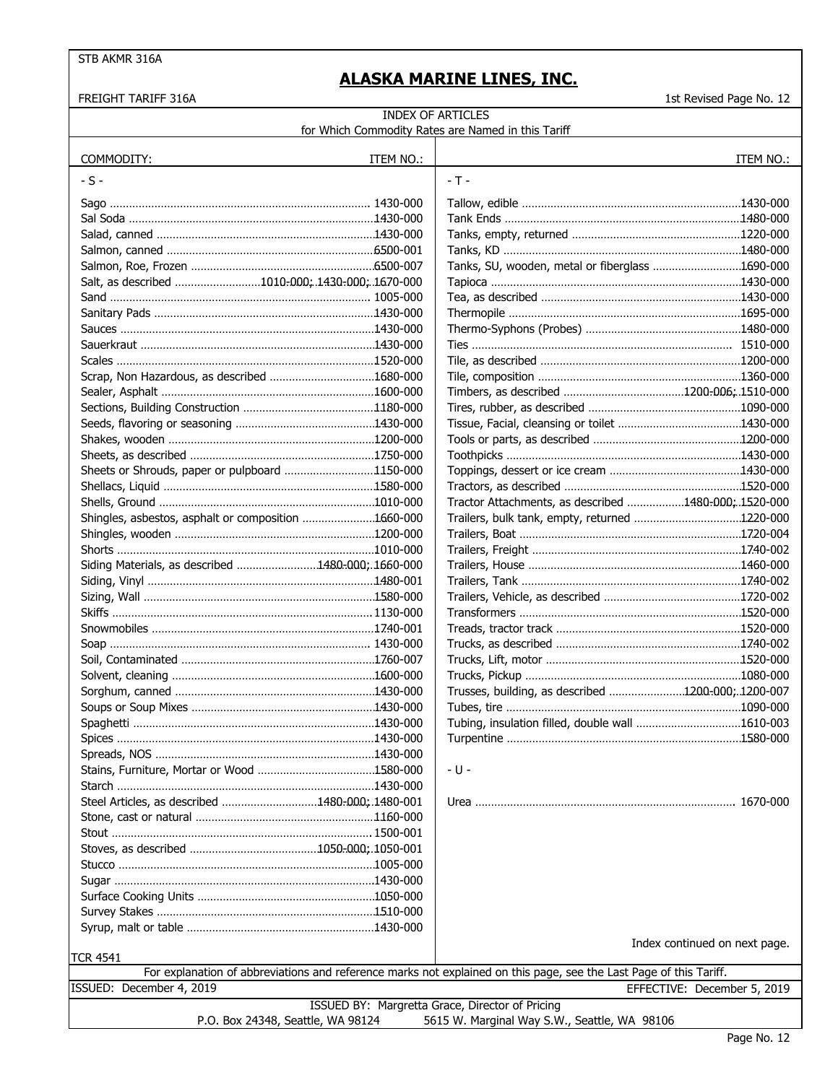FREIGHT TARIFF 316A 12

#### INDEX OF ARTICLES for Which Commodity Rates are Named in this Tariff

| COMMODITY:                                          | ITEM NO.: |                                                                                                                    | ITEM NO.:                     |
|-----------------------------------------------------|-----------|--------------------------------------------------------------------------------------------------------------------|-------------------------------|
| $-S -$                                              |           | $-T -$                                                                                                             |                               |
|                                                     |           |                                                                                                                    |                               |
|                                                     |           |                                                                                                                    |                               |
|                                                     |           |                                                                                                                    |                               |
|                                                     |           |                                                                                                                    |                               |
|                                                     |           | Tanks, SU, wooden, metal or fiberglass 1690-000                                                                    |                               |
| Salt, as described 1010-000; 1430-000; 1670-000     |           |                                                                                                                    |                               |
|                                                     |           |                                                                                                                    |                               |
|                                                     |           |                                                                                                                    |                               |
|                                                     |           |                                                                                                                    |                               |
|                                                     |           |                                                                                                                    |                               |
|                                                     |           |                                                                                                                    |                               |
|                                                     |           |                                                                                                                    |                               |
|                                                     |           |                                                                                                                    |                               |
|                                                     |           |                                                                                                                    |                               |
|                                                     |           |                                                                                                                    |                               |
|                                                     |           |                                                                                                                    |                               |
|                                                     |           |                                                                                                                    |                               |
|                                                     |           |                                                                                                                    |                               |
| Sheets or Shrouds, paper or pulpboard 1150-000      |           |                                                                                                                    |                               |
|                                                     |           |                                                                                                                    |                               |
|                                                     |           | Tractor Attachments, as described 1480-000; 1520-000                                                               |                               |
| Shingles, asbestos, asphalt or composition 1660-000 |           |                                                                                                                    |                               |
|                                                     |           |                                                                                                                    |                               |
|                                                     |           |                                                                                                                    |                               |
| Siding Materials, as described 1480-000; 1660-000   |           |                                                                                                                    |                               |
|                                                     |           |                                                                                                                    |                               |
|                                                     |           |                                                                                                                    |                               |
|                                                     |           |                                                                                                                    |                               |
|                                                     |           |                                                                                                                    |                               |
|                                                     |           |                                                                                                                    |                               |
|                                                     |           |                                                                                                                    |                               |
|                                                     |           |                                                                                                                    |                               |
|                                                     |           | Trusses, building, as described 1200-000;.1200-007                                                                 |                               |
|                                                     |           |                                                                                                                    |                               |
|                                                     |           |                                                                                                                    |                               |
|                                                     |           |                                                                                                                    |                               |
|                                                     |           |                                                                                                                    |                               |
|                                                     |           | - U -                                                                                                              |                               |
|                                                     |           |                                                                                                                    |                               |
| Steel Articles, as described 1480-000; 1480-001     |           |                                                                                                                    |                               |
|                                                     |           |                                                                                                                    |                               |
|                                                     |           |                                                                                                                    |                               |
|                                                     |           |                                                                                                                    |                               |
|                                                     |           |                                                                                                                    |                               |
|                                                     |           |                                                                                                                    |                               |
|                                                     |           |                                                                                                                    |                               |
|                                                     |           |                                                                                                                    |                               |
|                                                     |           |                                                                                                                    |                               |
|                                                     |           |                                                                                                                    | Index continued on next page. |
| <b>TCR 4541</b>                                     |           |                                                                                                                    |                               |
|                                                     |           | For explanation of abbreviations and reference marks not explained on this page, see the Last Page of this Tariff. |                               |
| ISSUED: December 4, 2019                            |           |                                                                                                                    | EFFECTIVE: December 5, 2019   |
|                                                     |           | ISSUED BY: Margretta Grace, Director of Pricing                                                                    |                               |
| P.O. Box 24348, Seattle, WA 98124                   |           | 5615 W. Marginal Way S.W., Seattle, WA 98106                                                                       |                               |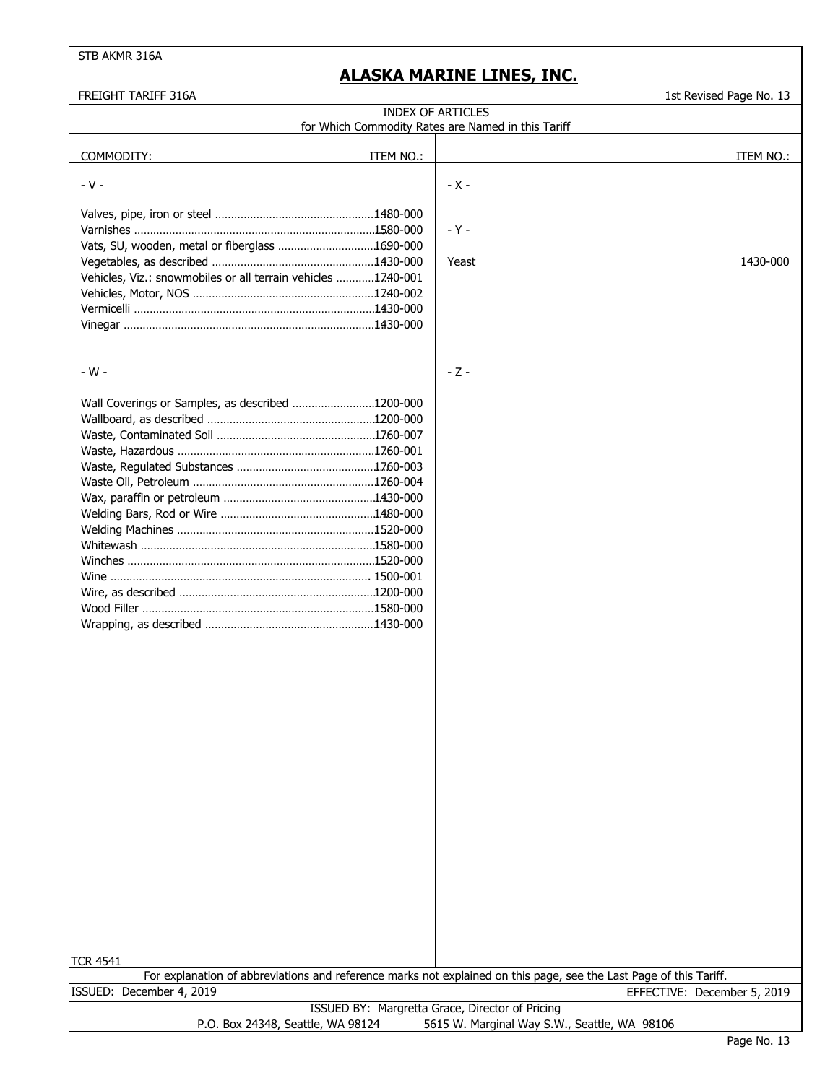FREIGHT TARIFF 316A 1st Revised Page No. 13

| חטבט ונגורתו והוטבבהו                                        | בא הטיואכט ו טאָכ וזט. בא                                                                                          |
|--------------------------------------------------------------|--------------------------------------------------------------------------------------------------------------------|
|                                                              | <b>INDEX OF ARTICLES</b><br>for Which Commodity Rates are Named in this Tariff                                     |
|                                                              |                                                                                                                    |
| COMMODITY:<br>ITEM NO.:                                      | ITEM NO.:                                                                                                          |
|                                                              |                                                                                                                    |
| $-V -$                                                       | $- X -$                                                                                                            |
|                                                              |                                                                                                                    |
|                                                              |                                                                                                                    |
|                                                              | - Y -                                                                                                              |
| Vats, SU, wooden, metal or fiberglass 1690-000               |                                                                                                                    |
|                                                              | 1430-000<br>Yeast                                                                                                  |
| Vehicles, Viz.: snowmobiles or all terrain vehicles 1740-001 |                                                                                                                    |
|                                                              |                                                                                                                    |
|                                                              |                                                                                                                    |
|                                                              |                                                                                                                    |
|                                                              |                                                                                                                    |
|                                                              |                                                                                                                    |
| - W -                                                        | $-Z -$                                                                                                             |
|                                                              |                                                                                                                    |
| Wall Coverings or Samples, as described 1200-000             |                                                                                                                    |
|                                                              |                                                                                                                    |
|                                                              |                                                                                                                    |
|                                                              |                                                                                                                    |
|                                                              |                                                                                                                    |
|                                                              |                                                                                                                    |
|                                                              |                                                                                                                    |
|                                                              |                                                                                                                    |
|                                                              |                                                                                                                    |
|                                                              |                                                                                                                    |
|                                                              |                                                                                                                    |
|                                                              |                                                                                                                    |
|                                                              |                                                                                                                    |
|                                                              |                                                                                                                    |
|                                                              |                                                                                                                    |
|                                                              |                                                                                                                    |
|                                                              |                                                                                                                    |
|                                                              |                                                                                                                    |
|                                                              |                                                                                                                    |
|                                                              |                                                                                                                    |
|                                                              |                                                                                                                    |
|                                                              |                                                                                                                    |
|                                                              |                                                                                                                    |
|                                                              |                                                                                                                    |
|                                                              |                                                                                                                    |
|                                                              |                                                                                                                    |
|                                                              |                                                                                                                    |
|                                                              |                                                                                                                    |
|                                                              |                                                                                                                    |
|                                                              |                                                                                                                    |
|                                                              |                                                                                                                    |
|                                                              |                                                                                                                    |
|                                                              |                                                                                                                    |
|                                                              |                                                                                                                    |
|                                                              |                                                                                                                    |
|                                                              |                                                                                                                    |
|                                                              |                                                                                                                    |
| TCR 4541                                                     | For explanation of abbreviations and reference marks not explained on this page, see the Last Page of this Tariff. |
| ISSUED: December 4, 2019                                     | EFFECTIVE: December 5, 2019                                                                                        |
|                                                              | ISSUED BY: Margretta Grace, Director of Pricing                                                                    |
| P.O. Box 24348, Seattle, WA 98124                            | 5615 W. Marginal Way S.W., Seattle, WA 98106                                                                       |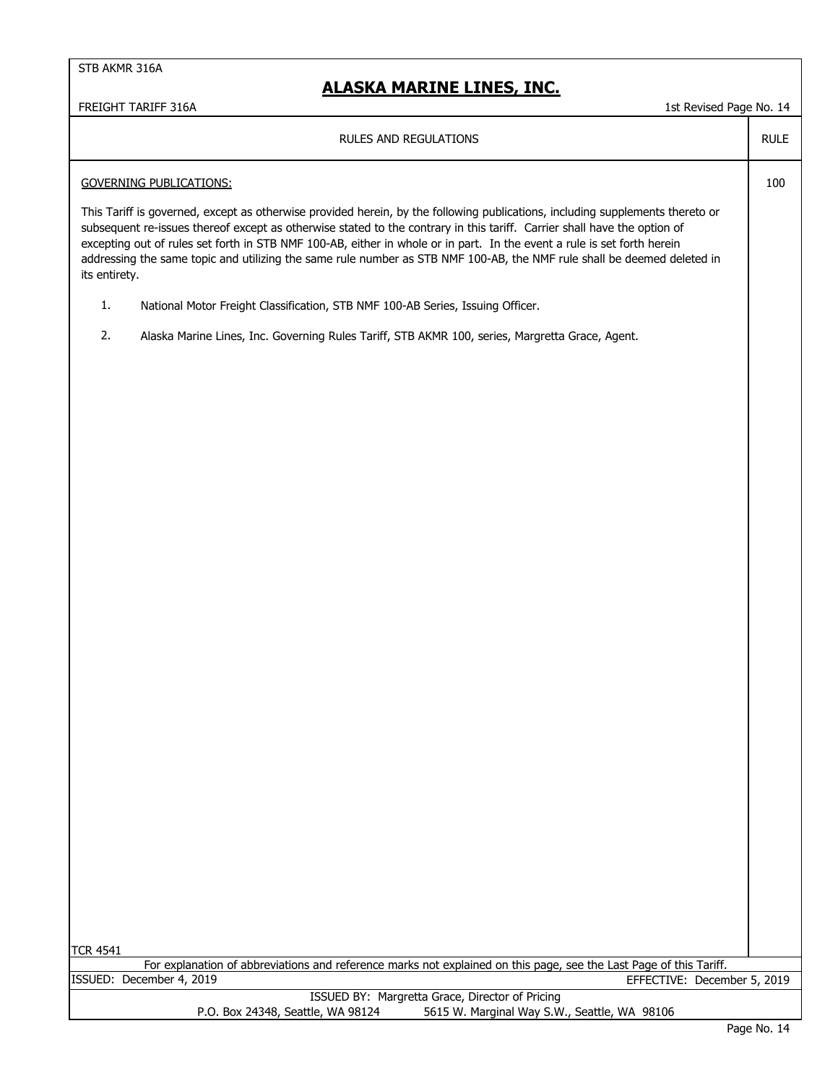### **ALASKA MARINE LINES, INC.**

FREIGHT TARIFF 316A 14

| <b>RULES AND REGULATIONS</b>                                                                                                                                                                                                                                                                                                                                                                                                                                                                                                     | <b>RULE</b> |
|----------------------------------------------------------------------------------------------------------------------------------------------------------------------------------------------------------------------------------------------------------------------------------------------------------------------------------------------------------------------------------------------------------------------------------------------------------------------------------------------------------------------------------|-------------|
| <b>GOVERNING PUBLICATIONS:</b>                                                                                                                                                                                                                                                                                                                                                                                                                                                                                                   | 100         |
| This Tariff is governed, except as otherwise provided herein, by the following publications, including supplements thereto or<br>subsequent re-issues thereof except as otherwise stated to the contrary in this tariff. Carrier shall have the option of<br>excepting out of rules set forth in STB NMF 100-AB, either in whole or in part. In the event a rule is set forth herein<br>addressing the same topic and utilizing the same rule number as STB NMF 100-AB, the NMF rule shall be deemed deleted in<br>its entirety. |             |
| 1.<br>National Motor Freight Classification, STB NMF 100-AB Series, Issuing Officer.                                                                                                                                                                                                                                                                                                                                                                                                                                             |             |
| 2.<br>Alaska Marine Lines, Inc. Governing Rules Tariff, STB AKMR 100, series, Margretta Grace, Agent.                                                                                                                                                                                                                                                                                                                                                                                                                            |             |
|                                                                                                                                                                                                                                                                                                                                                                                                                                                                                                                                  |             |
|                                                                                                                                                                                                                                                                                                                                                                                                                                                                                                                                  |             |
|                                                                                                                                                                                                                                                                                                                                                                                                                                                                                                                                  |             |
|                                                                                                                                                                                                                                                                                                                                                                                                                                                                                                                                  |             |
|                                                                                                                                                                                                                                                                                                                                                                                                                                                                                                                                  |             |
|                                                                                                                                                                                                                                                                                                                                                                                                                                                                                                                                  |             |
|                                                                                                                                                                                                                                                                                                                                                                                                                                                                                                                                  |             |
|                                                                                                                                                                                                                                                                                                                                                                                                                                                                                                                                  |             |
|                                                                                                                                                                                                                                                                                                                                                                                                                                                                                                                                  |             |
|                                                                                                                                                                                                                                                                                                                                                                                                                                                                                                                                  |             |
|                                                                                                                                                                                                                                                                                                                                                                                                                                                                                                                                  |             |
|                                                                                                                                                                                                                                                                                                                                                                                                                                                                                                                                  |             |
|                                                                                                                                                                                                                                                                                                                                                                                                                                                                                                                                  |             |
|                                                                                                                                                                                                                                                                                                                                                                                                                                                                                                                                  |             |
|                                                                                                                                                                                                                                                                                                                                                                                                                                                                                                                                  |             |
|                                                                                                                                                                                                                                                                                                                                                                                                                                                                                                                                  |             |
|                                                                                                                                                                                                                                                                                                                                                                                                                                                                                                                                  |             |
|                                                                                                                                                                                                                                                                                                                                                                                                                                                                                                                                  |             |
|                                                                                                                                                                                                                                                                                                                                                                                                                                                                                                                                  |             |
|                                                                                                                                                                                                                                                                                                                                                                                                                                                                                                                                  |             |
| <b>TCR 4541</b>                                                                                                                                                                                                                                                                                                                                                                                                                                                                                                                  |             |
| For explanation of abbreviations and reference marks not explained on this page, see the Last Page of this Tariff.<br>ISSUED: December 4, 2019<br>EFFECTIVE: December 5, 2019                                                                                                                                                                                                                                                                                                                                                    |             |
| ISSUED BY: Margretta Grace, Director of Pricing<br>P.O. Box 24348, Seattle, WA 98124<br>5615 W. Marginal Way S.W., Seattle, WA 98106                                                                                                                                                                                                                                                                                                                                                                                             |             |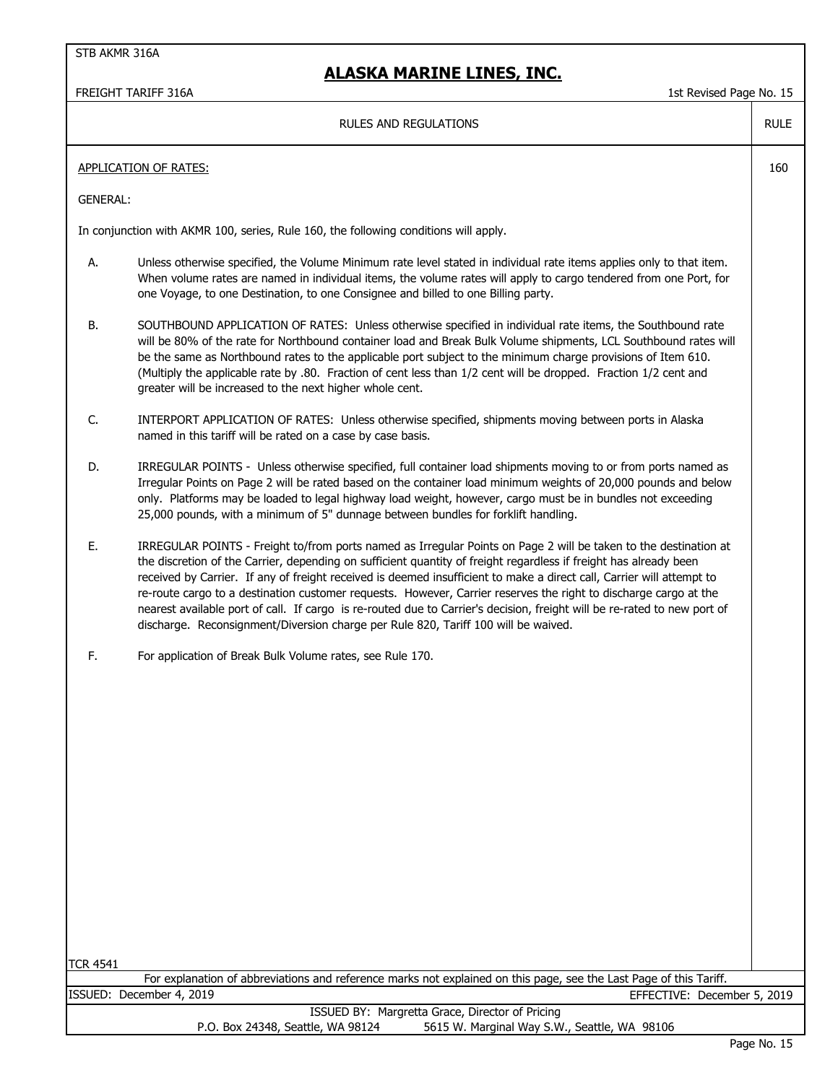FREIGHT TARIFF 316A 15 No. 15 No. 15 No. 15 No. 15 No. 16 No. 16 No. 16 No. 16 No. 16 No. 16 No. 16 No. 16 No. 16 No. 16 No. 16 No. 16 No. 16 No. 16 No. 16 No. 16 No. 16 No. 16 No. 16 No. 16 No. 16 No. 16 No. 16 No. 16 No.

RULE

160

#### RULES AND REGULATIONS

| APPLICATION OF RATES: |
|-----------------------|
|                       |

GENERAL:

In conjunction with AKMR 100, series, Rule 160, the following conditions will apply.

- A. Unless otherwise specified, the Volume Minimum rate level stated in individual rate items applies only to that item. When volume rates are named in individual items, the volume rates will apply to cargo tendered from one Port, for one Voyage, to one Destination, to one Consignee and billed to one Billing party.
- B. SOUTHBOUND APPLICATION OF RATES: Unless otherwise specified in individual rate items, the Southbound rate will be 80% of the rate for Northbound container load and Break Bulk Volume shipments, LCL Southbound rates will be the same as Northbound rates to the applicable port subject to the minimum charge provisions of Item 610. (Multiply the applicable rate by .80. Fraction of cent less than 1/2 cent will be dropped. Fraction 1/2 cent and greater will be increased to the next higher whole cent.
- C. INTERPORT APPLICATION OF RATES: Unless otherwise specified, shipments moving between ports in Alaska named in this tariff will be rated on a case by case basis.
- D. IRREGULAR POINTS Unless otherwise specified, full container load shipments moving to or from ports named as Irregular Points on Page 2 will be rated based on the container load minimum weights of 20,000 pounds and below only. Platforms may be loaded to legal highway load weight, however, cargo must be in bundles not exceeding 25,000 pounds, with a minimum of 5" dunnage between bundles for forklift handling.
- E. IRREGULAR POINTS Freight to/from ports named as Irregular Points on Page 2 will be taken to the destination at the discretion of the Carrier, depending on sufficient quantity of freight regardless if freight has already been received by Carrier. If any of freight received is deemed insufficient to make a direct call, Carrier will attempt to re-route cargo to a destination customer requests. However, Carrier reserves the right to discharge cargo at the nearest available port of call. If cargo is re-routed due to Carrier's decision, freight will be re-rated to new port of discharge. Reconsignment/Diversion charge per Rule 820, Tariff 100 will be waived.
- F. For application of Break Bulk Volume rates, see Rule 170.

TCR 4541

For explanation of abbreviations and reference marks not explained on this page, see the Last Page of this Tariff. ISSUED: December 4, 2019 EFFECTIVE: December 5, 2019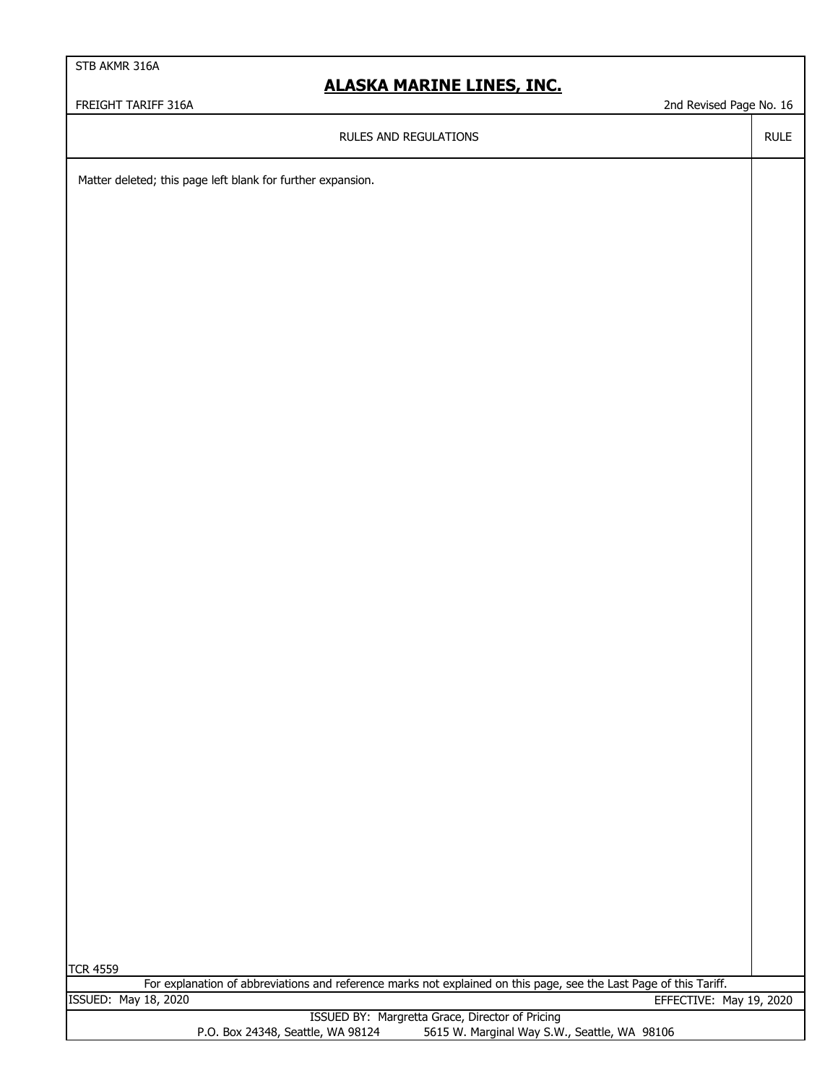### **ALASKA MARINE LINES, INC.**

FREIGHT TARIFF 316A 2nd Revised Page No. 16

RULES AND REGULATIONS

RULE

Matter deleted; this page left blank for further expansion.

TCR 4559

EFFECTIVE: May 19, 2020 For explanation of abbreviations and reference marks not explained on this page, see the Last Page of this Tariff. ISSUED: May 18, 2020

> ISSUED BY: Margretta Grace, Director of Pricing P.O. Box 24348, Seattle, WA 98124 5615 W. Marginal Way S.W., Seattle, WA 98106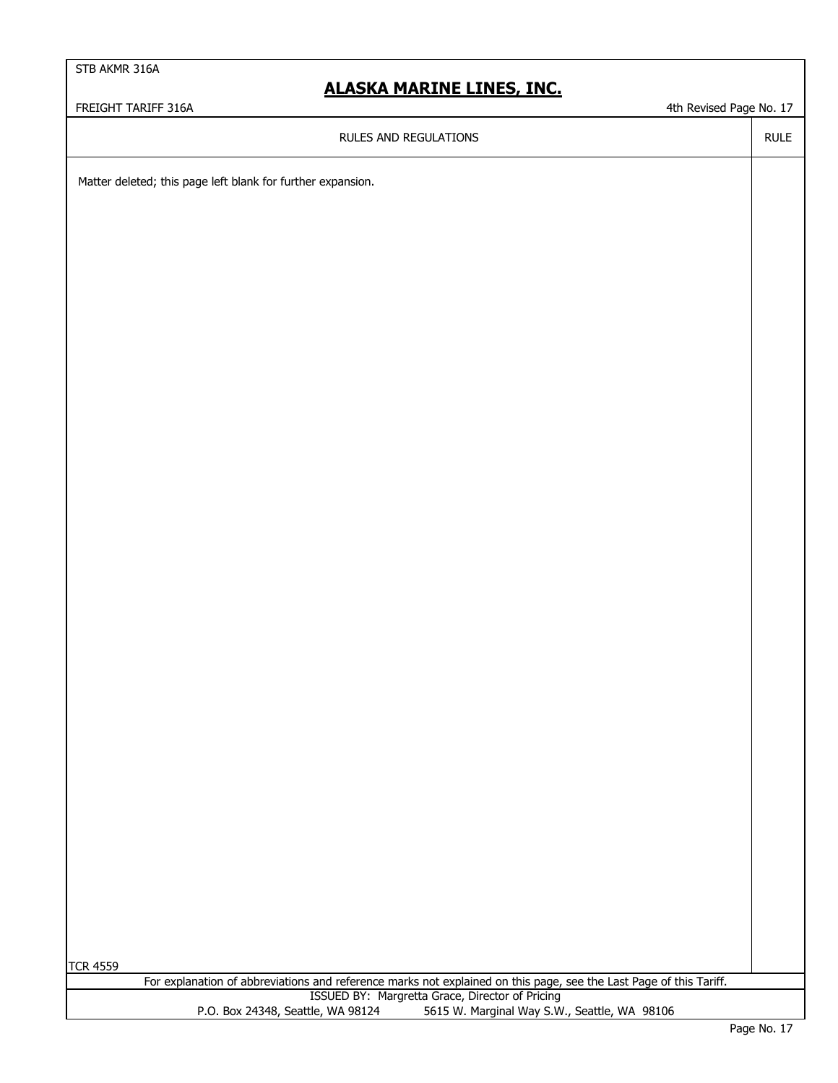### **ALASKA MARINE LINES, INC.**

FREIGHT TARIFF 316A **4th Revised Page No. 17** and the visit of the visit of the visit of the visit of the visit of the visit of the visit of the visit of the visit of the visit of the visit of the visit of the visit of the

RULES AND REGULATIONS

RULE

Matter deleted; this page left blank for further expansion.

TCR 4559

ISSUED BY: Margretta Grace, Director of Pricing P.O. Box 24348, Seattle, WA 98124 5615 W. Marginal Way S.W., Seattle, WA 98106 For explanation of abbreviations and reference marks not explained on this page, see the Last Page of this Tariff.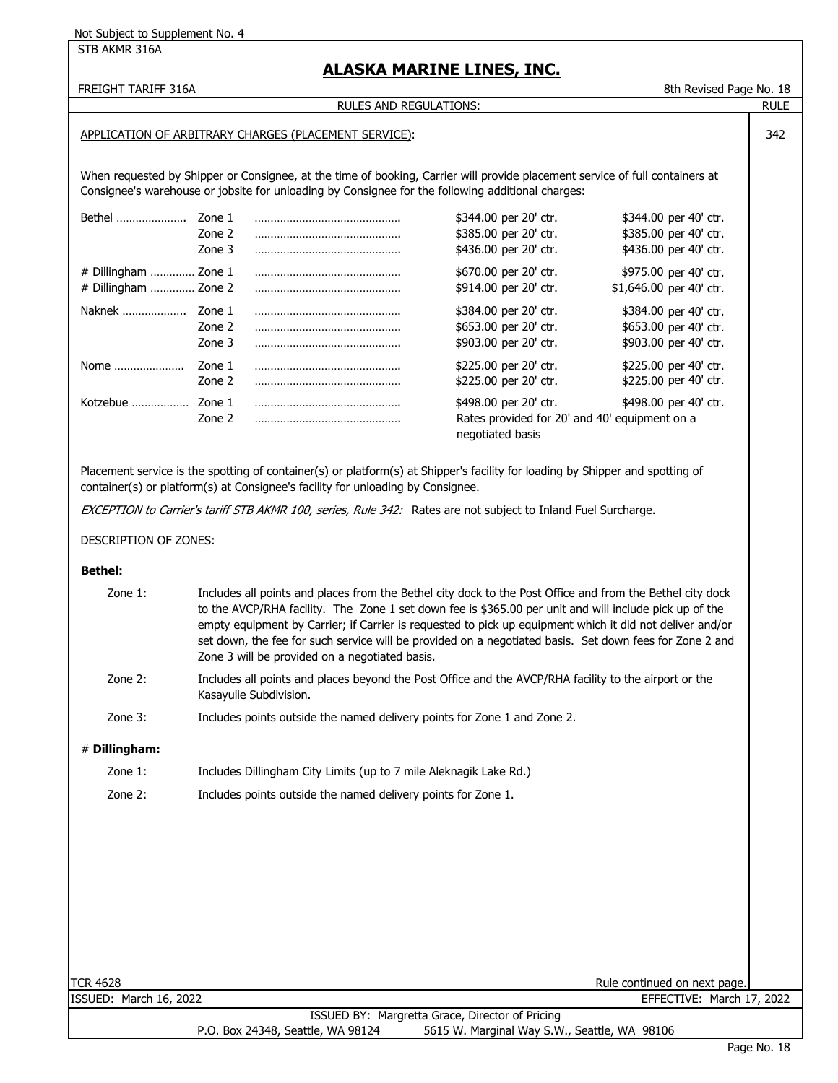STB AKMR 316A

### **ALASKA MARINE LINES, INC.**

FREIGHT TARIFF 316A 8th Revised Page No. 18

RULE

342

#### RULES AND REGULATIONS:

#### APPLICATION OF ARBITRARY CHARGES (PLACEMENT SERVICE):

When requested by Shipper or Consignee, at the time of booking, Carrier will provide placement service of full containers at Consignee's warehouse or jobsite for unloading by Consignee for the following additional charges:

| <b>Bethel</b>          | Zone 1 | \$344.00 per 20' ctr.                                             | \$344.00 per 40' ctr.   |
|------------------------|--------|-------------------------------------------------------------------|-------------------------|
|                        | Zone 2 | \$385.00 per 20' ctr.                                             | \$385.00 per 40' ctr.   |
|                        | Zone 3 | \$436.00 per 20' ctr.                                             | \$436.00 per 40' ctr.   |
| $#$ Dillingham  Zone 1 |        | \$670.00 per 20' ctr.                                             | \$975.00 per 40' ctr.   |
| # Dillingham  Zone 2   |        | \$914.00 per 20' ctr.                                             | \$1,646.00 per 40' ctr. |
| Naknek                 | Zone 1 | \$384.00 per 20' ctr.                                             | \$384.00 per 40' ctr.   |
|                        | Zone 2 | \$653.00 per 20' ctr.                                             | \$653.00 per 40' ctr.   |
|                        | Zone 3 | \$903.00 per 20' ctr.                                             | \$903.00 per 40' ctr.   |
| Nome                   | Zone 1 | \$225.00 per 20' ctr.                                             | \$225.00 per 40' ctr.   |
|                        | Zone 2 | \$225.00 per 20' ctr.                                             | \$225.00 per 40' ctr.   |
| Kotzebue               | Zone 1 | \$498.00 per 20' ctr.                                             | \$498.00 per 40' ctr.   |
|                        | Zone 2 | Rates provided for 20' and 40' equipment on a<br>negotiated basis |                         |

Placement service is the spotting of container(s) or platform(s) at Shipper's facility for loading by Shipper and spotting of container(s) or platform(s) at Consignee's facility for unloading by Consignee.

EXCEPTION to Carrier's tariff STB AKMR 100, series, Rule 342: Rates are not subject to Inland Fuel Surcharge.

#### DESCRIPTION OF ZONES:

#### **Bethel:**

- Zone 1: Includes all points and places from the Bethel city dock to the Post Office and from the Bethel city dock to the AVCP/RHA facility. The Zone 1 set down fee is \$365.00 per unit and will include pick up of the empty equipment by Carrier; if Carrier is requested to pick up equipment which it did not deliver and/or set down, the fee for such service will be provided on a negotiated basis. Set down fees for Zone 2 and Zone 3 will be provided on a negotiated basis.
- Zone 2: Includes all points and places beyond the Post Office and the AVCP/RHA facility to the airport or the Kasayulie Subdivision.
- Zone 3: Includes points outside the named delivery points for Zone 1 and Zone 2.

#### # **Dillingham:**

- Zone 1: Includes Dillingham City Limits (up to 7 mile Aleknagik Lake Rd.)
- Zone 2: Includes points outside the named delivery points for Zone 1.

ISSUED: March 16, 2022 EFFECTIVE: March 17, 2022

TCR 4628 Rule continued on next page. The state of the state of the state of the state of the state of the state of the state of the state of the state of the state of the state of the state of the state of the state of th

ISSUED BY: Margretta Grace, Director of Pricing<br>P.O. Box 24348, Seattle, WA 98124 5615 W. Marginal Way S.W 5615 W. Marginal Way S.W., Seattle, WA 98106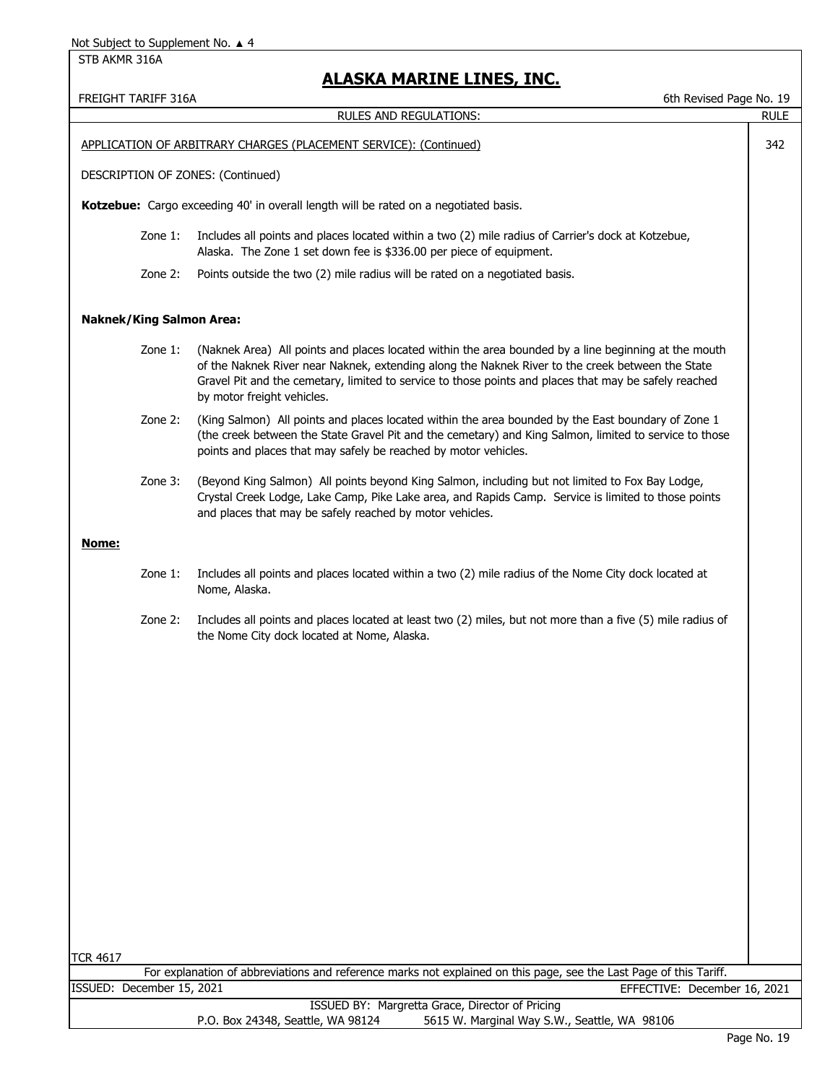### **ALASKA MARINE LINES, INC.**

FREIGHT TARIFF 316A 6th Revised Page No. 19

|                                   | RULES AND REGULATIONS:                                                                                                                                                                                                                                                                                                                          | <b>RULE</b> |
|-----------------------------------|-------------------------------------------------------------------------------------------------------------------------------------------------------------------------------------------------------------------------------------------------------------------------------------------------------------------------------------------------|-------------|
|                                   | APPLICATION OF ARBITRARY CHARGES (PLACEMENT SERVICE): (Continued)                                                                                                                                                                                                                                                                               | 342         |
| DESCRIPTION OF ZONES: (Continued) |                                                                                                                                                                                                                                                                                                                                                 |             |
|                                   | Kotzebue: Cargo exceeding 40' in overall length will be rated on a negotiated basis.                                                                                                                                                                                                                                                            |             |
| Zone 1:                           | Includes all points and places located within a two (2) mile radius of Carrier's dock at Kotzebue,<br>Alaska. The Zone 1 set down fee is \$336.00 per piece of equipment.                                                                                                                                                                       |             |
| Zone 2:                           | Points outside the two (2) mile radius will be rated on a negotiated basis.                                                                                                                                                                                                                                                                     |             |
| <b>Naknek/King Salmon Area:</b>   |                                                                                                                                                                                                                                                                                                                                                 |             |
| Zone 1:                           | (Naknek Area) All points and places located within the area bounded by a line beginning at the mouth<br>of the Naknek River near Naknek, extending along the Naknek River to the creek between the State<br>Gravel Pit and the cemetary, limited to service to those points and places that may be safely reached<br>by motor freight vehicles. |             |
| Zone 2:                           | (King Salmon) All points and places located within the area bounded by the East boundary of Zone 1<br>(the creek between the State Gravel Pit and the cemetary) and King Salmon, limited to service to those<br>points and places that may safely be reached by motor vehicles.                                                                 |             |
| Zone 3:                           | (Beyond King Salmon) All points beyond King Salmon, including but not limited to Fox Bay Lodge,<br>Crystal Creek Lodge, Lake Camp, Pike Lake area, and Rapids Camp. Service is limited to those points<br>and places that may be safely reached by motor vehicles.                                                                              |             |
| <u>Nome:</u>                      |                                                                                                                                                                                                                                                                                                                                                 |             |
| Zone 1:                           | Includes all points and places located within a two (2) mile radius of the Nome City dock located at<br>Nome, Alaska.                                                                                                                                                                                                                           |             |
| Zone 2:                           | Includes all points and places located at least two (2) miles, but not more than a five (5) mile radius of<br>the Nome City dock located at Nome, Alaska.                                                                                                                                                                                       |             |
|                                   |                                                                                                                                                                                                                                                                                                                                                 |             |
|                                   |                                                                                                                                                                                                                                                                                                                                                 |             |
|                                   |                                                                                                                                                                                                                                                                                                                                                 |             |
|                                   |                                                                                                                                                                                                                                                                                                                                                 |             |
|                                   |                                                                                                                                                                                                                                                                                                                                                 |             |
|                                   |                                                                                                                                                                                                                                                                                                                                                 |             |
|                                   |                                                                                                                                                                                                                                                                                                                                                 |             |
|                                   |                                                                                                                                                                                                                                                                                                                                                 |             |
|                                   |                                                                                                                                                                                                                                                                                                                                                 |             |
| <b>TCR 4617</b>                   |                                                                                                                                                                                                                                                                                                                                                 |             |
|                                   | For explanation of abbreviations and reference marks not explained on this page, see the Last Page of this Tariff.                                                                                                                                                                                                                              |             |
| ISSUED: December 15, 2021         | EFFECTIVE: December 16, 2021                                                                                                                                                                                                                                                                                                                    |             |
|                                   | ISSUED BY: Margretta Grace, Director of Pricing<br>P.O. Box 24348, Seattle, WA 98124<br>5615 W. Marginal Way S.W., Seattle, WA 98106                                                                                                                                                                                                            |             |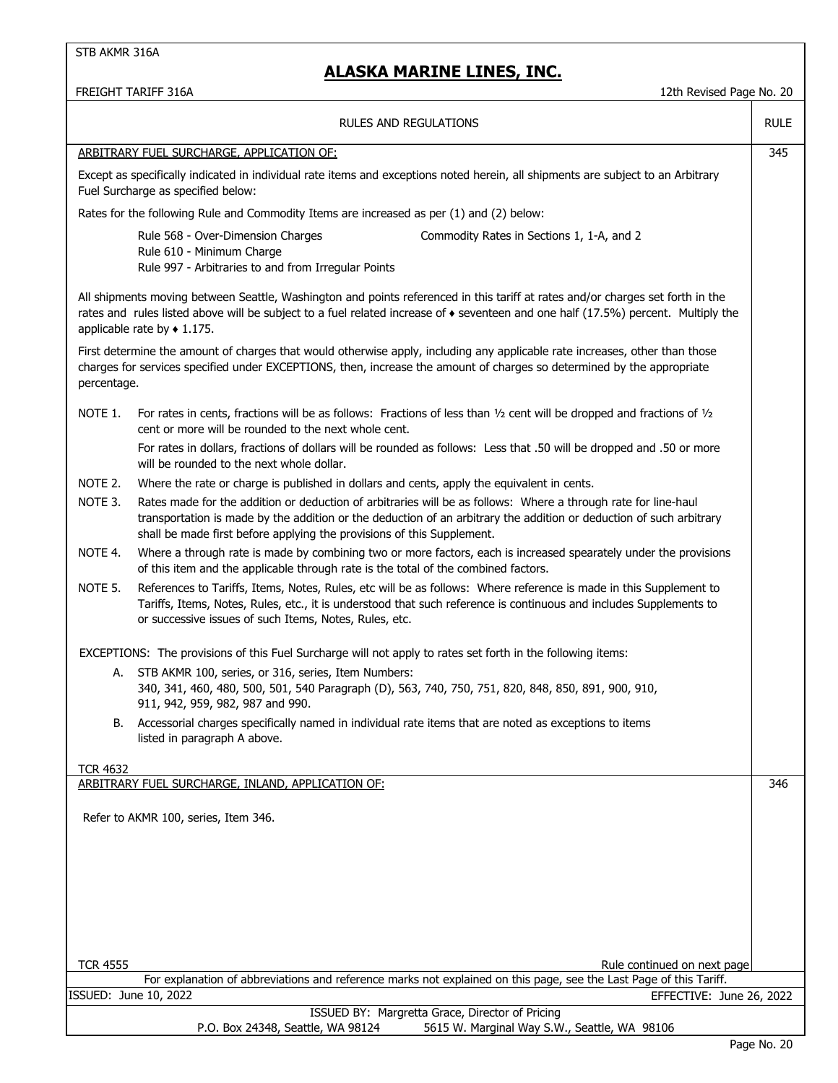### **ALASKA MARINE LINES, INC.**

FREIGHT TARIFF 316A 12th Revised Page No. 20

|                 | <b>RULES AND REGULATIONS</b>                                                                                                                                                                                                                                                                                         | <b>RULE</b> |
|-----------------|----------------------------------------------------------------------------------------------------------------------------------------------------------------------------------------------------------------------------------------------------------------------------------------------------------------------|-------------|
|                 | ARBITRARY FUEL SURCHARGE, APPLICATION OF:                                                                                                                                                                                                                                                                            | 345         |
|                 | Except as specifically indicated in individual rate items and exceptions noted herein, all shipments are subject to an Arbitrary<br>Fuel Surcharge as specified below:                                                                                                                                               |             |
|                 | Rates for the following Rule and Commodity Items are increased as per (1) and (2) below:                                                                                                                                                                                                                             |             |
|                 | Rule 568 - Over-Dimension Charges<br>Commodity Rates in Sections 1, 1-A, and 2<br>Rule 610 - Minimum Charge<br>Rule 997 - Arbitraries to and from Irregular Points                                                                                                                                                   |             |
|                 | All shipments moving between Seattle, Washington and points referenced in this tariff at rates and/or charges set forth in the<br>rates and rules listed above will be subject to a fuel related increase of $\bullet$ seventeen and one half (17.5%) percent. Multiply the<br>applicable rate by $\triangle$ 1.175. |             |
| percentage.     | First determine the amount of charges that would otherwise apply, including any applicable rate increases, other than those<br>charges for services specified under EXCEPTIONS, then, increase the amount of charges so determined by the appropriate                                                                |             |
| NOTE 1.         | For rates in cents, fractions will be as follows: Fractions of less than $1/2$ cent will be dropped and fractions of $1/2$<br>cent or more will be rounded to the next whole cent.                                                                                                                                   |             |
|                 | For rates in dollars, fractions of dollars will be rounded as follows: Less that .50 will be dropped and .50 or more<br>will be rounded to the next whole dollar.                                                                                                                                                    |             |
| NOTE 2.         | Where the rate or charge is published in dollars and cents, apply the equivalent in cents.                                                                                                                                                                                                                           |             |
| NOTE 3.         | Rates made for the addition or deduction of arbitraries will be as follows: Where a through rate for line-haul<br>transportation is made by the addition or the deduction of an arbitrary the addition or deduction of such arbitrary<br>shall be made first before applying the provisions of this Supplement.      |             |
| NOTE 4.         | Where a through rate is made by combining two or more factors, each is increased spearately under the provisions<br>of this item and the applicable through rate is the total of the combined factors.                                                                                                               |             |
| NOTE 5.         | References to Tariffs, Items, Notes, Rules, etc will be as follows: Where reference is made in this Supplement to<br>Tariffs, Items, Notes, Rules, etc., it is understood that such reference is continuous and includes Supplements to<br>or successive issues of such Items, Notes, Rules, etc.                    |             |
|                 | EXCEPTIONS: The provisions of this Fuel Surcharge will not apply to rates set forth in the following items:                                                                                                                                                                                                          |             |
| А.              | STB AKMR 100, series, or 316, series, Item Numbers:                                                                                                                                                                                                                                                                  |             |
|                 | 340, 341, 460, 480, 500, 501, 540 Paragraph (D), 563, 740, 750, 751, 820, 848, 850, 891, 900, 910,<br>911, 942, 959, 982, 987 and 990.                                                                                                                                                                               |             |
| В.              | Accessorial charges specifically named in individual rate items that are noted as exceptions to items<br>listed in paragraph A above.                                                                                                                                                                                |             |
| <b>TCR 4632</b> |                                                                                                                                                                                                                                                                                                                      |             |
|                 | ARBITRARY FUEL SURCHARGE, INLAND, APPLICATION OF:                                                                                                                                                                                                                                                                    | 346         |
|                 | Refer to AKMR 100, series, Item 346.                                                                                                                                                                                                                                                                                 |             |
|                 |                                                                                                                                                                                                                                                                                                                      |             |
|                 |                                                                                                                                                                                                                                                                                                                      |             |
|                 |                                                                                                                                                                                                                                                                                                                      |             |
|                 |                                                                                                                                                                                                                                                                                                                      |             |
|                 |                                                                                                                                                                                                                                                                                                                      |             |
| <b>TCR 4555</b> | Rule continued on next page                                                                                                                                                                                                                                                                                          |             |
|                 | For explanation of abbreviations and reference marks not explained on this page, see the Last Page of this Tariff.                                                                                                                                                                                                   |             |
|                 | ISSUED: June 10, 2022<br>EFFECTIVE: June 26, 2022                                                                                                                                                                                                                                                                    |             |
|                 | ISSUED BY: Margretta Grace, Director of Pricing<br>P.O. Box 24348, Seattle, WA 98124<br>5615 W. Marginal Way S.W., Seattle, WA 98106                                                                                                                                                                                 |             |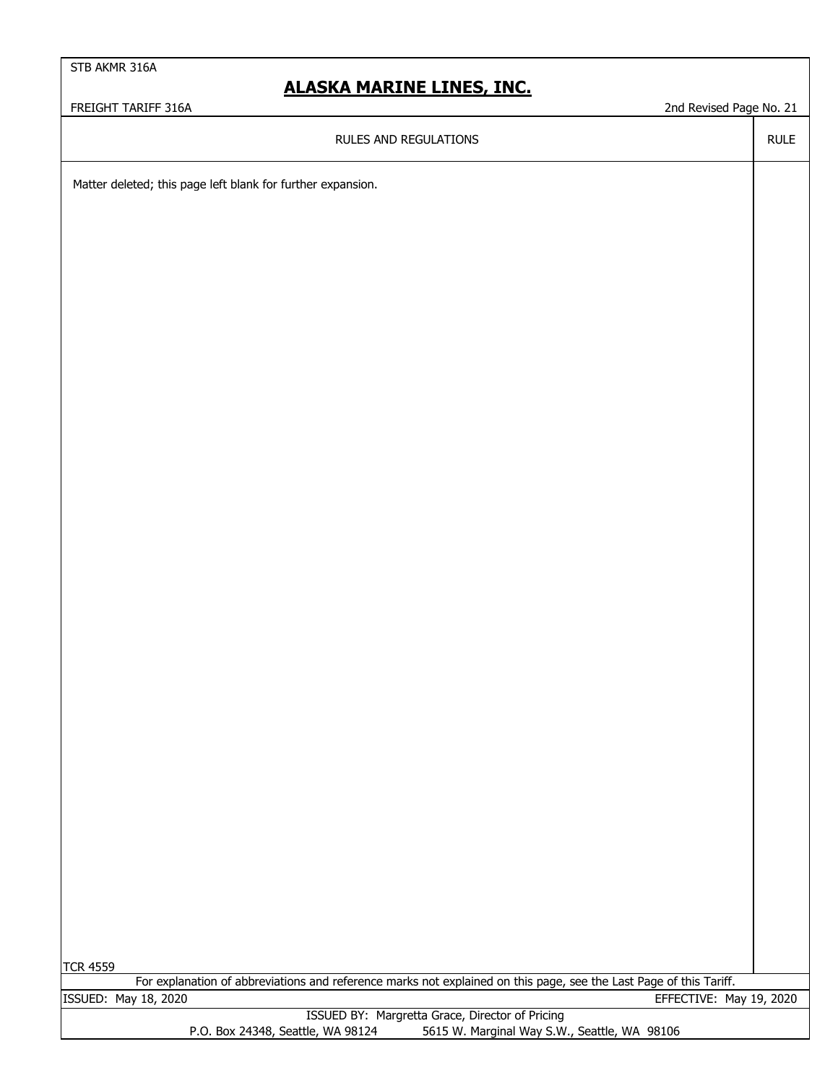### **ALASKA MARINE LINES, INC.**

FREIGHT TARIFF 316A 21 CHA 2008 2008 2008 2009 2008 2009 2008 2009 2008 2009 2008 2009 2008 21 CHA 21 CHA 21 CHA 21 CHA 21 CHA 21 CHA 21 CHA 21 CHA 21 CHA 21 CHA 21 CHA 21 CHA 21 CHA 21 CHA 21 CHA 21 CHA 21 CHA 21 CHA 21 C

RULE

RULES AND REGULATIONS

Matter deleted; this page left blank for further expansion.

TCR 4559

For explanation of abbreviations and reference marks not explained on this page, see the Last Page of this Tariff. ISSUED: May 18, 2020 EFFECTIVE: May 19, 2020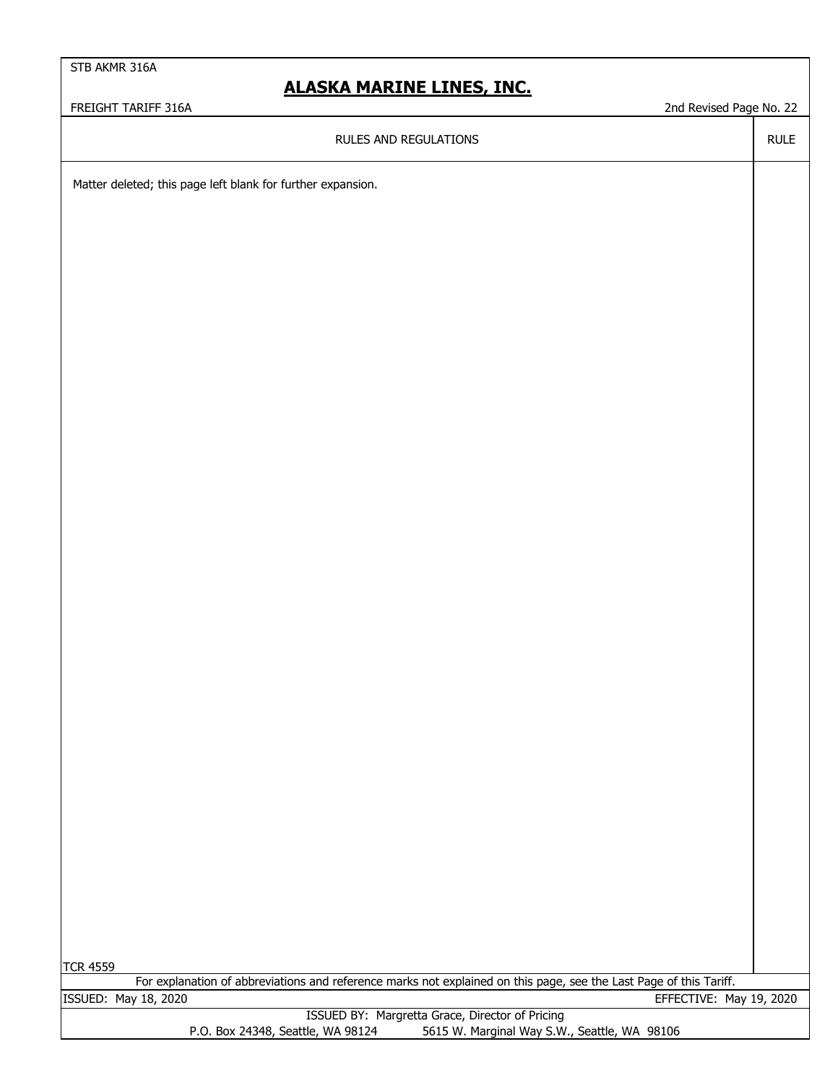### **ALASKA MARINE LINES, INC.**

FREIGHT TARIFF 316A 22 and Revised Page No. 22

RULE

RULES AND REGULATIONS

Matter deleted; this page left blank for further expansion.

|  | г |
|--|---|
|--|---|

For explanation of abbreviations and reference marks not explained on this page, see the Last Page of this Tariff. ISSUED: May 18, 2020 EFFECTIVE: May 19, 2020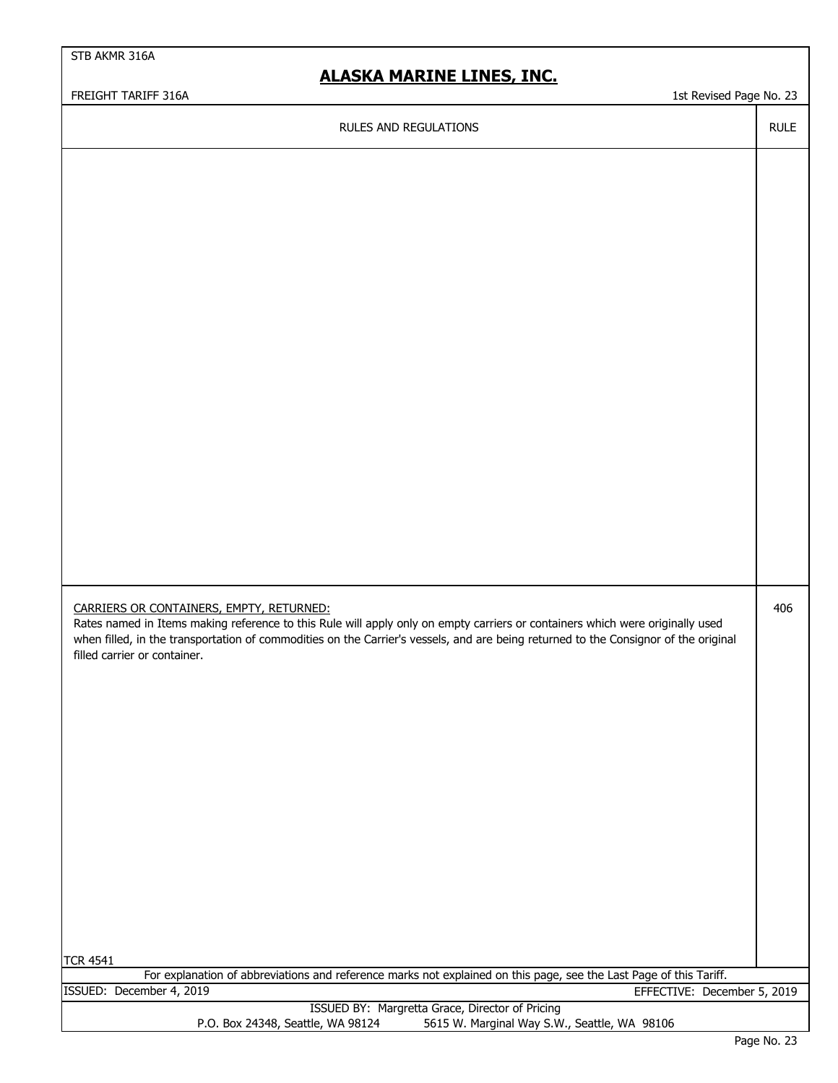### **ALASKA MARINE LINES, INC.**

FREIGHT TARIFF 316A 1st Revised Page No. 23

RULE

406

#### RULES AND REGULATIONS

| CARRIERS OR CONTAINERS, EMPTY, RETURNED: |
|------------------------------------------|

Rates named in Items making reference to this Rule will apply only on empty carriers or containers which were originally used when filled, in the transportation of commodities on the Carrier's vessels, and are being returned to the Consignor of the original filled carrier or container.

TCR 4541

For explanation of abbreviations and reference marks not explained on this page, see the Last Page of this Tariff. ISSUED: December 4, 2019 EFFECTIVE: December 5, 2019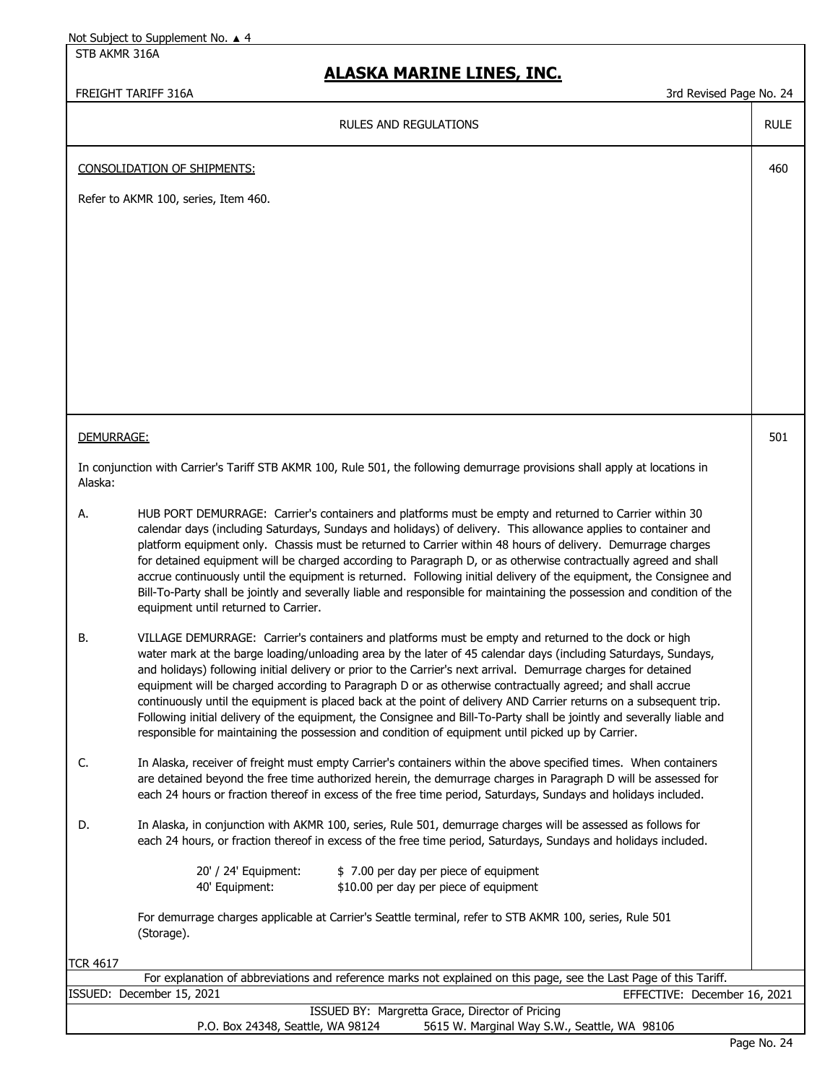STB AKMR 316A

### **ALASKA MARINE LINES, INC.**

#### FREIGHT TARIFF 316A 3rd Revised Page No. 24

RULE

460

501

#### RULES AND REGULATIONS

CONSOLIDATION OF SHIPMENTS:

Refer to AKMR 100, series, Item 460.

#### DEMURRAGE:

In conjunction with Carrier's Tariff STB AKMR 100, Rule 501, the following demurrage provisions shall apply at locations in Alaska:

- A. HUB PORT DEMURRAGE: Carrier's containers and platforms must be empty and returned to Carrier within 30 calendar days (including Saturdays, Sundays and holidays) of delivery. This allowance applies to container and platform equipment only. Chassis must be returned to Carrier within 48 hours of delivery. Demurrage charges for detained equipment will be charged according to Paragraph D, or as otherwise contractually agreed and shall accrue continuously until the equipment is returned. Following initial delivery of the equipment, the Consignee and Bill-To-Party shall be jointly and severally liable and responsible for maintaining the possession and condition of the equipment until returned to Carrier.
- B. VILLAGE DEMURRAGE: Carrier's containers and platforms must be empty and returned to the dock or high water mark at the barge loading/unloading area by the later of 45 calendar days (including Saturdays, Sundays, and holidays) following initial delivery or prior to the Carrier's next arrival. Demurrage charges for detained equipment will be charged according to Paragraph D or as otherwise contractually agreed; and shall accrue continuously until the equipment is placed back at the point of delivery AND Carrier returns on a subsequent trip. Following initial delivery of the equipment, the Consignee and Bill-To-Party shall be jointly and severally liable and responsible for maintaining the possession and condition of equipment until picked up by Carrier.
- C. In Alaska, receiver of freight must empty Carrier's containers within the above specified times. When containers are detained beyond the free time authorized herein, the demurrage charges in Paragraph D will be assessed for each 24 hours or fraction thereof in excess of the free time period, Saturdays, Sundays and holidays included.
- D. In Alaska, in conjunction with AKMR 100, series, Rule 501, demurrage charges will be assessed as follows for each 24 hours, or fraction thereof in excess of the free time period, Saturdays, Sundays and holidays included.

| 20' / 24' Equipment: | \$7.00 per day per piece of equipment  |
|----------------------|----------------------------------------|
| 40' Equipment:       | \$10.00 per day per piece of equipment |

For demurrage charges applicable at Carrier's Seattle terminal, refer to STB AKMR 100, series, Rule 501 (Storage).

TCR 4617

| For explanation of abbreviations and reference marks not explained on this page, see the Last Page of this Tariff. |  |                              |  |  |
|--------------------------------------------------------------------------------------------------------------------|--|------------------------------|--|--|
| ISSUED: December 15, 2021                                                                                          |  | EFFECTIVE: December 16, 2021 |  |  |
| ISSUED BY: Margretta Grace, Director of Pricing                                                                    |  |                              |  |  |
| 5615 W. Marginal Way S.W., Seattle, WA 98106<br>P.O. Box 24348, Seattle, WA 98124                                  |  |                              |  |  |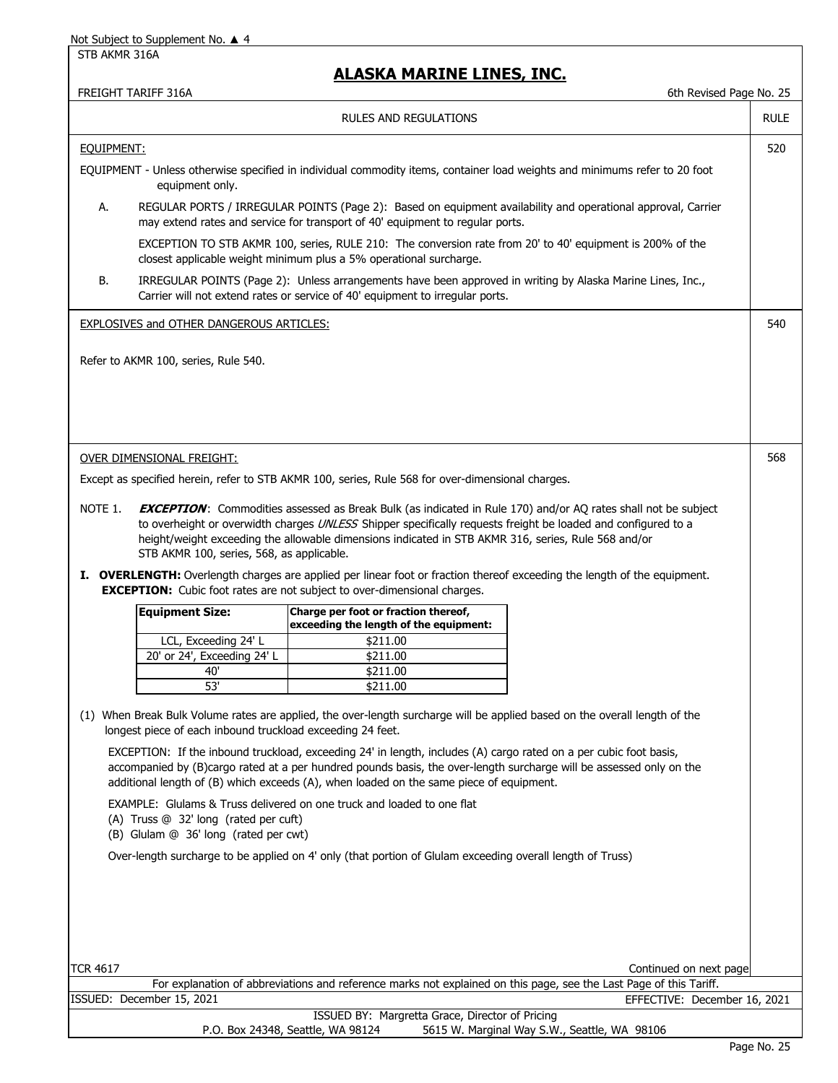#### STB AKMR 316A

|                                                                                                                                               |                                                                                                                                                                                               |                                                                                                                                                                                             |                                                                                                                      | 6th Revised Page No. 25 |
|-----------------------------------------------------------------------------------------------------------------------------------------------|-----------------------------------------------------------------------------------------------------------------------------------------------------------------------------------------------|---------------------------------------------------------------------------------------------------------------------------------------------------------------------------------------------|----------------------------------------------------------------------------------------------------------------------|-------------------------|
|                                                                                                                                               |                                                                                                                                                                                               | RULES AND REGULATIONS                                                                                                                                                                       |                                                                                                                      | <b>RULE</b>             |
| EQUIPMENT:                                                                                                                                    |                                                                                                                                                                                               |                                                                                                                                                                                             |                                                                                                                      | 520                     |
| EQUIPMENT - Unless otherwise specified in individual commodity items, container load weights and minimums refer to 20 foot<br>equipment only. |                                                                                                                                                                                               |                                                                                                                                                                                             |                                                                                                                      |                         |
| А.                                                                                                                                            | REGULAR PORTS / IRREGULAR POINTS (Page 2): Based on equipment availability and operational approval, Carrier<br>may extend rates and service for transport of 40' equipment to regular ports. |                                                                                                                                                                                             |                                                                                                                      |                         |
|                                                                                                                                               | EXCEPTION TO STB AKMR 100, series, RULE 210: The conversion rate from 20' to 40' equipment is 200% of the<br>closest applicable weight minimum plus a 5% operational surcharge.               |                                                                                                                                                                                             |                                                                                                                      |                         |
| В.                                                                                                                                            |                                                                                                                                                                                               | IRREGULAR POINTS (Page 2): Unless arrangements have been approved in writing by Alaska Marine Lines, Inc.,<br>Carrier will not extend rates or service of 40' equipment to irregular ports. |                                                                                                                      |                         |
|                                                                                                                                               | <b>EXPLOSIVES and OTHER DANGEROUS ARTICLES:</b>                                                                                                                                               |                                                                                                                                                                                             |                                                                                                                      | 540                     |
|                                                                                                                                               |                                                                                                                                                                                               |                                                                                                                                                                                             |                                                                                                                      |                         |
|                                                                                                                                               | Refer to AKMR 100, series, Rule 540.                                                                                                                                                          |                                                                                                                                                                                             |                                                                                                                      |                         |
|                                                                                                                                               |                                                                                                                                                                                               |                                                                                                                                                                                             |                                                                                                                      |                         |
|                                                                                                                                               |                                                                                                                                                                                               |                                                                                                                                                                                             |                                                                                                                      |                         |
|                                                                                                                                               |                                                                                                                                                                                               |                                                                                                                                                                                             |                                                                                                                      |                         |
|                                                                                                                                               |                                                                                                                                                                                               |                                                                                                                                                                                             |                                                                                                                      |                         |
|                                                                                                                                               |                                                                                                                                                                                               |                                                                                                                                                                                             |                                                                                                                      |                         |
|                                                                                                                                               | OVER DIMENSIONAL FREIGHT:                                                                                                                                                                     |                                                                                                                                                                                             |                                                                                                                      | 568                     |
|                                                                                                                                               |                                                                                                                                                                                               | Except as specified herein, refer to STB AKMR 100, series, Rule 568 for over-dimensional charges.                                                                                           |                                                                                                                      |                         |
|                                                                                                                                               |                                                                                                                                                                                               |                                                                                                                                                                                             |                                                                                                                      |                         |
| NOTE 1.                                                                                                                                       |                                                                                                                                                                                               |                                                                                                                                                                                             | <b>EXCEPTION:</b> Commodities assessed as Break Bulk (as indicated in Rule 170) and/or AQ rates shall not be subject |                         |
|                                                                                                                                               |                                                                                                                                                                                               | to overheight or overwidth charges UNLESS Shipper specifically requests freight be loaded and configured to a                                                                               |                                                                                                                      |                         |
|                                                                                                                                               |                                                                                                                                                                                               | height/weight exceeding the allowable dimensions indicated in STB AKMR 316, series, Rule 568 and/or                                                                                         |                                                                                                                      |                         |
|                                                                                                                                               | STB AKMR 100, series, 568, as applicable.                                                                                                                                                     |                                                                                                                                                                                             |                                                                                                                      |                         |
|                                                                                                                                               |                                                                                                                                                                                               | I. OVERLENGTH: Overlength charges are applied per linear foot or fraction thereof exceeding the length of the equipment.                                                                    |                                                                                                                      |                         |
|                                                                                                                                               |                                                                                                                                                                                               |                                                                                                                                                                                             |                                                                                                                      |                         |
|                                                                                                                                               |                                                                                                                                                                                               | <b>EXCEPTION:</b> Cubic foot rates are not subject to over-dimensional charges.                                                                                                             |                                                                                                                      |                         |
|                                                                                                                                               | <b>Equipment Size:</b>                                                                                                                                                                        | Charge per foot or fraction thereof,                                                                                                                                                        |                                                                                                                      |                         |
|                                                                                                                                               |                                                                                                                                                                                               | exceeding the length of the equipment:                                                                                                                                                      |                                                                                                                      |                         |
|                                                                                                                                               | LCL, Exceeding 24' L                                                                                                                                                                          | \$211.00                                                                                                                                                                                    |                                                                                                                      |                         |
|                                                                                                                                               | 20' or 24', Exceeding 24' L                                                                                                                                                                   | \$211.00                                                                                                                                                                                    |                                                                                                                      |                         |
|                                                                                                                                               | 40'<br>53'                                                                                                                                                                                    | \$211.00                                                                                                                                                                                    |                                                                                                                      |                         |
|                                                                                                                                               |                                                                                                                                                                                               | \$211.00                                                                                                                                                                                    |                                                                                                                      |                         |
|                                                                                                                                               |                                                                                                                                                                                               | (1) When Break Bulk Volume rates are applied, the over-length surcharge will be applied based on the overall length of the                                                                  |                                                                                                                      |                         |
|                                                                                                                                               | longest piece of each inbound truckload exceeding 24 feet.                                                                                                                                    |                                                                                                                                                                                             |                                                                                                                      |                         |
|                                                                                                                                               |                                                                                                                                                                                               | EXCEPTION: If the inbound truckload, exceeding 24' in length, includes (A) cargo rated on a per cubic foot basis,                                                                           |                                                                                                                      |                         |
|                                                                                                                                               |                                                                                                                                                                                               | accompanied by (B)cargo rated at a per hundred pounds basis, the over-length surcharge will be assessed only on the                                                                         |                                                                                                                      |                         |
|                                                                                                                                               |                                                                                                                                                                                               | additional length of (B) which exceeds (A), when loaded on the same piece of equipment.                                                                                                     |                                                                                                                      |                         |
|                                                                                                                                               |                                                                                                                                                                                               | EXAMPLE: Glulams & Truss delivered on one truck and loaded to one flat                                                                                                                      |                                                                                                                      |                         |
|                                                                                                                                               | (A) Truss @ 32' long (rated per cuft)                                                                                                                                                         |                                                                                                                                                                                             |                                                                                                                      |                         |
|                                                                                                                                               | (B) Glulam @ 36' long (rated per cwt)                                                                                                                                                         |                                                                                                                                                                                             |                                                                                                                      |                         |
|                                                                                                                                               |                                                                                                                                                                                               |                                                                                                                                                                                             |                                                                                                                      |                         |
|                                                                                                                                               |                                                                                                                                                                                               | Over-length surcharge to be applied on 4' only (that portion of Glulam exceeding overall length of Truss)                                                                                   |                                                                                                                      |                         |
|                                                                                                                                               |                                                                                                                                                                                               |                                                                                                                                                                                             |                                                                                                                      |                         |
|                                                                                                                                               |                                                                                                                                                                                               |                                                                                                                                                                                             |                                                                                                                      |                         |
|                                                                                                                                               |                                                                                                                                                                                               |                                                                                                                                                                                             |                                                                                                                      |                         |
|                                                                                                                                               |                                                                                                                                                                                               |                                                                                                                                                                                             |                                                                                                                      |                         |
|                                                                                                                                               |                                                                                                                                                                                               |                                                                                                                                                                                             |                                                                                                                      |                         |
|                                                                                                                                               |                                                                                                                                                                                               |                                                                                                                                                                                             |                                                                                                                      |                         |
| <b>TCR 4617</b>                                                                                                                               |                                                                                                                                                                                               |                                                                                                                                                                                             | Continued on next page                                                                                               |                         |
|                                                                                                                                               |                                                                                                                                                                                               |                                                                                                                                                                                             | For explanation of abbreviations and reference marks not explained on this page, see the Last Page of this Tariff.   |                         |
|                                                                                                                                               | ISSUED: December 15, 2021                                                                                                                                                                     | ISSUED BY: Margretta Grace, Director of Pricing                                                                                                                                             | EFFECTIVE: December 16, 2021                                                                                         |                         |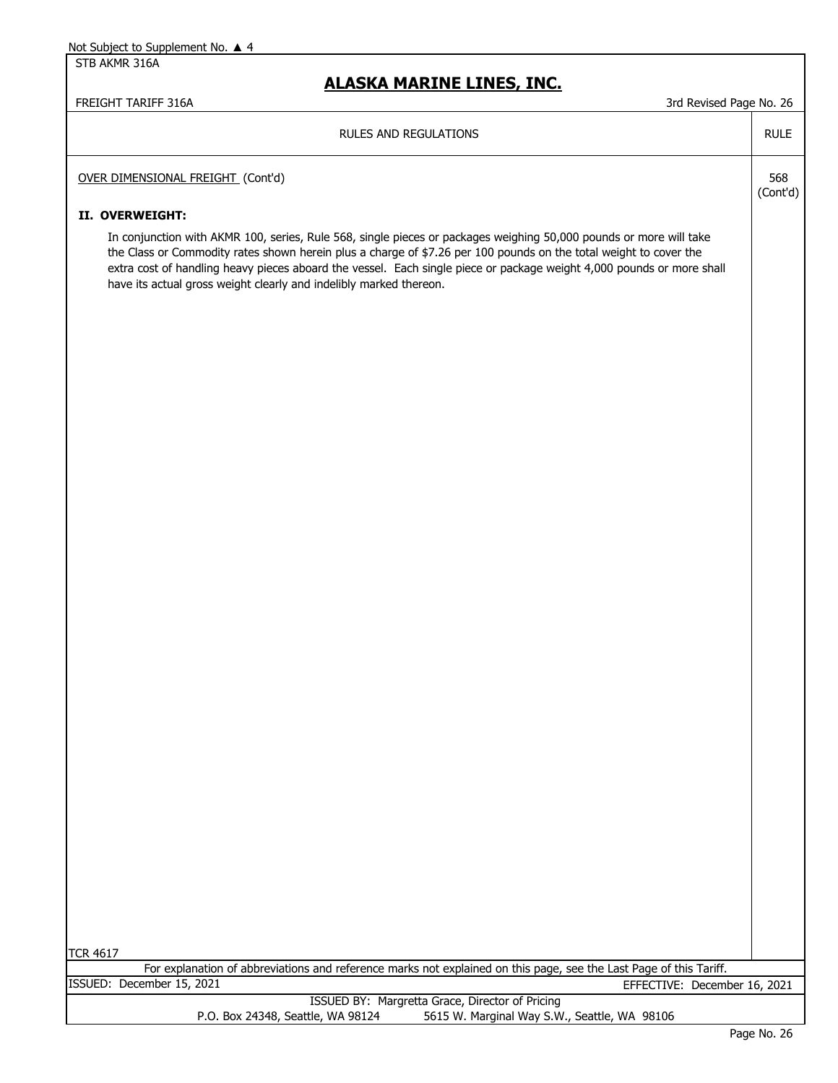STB AKMR 316A

| FREIGHT TARIFF 316A<br>3rd Revised Page No. 26                                                                                                                                                                                                                                                                                                                                                                                         |                 |
|----------------------------------------------------------------------------------------------------------------------------------------------------------------------------------------------------------------------------------------------------------------------------------------------------------------------------------------------------------------------------------------------------------------------------------------|-----------------|
| <b>RULES AND REGULATIONS</b>                                                                                                                                                                                                                                                                                                                                                                                                           | <b>RULE</b>     |
| OVER DIMENSIONAL FREIGHT (Cont'd)                                                                                                                                                                                                                                                                                                                                                                                                      | 568<br>(Cont'd) |
| II. OVERWEIGHT:                                                                                                                                                                                                                                                                                                                                                                                                                        |                 |
| In conjunction with AKMR 100, series, Rule 568, single pieces or packages weighing 50,000 pounds or more will take<br>the Class or Commodity rates shown herein plus a charge of \$7.26 per 100 pounds on the total weight to cover the<br>extra cost of handling heavy pieces aboard the vessel. Each single piece or package weight 4,000 pounds or more shall<br>have its actual gross weight clearly and indelibly marked thereon. |                 |
|                                                                                                                                                                                                                                                                                                                                                                                                                                        |                 |
|                                                                                                                                                                                                                                                                                                                                                                                                                                        |                 |
|                                                                                                                                                                                                                                                                                                                                                                                                                                        |                 |
|                                                                                                                                                                                                                                                                                                                                                                                                                                        |                 |
|                                                                                                                                                                                                                                                                                                                                                                                                                                        |                 |
|                                                                                                                                                                                                                                                                                                                                                                                                                                        |                 |
|                                                                                                                                                                                                                                                                                                                                                                                                                                        |                 |
|                                                                                                                                                                                                                                                                                                                                                                                                                                        |                 |
|                                                                                                                                                                                                                                                                                                                                                                                                                                        |                 |
|                                                                                                                                                                                                                                                                                                                                                                                                                                        |                 |
|                                                                                                                                                                                                                                                                                                                                                                                                                                        |                 |
|                                                                                                                                                                                                                                                                                                                                                                                                                                        |                 |
|                                                                                                                                                                                                                                                                                                                                                                                                                                        |                 |
|                                                                                                                                                                                                                                                                                                                                                                                                                                        |                 |
| <b>TCR 4617</b><br>For explanation of abbreviations and reference marks not explained on this page, see the Last Page of this Tariff.                                                                                                                                                                                                                                                                                                  |                 |
| ISSUED: December 15, 2021<br>EFFECTIVE: December 16, 2021                                                                                                                                                                                                                                                                                                                                                                              |                 |
| ISSUED BY: Margretta Grace, Director of Pricing<br>5615 W. Marginal Way S.W., Seattle, WA 98106<br>P.O. Box 24348, Seattle, WA 98124                                                                                                                                                                                                                                                                                                   |                 |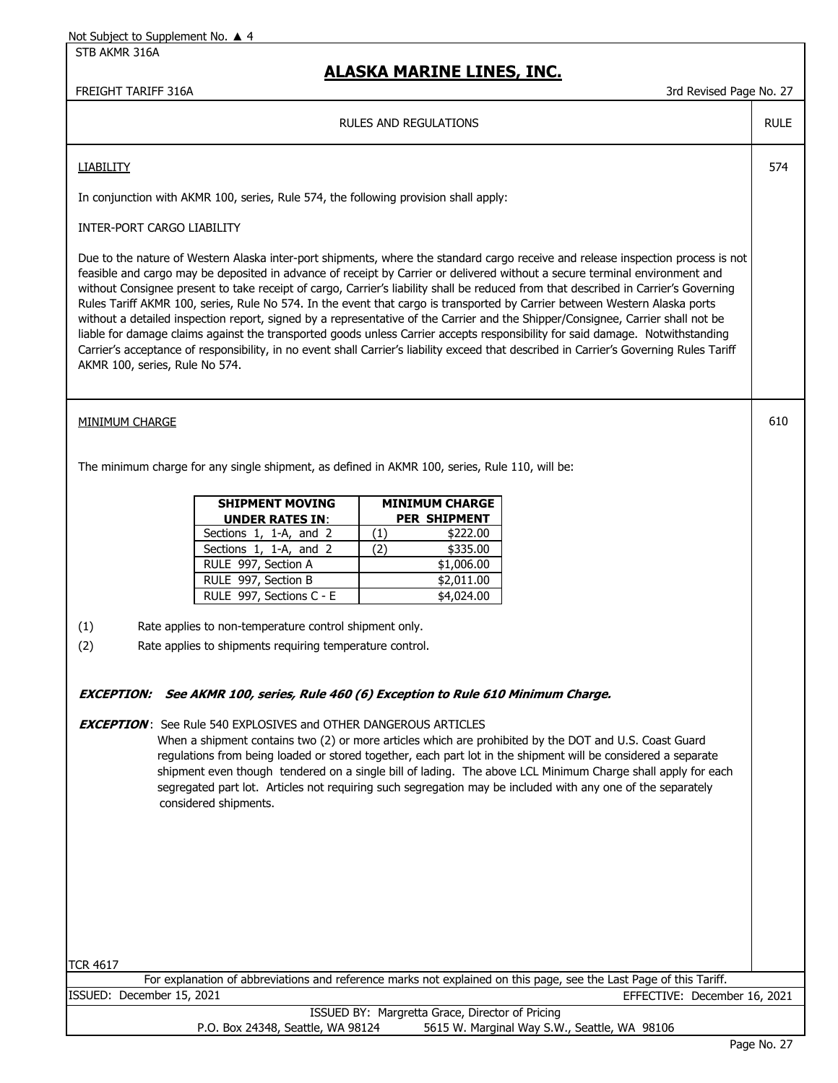STB AKMR 316A

### **ALASKA MARINE LINES, INC.**

FREIGHT TARIFF 316A 37 (1999) 27 (1999) 37 (1999) 37 (1999) 37 (1999) 38 (1999) 38 (1999) 38 (1999) 37 (1999) 38 (1999) 38 (1999) 38 (1999) 38 (1999) 38 (1999) 38 (1999) 38 (1999) 39 (1999) 39 (1999) 39 (1999) 39 (1999) 39

RULE

574

610

#### RULES AND REGULATIONS

#### **LIABILITY**

In conjunction with AKMR 100, series, Rule 574, the following provision shall apply:

#### INTER-PORT CARGO LIABILITY

Due to the nature of Western Alaska inter-port shipments, where the standard cargo receive and release inspection process is not feasible and cargo may be deposited in advance of receipt by Carrier or delivered without a secure terminal environment and without Consignee present to take receipt of cargo, Carrier's liability shall be reduced from that described in Carrier's Governing Rules Tariff AKMR 100, series, Rule No 574. In the event that cargo is transported by Carrier between Western Alaska ports without a detailed inspection report, signed by a representative of the Carrier and the Shipper/Consignee, Carrier shall not be liable for damage claims against the transported goods unless Carrier accepts responsibility for said damage. Notwithstanding Carrier's acceptance of responsibility, in no event shall Carrier's liability exceed that described in Carrier's Governing Rules Tariff AKMR 100, series, Rule No 574.

#### MINIMUM CHARGE

The minimum charge for any single shipment, as defined in AKMR 100, series, Rule 110, will be:

| <b>SHIPMENT MOVING</b>   | <b>MINIMUM CHARGE</b> |
|--------------------------|-----------------------|
| <b>UNDER RATES IN:</b>   | <b>PER SHIPMENT</b>   |
| Sections 1, 1-A, and 2   | \$222.00<br>(1)       |
| Sections 1, 1-A, and 2   | \$335.00<br>(2)       |
| RULE 997, Section A      | \$1,006.00            |
| RULE 997, Section B      | \$2,011.00            |
| RULE 997, Sections C - E | \$4,024.00            |

- (1) Rate applies to non-temperature control shipment only.
- (2) Rate applies to shipments requiring temperature control.

#### **EXCEPTION: See AKMR 100, series, Rule 460 (6) Exception to Rule 610 Minimum Charge.**

#### **EXCEPTION** : See Rule 540 EXPLOSIVES and OTHER DANGEROUS ARTICLES

 When a shipment contains two (2) or more articles which are prohibited by the DOT and U.S. Coast Guard regulations from being loaded or stored together, each part lot in the shipment will be considered a separate shipment even though tendered on a single bill of lading. The above LCL Minimum Charge shall apply for each segregated part lot. Articles not requiring such segregation may be included with any one of the separately considered shipments.

TCR 4617

|                           | For explanation of abbreviations and reference marks not explained on this page, see the Last Page of this Tariff. |                              |  |
|---------------------------|--------------------------------------------------------------------------------------------------------------------|------------------------------|--|
| ISSUED: December 15, 2021 |                                                                                                                    | EFFECTIVE: December 16, 2021 |  |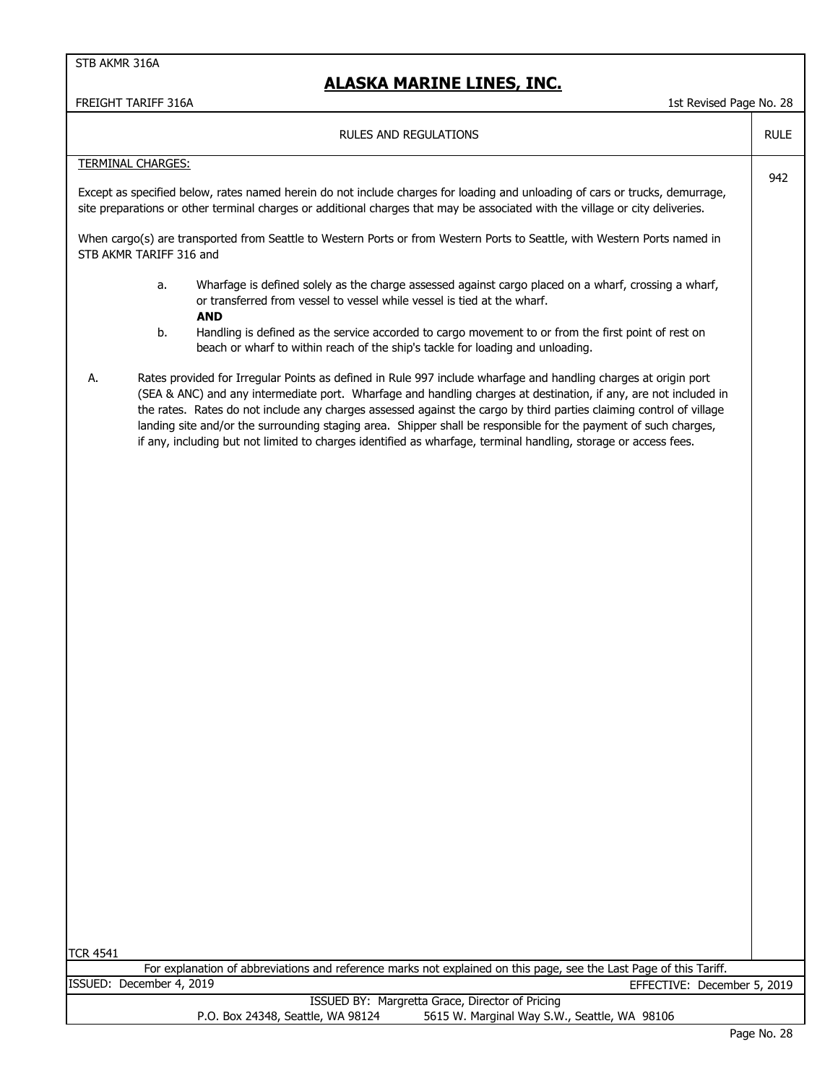| FREIGHT TARIFF 316A<br>1st Revised Page No. 28 |                                                                                                                                                                                                                                                                                                                                                                                                                                                                                                                                                                                                  |             |  |
|------------------------------------------------|--------------------------------------------------------------------------------------------------------------------------------------------------------------------------------------------------------------------------------------------------------------------------------------------------------------------------------------------------------------------------------------------------------------------------------------------------------------------------------------------------------------------------------------------------------------------------------------------------|-------------|--|
|                                                | <b>RULES AND REGULATIONS</b>                                                                                                                                                                                                                                                                                                                                                                                                                                                                                                                                                                     | <b>RULE</b> |  |
|                                                | <b>TERMINAL CHARGES:</b>                                                                                                                                                                                                                                                                                                                                                                                                                                                                                                                                                                         |             |  |
|                                                | Except as specified below, rates named herein do not include charges for loading and unloading of cars or trucks, demurrage,<br>site preparations or other terminal charges or additional charges that may be associated with the village or city deliveries.                                                                                                                                                                                                                                                                                                                                    | 942         |  |
|                                                | When cargo(s) are transported from Seattle to Western Ports or from Western Ports to Seattle, with Western Ports named in<br>STB AKMR TARIFF 316 and                                                                                                                                                                                                                                                                                                                                                                                                                                             |             |  |
|                                                | Wharfage is defined solely as the charge assessed against cargo placed on a wharf, crossing a wharf,<br>a.<br>or transferred from vessel to vessel while vessel is tied at the wharf.<br><b>AND</b><br>b.<br>Handling is defined as the service accorded to cargo movement to or from the first point of rest on                                                                                                                                                                                                                                                                                 |             |  |
|                                                | beach or wharf to within reach of the ship's tackle for loading and unloading.                                                                                                                                                                                                                                                                                                                                                                                                                                                                                                                   |             |  |
| А.                                             | Rates provided for Irregular Points as defined in Rule 997 include wharfage and handling charges at origin port<br>(SEA & ANC) and any intermediate port. Wharfage and handling charges at destination, if any, are not included in<br>the rates. Rates do not include any charges assessed against the cargo by third parties claiming control of village<br>landing site and/or the surrounding staging area. Shipper shall be responsible for the payment of such charges,<br>if any, including but not limited to charges identified as wharfage, terminal handling, storage or access fees. |             |  |
|                                                |                                                                                                                                                                                                                                                                                                                                                                                                                                                                                                                                                                                                  |             |  |
|                                                |                                                                                                                                                                                                                                                                                                                                                                                                                                                                                                                                                                                                  |             |  |
|                                                |                                                                                                                                                                                                                                                                                                                                                                                                                                                                                                                                                                                                  |             |  |
|                                                |                                                                                                                                                                                                                                                                                                                                                                                                                                                                                                                                                                                                  |             |  |
|                                                |                                                                                                                                                                                                                                                                                                                                                                                                                                                                                                                                                                                                  |             |  |
|                                                |                                                                                                                                                                                                                                                                                                                                                                                                                                                                                                                                                                                                  |             |  |
|                                                |                                                                                                                                                                                                                                                                                                                                                                                                                                                                                                                                                                                                  |             |  |
|                                                |                                                                                                                                                                                                                                                                                                                                                                                                                                                                                                                                                                                                  |             |  |
|                                                |                                                                                                                                                                                                                                                                                                                                                                                                                                                                                                                                                                                                  |             |  |
|                                                |                                                                                                                                                                                                                                                                                                                                                                                                                                                                                                                                                                                                  |             |  |
|                                                |                                                                                                                                                                                                                                                                                                                                                                                                                                                                                                                                                                                                  |             |  |
|                                                |                                                                                                                                                                                                                                                                                                                                                                                                                                                                                                                                                                                                  |             |  |
|                                                |                                                                                                                                                                                                                                                                                                                                                                                                                                                                                                                                                                                                  |             |  |
|                                                |                                                                                                                                                                                                                                                                                                                                                                                                                                                                                                                                                                                                  |             |  |
|                                                |                                                                                                                                                                                                                                                                                                                                                                                                                                                                                                                                                                                                  |             |  |
|                                                |                                                                                                                                                                                                                                                                                                                                                                                                                                                                                                                                                                                                  |             |  |
| TCR 4541                                       |                                                                                                                                                                                                                                                                                                                                                                                                                                                                                                                                                                                                  |             |  |
|                                                | For explanation of abbreviations and reference marks not explained on this page, see the Last Page of this Tariff.                                                                                                                                                                                                                                                                                                                                                                                                                                                                               |             |  |
|                                                | ISSUED: December 4, 2019<br>EFFECTIVE: December 5, 2019                                                                                                                                                                                                                                                                                                                                                                                                                                                                                                                                          |             |  |
|                                                | ISSUED BY: Margretta Grace, Director of Pricing<br>5615 W. Marginal Way S.W., Seattle, WA 98106<br>P.O. Box 24348, Seattle, WA 98124                                                                                                                                                                                                                                                                                                                                                                                                                                                             |             |  |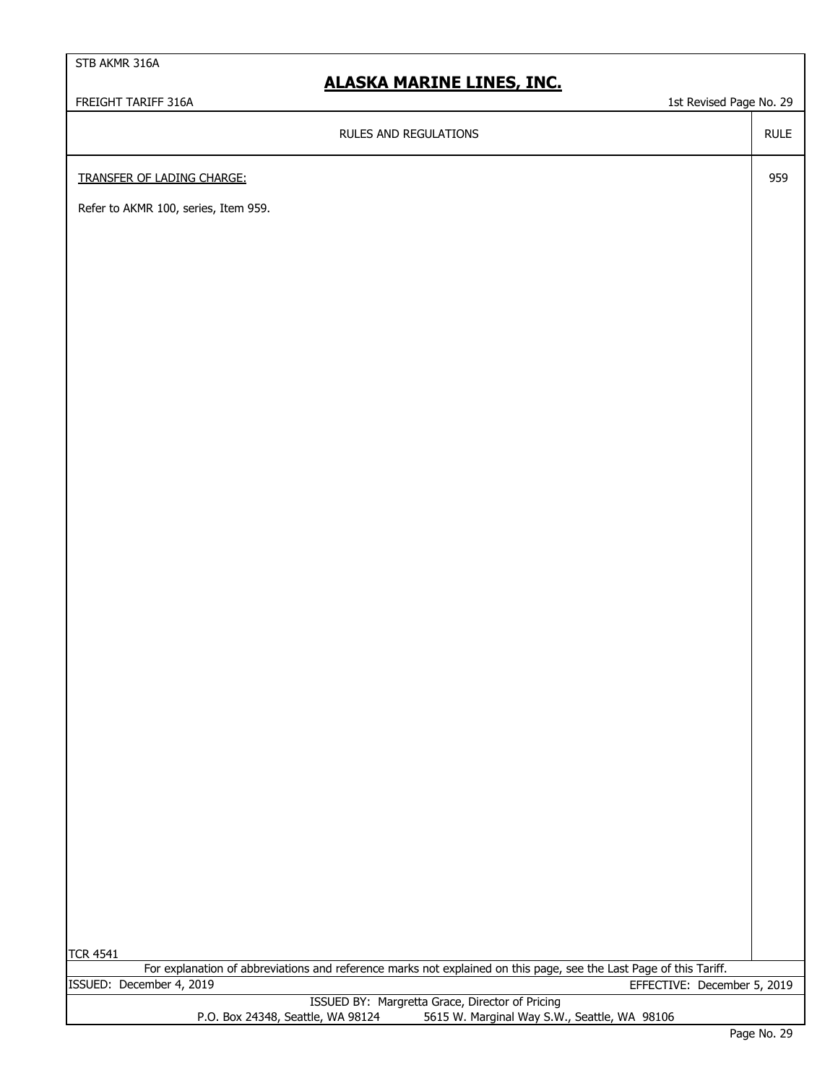### **ALASKA MARINE LINES, INC.**

FREIGHT TARIFF 316A 1st Revised Page No. 29

RULES AND REGULATIONS

RULE

959

TRANSFER OF LADING CHARGE:

Refer to AKMR 100, series, Item 959.

|                                   | ISSUED BY: Margretta Grace, Director of Pricing |
|-----------------------------------|-------------------------------------------------|
| P.O. Box 24348, Seattle, WA 98124 | 5615 W. Marginal Way S.W., Seattle, WA 98106    |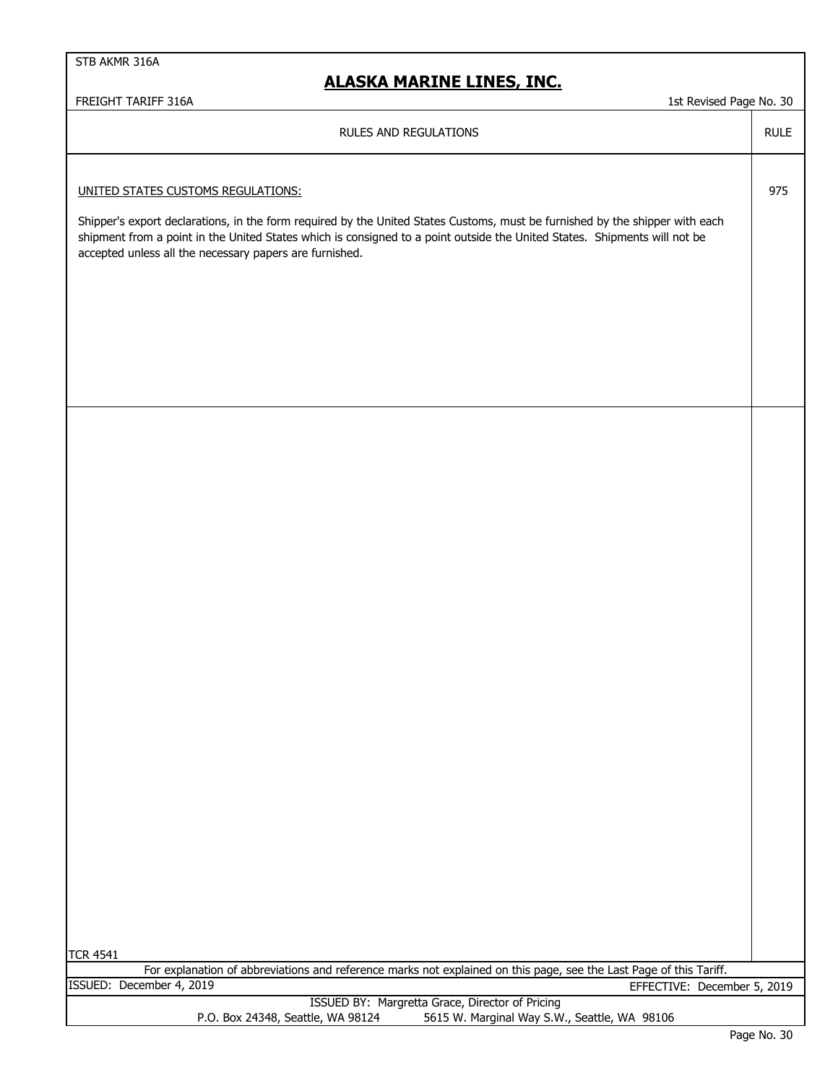### **ALASKA MARINE LINES, INC.**

### | FREIGHT TARIFF 316A 1st Revised Page No. 30

|                                                                                                                                                                                                                                                                                                                      | 1001100011090100100 |
|----------------------------------------------------------------------------------------------------------------------------------------------------------------------------------------------------------------------------------------------------------------------------------------------------------------------|---------------------|
| RULES AND REGULATIONS                                                                                                                                                                                                                                                                                                | <b>RULE</b>         |
|                                                                                                                                                                                                                                                                                                                      |                     |
| UNITED STATES CUSTOMS REGULATIONS:                                                                                                                                                                                                                                                                                   | 975                 |
| Shipper's export declarations, in the form required by the United States Customs, must be furnished by the shipper with each<br>shipment from a point in the United States which is consigned to a point outside the United States. Shipments will not be<br>accepted unless all the necessary papers are furnished. |                     |
|                                                                                                                                                                                                                                                                                                                      |                     |
|                                                                                                                                                                                                                                                                                                                      |                     |
|                                                                                                                                                                                                                                                                                                                      |                     |
|                                                                                                                                                                                                                                                                                                                      |                     |
|                                                                                                                                                                                                                                                                                                                      |                     |
|                                                                                                                                                                                                                                                                                                                      |                     |
|                                                                                                                                                                                                                                                                                                                      |                     |
|                                                                                                                                                                                                                                                                                                                      |                     |
|                                                                                                                                                                                                                                                                                                                      |                     |
|                                                                                                                                                                                                                                                                                                                      |                     |
|                                                                                                                                                                                                                                                                                                                      |                     |
|                                                                                                                                                                                                                                                                                                                      |                     |
|                                                                                                                                                                                                                                                                                                                      |                     |
|                                                                                                                                                                                                                                                                                                                      |                     |
|                                                                                                                                                                                                                                                                                                                      |                     |
|                                                                                                                                                                                                                                                                                                                      |                     |
|                                                                                                                                                                                                                                                                                                                      |                     |
|                                                                                                                                                                                                                                                                                                                      |                     |
|                                                                                                                                                                                                                                                                                                                      |                     |
|                                                                                                                                                                                                                                                                                                                      |                     |
|                                                                                                                                                                                                                                                                                                                      |                     |
|                                                                                                                                                                                                                                                                                                                      |                     |
|                                                                                                                                                                                                                                                                                                                      |                     |
|                                                                                                                                                                                                                                                                                                                      |                     |
|                                                                                                                                                                                                                                                                                                                      |                     |
|                                                                                                                                                                                                                                                                                                                      |                     |
|                                                                                                                                                                                                                                                                                                                      |                     |
|                                                                                                                                                                                                                                                                                                                      |                     |
|                                                                                                                                                                                                                                                                                                                      |                     |
| <b>TCR 4541</b>                                                                                                                                                                                                                                                                                                      |                     |
| For explanation of abbreviations and reference marks not explained on this page, see the Last Page of this Tariff.<br>ISSUED: December 4, 2019<br>EFFECTIVE: December 5, 2019                                                                                                                                        |                     |
| ISSUED BY: Margretta Grace, Director of Pricing<br>P.O. Box 24348, Seattle, WA 98124<br>5615 W. Marginal Way S.W., Seattle, WA 98106                                                                                                                                                                                 |                     |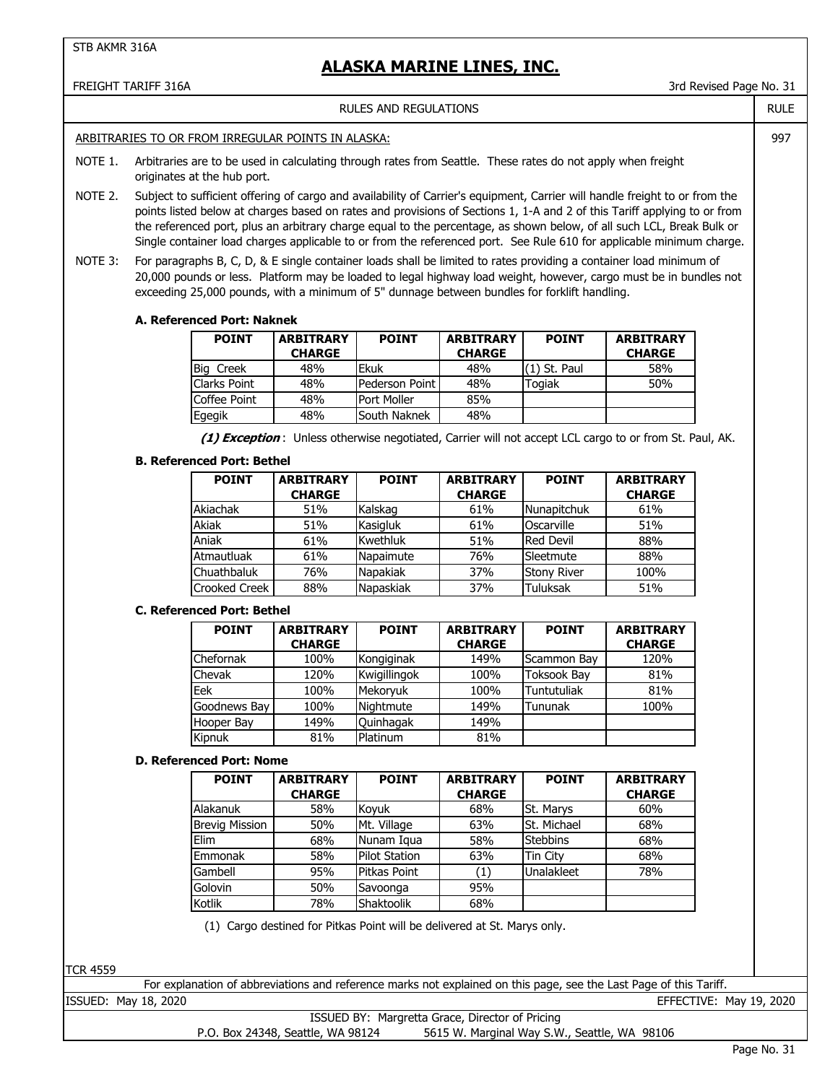#### FREIGHT TARIFF 316A 3rd Revised Page No. 31 RULE 997 NOTE 1. Arbitraries are to be used in calculating through rates from Seattle. These rates do not apply when freight originates at the hub port. NOTE 2. NOTE 3: **A. Referenced Port: Naknek** Big Creek | 48% | Ekuk | 48% | (1) St. Paul | 58% Clarks Point | 48% | Pederson Point | 48% | Togiak | 50% Coffee Point 48% Egegik South Naknek 48% 48%  **(1) Exception** : Unless otherwise negotiated, Carrier will not accept LCL cargo to or from St. Paul, AK. **B. Referenced Port: Bethel** Akiachak | 51% |Kalskag | 61% |Nunapitchuk | 61% Akiak | 51% |Kasigluk | 61% |Oscarville | 51% Aniak Kwethluk Red Devil 61% 51% 88% Atmautluak 1 61% Napaimute 1 76% Sleetmute Chuathbaluk | 76% | Napakiak | 37% | Stony River | 100% Crooked Creek | 88% | Napaskiak | 37% | Tuluksak **C. Referenced Port: Bethel** Chefornak | 100% |Kongiginak | 149% |Scammon Bay | 120% Chevak 120% Kwigillingok 100% Toksook Bay 81% Eek Mekoryuk Tuntutuliak 100% 100% 81% Goodnews Bay | 100% | Nightmute | 149% | Tununak Hooper Bay 149% Kipnuk | 81% Platinum | 81% **D. Referenced Port: Nome** Alakanuk | 58% |Koyuk | 68% |St. Marys | 60% Brevig Mission | 50% | Mt. Village | 63% | St. Michael Elim Nunam Iqua Stebbins 68% 58% 68% Emmonak | 58% | Pilot Station | 63% | Tin City | 68% Gambell | 95% | Pitkas Point | (1) | Unalakleet Golovin | 50% Savoonga | 95% Kotlik | 78% Shaktoolik | 68% (1) Cargo destined for Pitkas Point will be delivered at St. Marys only. RULES AND REGULATIONS **ARBITRARY CHARGE CHARGE CHARGE CHARGE**<br>48% Ekuk 48% (1) St. Paul 58% ARBITRARIES TO OR FROM IRREGULAR POINTS IN ALASKA: Subject to sufficient offering of cargo and availability of Carrier's equipment, Carrier will handle freight to or from the points listed below at charges based on rates and provisions of Sections 1, 1-A and 2 of this Tariff applying to or from the referenced port, plus an arbitrary charge equal to the percentage, as shown below, of all such LCL, Break Bulk or Single container load charges applicable to or from the referenced port. See Rule 610 for applicable minimum charge. For paragraphs B, C, D, & E single container loads shall be limited to rates providing a container load minimum of 20,000 pounds or less. Platform may be loaded to legal highway load weight, however, cargo must be in bundles not exceeding 25,000 pounds, with a minimum of 5" dunnage between bundles for forklift handling. **POINT ARBITRARY POINT ARBITRARY POINT POINT ARBITRARY POINT ARBITRARY POINT ARBITRARY CHARGE** Port Moller | 85% **CHARGE CHARGE** Napaskiak | 37% Tuluksak | 51% Napaimute 1 76% Sleetmute 1 88% **POINT ARBITRARY POINT ARBITRARY POINT ARBITRARY CHARGE CHARGE CHARGE** Ouinhagak | 149% Nightmute 149% Tununak | 100% 78% Mt. Village **POINT ARBITRARY POINT ARBITRARY POINT ARBITRARY** 68% **CHARGE CHARGE CHARGE**

TCR 4559

For explanation of abbreviations and reference marks not explained on this page, see the Last Page of this Tariff.

ISSUED: May 18, 2020 EFFECTIVE: May 19, 2020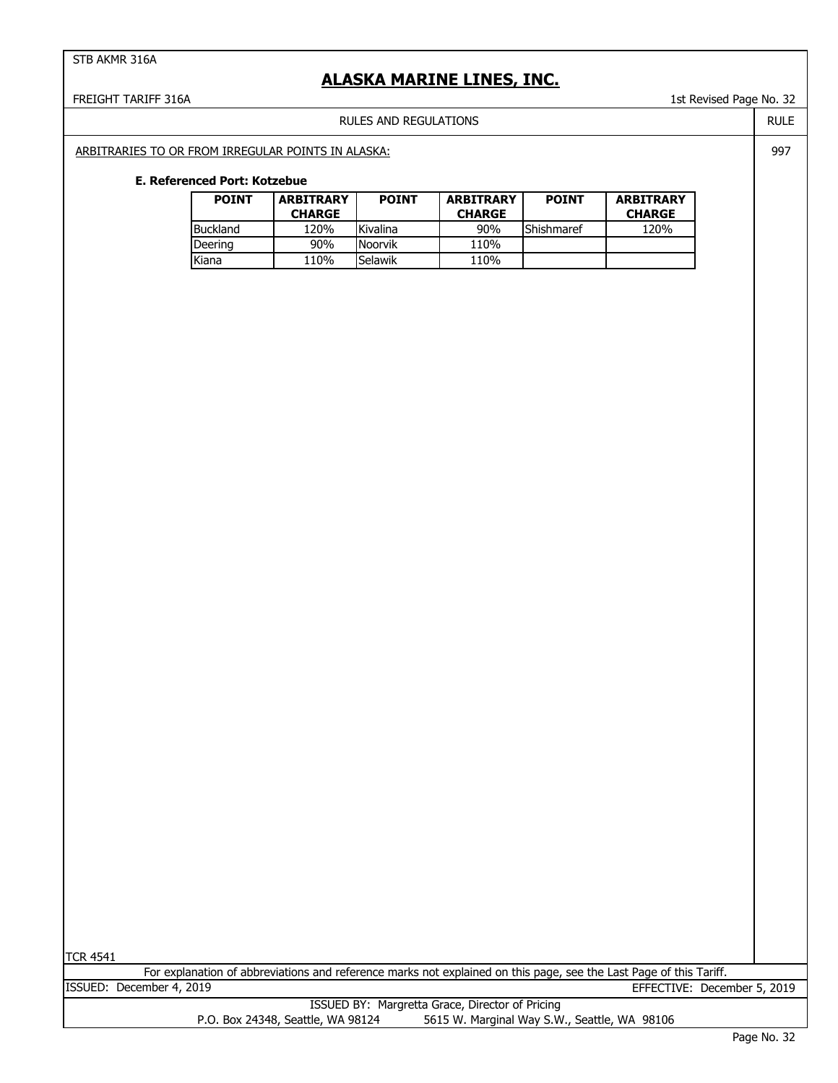### **ALASKA MARINE LINES, INC.**

#### FREIGHT TARIFF 316A 1st Revised Page No. 32

RULES AND REGULATIONS

ARBITRARIES TO OR FROM IRREGULAR POINTS IN ALASKA:

#### **E. Referenced Port: Kotzebue**

| <b>POINT</b> | <b>ARBITRARY</b><br><b>CHARGE</b> | <b>POINT</b> | <b>ARBITRARY</b><br><b>CHARGE</b> | <b>POINT</b> | <b>ARBITRARY</b><br><b>CHARGE</b> |
|--------------|-----------------------------------|--------------|-----------------------------------|--------------|-----------------------------------|
| Buckland     | 120%                              | Kivalina     | 90%                               | Shishmaref   | 120%                              |
| Deering      | 90%                               | Noorvik      | 110%                              |              |                                   |
| Kiana        | 110%                              | Selawik      | 110%                              |              |                                   |

TCR 4541

For explanation of abbreviations and reference marks not explained on this page, see the Last Page of this Tariff. ISSUED: December 4, 2019 EFFECTIVE: December 5, 2019

|                                   | ISSUED BY: Margretta Grace, Director of Pricing |
|-----------------------------------|-------------------------------------------------|
| P.O. Box 24348, Seattle, WA 98124 | 5615 W. Marginal Way S.W., Seattle, WA 98106    |

RULE 997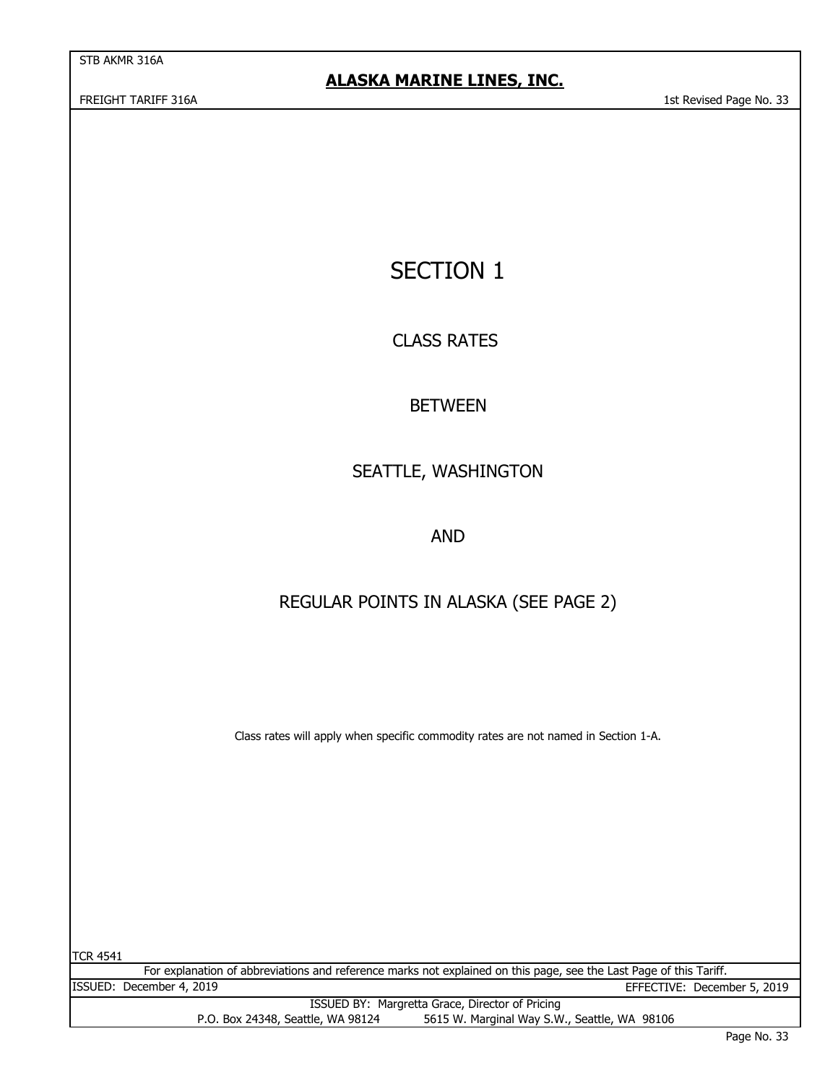# SECTION 1

CLASS RATES

## BETWEEN

# SEATTLE, WASHINGTON

AND

## REGULAR POINTS IN ALASKA (SEE PAGE 2)

Class rates will apply when specific commodity rates are not named in Section 1-A.

| <b>TCR 4541</b>                                                                                                    |                                   |                                              |  |  |
|--------------------------------------------------------------------------------------------------------------------|-----------------------------------|----------------------------------------------|--|--|
| For explanation of abbreviations and reference marks not explained on this page, see the Last Page of this Tariff. |                                   |                                              |  |  |
|                                                                                                                    | ISSUED: December 4, 2019          | EFFECTIVE: December 5, 2019                  |  |  |
| ISSUED BY: Margretta Grace, Director of Pricing                                                                    |                                   |                                              |  |  |
|                                                                                                                    | P.O. Box 24348, Seattle, WA 98124 | 5615 W. Marginal Way S.W., Seattle, WA 98106 |  |  |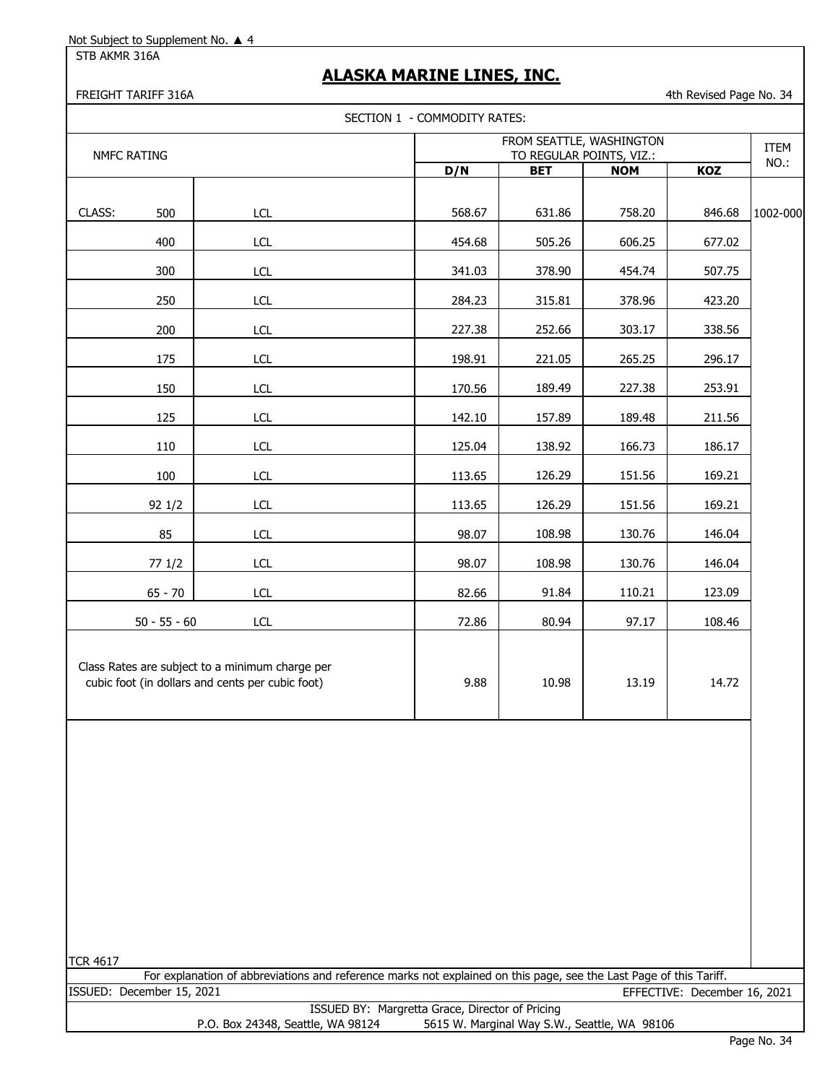STB AKMR 316A

## **ALASKA MARINE LINES, INC.**

FREIGHT TARIFF 316A **4th Revised Page No. 34** 

|                           |                                                                                                                    | SECTION 1 - COMMODITY RATES:                         |                                              |            |                              |          |
|---------------------------|--------------------------------------------------------------------------------------------------------------------|------------------------------------------------------|----------------------------------------------|------------|------------------------------|----------|
| NMFC RATING               |                                                                                                                    | FROM SEATTLE, WASHINGTON<br>TO REGULAR POINTS, VIZ.: |                                              |            |                              | ITEM     |
|                           |                                                                                                                    | D/N                                                  | <b>BET</b>                                   | <b>NOM</b> | KOZ                          | NO.:     |
| CLASS:<br>500             | <b>LCL</b>                                                                                                         | 568.67                                               | 631.86                                       | 758.20     | 846.68                       | 1002-000 |
| 400                       | LCL                                                                                                                | 454.68                                               | 505.26                                       | 606.25     | 677.02                       |          |
| 300                       | LCL                                                                                                                | 341.03                                               | 378.90                                       | 454.74     | 507.75                       |          |
| 250                       | <b>LCL</b>                                                                                                         | 284.23                                               | 315.81                                       | 378.96     | 423.20                       |          |
| 200                       | LCL                                                                                                                | 227.38                                               | 252.66                                       | 303.17     | 338.56                       |          |
| 175                       | <b>LCL</b>                                                                                                         | 198.91                                               | 221.05                                       | 265.25     | 296.17                       |          |
| 150                       | <b>LCL</b>                                                                                                         | 170.56                                               | 189.49                                       | 227.38     | 253.91                       |          |
| 125                       | <b>LCL</b>                                                                                                         | 142.10                                               | 157.89                                       | 189.48     | 211.56                       |          |
| 110                       | LCL                                                                                                                | 125.04                                               | 138.92                                       | 166.73     | 186.17                       |          |
| 100                       | <b>LCL</b>                                                                                                         | 113.65                                               | 126.29                                       | 151.56     | 169.21                       |          |
| 92 1/2                    | LCL                                                                                                                | 113.65                                               | 126.29                                       | 151.56     | 169.21                       |          |
| 85                        | <b>LCL</b>                                                                                                         | 98.07                                                | 108.98                                       | 130.76     | 146.04                       |          |
| 77 1/2                    | LCL                                                                                                                | 98.07                                                | 108.98                                       | 130.76     | 146.04                       |          |
| $65 - 70$                 | <b>LCL</b>                                                                                                         | 82.66                                                | 91.84                                        | 110.21     | 123.09                       |          |
| $50 - 55 - 60$            | <b>LCL</b>                                                                                                         | 72.86                                                | 80.94                                        | 97.17      | 108.46                       |          |
|                           | Class Rates are subject to a minimum charge per<br>cubic foot (in dollars and cents per cubic foot)                | 9.88                                                 | 10.98                                        | 13.19      | 14.72                        |          |
|                           |                                                                                                                    |                                                      |                                              |            |                              |          |
| <b>TCR 4617</b>           | For explanation of abbreviations and reference marks not explained on this page, see the Last Page of this Tariff. |                                                      |                                              |            |                              |          |
| ISSUED: December 15, 2021 |                                                                                                                    | ISSUED BY: Margretta Grace, Director of Pricing      |                                              |            | EFFECTIVE: December 16, 2021 |          |
|                           | P.O. Box 24348, Seattle, WA 98124                                                                                  |                                                      | 5615 W. Marginal Way S.W., Seattle, WA 98106 |            |                              |          |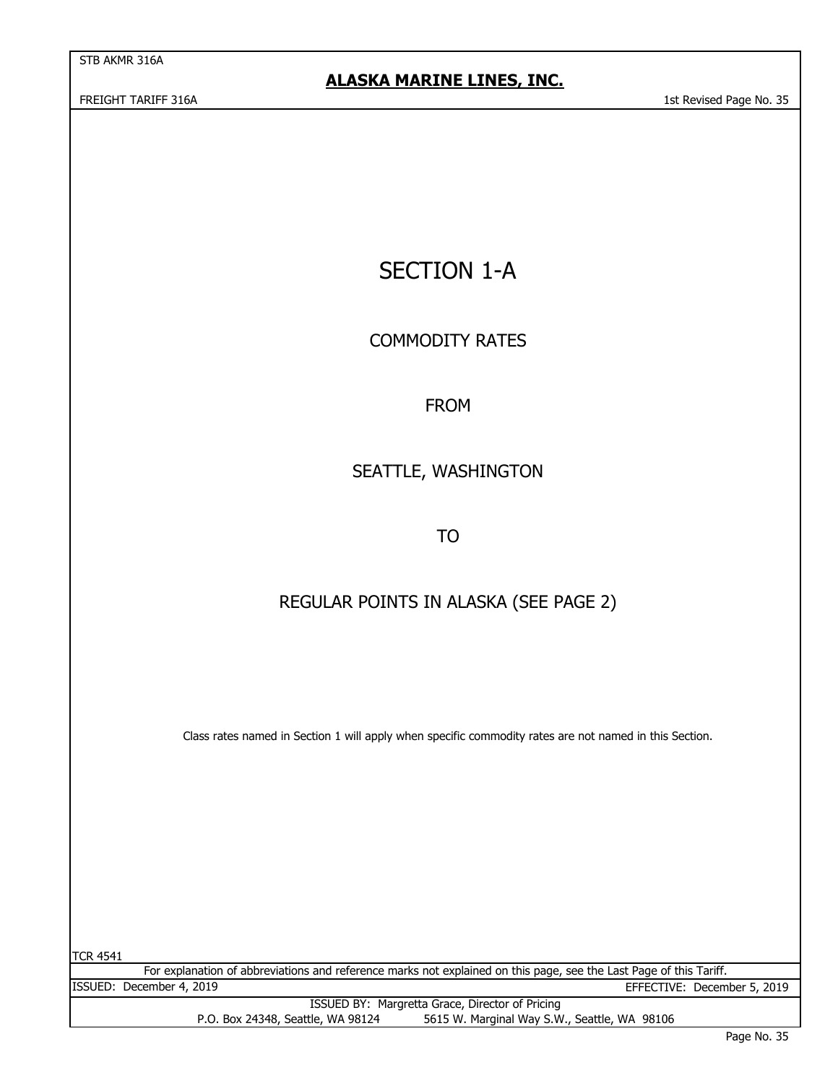$\overline{a}$ 

# SECTION 1-A

COMMODITY RATES

### FROM

## SEATTLE, WASHINGTON

TO

### REGULAR POINTS IN ALASKA (SEE PAGE 2)

Class rates named in Section 1 will apply when specific commodity rates are not named in this Section.

| ITCR 4541 |                                                                                                                    |                             |
|-----------|--------------------------------------------------------------------------------------------------------------------|-----------------------------|
|           | For explanation of abbreviations and reference marks not explained on this page, see the Last Page of this Tariff. |                             |
|           | ISSUED: December 4, 2019                                                                                           | EFFECTIVE: December 5, 2019 |
|           | ISSUED BY: Margretta Grace, Director of Pricing                                                                    |                             |
|           | 5615 W. Marginal Way S.W., Seattle, WA 98106<br>P.O. Box 24348, Seattle, WA 98124                                  |                             |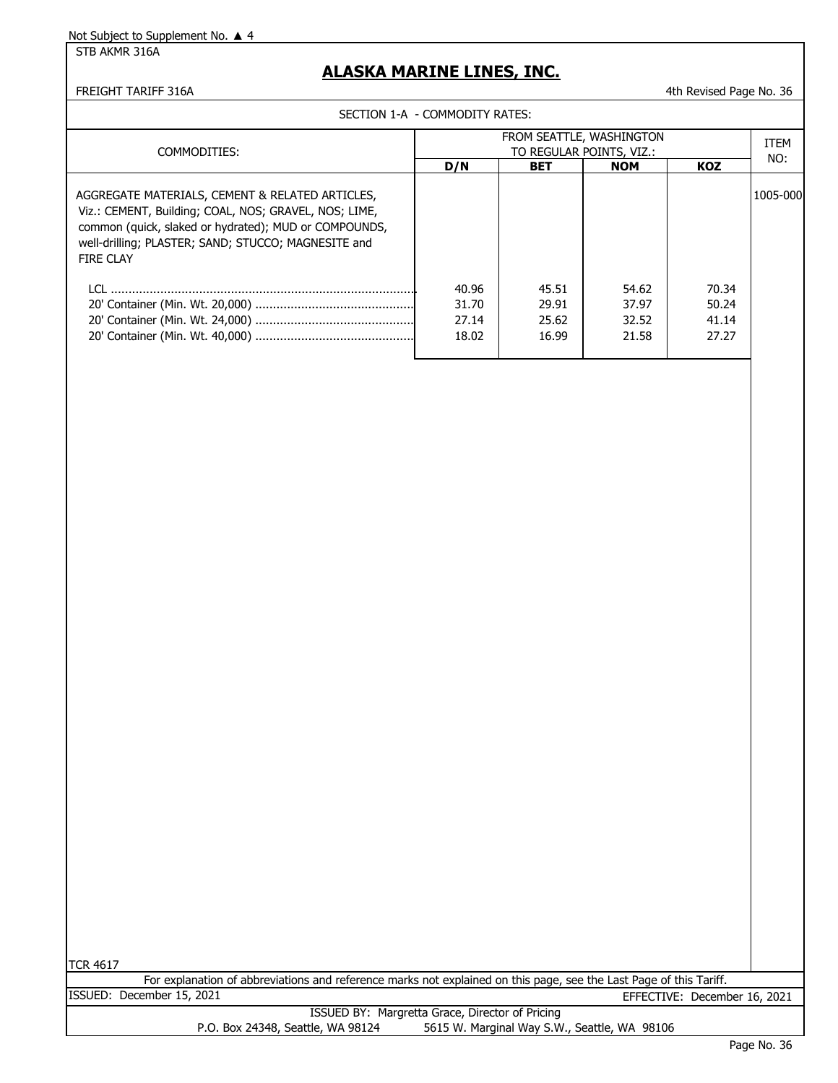STB AKMR 316A

### **ALASKA MARINE LINES, INC.**

FREIGHT TARIFF 316A **4th Revised Page No. 36** 4th Revised Page No. 36

SECTION 1-A - COMMODITY RATES:

|                                                                                                                                                                                                                                       | FROM SEATTLE, WASHINGTON         |                                  |                                  |                                  | ITEM      |
|---------------------------------------------------------------------------------------------------------------------------------------------------------------------------------------------------------------------------------------|----------------------------------|----------------------------------|----------------------------------|----------------------------------|-----------|
| COMMODITIES:                                                                                                                                                                                                                          |                                  | TO REGULAR POINTS, VIZ.:         |                                  |                                  | NO:       |
|                                                                                                                                                                                                                                       | D/N                              | <b>BET</b>                       | <b>NOM</b>                       | <b>KOZ</b>                       |           |
| AGGREGATE MATERIALS, CEMENT & RELATED ARTICLES,<br>Viz.: CEMENT, Building; COAL, NOS; GRAVEL, NOS; LIME,<br>common (quick, slaked or hydrated); MUD or COMPOUNDS,<br>well-drilling; PLASTER; SAND; STUCCO; MAGNESITE and<br>FIRE CLAY |                                  |                                  |                                  |                                  | 1005-0001 |
|                                                                                                                                                                                                                                       | 40.96<br>31.70<br>27.14<br>18.02 | 45.51<br>29.91<br>25.62<br>16.99 | 54.62<br>37.97<br>32.52<br>21.58 | 70.34<br>50.24<br>41.14<br>27.27 |           |

TCR 4617

For explanation of abbreviations and reference marks not explained on this page, see the Last Page of this Tariff. ISSUED: December 15, 2021 EFFECTIVE: December 16, 2021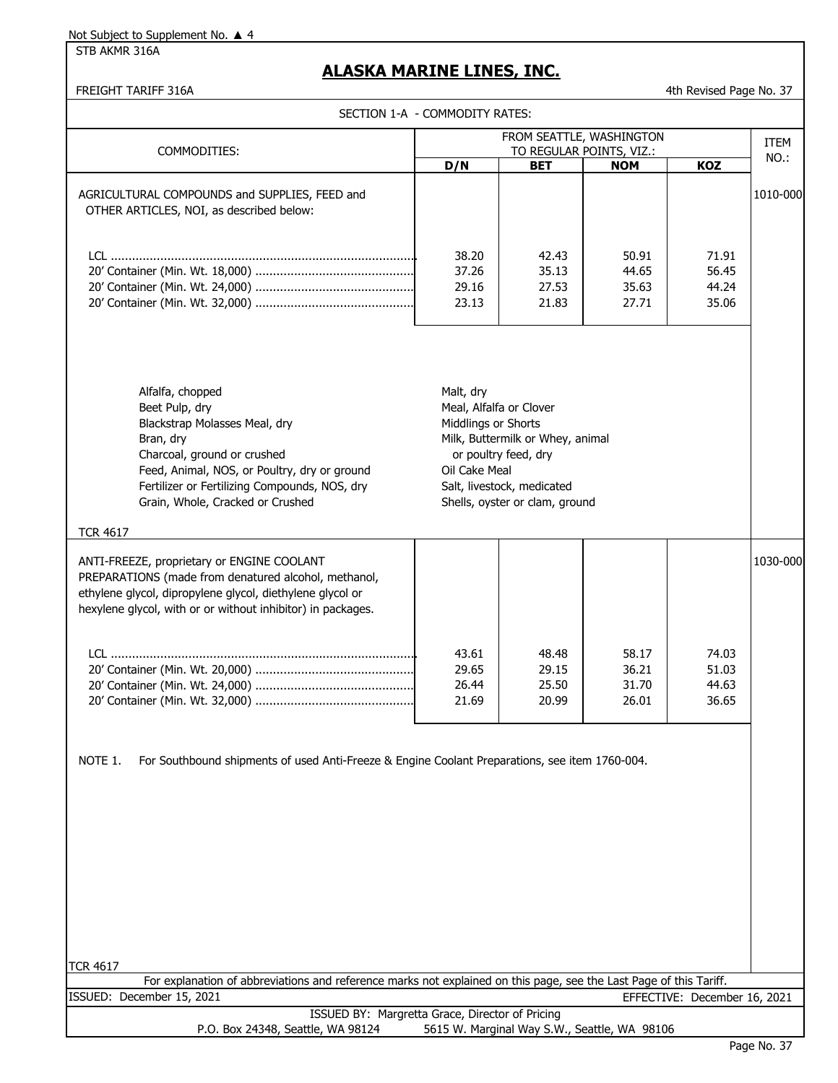STB AKMR 316A

### **ALASKA MARINE LINES, INC.**

| <b>FREIGHT TARIFF 316A</b>                                                                                                                                                                                                                           |                                                                              |                                                                                                                          |                                  | 4th Revised Page No. 37          |             |
|------------------------------------------------------------------------------------------------------------------------------------------------------------------------------------------------------------------------------------------------------|------------------------------------------------------------------------------|--------------------------------------------------------------------------------------------------------------------------|----------------------------------|----------------------------------|-------------|
| SECTION 1-A - COMMODITY RATES:                                                                                                                                                                                                                       |                                                                              |                                                                                                                          |                                  |                                  |             |
|                                                                                                                                                                                                                                                      | FROM SEATTLE, WASHINGTON<br>TO REGULAR POINTS, VIZ.:                         |                                                                                                                          |                                  |                                  | <b>ITEM</b> |
| COMMODITIES:                                                                                                                                                                                                                                         | D/N                                                                          | <b>BET</b>                                                                                                               | <b>NOM</b>                       | KOZ                              | NO.:        |
| AGRICULTURAL COMPOUNDS and SUPPLIES, FEED and<br>OTHER ARTICLES, NOI, as described below:                                                                                                                                                            |                                                                              |                                                                                                                          |                                  |                                  | 1010-000    |
|                                                                                                                                                                                                                                                      | 38.20<br>37.26<br>29.16<br>23.13                                             | 42.43<br>35.13<br>27.53<br>21.83                                                                                         | 50.91<br>44.65<br>35.63<br>27.71 | 71.91<br>56.45<br>44.24<br>35.06 |             |
| Alfalfa, chopped<br>Beet Pulp, dry<br>Blackstrap Molasses Meal, dry<br>Bran, dry<br>Charcoal, ground or crushed<br>Feed, Animal, NOS, or Poultry, dry or ground<br>Fertilizer or Fertilizing Compounds, NOS, dry<br>Grain, Whole, Cracked or Crushed | Malt, dry<br>Meal, Alfalfa or Clover<br>Middlings or Shorts<br>Oil Cake Meal | Milk, Buttermilk or Whey, animal<br>or poultry feed, dry<br>Salt, livestock, medicated<br>Shells, oyster or clam, ground |                                  |                                  |             |
| <b>TCR 4617</b>                                                                                                                                                                                                                                      |                                                                              |                                                                                                                          |                                  |                                  |             |
| ANTI-FREEZE, proprietary or ENGINE COOLANT<br>PREPARATIONS (made from denatured alcohol, methanol,<br>ethylene glycol, dipropylene glycol, diethylene glycol or<br>hexylene glycol, with or or without inhibitor) in packages.                       |                                                                              |                                                                                                                          |                                  |                                  | 1030-000    |
|                                                                                                                                                                                                                                                      | 43.61<br>29.65<br>26.44<br>21.69                                             | 48.48<br>29.15<br>25.50<br>20.99                                                                                         | 58.17<br>36.21<br>31.70<br>26.01 | 74.03<br>51.03<br>44.63<br>36.65 |             |
| NOTE 1.<br>For Southbound shipments of used Anti-Freeze & Engine Coolant Preparations, see item 1760-004.                                                                                                                                            |                                                                              |                                                                                                                          |                                  |                                  |             |
|                                                                                                                                                                                                                                                      |                                                                              |                                                                                                                          |                                  |                                  |             |

TCR 4617

For explanation of abbreviations and reference marks not explained on this page, see the Last Page of this Tariff. ISSUED: December 15, 2021 EFFECTIVE: December 16, 2021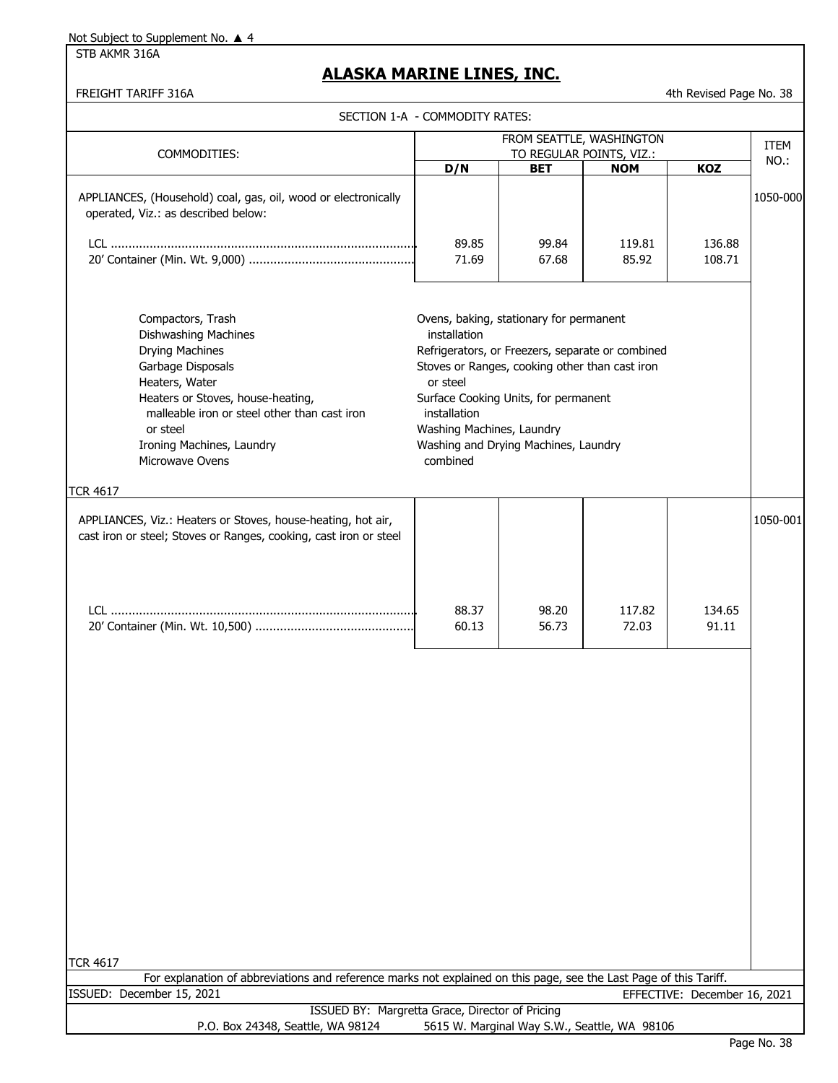STB AKMR 316A

### **ALASKA MARINE LINES, INC.**

FREIGHT TARIFF 316A **4th Revised Page No. 38** 

|                                                                                                                                                                                                                                                                    | SECTION 1-A - COMMODITY RATES:                                                    |                                                                                                                                                                                                                               |                                              |                              |          |
|--------------------------------------------------------------------------------------------------------------------------------------------------------------------------------------------------------------------------------------------------------------------|-----------------------------------------------------------------------------------|-------------------------------------------------------------------------------------------------------------------------------------------------------------------------------------------------------------------------------|----------------------------------------------|------------------------------|----------|
|                                                                                                                                                                                                                                                                    |                                                                                   |                                                                                                                                                                                                                               | FROM SEATTLE, WASHINGTON                     |                              | ITEM     |
| COMMODITIES:                                                                                                                                                                                                                                                       | D/N                                                                               | <b>BET</b>                                                                                                                                                                                                                    | TO REGULAR POINTS, VIZ.:<br><b>NOM</b>       | KOZ                          | NO.:     |
| APPLIANCES, (Household) coal, gas, oil, wood or electronically<br>operated, Viz.: as described below:                                                                                                                                                              |                                                                                   |                                                                                                                                                                                                                               |                                              |                              | 1050-000 |
|                                                                                                                                                                                                                                                                    | 89.85<br>71.69                                                                    | 99.84<br>67.68                                                                                                                                                                                                                | 119.81<br>85.92                              | 136.88<br>108.71             |          |
| Compactors, Trash<br><b>Dishwashing Machines</b><br><b>Drying Machines</b><br>Garbage Disposals<br>Heaters, Water<br>Heaters or Stoves, house-heating,<br>malleable iron or steel other than cast iron<br>or steel<br>Ironing Machines, Laundry<br>Microwave Ovens | installation<br>or steel<br>installation<br>Washing Machines, Laundry<br>combined | Ovens, baking, stationary for permanent<br>Refrigerators, or Freezers, separate or combined<br>Stoves or Ranges, cooking other than cast iron<br>Surface Cooking Units, for permanent<br>Washing and Drying Machines, Laundry |                                              |                              |          |
| <b>TCR 4617</b><br>APPLIANCES, Viz.: Heaters or Stoves, house-heating, hot air,<br>cast iron or steel; Stoves or Ranges, cooking, cast iron or steel                                                                                                               |                                                                                   |                                                                                                                                                                                                                               |                                              |                              | 1050-001 |
|                                                                                                                                                                                                                                                                    | 88.37<br>60.13                                                                    | 98.20<br>56.73                                                                                                                                                                                                                | 117.82<br>72.03                              | 134.65<br>91.11              |          |
|                                                                                                                                                                                                                                                                    |                                                                                   |                                                                                                                                                                                                                               |                                              |                              |          |
|                                                                                                                                                                                                                                                                    |                                                                                   |                                                                                                                                                                                                                               |                                              |                              |          |
|                                                                                                                                                                                                                                                                    |                                                                                   |                                                                                                                                                                                                                               |                                              |                              |          |
|                                                                                                                                                                                                                                                                    |                                                                                   |                                                                                                                                                                                                                               |                                              |                              |          |
|                                                                                                                                                                                                                                                                    |                                                                                   |                                                                                                                                                                                                                               |                                              |                              |          |
| <b>TCR 4617</b><br>For explanation of abbreviations and reference marks not explained on this page, see the Last Page of this Tariff.                                                                                                                              |                                                                                   |                                                                                                                                                                                                                               |                                              |                              |          |
| ISSUED: December 15, 2021                                                                                                                                                                                                                                          |                                                                                   |                                                                                                                                                                                                                               |                                              | EFFECTIVE: December 16, 2021 |          |
| ISSUED BY: Margretta Grace, Director of Pricing<br>P.O. Box 24348, Seattle, WA 98124                                                                                                                                                                               |                                                                                   |                                                                                                                                                                                                                               | 5615 W. Marginal Way S.W., Seattle, WA 98106 |                              |          |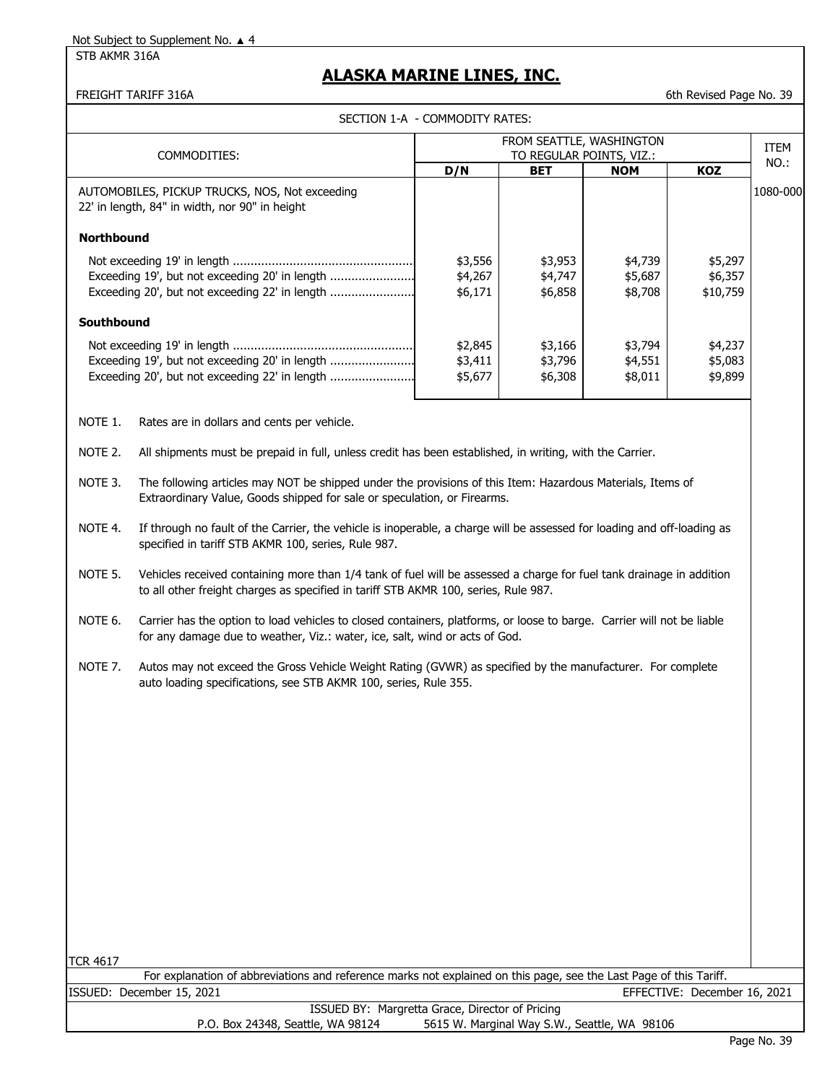#### STB AKMR 316A

### **ALASKA MARINE LINES, INC.**

FREIGHT TARIFF 316A 6th Revised Page No. 39

| SECTION 1-A - COMMODITY RATES: |
|--------------------------------|
|                                |

|                                                                                                                                                                                                     |                                                                                                                                                                                                             | SECTION 1-A - COMMODITY RATES: |                                                      |                               |                                |             |
|-----------------------------------------------------------------------------------------------------------------------------------------------------------------------------------------------------|-------------------------------------------------------------------------------------------------------------------------------------------------------------------------------------------------------------|--------------------------------|------------------------------------------------------|-------------------------------|--------------------------------|-------------|
|                                                                                                                                                                                                     | COMMODITIES:                                                                                                                                                                                                |                                | FROM SEATTLE, WASHINGTON<br>TO REGULAR POINTS, VIZ.: |                               |                                | <b>ITEM</b> |
|                                                                                                                                                                                                     |                                                                                                                                                                                                             | D/N                            | <b>BET</b>                                           | <b>NOM</b>                    | <b>KOZ</b>                     | NO.:        |
|                                                                                                                                                                                                     | AUTOMOBILES, PICKUP TRUCKS, NOS, Not exceeding<br>22' in length, 84" in width, nor 90" in height                                                                                                            |                                |                                                      |                               |                                | 1080-000    |
| <b>Northbound</b>                                                                                                                                                                                   |                                                                                                                                                                                                             |                                |                                                      |                               |                                |             |
|                                                                                                                                                                                                     | Exceeding 19', but not exceeding 20' in length<br>Exceeding 20', but not exceeding 22' in length                                                                                                            | \$3,556<br>\$4,267<br>\$6,171  | \$3,953<br>\$4,747<br>\$6,858                        | \$4,739<br>\$5,687<br>\$8,708 | \$5,297<br>\$6,357<br>\$10,759 |             |
| Southbound                                                                                                                                                                                          |                                                                                                                                                                                                             |                                |                                                      |                               |                                |             |
| \$2,845<br>\$3,166<br>\$3,794<br>Exceeding 19', but not exceeding 20' in length<br>\$3,796<br>\$4,551<br>\$3,411<br>Exceeding 20', but not exceeding 22' in length<br>\$5,677<br>\$6,308<br>\$8,011 |                                                                                                                                                                                                             |                                |                                                      | \$4,237<br>\$5,083<br>\$9,899 |                                |             |
| NOTE 1.                                                                                                                                                                                             | Rates are in dollars and cents per vehicle.                                                                                                                                                                 |                                |                                                      |                               |                                |             |
| NOTE 2.                                                                                                                                                                                             | All shipments must be prepaid in full, unless credit has been established, in writing, with the Carrier.                                                                                                    |                                |                                                      |                               |                                |             |
| NOTE 3.                                                                                                                                                                                             | The following articles may NOT be shipped under the provisions of this Item: Hazardous Materials, Items of<br>Extraordinary Value, Goods shipped for sale or speculation, or Firearms.                      |                                |                                                      |                               |                                |             |
| NOTE 4.                                                                                                                                                                                             | If through no fault of the Carrier, the vehicle is inoperable, a charge will be assessed for loading and off-loading as<br>specified in tariff STB AKMR 100, series, Rule 987.                              |                                |                                                      |                               |                                |             |
| NOTE 5.                                                                                                                                                                                             | Vehicles received containing more than 1/4 tank of fuel will be assessed a charge for fuel tank drainage in addition<br>to all other freight charges as specified in tariff STB AKMR 100, series, Rule 987. |                                |                                                      |                               |                                |             |
| NOTE 6.                                                                                                                                                                                             | Carrier has the option to load vehicles to closed containers, platforms, or loose to barge. Carrier will not be liable<br>for any damage due to weather, Viz.: water, ice, salt, wind or acts of God.       |                                |                                                      |                               |                                |             |
| NOTE 7.                                                                                                                                                                                             | Autos may not exceed the Gross Vehicle Weight Rating (GVWR) as specified by the manufacturer. For complete<br>auto loading specifications, see STB AKMR 100, series, Rule 355.                              |                                |                                                      |                               |                                |             |

| 461<br>Κ |  |
|----------|--|
|----------|--|

|                                   | For explanation of abbreviations and reference marks not explained on this page, see the Last Page of this Tariff. |
|-----------------------------------|--------------------------------------------------------------------------------------------------------------------|
| ISSUED: December 15, 2021         | EFFECTIVE: December 16, 2021                                                                                       |
|                                   | ISSUED BY: Margretta Grace, Director of Pricing                                                                    |
| P.O. Box 24348, Seattle, WA 98124 | 5615 W. Marginal Way S.W., Seattle, WA 98106                                                                       |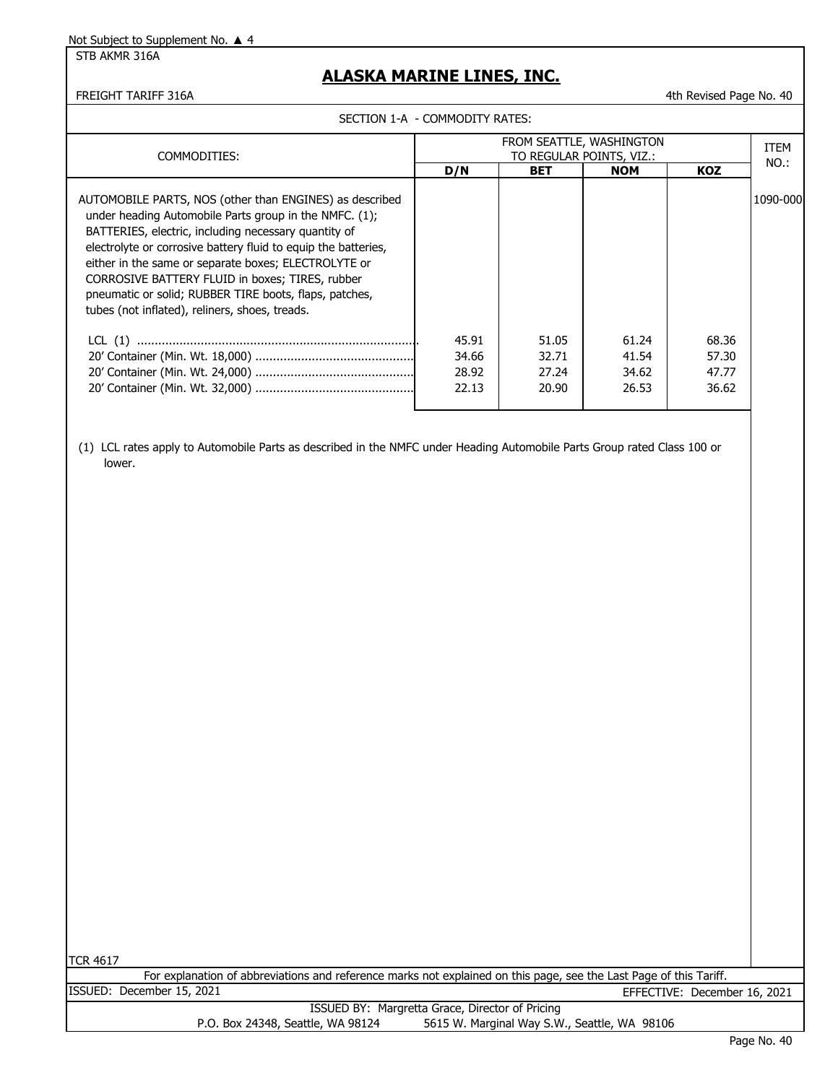STB AKMR 316A

### **ALASKA MARINE LINES, INC.**

FREIGHT TARIFF 316A **1988** 10.40 and the visit of the visit of the visit of the visit of the visit of the visit of the visit of the visit of the visit of the visit of the visit of the visit of the visit of the visit of the

|                                                                                                                                                                                                                                                                                                                                                                                                                                                                    | SECTION 1-A - COMMODITY RATES:                       |                |                |                |          |
|--------------------------------------------------------------------------------------------------------------------------------------------------------------------------------------------------------------------------------------------------------------------------------------------------------------------------------------------------------------------------------------------------------------------------------------------------------------------|------------------------------------------------------|----------------|----------------|----------------|----------|
| COMMODITIES:                                                                                                                                                                                                                                                                                                                                                                                                                                                       | FROM SEATTLE, WASHINGTON<br>TO REGULAR POINTS, VIZ.: |                |                |                |          |
|                                                                                                                                                                                                                                                                                                                                                                                                                                                                    | D/N                                                  | <b>BET</b>     | <b>NOM</b>     | <b>KOZ</b>     | NO.:     |
| AUTOMOBILE PARTS, NOS (other than ENGINES) as described<br>under heading Automobile Parts group in the NMFC. (1);<br>BATTERIES, electric, including necessary quantity of<br>electrolyte or corrosive battery fluid to equip the batteries,<br>either in the same or separate boxes; ELECTROLYTE or<br>CORROSIVE BATTERY FLUID in boxes; TIRES, rubber<br>pneumatic or solid; RUBBER TIRE boots, flaps, patches,<br>tubes (not inflated), reliners, shoes, treads. |                                                      |                |                |                | 1090-000 |
|                                                                                                                                                                                                                                                                                                                                                                                                                                                                    | 45.91<br>34.66                                       | 51.05<br>32.71 | 61.24<br>41.54 | 68.36<br>57.30 |          |
|                                                                                                                                                                                                                                                                                                                                                                                                                                                                    | 28.92                                                | 27.24          | 34.62          | 47.77          |          |
|                                                                                                                                                                                                                                                                                                                                                                                                                                                                    | 22.13                                                | 20.90          | 26.53          | 36.62          |          |
|                                                                                                                                                                                                                                                                                                                                                                                                                                                                    |                                                      |                |                |                |          |

(1) LCL rates apply to Automobile Parts as described in the NMFC under Heading Automobile Parts Group rated Class 100 or lower.

TCR 4617

EFFECTIVE: December 16, 2021 ISSUED: December 15, 2021 For explanation of abbreviations and reference marks not explained on this page, see the Last Page of this Tariff.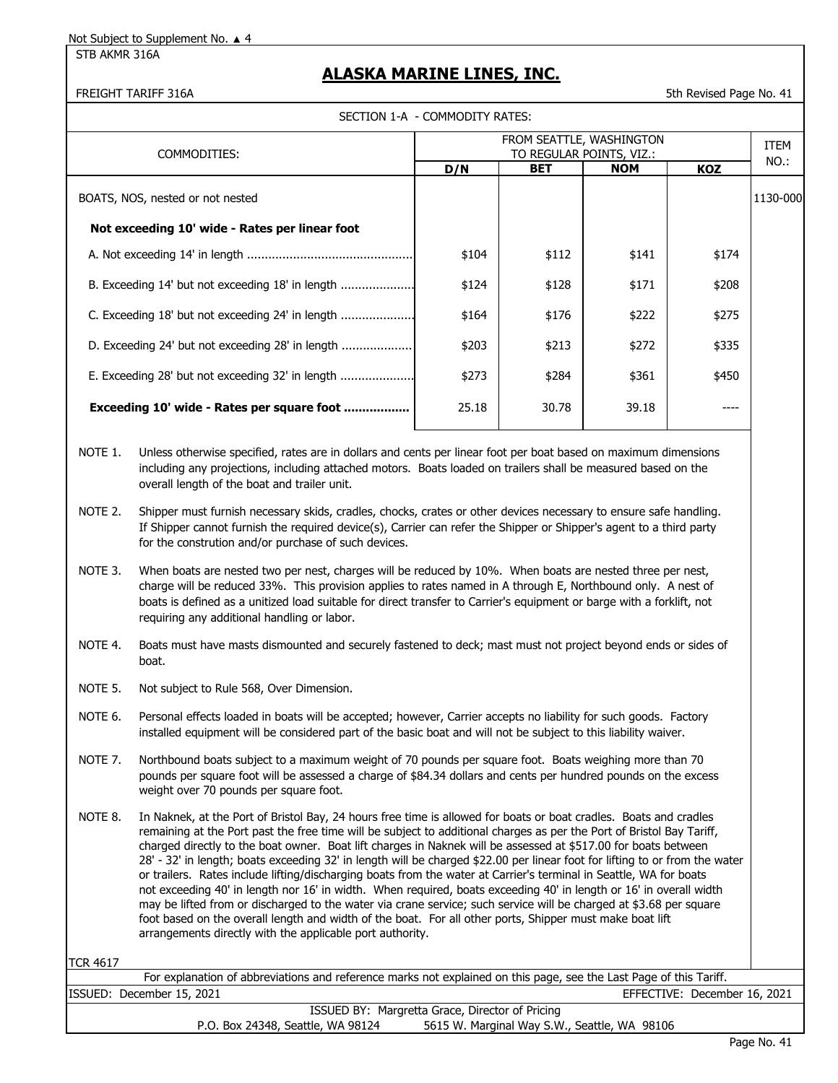STB AKMR 316A

### **ALASKA MARINE LINES, INC.**

FREIGHT TARIFF 316A 5th Revised Page No. 41

|  | SECTION 1-A  - COMMODITY RATES: |  |
|--|---------------------------------|--|
|--|---------------------------------|--|

| COMMODITIES:                                     | FROM SEATTLE, WASHINGTON<br>TO REGULAR POINTS, VIZ.: |            |            |            | ITEM     |
|--------------------------------------------------|------------------------------------------------------|------------|------------|------------|----------|
|                                                  | D/N                                                  | <b>BET</b> | <b>NOM</b> | <b>KOZ</b> | NO.:     |
| BOATS, NOS, nested or not nested                 |                                                      |            |            |            | 1130-000 |
| Not exceeding 10' wide - Rates per linear foot   |                                                      |            |            |            |          |
|                                                  | \$104                                                | \$112      | \$141      | \$174      |          |
| B. Exceeding 14' but not exceeding 18' in length | \$124                                                | \$128      | \$171      | \$208      |          |
| C. Exceeding 18' but not exceeding 24' in length | \$164                                                | \$176      | \$222      | \$275      |          |
| D. Exceeding 24' but not exceeding 28' in length | \$203                                                | \$213      | \$272      | \$335      |          |
| E. Exceeding 28' but not exceeding 32' in length | \$273                                                | \$284      | \$361      | \$450      |          |
| Exceeding 10' wide - Rates per square foot       | 25.18                                                | 30.78      | 39.18      | ----       |          |
|                                                  |                                                      |            |            |            |          |

NOTE 1. Unless otherwise specified, rates are in dollars and cents per linear foot per boat based on maximum dimensions including any projections, including attached motors. Boats loaded on trailers shall be measured based on the overall length of the boat and trailer unit.

- NOTE 2. Shipper must furnish necessary skids, cradles, chocks, crates or other devices necessary to ensure safe handling. If Shipper cannot furnish the required device(s), Carrier can refer the Shipper or Shipper's agent to a third party for the constrution and/or purchase of such devices.
- NOTE 3. When boats are nested two per nest, charges will be reduced by 10%. When boats are nested three per nest, charge will be reduced 33%. This provision applies to rates named in A through E, Northbound only. A nest of boats is defined as a unitized load suitable for direct transfer to Carrier's equipment or barge with a forklift, not requiring any additional handling or labor.
- NOTE 4. Boats must have masts dismounted and securely fastened to deck; mast must not project beyond ends or sides of boat.
- NOTE 5. Not subject to Rule 568, Over Dimension.
- NOTE 6. Personal effects loaded in boats will be accepted; however, Carrier accepts no liability for such goods. Factory installed equipment will be considered part of the basic boat and will not be subject to this liability waiver.
- NOTE 7. Northbound boats subject to a maximum weight of 70 pounds per square foot. Boats weighing more than 70 pounds per square foot will be assessed a charge of \$84.34 dollars and cents per hundred pounds on the excess weight over 70 pounds per square foot.
- NOTE 8. In Naknek, at the Port of Bristol Bay, 24 hours free time is allowed for boats or boat cradles. Boats and cradles remaining at the Port past the free time will be subject to additional charges as per the Port of Bristol Bay Tariff, charged directly to the boat owner. Boat lift charges in Naknek will be assessed at \$517.00 for boats between 28' - 32' in length; boats exceeding 32' in length will be charged \$22.00 per linear foot for lifting to or from the water or trailers. Rates include lifting/discharging boats from the water at Carrier's terminal in Seattle, WA for boats not exceeding 40' in length nor 16' in width. When required, boats exceeding 40' in length or 16' in overall width may be lifted from or discharged to the water via crane service; such service will be charged at \$3.68 per square foot based on the overall length and width of the boat. For all other ports, Shipper must make boat lift arrangements directly with the applicable port authority.

TCR 4617

| For explanation of abbreviations and reference marks not explained on this page, see the Last Page of this Tariff. |                                              |  |  |  |  |  |
|--------------------------------------------------------------------------------------------------------------------|----------------------------------------------|--|--|--|--|--|
| ISSUED: December 15, 2021                                                                                          | EFFECTIVE: December 16, 2021                 |  |  |  |  |  |
| ISSUED BY: Margretta Grace, Director of Pricing                                                                    |                                              |  |  |  |  |  |
| P.O. Box 24348, Seattle, WA 98124                                                                                  | 5615 W. Marginal Way S.W., Seattle, WA 98106 |  |  |  |  |  |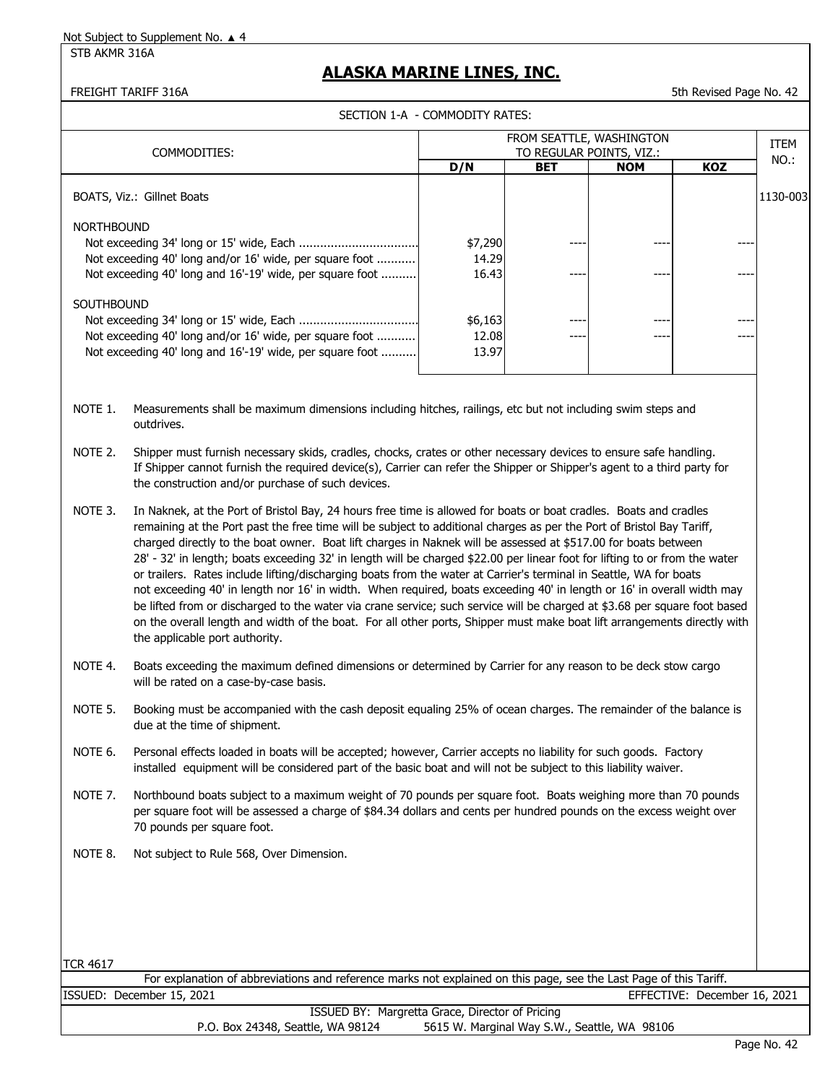STB AKMR 316A

### **ALASKA MARINE LINES, INC.**

FREIGHT TARIFF 316A 5th Revised Page No. 42

|  |  | ECTION 1-A  - COMMODITY RATES: |
|--|--|--------------------------------|
|--|--|--------------------------------|

|                            |                                                                                                                                                                                                                                                                                                                                                                                                                                                                                                                                                                                                                                                                                                                                                                                                                                                                                                                                                                                                                                        | SECTION 1-A - COMMODITY RATES: |            |                          |     |                     |  |
|----------------------------|----------------------------------------------------------------------------------------------------------------------------------------------------------------------------------------------------------------------------------------------------------------------------------------------------------------------------------------------------------------------------------------------------------------------------------------------------------------------------------------------------------------------------------------------------------------------------------------------------------------------------------------------------------------------------------------------------------------------------------------------------------------------------------------------------------------------------------------------------------------------------------------------------------------------------------------------------------------------------------------------------------------------------------------|--------------------------------|------------|--------------------------|-----|---------------------|--|
|                            |                                                                                                                                                                                                                                                                                                                                                                                                                                                                                                                                                                                                                                                                                                                                                                                                                                                                                                                                                                                                                                        |                                |            | FROM SEATTLE, WASHINGTON |     |                     |  |
|                            | COMMODITIES:                                                                                                                                                                                                                                                                                                                                                                                                                                                                                                                                                                                                                                                                                                                                                                                                                                                                                                                                                                                                                           | TO REGULAR POINTS, VIZ.:       |            |                          |     | <b>ITEM</b><br>NO.: |  |
|                            |                                                                                                                                                                                                                                                                                                                                                                                                                                                                                                                                                                                                                                                                                                                                                                                                                                                                                                                                                                                                                                        | D/N                            | <b>BET</b> | <b>NOM</b>               | KOZ |                     |  |
| BOATS, Viz.: Gillnet Boats |                                                                                                                                                                                                                                                                                                                                                                                                                                                                                                                                                                                                                                                                                                                                                                                                                                                                                                                                                                                                                                        |                                |            |                          |     | 1130-003            |  |
| <b>NORTHBOUND</b>          |                                                                                                                                                                                                                                                                                                                                                                                                                                                                                                                                                                                                                                                                                                                                                                                                                                                                                                                                                                                                                                        |                                |            |                          |     |                     |  |
|                            |                                                                                                                                                                                                                                                                                                                                                                                                                                                                                                                                                                                                                                                                                                                                                                                                                                                                                                                                                                                                                                        | \$7,290                        |            |                          |     |                     |  |
|                            | Not exceeding 40' long and/or 16' wide, per square foot                                                                                                                                                                                                                                                                                                                                                                                                                                                                                                                                                                                                                                                                                                                                                                                                                                                                                                                                                                                | 14.29                          |            |                          |     |                     |  |
|                            | Not exceeding 40' long and 16'-19' wide, per square foot                                                                                                                                                                                                                                                                                                                                                                                                                                                                                                                                                                                                                                                                                                                                                                                                                                                                                                                                                                               | 16.43                          |            |                          |     |                     |  |
|                            |                                                                                                                                                                                                                                                                                                                                                                                                                                                                                                                                                                                                                                                                                                                                                                                                                                                                                                                                                                                                                                        |                                |            |                          |     |                     |  |
| SOUTHBOUND                 |                                                                                                                                                                                                                                                                                                                                                                                                                                                                                                                                                                                                                                                                                                                                                                                                                                                                                                                                                                                                                                        |                                |            |                          |     |                     |  |
|                            | Not exceeding 40' long and/or 16' wide, per square foot                                                                                                                                                                                                                                                                                                                                                                                                                                                                                                                                                                                                                                                                                                                                                                                                                                                                                                                                                                                | \$6,163<br>12.08               |            |                          |     |                     |  |
|                            | Not exceeding 40' long and 16'-19' wide, per square foot                                                                                                                                                                                                                                                                                                                                                                                                                                                                                                                                                                                                                                                                                                                                                                                                                                                                                                                                                                               | 13.97                          |            |                          |     |                     |  |
|                            |                                                                                                                                                                                                                                                                                                                                                                                                                                                                                                                                                                                                                                                                                                                                                                                                                                                                                                                                                                                                                                        |                                |            |                          |     |                     |  |
|                            |                                                                                                                                                                                                                                                                                                                                                                                                                                                                                                                                                                                                                                                                                                                                                                                                                                                                                                                                                                                                                                        |                                |            |                          |     |                     |  |
| NOTE 1.                    | Measurements shall be maximum dimensions including hitches, railings, etc but not including swim steps and<br>outdrives.                                                                                                                                                                                                                                                                                                                                                                                                                                                                                                                                                                                                                                                                                                                                                                                                                                                                                                               |                                |            |                          |     |                     |  |
| NOTE 2.                    | Shipper must furnish necessary skids, cradles, chocks, crates or other necessary devices to ensure safe handling.<br>If Shipper cannot furnish the required device(s), Carrier can refer the Shipper or Shipper's agent to a third party for<br>the construction and/or purchase of such devices.                                                                                                                                                                                                                                                                                                                                                                                                                                                                                                                                                                                                                                                                                                                                      |                                |            |                          |     |                     |  |
| NOTE 3.                    | In Naknek, at the Port of Bristol Bay, 24 hours free time is allowed for boats or boat cradles. Boats and cradles<br>remaining at the Port past the free time will be subject to additional charges as per the Port of Bristol Bay Tariff,<br>charged directly to the boat owner. Boat lift charges in Naknek will be assessed at \$517.00 for boats between<br>28' - 32' in length; boats exceeding 32' in length will be charged \$22.00 per linear foot for lifting to or from the water<br>or trailers. Rates include lifting/discharging boats from the water at Carrier's terminal in Seattle, WA for boats<br>not exceeding 40' in length nor 16' in width. When required, boats exceeding 40' in length or 16' in overall width may<br>be lifted from or discharged to the water via crane service; such service will be charged at \$3.68 per square foot based<br>on the overall length and width of the boat. For all other ports, Shipper must make boat lift arrangements directly with<br>the applicable port authority. |                                |            |                          |     |                     |  |
| NOTE 4.                    | Boats exceeding the maximum defined dimensions or determined by Carrier for any reason to be deck stow cargo<br>will be rated on a case-by-case basis.                                                                                                                                                                                                                                                                                                                                                                                                                                                                                                                                                                                                                                                                                                                                                                                                                                                                                 |                                |            |                          |     |                     |  |
| NOTE 5.                    | Booking must be accompanied with the cash deposit equaling 25% of ocean charges. The remainder of the balance is<br>due at the time of shipment.                                                                                                                                                                                                                                                                                                                                                                                                                                                                                                                                                                                                                                                                                                                                                                                                                                                                                       |                                |            |                          |     |                     |  |
| NOTE 6.                    | Personal effects loaded in boats will be accepted; however, Carrier accepts no liability for such goods. Factory<br>installed equipment will be considered part of the basic boat and will not be subject to this liability waiver.                                                                                                                                                                                                                                                                                                                                                                                                                                                                                                                                                                                                                                                                                                                                                                                                    |                                |            |                          |     |                     |  |
| NOTE 7.                    | Northbound boats subject to a maximum weight of 70 pounds per square foot. Boats weighing more than 70 pounds<br>per square foot will be assessed a charge of \$84.34 dollars and cents per hundred pounds on the excess weight over<br>70 pounds per square foot.                                                                                                                                                                                                                                                                                                                                                                                                                                                                                                                                                                                                                                                                                                                                                                     |                                |            |                          |     |                     |  |
| NOTE 8.                    | Not subject to Rule 568, Over Dimension.                                                                                                                                                                                                                                                                                                                                                                                                                                                                                                                                                                                                                                                                                                                                                                                                                                                                                                                                                                                               |                                |            |                          |     |                     |  |
|                            |                                                                                                                                                                                                                                                                                                                                                                                                                                                                                                                                                                                                                                                                                                                                                                                                                                                                                                                                                                                                                                        |                                |            |                          |     |                     |  |
|                            |                                                                                                                                                                                                                                                                                                                                                                                                                                                                                                                                                                                                                                                                                                                                                                                                                                                                                                                                                                                                                                        |                                |            |                          |     |                     |  |
|                            |                                                                                                                                                                                                                                                                                                                                                                                                                                                                                                                                                                                                                                                                                                                                                                                                                                                                                                                                                                                                                                        |                                |            |                          |     |                     |  |

|                                   | For explanation of abbreviations and reference marks not explained on this page, see the Last Page of this Tariff. |
|-----------------------------------|--------------------------------------------------------------------------------------------------------------------|
| ISSUED: December 15, 2021         | EFFECTIVE: December 16, 2021                                                                                       |
|                                   | ISSUED BY: Margretta Grace, Director of Pricing                                                                    |
| P.O. Box 24348, Seattle, WA 98124 | 5615 W. Marginal Way S.W., Seattle, WA 98106                                                                       |
|                                   |                                                                                                                    |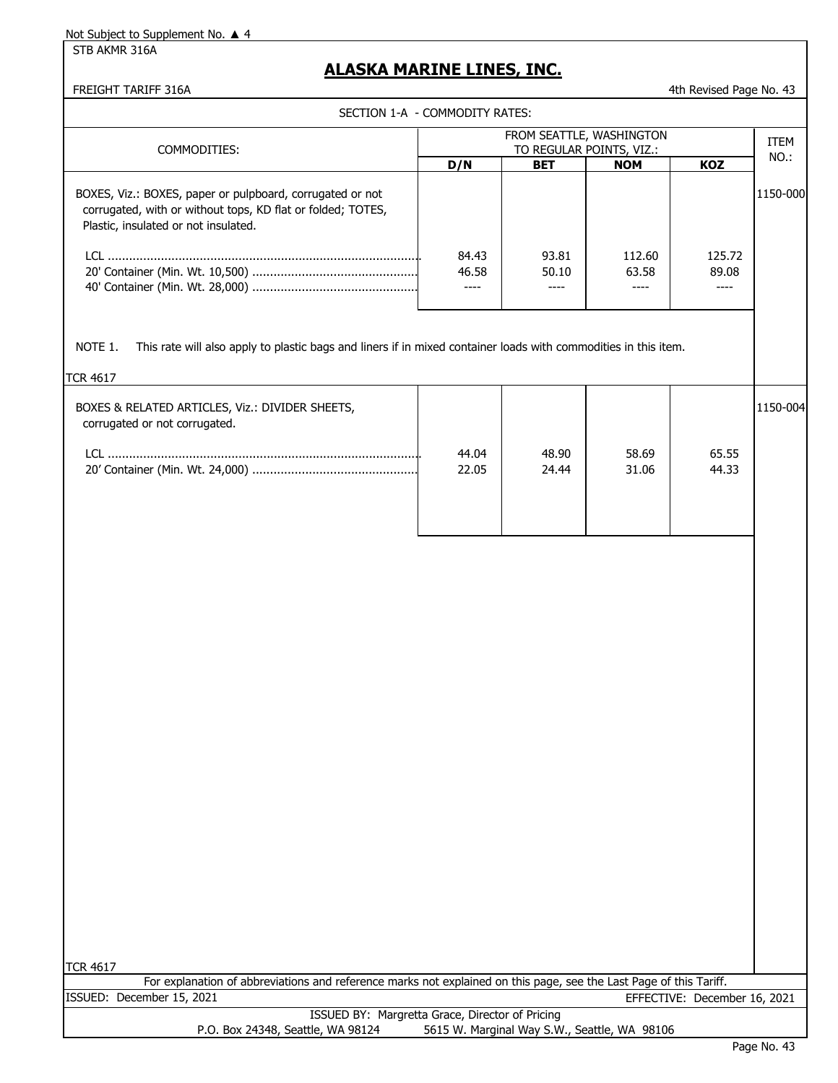STB AKMR 316A

### **ALASKA MARINE LINES, INC.**

FREIGHT TARIFF 316A 43

SECTION 1-A - COMMODITY RATES:

| COMMODITIES:                                                                                                                                                     | FROM SEATTLE, WASHINGTON<br>TO REGULAR POINTS, VIZ.: |            |            |            | <b>ITEM</b><br>NO.: |
|------------------------------------------------------------------------------------------------------------------------------------------------------------------|------------------------------------------------------|------------|------------|------------|---------------------|
|                                                                                                                                                                  | D/N                                                  | <b>BET</b> | <b>NOM</b> | <b>KOZ</b> |                     |
| BOXES, Viz.: BOXES, paper or pulpboard, corrugated or not<br>corrugated, with or without tops, KD flat or folded; TOTES,<br>Plastic, insulated or not insulated. |                                                      |            |            |            | 1150-000            |
| ו רו                                                                                                                                                             | 84.43                                                | 93.81      | 112.60     | 125.72     |                     |
|                                                                                                                                                                  | 46.58                                                | 50.10      | 63.58      | 89.08      |                     |
|                                                                                                                                                                  |                                                      |            |            |            |                     |
| NOTE 1.<br>This rate will also apply to plastic bags and liners if in mixed container loads with commodities in this item.                                       |                                                      |            |            |            |                     |

| II UK 4017                                                                       |                |                |                |                |          |
|----------------------------------------------------------------------------------|----------------|----------------|----------------|----------------|----------|
| BOXES & RELATED ARTICLES, Viz.: DIVIDER SHEETS,<br>corrugated or not corrugated. |                |                |                |                | 1150-004 |
|                                                                                  | 44.04<br>22.05 | 48.90<br>24.44 | 58.69<br>31.06 | 65.55<br>44.33 |          |

|                                   | For explanation of abbreviations and reference marks not explained on this page, see the Last Page of this Tariff. |
|-----------------------------------|--------------------------------------------------------------------------------------------------------------------|
| ISSUED: December 15, 2021         | EFFECTIVE: December 16, 2021                                                                                       |
|                                   | ISSUED BY: Margretta Grace, Director of Pricing                                                                    |
| P.O. Box 24348, Seattle, WA 98124 | 5615 W. Marginal Way S.W., Seattle, WA 98106                                                                       |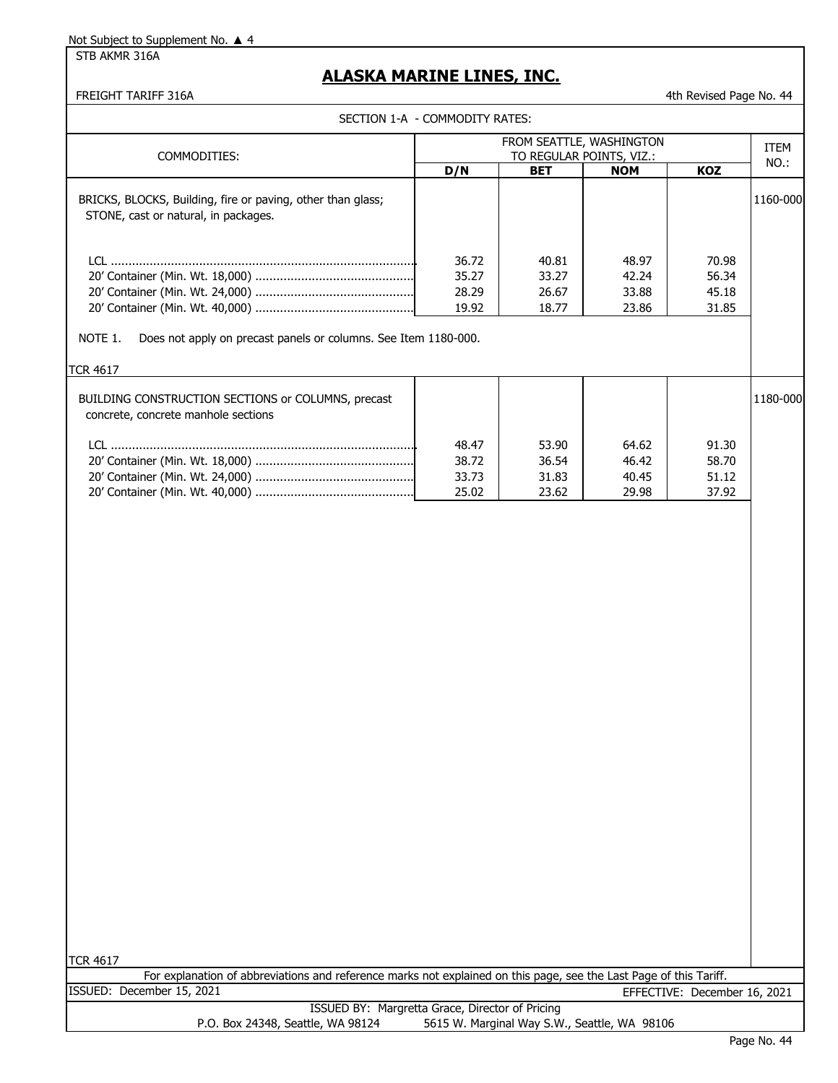STB AKMR 316A

### **ALASKA MARINE LINES, INC.**

FREIGHT TARIFF 316A 644

| SECTION 1-A - COMMODITY RATES:                                                                      |                                  |                                  |                                  |                                  |             |
|-----------------------------------------------------------------------------------------------------|----------------------------------|----------------------------------|----------------------------------|----------------------------------|-------------|
| FROM SEATTLE, WASHINGTON<br>TO REGULAR POINTS, VIZ.:<br>COMMODITIES:                                |                                  |                                  |                                  |                                  | <b>ITEM</b> |
|                                                                                                     | D/N                              | <b>BET</b>                       | <b>NOM</b>                       | <b>KOZ</b>                       | $NO.$ :     |
| BRICKS, BLOCKS, Building, fire or paving, other than glass;<br>STONE, cast or natural, in packages. |                                  |                                  |                                  |                                  | 1160-000    |
| NOTE 1.<br>Does not apply on precast panels or columns. See Item 1180-000.                          | 36.72<br>35.27<br>28.29<br>19.92 | 40.81<br>33.27<br>26.67<br>18.77 | 48.97<br>42.24<br>33.88<br>23.86 | 70.98<br>56.34<br>45.18<br>31.85 |             |
| <b>TCR 4617</b>                                                                                     |                                  |                                  |                                  |                                  |             |
| BUILDING CONSTRUCTION SECTIONS or COLUMNS, precast<br>concrete, concrete manhole sections           | 48.47<br>38.72<br>33.73<br>25.02 | 53.90<br>36.54<br>31.83<br>23.62 | 64.62<br>46.42<br>40.45<br>29.98 | 91.30<br>58.70<br>51.12<br>37.92 | 1180-000    |
|                                                                                                     |                                  |                                  |                                  |                                  |             |

TCR 4617

For explanation of abbreviations and reference marks not explained on this page, see the Last Page of this Tariff. ISSUED: December 15, 2021 EFFECTIVE: December 16, 2021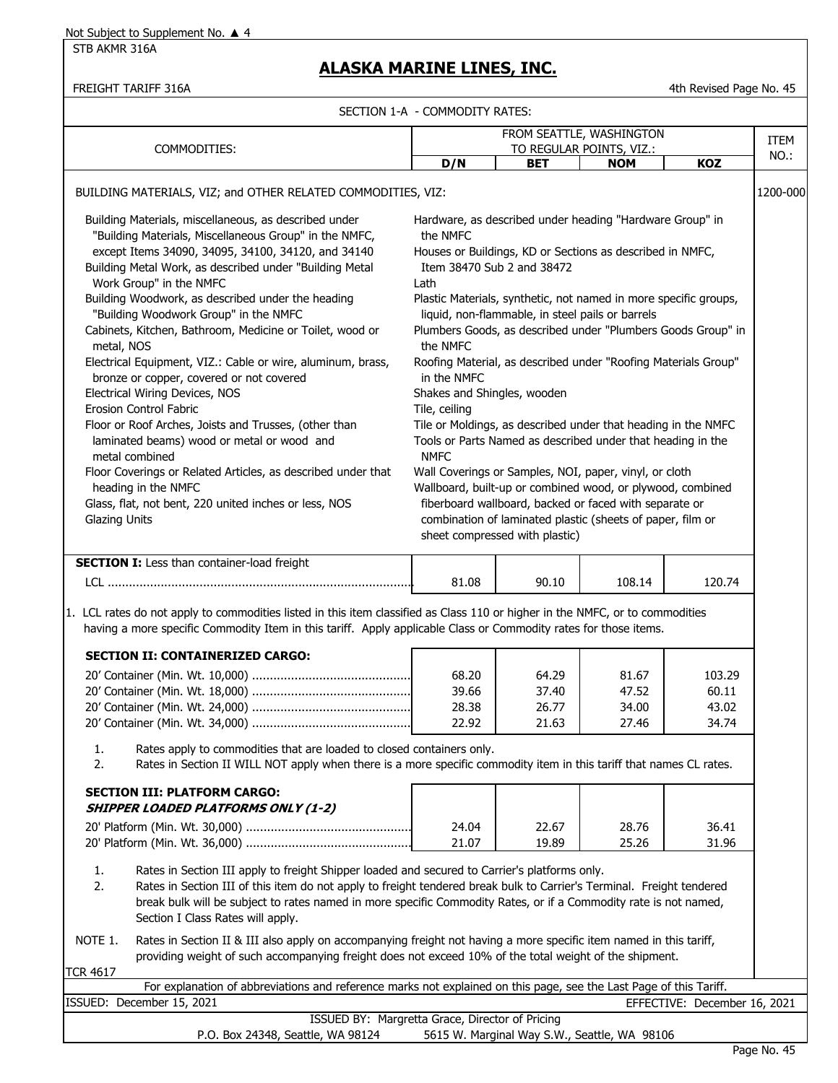STB AKMR 316A

### **ALASKA MARINE LINES, INC.**

FREIGHT TARIFF 316A 4th Revised Page No. 45

| ECTION 1-A - COMMODITY RATES: |
|-------------------------------|

|                                                                                                                                                                                |                                                                                                                                                                                                                                                                      | SECTION 1-A - COMMODITY RATES:                  |                                                                  |            |                              |             |
|--------------------------------------------------------------------------------------------------------------------------------------------------------------------------------|----------------------------------------------------------------------------------------------------------------------------------------------------------------------------------------------------------------------------------------------------------------------|-------------------------------------------------|------------------------------------------------------------------|------------|------------------------------|-------------|
|                                                                                                                                                                                |                                                                                                                                                                                                                                                                      |                                                 | FROM SEATTLE, WASHINGTON                                         |            |                              | <b>ITEM</b> |
|                                                                                                                                                                                | COMMODITIES:                                                                                                                                                                                                                                                         |                                                 | TO REGULAR POINTS, VIZ.:                                         |            |                              | NO.:        |
|                                                                                                                                                                                |                                                                                                                                                                                                                                                                      | D/N                                             | <b>BET</b>                                                       | <b>NOM</b> | <b>KOZ</b>                   |             |
|                                                                                                                                                                                | BUILDING MATERIALS, VIZ; and OTHER RELATED COMMODITIES, VIZ:                                                                                                                                                                                                         |                                                 |                                                                  |            |                              | 1200-000    |
|                                                                                                                                                                                | Building Materials, miscellaneous, as described under<br>"Building Materials, Miscellaneous Group" in the NMFC,                                                                                                                                                      | the NMFC                                        | Hardware, as described under heading "Hardware Group" in         |            |                              |             |
|                                                                                                                                                                                | except Items 34090, 34095, 34100, 34120, and 34140<br>Building Metal Work, as described under "Building Metal                                                                                                                                                        | Item 38470 Sub 2 and 38472                      | Houses or Buildings, KD or Sections as described in NMFC,        |            |                              |             |
|                                                                                                                                                                                | Work Group" in the NMFC<br>Building Woodwork, as described under the heading                                                                                                                                                                                         | Lath                                            | Plastic Materials, synthetic, not named in more specific groups, |            |                              |             |
|                                                                                                                                                                                | "Building Woodwork Group" in the NMFC                                                                                                                                                                                                                                |                                                 | liquid, non-flammable, in steel pails or barrels                 |            |                              |             |
| metal, NOS                                                                                                                                                                     | Cabinets, Kitchen, Bathroom, Medicine or Toilet, wood or                                                                                                                                                                                                             | the NMFC                                        | Plumbers Goods, as described under "Plumbers Goods Group" in     |            |                              |             |
|                                                                                                                                                                                | Electrical Equipment, VIZ.: Cable or wire, aluminum, brass,<br>bronze or copper, covered or not covered                                                                                                                                                              | in the NMFC                                     | Roofing Material, as described under "Roofing Materials Group"   |            |                              |             |
|                                                                                                                                                                                | Electrical Wiring Devices, NOS                                                                                                                                                                                                                                       | Shakes and Shingles, wooden                     |                                                                  |            |                              |             |
|                                                                                                                                                                                | Erosion Control Fabric                                                                                                                                                                                                                                               | Tile, ceiling                                   |                                                                  |            |                              |             |
|                                                                                                                                                                                | Floor or Roof Arches, Joists and Trusses, (other than<br>Tile or Moldings, as described under that heading in the NMFC<br>laminated beams) wood or metal or wood and<br>Tools or Parts Named as described under that heading in the<br><b>NMFC</b><br>metal combined |                                                 |                                                                  |            |                              |             |
|                                                                                                                                                                                | Floor Coverings or Related Articles, as described under that                                                                                                                                                                                                         |                                                 | Wall Coverings or Samples, NOI, paper, vinyl, or cloth           |            |                              |             |
|                                                                                                                                                                                | heading in the NMFC<br>Glass, flat, not bent, 220 united inches or less, NOS                                                                                                                                                                                         |                                                 | Wallboard, built-up or combined wood, or plywood, combined       |            |                              |             |
| fiberboard wallboard, backed or faced with separate or<br>combination of laminated plastic (sheets of paper, film or<br><b>Glazing Units</b><br>sheet compressed with plastic) |                                                                                                                                                                                                                                                                      |                                                 |                                                                  |            |                              |             |
|                                                                                                                                                                                | <b>SECTION I:</b> Less than container-load freight                                                                                                                                                                                                                   |                                                 |                                                                  |            |                              |             |
|                                                                                                                                                                                |                                                                                                                                                                                                                                                                      | 81.08                                           | 90.10                                                            | 108.14     | 120.74                       |             |
|                                                                                                                                                                                |                                                                                                                                                                                                                                                                      |                                                 |                                                                  |            |                              |             |
|                                                                                                                                                                                | 1. LCL rates do not apply to commodities listed in this item classified as Class 110 or higher in the NMFC, or to commodities<br>having a more specific Commodity Item in this tariff. Apply applicable Class or Commodity rates for those items.                    |                                                 |                                                                  |            |                              |             |
|                                                                                                                                                                                | <b>SECTION II: CONTAINERIZED CARGO:</b>                                                                                                                                                                                                                              |                                                 |                                                                  |            |                              |             |
|                                                                                                                                                                                |                                                                                                                                                                                                                                                                      | 68.20                                           | 64.29                                                            | 81.67      | 103.29                       |             |
|                                                                                                                                                                                |                                                                                                                                                                                                                                                                      | 39.66                                           | 37.40                                                            | 47.52      | 60.11                        |             |
|                                                                                                                                                                                |                                                                                                                                                                                                                                                                      | 28.38                                           | 26.77                                                            | 34.00      | 43.02                        |             |
|                                                                                                                                                                                |                                                                                                                                                                                                                                                                      | 22.92                                           | 21.63                                                            | 27.46      | 34.74                        |             |
| 1.                                                                                                                                                                             | Rates apply to commodities that are loaded to closed containers only.                                                                                                                                                                                                |                                                 |                                                                  |            |                              |             |
| 2.                                                                                                                                                                             | Rates in Section II WILL NOT apply when there is a more specific commodity item in this tariff that names CL rates.                                                                                                                                                  |                                                 |                                                                  |            |                              |             |
|                                                                                                                                                                                | <b>SECTION III: PLATFORM CARGO:</b><br><b>SHIPPER LOADED PLATFORMS ONLY (1-2)</b>                                                                                                                                                                                    |                                                 |                                                                  |            |                              |             |
|                                                                                                                                                                                |                                                                                                                                                                                                                                                                      | 24.04                                           | 22.67                                                            | 28.76      | 36.41                        |             |
|                                                                                                                                                                                |                                                                                                                                                                                                                                                                      | 21.07                                           | 19.89                                                            | 25.26      | 31.96                        |             |
| 1.                                                                                                                                                                             | Rates in Section III apply to freight Shipper loaded and secured to Carrier's platforms only.                                                                                                                                                                        |                                                 |                                                                  |            |                              |             |
| 2.                                                                                                                                                                             | Rates in Section III of this item do not apply to freight tendered break bulk to Carrier's Terminal. Freight tendered<br>break bulk will be subject to rates named in more specific Commodity Rates, or if a Commodity rate is not named,                            |                                                 |                                                                  |            |                              |             |
|                                                                                                                                                                                | Section I Class Rates will apply.                                                                                                                                                                                                                                    |                                                 |                                                                  |            |                              |             |
| NOTE 1.                                                                                                                                                                        | Rates in Section II & III also apply on accompanying freight not having a more specific item named in this tariff,                                                                                                                                                   |                                                 |                                                                  |            |                              |             |
|                                                                                                                                                                                | providing weight of such accompanying freight does not exceed 10% of the total weight of the shipment.                                                                                                                                                               |                                                 |                                                                  |            |                              |             |
| <b>TCR 4617</b>                                                                                                                                                                | For explanation of abbreviations and reference marks not explained on this page, see the Last Page of this Tariff.                                                                                                                                                   |                                                 |                                                                  |            |                              |             |
|                                                                                                                                                                                | ISSUED: December 15, 2021                                                                                                                                                                                                                                            |                                                 |                                                                  |            | EFFECTIVE: December 16, 2021 |             |
|                                                                                                                                                                                |                                                                                                                                                                                                                                                                      | ISSUED BY: Margretta Grace, Director of Pricing |                                                                  |            |                              |             |

P.O. Box 24348, Seattle, WA 98124 5615 W. Marginal Way S.W., Seattle, WA 98106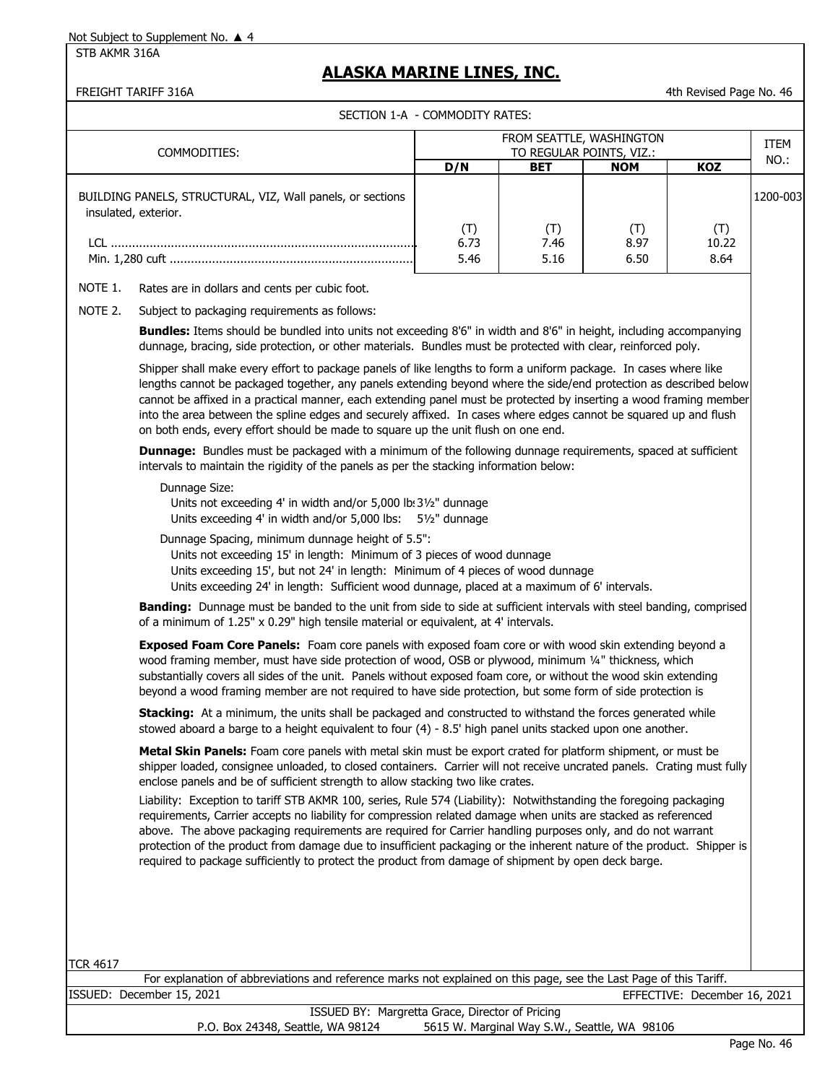STB AKMR 316A

### **ALASKA MARINE LINES, INC.**

FREIGHT TARIFF 316A 4th Revised Page No. 46

SECTION 1-A - COMMODITY RATES:

|                                                                                    | FROM SEATTLE, WASHINGTON |                          |            |            |          |
|------------------------------------------------------------------------------------|--------------------------|--------------------------|------------|------------|----------|
| COMMODITIES:                                                                       |                          | TO REGULAR POINTS, VIZ.: |            |            | NO.:     |
|                                                                                    | D/N                      | <b>BET</b>               | <b>NOM</b> | <b>KOZ</b> |          |
| BUILDING PANELS, STRUCTURAL, VIZ, Wall panels, or sections<br>insulated, exterior. |                          |                          |            |            | 1200-003 |
|                                                                                    | (T)                      | (T)                      | (T)        | (T)        |          |
|                                                                                    | 6.73                     | 7.46                     | 8.97       | 10.22      |          |
|                                                                                    | 5.46                     | 5.16                     | 6.50       | 8.64       |          |
| Rates are in dollars and cents per cubic foot.<br>NOTE 1.                          |                          |                          |            |            |          |
| Subject to packaging requirements as follows:<br>NOTE 2.                           |                          |                          |            |            |          |

**Bundles:** Items should be bundled into units not exceeding 8'6" in width and 8'6" in height, including accompanying dunnage, bracing, side protection, or other materials. Bundles must be protected with clear, reinforced poly.

Shipper shall make every effort to package panels of like lengths to form a uniform package. In cases where like lengths cannot be packaged together, any panels extending beyond where the side/end protection as described below cannot be affixed in a practical manner, each extending panel must be protected by inserting a wood framing member into the area between the spline edges and securely affixed. In cases where edges cannot be squared up and flush on both ends, every effort should be made to square up the unit flush on one end.

**Dunnage:** Bundles must be packaged with a minimum of the following dunnage requirements, spaced at sufficient intervals to maintain the rigidity of the panels as per the stacking information below:

#### Dunnage Size:

Units not exceeding 4' in width and/or 5,000 lb: 31/2" dunnage Units exceeding 4' in width and/or 5,000 lbs: 5½" dunnage

Dunnage Spacing, minimum dunnage height of 5.5":

Units not exceeding 15' in length: Minimum of 3 pieces of wood dunnage

Units exceeding 15', but not 24' in length: Minimum of 4 pieces of wood dunnage

Units exceeding 24' in length: Sufficient wood dunnage, placed at a maximum of 6' intervals.

**Banding:** Dunnage must be banded to the unit from side to side at sufficient intervals with steel banding, comprised of a minimum of 1.25" x 0.29" high tensile material or equivalent, at 4' intervals.

**Exposed Foam Core Panels:** Foam core panels with exposed foam core or with wood skin extending beyond a wood framing member, must have side protection of wood, OSB or plywood, minimum 1/4" thickness, which substantially covers all sides of the unit. Panels without exposed foam core, or without the wood skin extending beyond a wood framing member are not required to have side protection, but some form of side protection is

**Stacking:** At a minimum, the units shall be packaged and constructed to withstand the forces generated while stowed aboard a barge to a height equivalent to four (4) - 8.5' high panel units stacked upon one another.

**Metal Skin Panels:** Foam core panels with metal skin must be export crated for platform shipment, or must be shipper loaded, consignee unloaded, to closed containers. Carrier will not receive uncrated panels. Crating must fully enclose panels and be of sufficient strength to allow stacking two like crates.

Liability: Exception to tariff STB AKMR 100, series, Rule 574 (Liability): Notwithstanding the foregoing packaging requirements, Carrier accepts no liability for compression related damage when units are stacked as referenced above. The above packaging requirements are required for Carrier handling purposes only, and do not warrant protection of the product from damage due to insufficient packaging or the inherent nature of the product. Shipper is required to package sufficiently to protect the product from damage of shipment by open deck barge.

TCR 4617

ISSUED: December 15, 2021 EFFECTIVE: December 16, 2021 For explanation of abbreviations and reference marks not explained on this page, see the Last Page of this Tariff.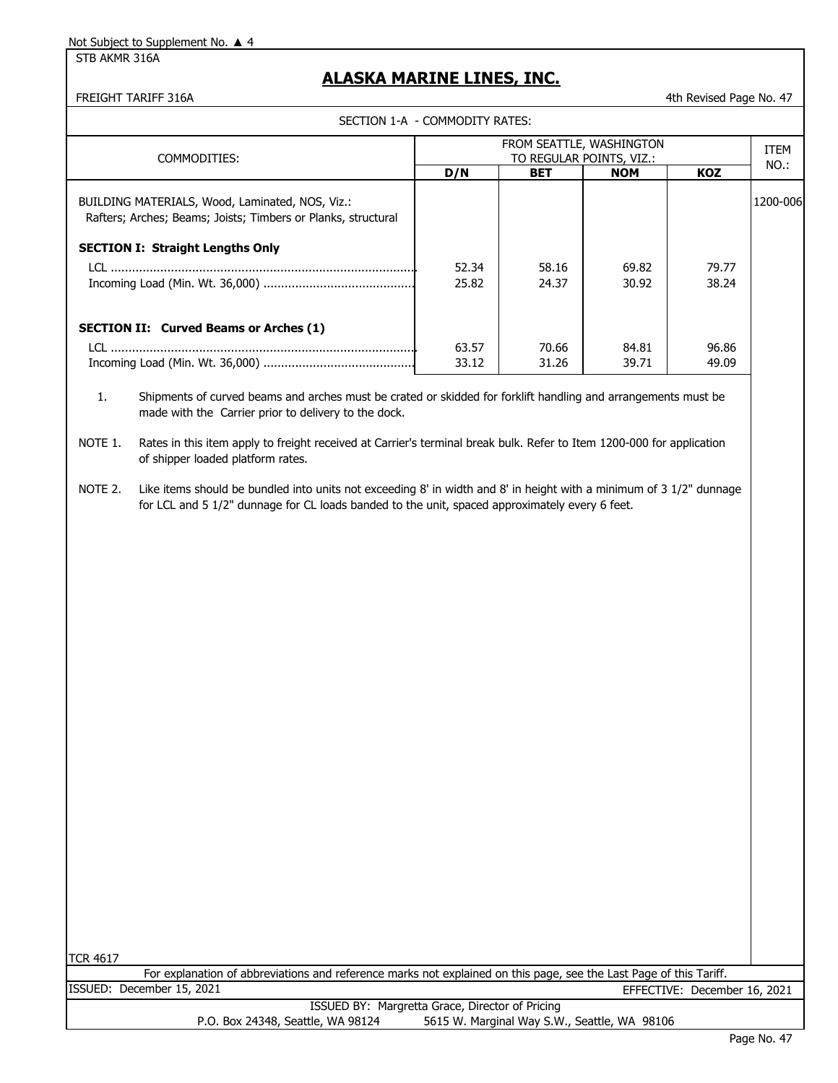STB AKMR 316A

### **ALASKA MARINE LINES, INC.**

| FREIGHT TARIFF 316A                                                                                                                                                                                                                                                                                                                                  |                                                      |            |            | 4th Revised Page No. 47 |          |
|------------------------------------------------------------------------------------------------------------------------------------------------------------------------------------------------------------------------------------------------------------------------------------------------------------------------------------------------------|------------------------------------------------------|------------|------------|-------------------------|----------|
| SECTION 1-A - COMMODITY RATES:                                                                                                                                                                                                                                                                                                                       |                                                      |            |            |                         |          |
| COMMODITIES:                                                                                                                                                                                                                                                                                                                                         | FROM SEATTLE, WASHINGTON<br>TO REGULAR POINTS, VIZ.: |            |            |                         |          |
|                                                                                                                                                                                                                                                                                                                                                      | D/N                                                  | <b>BET</b> | <b>NOM</b> | KOZ                     | NO.:     |
| BUILDING MATERIALS, Wood, Laminated, NOS, Viz.:<br>Rafters; Arches; Beams; Joists; Timbers or Planks, structural                                                                                                                                                                                                                                     |                                                      |            |            |                         | 1200-006 |
| <b>SECTION I: Straight Lengths Only</b>                                                                                                                                                                                                                                                                                                              |                                                      |            |            |                         |          |
|                                                                                                                                                                                                                                                                                                                                                      | 52.34                                                | 58.16      | 69.82      | 79.77                   |          |
|                                                                                                                                                                                                                                                                                                                                                      | 25.82                                                | 24.37      | 30.92      | 38.24                   |          |
| <b>SECTION II: Curved Beams or Arches (1)</b>                                                                                                                                                                                                                                                                                                        |                                                      |            |            |                         |          |
|                                                                                                                                                                                                                                                                                                                                                      | 63.57                                                | 70.66      | 84.81      | 96.86                   |          |
|                                                                                                                                                                                                                                                                                                                                                      | 33.12                                                | 31.26      | 39.71      | 49.09                   |          |
| 1.<br>Shipments of curved beams and arches must be crated or skidded for forklift handling and arrangements must be<br>made with the Carrier prior to delivery to the dock.<br>Rates in this item apply to freight received at Carrier's terminal break bulk. Refer to Item 1200-000 for application<br>NOTE 1.<br>of shipper loaded platform rates. |                                                      |            |            |                         |          |
| Like items should be bundled into units not exceeding 8' in width and 8' in height with a minimum of 3 1/2" dunnage<br>NOTE 2.<br>for LCL and 5 1/2" dunnage for CL loads banded to the unit, spaced approximately every 6 feet.                                                                                                                     |                                                      |            |            |                         |          |

TCR 4617

For explanation of abbreviations and reference marks not explained on this page, see the Last Page of this Tariff.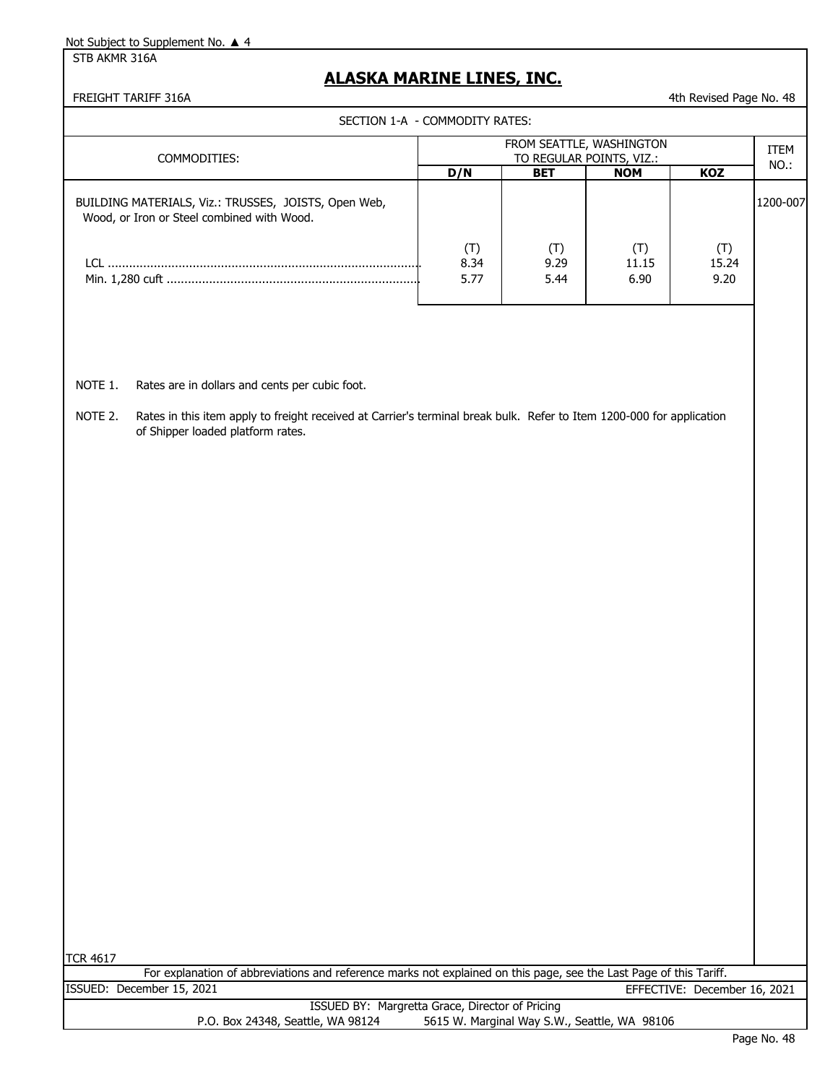STB AKMR 316A

### **ALASKA MARINE LINES, INC.**

FREIGHT TARIFF 316A **1988 12 At a good in the control of the control of the control of the control of the control of the control of the control of the control of the control of the control of the control of the control of** 

SECTION 1-A - COMMODITY RATES:

| SECTION I-A - COMMODITI NATES.                                                                     |                                                      |                     |                      |               |          |
|----------------------------------------------------------------------------------------------------|------------------------------------------------------|---------------------|----------------------|---------------|----------|
| COMMODITIES:                                                                                       | FROM SEATTLE, WASHINGTON<br>TO REGULAR POINTS, VIZ.: |                     |                      |               |          |
|                                                                                                    | D/N                                                  | <b>BET</b>          | <b>NOM</b>           | <b>KOZ</b>    | NO.:     |
| BUILDING MATERIALS, Viz.: TRUSSES, JOISTS, Open Web,<br>Wood, or Iron or Steel combined with Wood. |                                                      |                     |                      |               | 1200-007 |
| I CI.                                                                                              | 8.34<br>5.77                                         | (T)<br>9.29<br>5.44 | (T)<br>11.15<br>6.90 | 15.24<br>9.20 |          |

- NOTE 1. Rates are in dollars and cents per cubic foot.
- NOTE 2. Rates in this item apply to freight received at Carrier's terminal break bulk. Refer to Item 1200-000 for application of Shipper loaded platform rates.

TCR 4617

For explanation of abbreviations and reference marks not explained on this page, see the Last Page of this Tariff. ISSUED: December 15, 2021 EFFECTIVE: December 16, 2021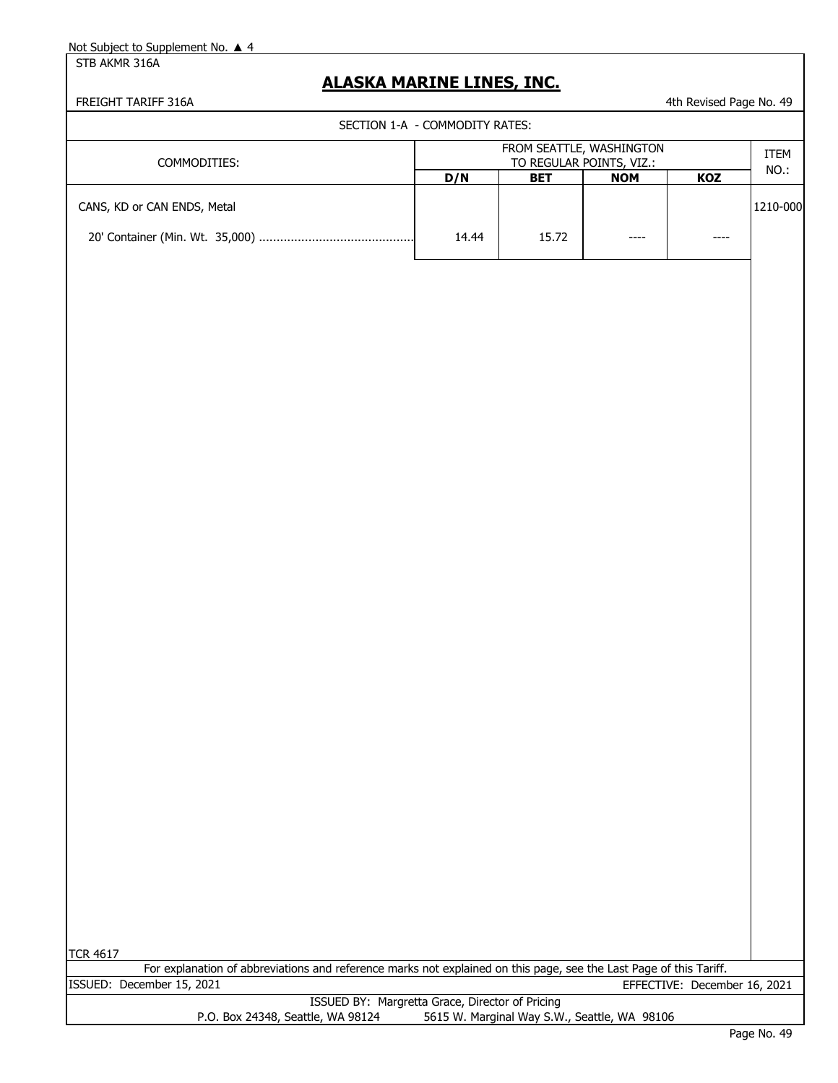STB AKMR 316A

### **ALASKA MARINE LINES, INC.**

#### FREIGHT TARIFF 316A **1988** 4th Revised Page No. 49

SECTION 1-A - COMMODITY RATES:

| COMMODITIES:                | FROM SEATTLE, WASHINGTON<br>TO REGULAR POINTS, VIZ.: |            |            |            | <b>ITEM</b><br>NO.: |
|-----------------------------|------------------------------------------------------|------------|------------|------------|---------------------|
|                             | D/N                                                  | <b>BET</b> | <b>NOM</b> | <b>KOZ</b> |                     |
| CANS, KD or CAN ENDS, Metal |                                                      |            |            |            | 1210-000            |
|                             | 14.44                                                | 15.72      | ----       | ----       |                     |

For explanation of abbreviations and reference marks not explained on this page, see the Last Page of this Tariff. ISSUED: December 15, 2021 EFFECTIVE: December 16, 2021

|                                   | ISSUED BY: Margretta Grace, Director of Pricing |
|-----------------------------------|-------------------------------------------------|
| P.O. Box 24348, Seattle, WA 98124 | 5615 W. Marginal Way S.W., Seattle, WA 98106    |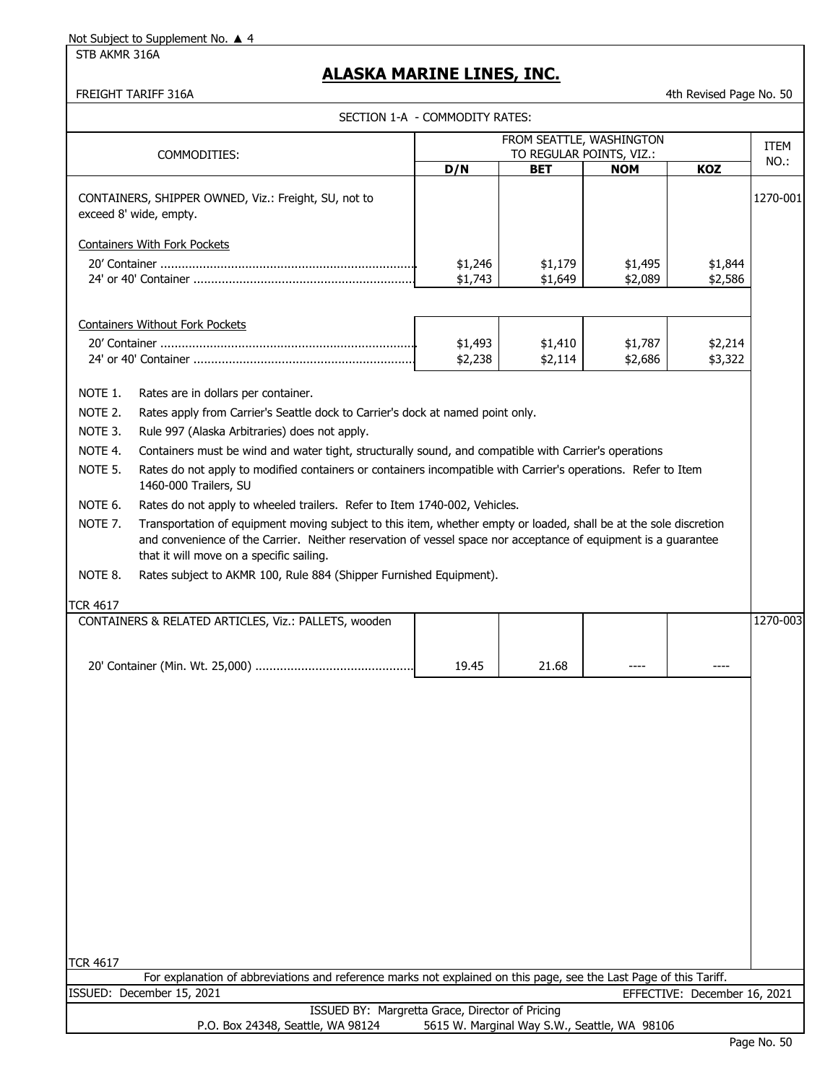STB AKMR 316A

### **ALASKA MARINE LINES, INC.**

FREIGHT TARIFF 316A **1989 120 August 2018** 12:00 12:00 12:00 12:00 12:00 12:00 12:00 12:00 12:00 12:00 12:00 12:00 12:00 12:00 12:00 12:00 12:00 12:00 12:00 12:00 12:00 12:00 12:00 12:00 12:00 12:00 12:00 12:00 12:00 12:00

|                                                     |                                                                                                                                                                                                                                                                                                                           | SECTION 1-A - COMMODITY RATES: |                                              |                    |                              |             |
|-----------------------------------------------------|---------------------------------------------------------------------------------------------------------------------------------------------------------------------------------------------------------------------------------------------------------------------------------------------------------------------------|--------------------------------|----------------------------------------------|--------------------|------------------------------|-------------|
|                                                     |                                                                                                                                                                                                                                                                                                                           |                                | FROM SEATTLE, WASHINGTON                     |                    |                              | <b>ITEM</b> |
|                                                     | COMMODITIES:                                                                                                                                                                                                                                                                                                              | TO REGULAR POINTS, VIZ.:       |                                              |                    |                              | NO.:        |
|                                                     |                                                                                                                                                                                                                                                                                                                           | D/N                            | <b>BET</b>                                   | <b>NOM</b>         | <b>KOZ</b>                   |             |
|                                                     | CONTAINERS, SHIPPER OWNED, Viz.: Freight, SU, not to<br>exceed 8' wide, empty.                                                                                                                                                                                                                                            |                                |                                              |                    |                              | 1270-001    |
|                                                     | <b>Containers With Fork Pockets</b>                                                                                                                                                                                                                                                                                       |                                |                                              |                    |                              |             |
|                                                     |                                                                                                                                                                                                                                                                                                                           | \$1,246                        | \$1,179                                      | \$1,495            | \$1,844                      |             |
|                                                     |                                                                                                                                                                                                                                                                                                                           | \$1,743                        | \$1,649                                      | \$2,089            | \$2,586                      |             |
| NOTE 1.<br>NOTE 2.<br>NOTE 3.<br>NOTE 4.<br>NOTE 5. | <b>Containers Without Fork Pockets</b><br>Rates are in dollars per container.<br>Rates apply from Carrier's Seattle dock to Carrier's dock at named point only.<br>Rule 997 (Alaska Arbitraries) does not apply.<br>Containers must be wind and water tight, structurally sound, and compatible with Carrier's operations | \$1,493<br>\$2,238             | \$1,410<br>\$2,114                           | \$1,787<br>\$2,686 | \$2,214<br>\$3,322           |             |
|                                                     | Rates do not apply to modified containers or containers incompatible with Carrier's operations. Refer to Item<br>1460-000 Trailers, SU                                                                                                                                                                                    |                                |                                              |                    |                              |             |
| NOTE 6.                                             | Rates do not apply to wheeled trailers. Refer to Item 1740-002, Vehicles.                                                                                                                                                                                                                                                 |                                |                                              |                    |                              |             |
| NOTE 7.                                             | Transportation of equipment moving subject to this item, whether empty or loaded, shall be at the sole discretion<br>and convenience of the Carrier. Neither reservation of vessel space nor acceptance of equipment is a guarantee<br>that it will move on a specific sailing.                                           |                                |                                              |                    |                              |             |
| NOTE 8.                                             | Rates subject to AKMR 100, Rule 884 (Shipper Furnished Equipment).                                                                                                                                                                                                                                                        |                                |                                              |                    |                              |             |
| <b>TCR 4617</b>                                     |                                                                                                                                                                                                                                                                                                                           |                                |                                              |                    |                              |             |
|                                                     | CONTAINERS & RELATED ARTICLES, Viz.: PALLETS, wooden                                                                                                                                                                                                                                                                      |                                |                                              |                    |                              | 1270-003    |
|                                                     |                                                                                                                                                                                                                                                                                                                           |                                |                                              |                    |                              |             |
|                                                     |                                                                                                                                                                                                                                                                                                                           | 19.45                          | 21.68                                        |                    |                              |             |
|                                                     |                                                                                                                                                                                                                                                                                                                           |                                |                                              |                    |                              |             |
| <b>TCR 4617</b>                                     |                                                                                                                                                                                                                                                                                                                           |                                |                                              |                    |                              |             |
|                                                     | For explanation of abbreviations and reference marks not explained on this page, see the Last Page of this Tariff.                                                                                                                                                                                                        |                                |                                              |                    |                              |             |
|                                                     | ISSUED: December 15, 2021                                                                                                                                                                                                                                                                                                 |                                |                                              |                    | EFFECTIVE: December 16, 2021 |             |
|                                                     | ISSUED BY: Margretta Grace, Director of Pricing<br>P.O. Box 24348, Seattle, WA 98124                                                                                                                                                                                                                                      |                                | 5615 W. Marginal Way S.W., Seattle, WA 98106 |                    |                              |             |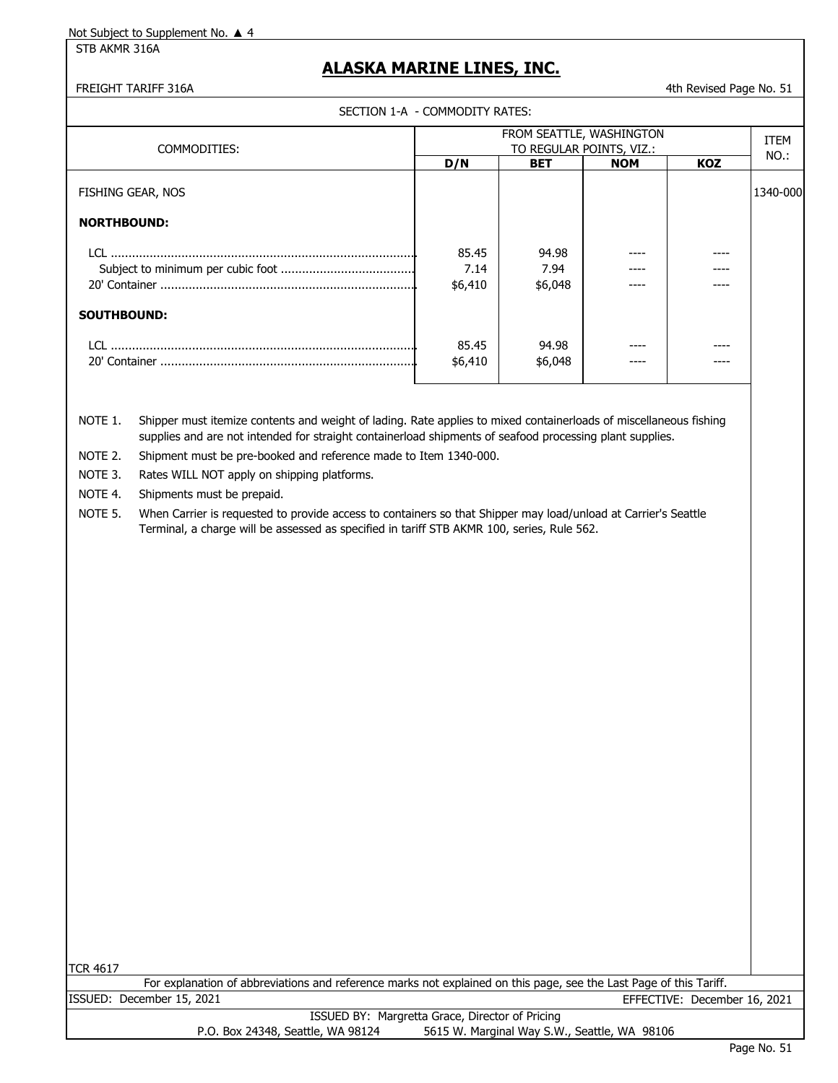STB AKMR 316A

### **ALASKA MARINE LINES, INC.**

#### FREIGHT TARIFF 316A 4th Revised Page No. 51

SECTION 1-A - COMMODITY RATES:

| COMMODITIES:             | FROM SEATTLE, WASHINGTON<br>TO REGULAR POINTS, VIZ.: |            |            |            | <b>ITEM</b> |
|--------------------------|------------------------------------------------------|------------|------------|------------|-------------|
|                          | D/N                                                  | <b>BET</b> | <b>NOM</b> | <b>KOZ</b> | NO.:        |
| <b>FISHING GEAR, NOS</b> |                                                      |            |            |            | 1340-000    |
| <b>NORTHBOUND:</b>       |                                                      |            |            |            |             |
| LCL.                     | 85.45                                                | 94.98      |            | ----       |             |
|                          | 7.14                                                 | 7.94       |            | ----       |             |
|                          | \$6,410                                              | \$6,048    |            | ---        |             |
| <b>SOUTHBOUND:</b>       |                                                      |            |            |            |             |
| LCL.                     | 85.45                                                | 94.98      |            |            |             |
|                          | \$6,410                                              | \$6,048    |            |            |             |

NOTE 1. Shipper must itemize contents and weight of lading. Rate applies to mixed containerloads of miscellaneous fishing supplies and are not intended for straight containerload shipments of seafood processing plant supplies.

NOTE 2. Shipment must be pre-booked and reference made to Item 1340-000.

NOTE 3. Rates WILL NOT apply on shipping platforms.

NOTE 4. Shipments must be prepaid.

NOTE 5. When Carrier is requested to provide access to containers so that Shipper may load/unload at Carrier's Seattle Terminal, a charge will be assessed as specified in tariff STB AKMR 100, series, Rule 562.

TCR 4617

ISSUED: December 15, 2021 EFFECTIVE: December 16, 2021 ISSUED BY: Margretta Grace, Director of Pricing For explanation of abbreviations and reference marks not explained on this page, see the Last Page of this Tariff.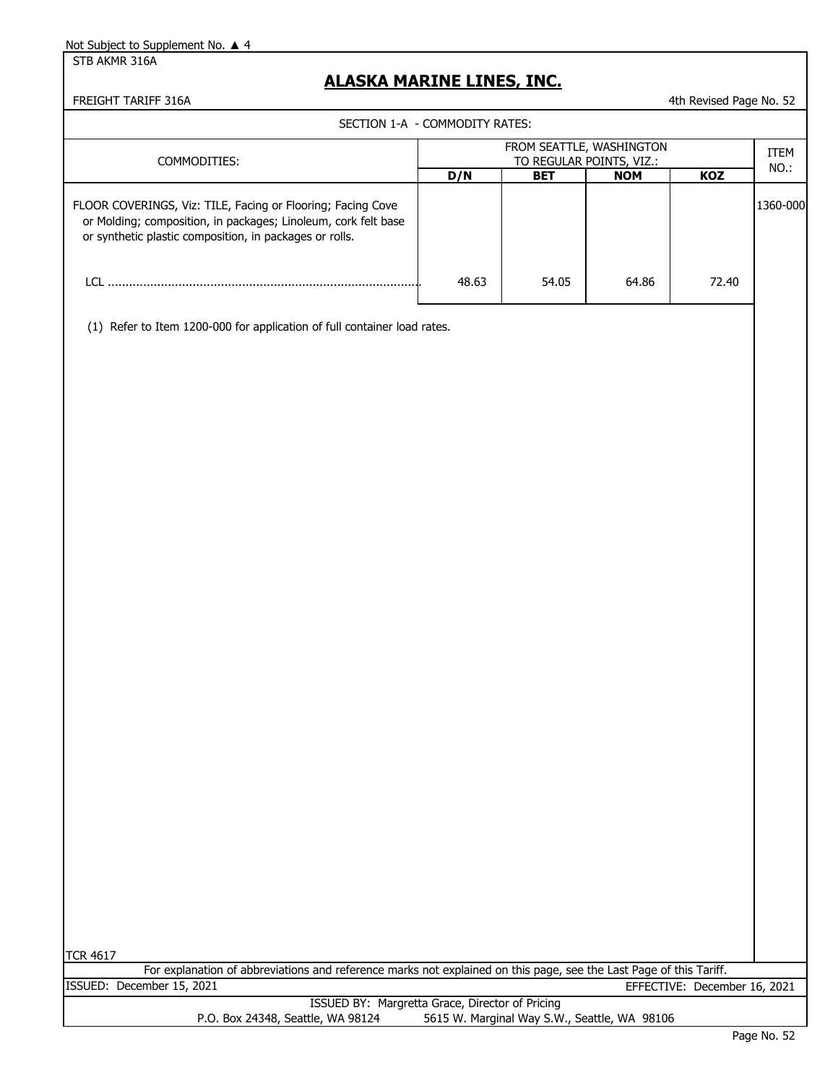STB AKMR 316A

### **ALASKA MARINE LINES, INC.**

FREIGHT TARIFF 316A 4th Revised Page No. 52

|                                                                                                                                                                                          | SECTION 1-A - COMMODITY RATES: |                                                      |            |            |          |  |
|------------------------------------------------------------------------------------------------------------------------------------------------------------------------------------------|--------------------------------|------------------------------------------------------|------------|------------|----------|--|
| COMMODITIES:                                                                                                                                                                             |                                | FROM SEATTLE, WASHINGTON<br>TO REGULAR POINTS, VIZ.: |            |            |          |  |
|                                                                                                                                                                                          | D/N                            | <b>BET</b>                                           | <b>NOM</b> | <b>KOZ</b> | NO.:     |  |
| FLOOR COVERINGS, Viz: TILE, Facing or Flooring; Facing Cove<br>or Molding; composition, in packages; Linoleum, cork felt base<br>or synthetic plastic composition, in packages or rolls. |                                |                                                      |            |            | 1360-000 |  |
|                                                                                                                                                                                          | 48.63                          | 54.05                                                | 64.86      | 72.40      |          |  |
|                                                                                                                                                                                          |                                |                                                      |            |            |          |  |

(1) Refer to Item 1200-000 for application of full container load rates.

| <b>TCR 4617</b>                                                                                                    |  |
|--------------------------------------------------------------------------------------------------------------------|--|
| For explanation of abbreviations and reference marks not explained on this page, see the Last Page of this Tariff. |  |
| ISSUED: December 15, 2021<br>EFFECTIVE: December 16, 2021                                                          |  |
| ISSUED BY: Margretta Grace, Director of Pricing                                                                    |  |
| 5615 W. Marginal Way S.W., Seattle, WA 98106<br>P.O. Box 24348, Seattle, WA 98124                                  |  |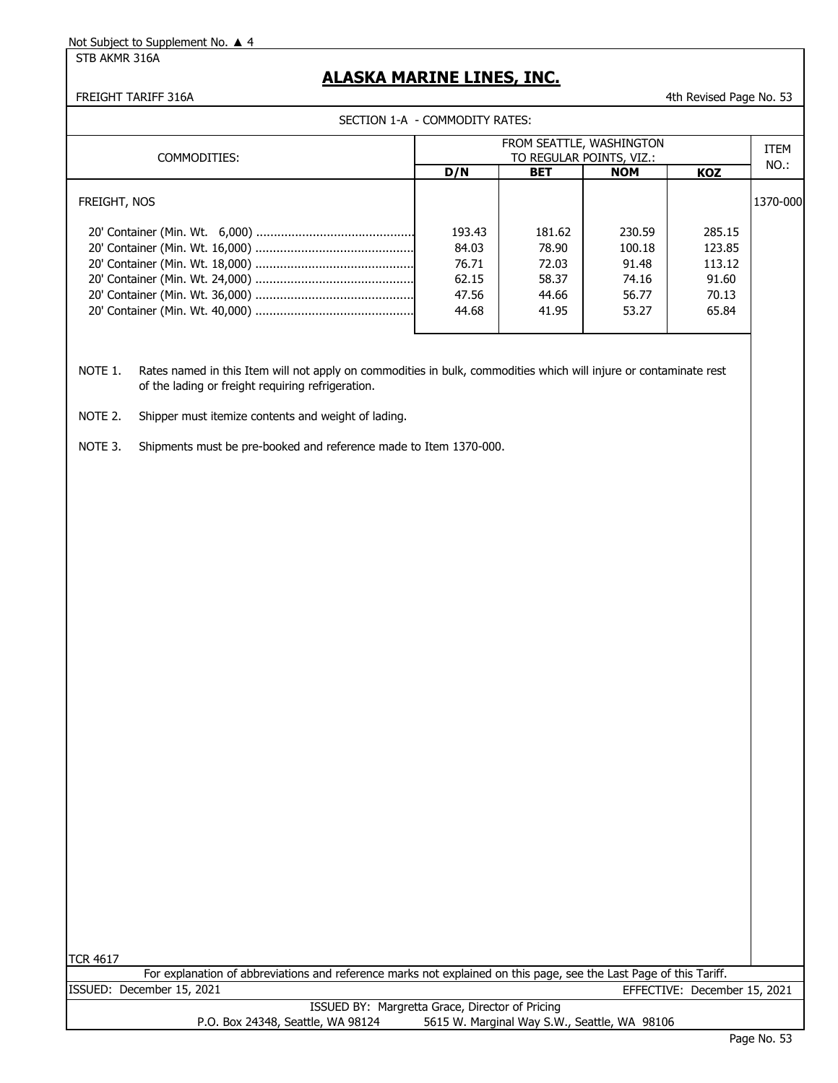STB AKMR 316A

### **ALASKA MARINE LINES, INC.**

#### FREIGHT TARIFF 316A **4th Revised Page No. 53** 4th Revised Page No. 53

|  | SECTION 1-A  - COMMODITY RATES: |
|--|---------------------------------|
|--|---------------------------------|

| COMMODITIES: | FROM SEATTLE, WASHINGTON<br>TO REGULAR POINTS, VIZ.: |            |            |            | ITEM<br>NO.: |
|--------------|------------------------------------------------------|------------|------------|------------|--------------|
|              | D/N                                                  | <b>BET</b> | <b>NOM</b> | <b>KOZ</b> |              |
| FREIGHT, NOS |                                                      |            |            |            | 1370-000     |
|              | 193.43                                               | 181.62     | 230.59     | 285.15     |              |
|              | 84.03                                                | 78.90      | 100.18     | 123.85     |              |
|              | 76.71                                                | 72.03      | 91.48      | 113.12     |              |
|              | 62.15                                                | 58.37      | 74.16      | 91.60      |              |
|              | 47.56                                                | 44.66      | 56.77      | 70.13      |              |
|              | 44.68                                                | 41.95      | 53.27      | 65.84      |              |

NOTE 1. Rates named in this Item will not apply on commodities in bulk, commodities which will injure or contaminate rest of the lading or freight requiring refrigeration.

- NOTE 2. Shipper must itemize contents and weight of lading.
- NOTE 3. Shipments must be pre-booked and reference made to Item 1370-000.

|                           | For explanation of abbreviations and reference marks not explained on this page, see the Last Page of this Tariff. |                              |
|---------------------------|--------------------------------------------------------------------------------------------------------------------|------------------------------|
| ISSUED: December 15, 2021 |                                                                                                                    | EFFECTIVE: December 15, 2021 |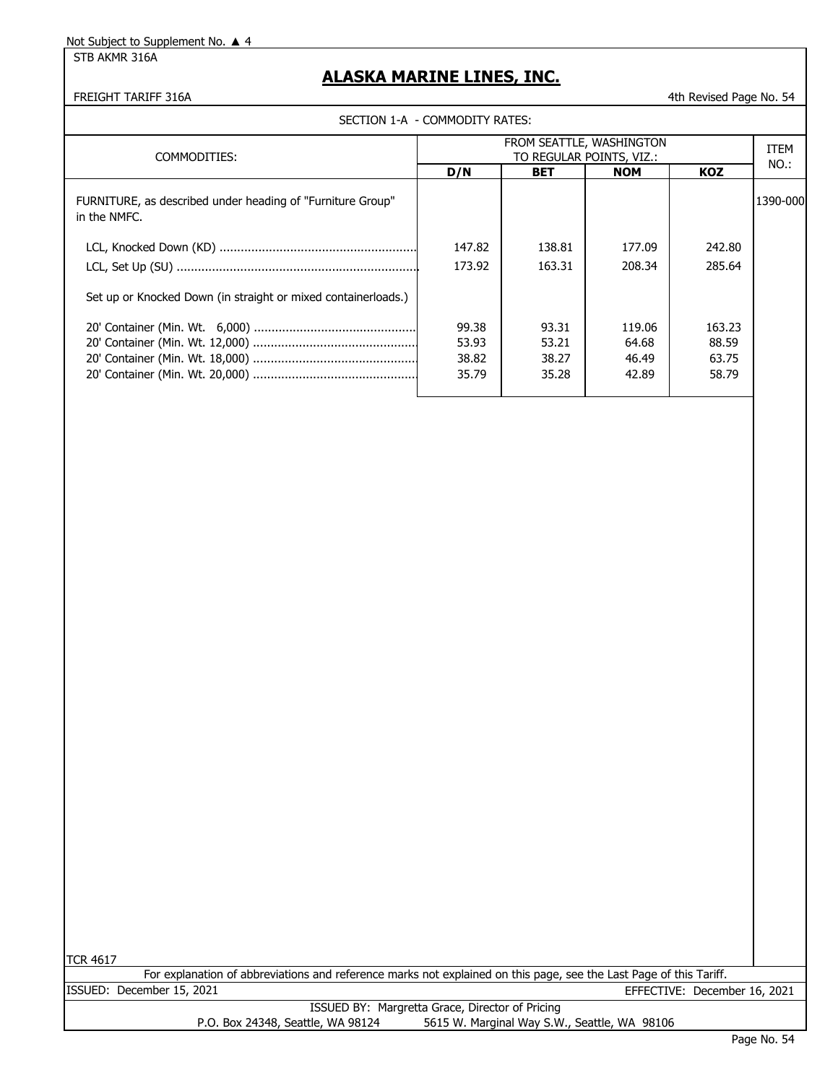STB AKMR 316A

### **ALASKA MARINE LINES, INC.**

FREIGHT TARIFF 316A 4th Revised Page No. 54

|        | FROM SEATTLE, WASHINGTON<br>TO REGULAR POINTS, VIZ.: |                                |            |          |
|--------|------------------------------------------------------|--------------------------------|------------|----------|
| D/N    | <b>BET</b>                                           | <b>NOM</b>                     | <b>KOZ</b> | NO.:     |
|        |                                                      |                                |            | 1390-000 |
| 147.82 | 138.81                                               | 177.09                         | 242.80     |          |
| 173.92 | 163.31                                               | 208.34                         | 285.64     |          |
|        |                                                      |                                |            |          |
| 99.38  | 93.31                                                | 119.06                         | 163.23     |          |
| 53.93  | 53.21                                                | 64.68                          | 88.59      |          |
| 38.82  | 38.27                                                | 46.49                          | 63.75      |          |
| 35.79  | 35.28                                                | 42.89                          | 58.79      |          |
|        |                                                      | SECTION 1-A - COMMODITY RATES: |            |          |

TCR 4617

ISSUED: December 15, 2021 EFFECTIVE: December 16, 2021 For explanation of abbreviations and reference marks not explained on this page, see the Last Page of this Tariff.

|                                   | ISSUED BY: Margretta Grace, Director of Pricing |
|-----------------------------------|-------------------------------------------------|
| P.O. Box 24348, Seattle, WA 98124 | 5615 W. Marginal Way S.W., Seattle, WA 98106    |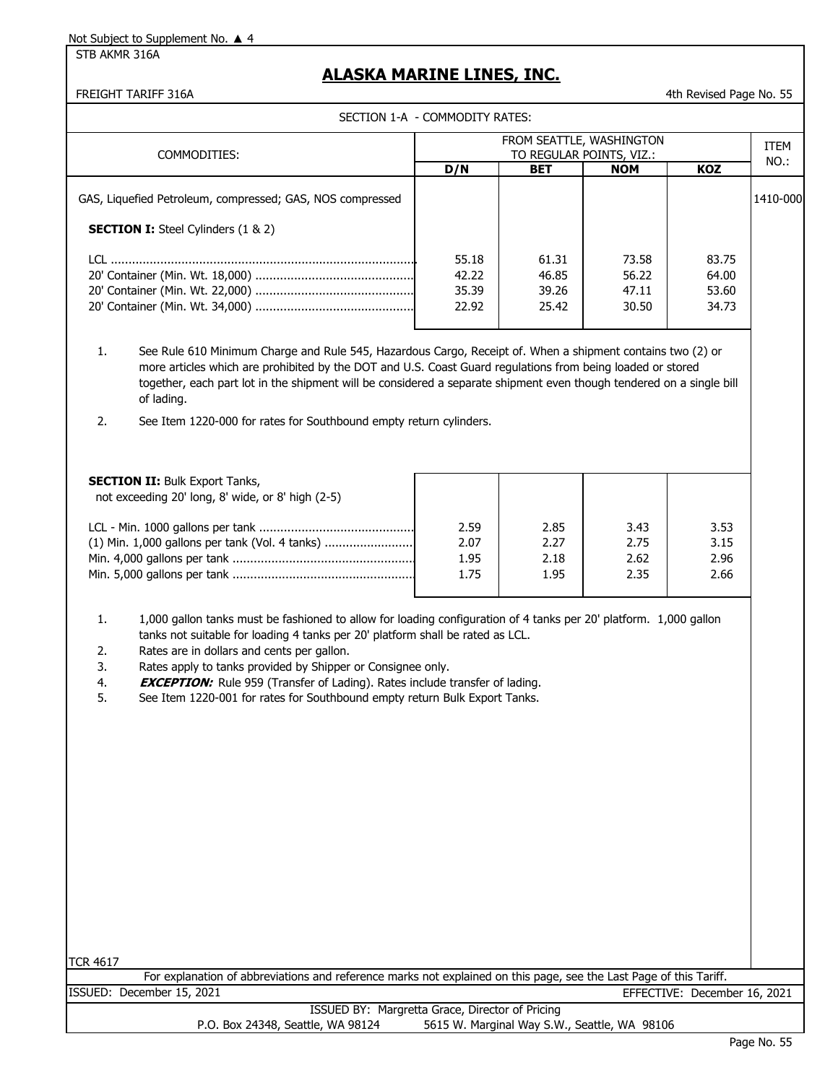#### STB AKMR 316A

### **ALASKA MARINE LINES, INC.**

FREIGHT TARIFF 316A 4th Revised Page No. 55

SECTION 1-A - COMMODITY RATES:

|                                                           | FROM SEATTLE, WASHINGTON |                          |            |       | <b>ITEM</b> |
|-----------------------------------------------------------|--------------------------|--------------------------|------------|-------|-------------|
| COMMODITIES:                                              |                          | TO REGULAR POINTS, VIZ.: |            |       | NO.:        |
|                                                           | D/N                      | <b>BET</b>               | <b>NOM</b> | KOZ   |             |
| GAS, Liquefied Petroleum, compressed; GAS, NOS compressed |                          |                          |            |       | 1410-000    |
| <b>SECTION I:</b> Steel Cylinders (1 & 2)                 |                          |                          |            |       |             |
|                                                           | 55.18                    | 61.31                    | 73.58      | 83.75 |             |
|                                                           | 42.22                    | 46.85                    | 56.22      | 64.00 |             |
|                                                           | 35.39                    | 39.26                    | 47.11      | 53.60 |             |
|                                                           | 22.92                    | 25.42                    | 30.50      | 34.73 |             |
|                                                           |                          |                          |            |       |             |

1. See Rule 610 Minimum Charge and Rule 545, Hazardous Cargo, Receipt of. When a shipment contains two (2) or more articles which are prohibited by the DOT and U.S. Coast Guard regulations from being loaded or stored together, each part lot in the shipment will be considered a separate shipment even though tendered on a single bill of lading.

2. See Item 1220-000 for rates for Southbound empty return cylinders.

| 2.59 | 2.85         | 3.43         | 3.53<br>3.15 |
|------|--------------|--------------|--------------|
|      |              |              |              |
|      |              |              | 2.96         |
| 1.75 | 1.95         | 2.35         | 2.66         |
|      | 2.07<br>1.95 | 2.27<br>2.18 | 2.75<br>2.62 |

1. 1,000 gallon tanks must be fashioned to allow for loading configuration of 4 tanks per 20' platform. 1,000 gallon tanks not suitable for loading 4 tanks per 20' platform shall be rated as LCL.

- 2. Rates are in dollars and cents per gallon.
- 3. Rates apply to tanks provided by Shipper or Consignee only.
- 4. **EXCEPTION:** Rule 959 (Transfer of Lading). Rates include transfer of lading.

5. See Item 1220-001 for rates for Southbound empty return Bulk Export Tanks.

| <b>TCR 4617</b>                                                                                                    |  |
|--------------------------------------------------------------------------------------------------------------------|--|
| For explanation of abbreviations and reference marks not explained on this page, see the Last Page of this Tariff. |  |
| ISSUED: December 15, 2021<br>EFFECTIVE: December 16, 2021                                                          |  |
| ISSUED BY: Margretta Grace, Director of Pricing                                                                    |  |
| 5615 W. Marginal Way S.W., Seattle, WA 98106<br>P.O. Box 24348, Seattle, WA 98124                                  |  |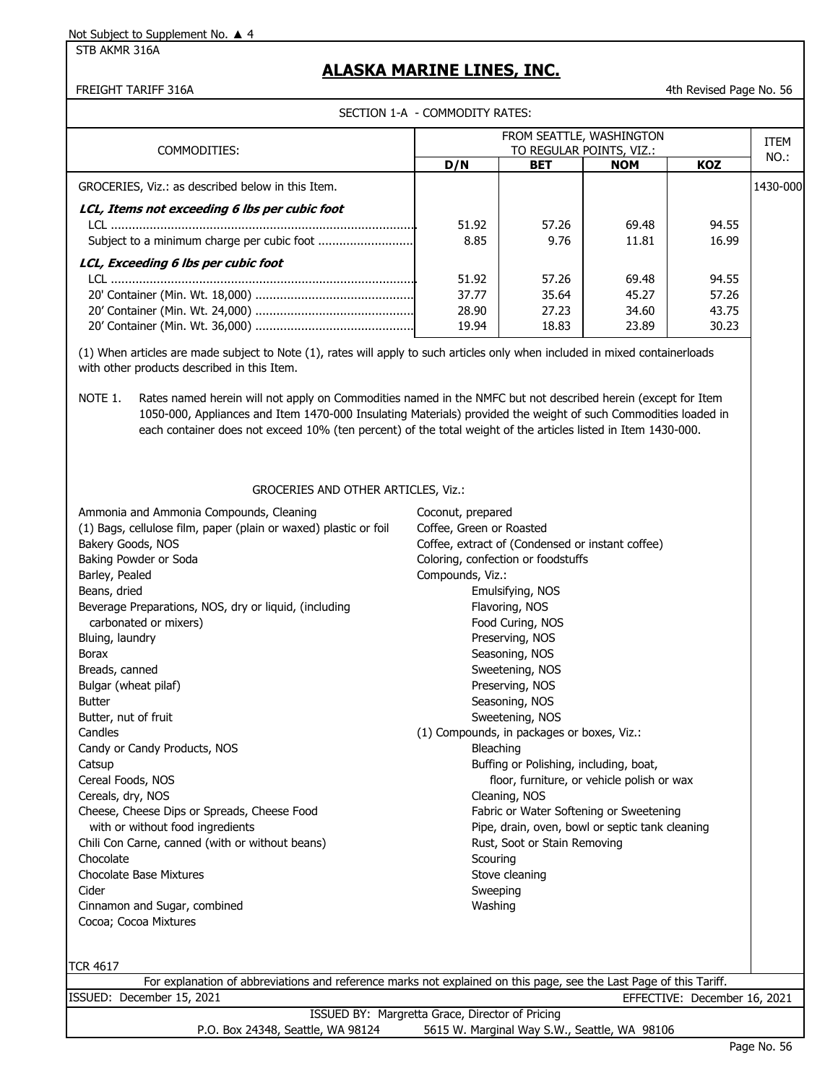STB AKMR 316A

### **ALASKA MARINE LINES, INC.**

FREIGHT TARIFF 316A 4th Revised Page No. 56

SECTION 1-A - COMMODITY RATES:

| COMMODITIES:                                      |       | FROM SEATTLE, WASHINGTON<br>TO REGULAR POINTS, VIZ.: |            |            |          |
|---------------------------------------------------|-------|------------------------------------------------------|------------|------------|----------|
|                                                   | D/N   | <b>BET</b>                                           | <b>NOM</b> | <b>KOZ</b> | NO.:     |
| GROCERIES, Viz.: as described below in this Item. |       |                                                      |            |            | 1430-000 |
| LCL, Items not exceeding 6 lbs per cubic foot     |       |                                                      |            |            |          |
|                                                   | 51.92 | 57.26                                                | 69.48      | 94.55      |          |
| Subject to a minimum charge per cubic foot        | 8.85  | 9.76                                                 | 11.81      | 16.99      |          |
| LCL, Exceeding 6 lbs per cubic foot               |       |                                                      |            |            |          |
|                                                   | 51.92 | 57.26                                                | 69.48      | 94.55      |          |
|                                                   | 37.77 | 35.64                                                | 45.27      | 57.26      |          |
|                                                   | 28.90 | 27.23                                                | 34.60      | 43.75      |          |
|                                                   | 19.94 | 18.83                                                | 23.89      | 30.23      |          |

(1) When articles are made subject to Note (1), rates will apply to such articles only when included in mixed containerloads with other products described in this Item.

NOTE 1. Rates named herein will not apply on Commodities named in the NMFC but not described herein (except for Item 1050-000, Appliances and Item 1470-000 Insulating Materials) provided the weight of such Commodities loaded in each container does not exceed 10% (ten percent) of the total weight of the articles listed in Item 1430-000.

#### GROCERIES AND OTHER ARTICLES, Viz.:

| Ammonia and Ammonia Compounds, Cleaning                          | Coconut, prepared                                |  |
|------------------------------------------------------------------|--------------------------------------------------|--|
| (1) Bags, cellulose film, paper (plain or waxed) plastic or foil | Coffee, Green or Roasted                         |  |
| Bakery Goods, NOS                                                | Coffee, extract of (Condensed or instant coffee) |  |
| Baking Powder or Soda                                            | Coloring, confection or foodstuffs               |  |
| Barley, Pealed                                                   | Compounds, Viz.:                                 |  |
| Beans, dried                                                     | Emulsifying, NOS                                 |  |
| Beverage Preparations, NOS, dry or liquid, (including            | Flavoring, NOS                                   |  |
| carbonated or mixers)                                            | Food Curing, NOS                                 |  |
| Bluing, laundry                                                  | Preserving, NOS                                  |  |
| <b>Borax</b>                                                     | Seasoning, NOS                                   |  |
| Breads, canned                                                   | Sweetening, NOS                                  |  |
| Bulgar (wheat pilaf)                                             | Preserving, NOS                                  |  |
| <b>Butter</b>                                                    | Seasoning, NOS                                   |  |
| Butter, nut of fruit                                             | Sweetening, NOS                                  |  |
| Candles                                                          | (1) Compounds, in packages or boxes, Viz.:       |  |
| Candy or Candy Products, NOS                                     | Bleaching                                        |  |
| Catsup                                                           | Buffing or Polishing, including, boat,           |  |
| Cereal Foods, NOS                                                | floor, furniture, or vehicle polish or wax       |  |
| Cereals, dry, NOS                                                | Cleaning, NOS                                    |  |
| Cheese, Cheese Dips or Spreads, Cheese Food                      | Fabric or Water Softening or Sweetening          |  |
| with or without food ingredients                                 | Pipe, drain, oven, bowl or septic tank cleaning  |  |
| Chili Con Carne, canned (with or without beans)                  | Rust, Soot or Stain Removing                     |  |
| Chocolate                                                        | Scouring                                         |  |
| <b>Chocolate Base Mixtures</b>                                   | Stove cleaning                                   |  |
| Cider                                                            | Sweeping                                         |  |
| Cinnamon and Sugar, combined                                     | Washing                                          |  |
| Cocoa; Cocoa Mixtures                                            |                                                  |  |
|                                                                  |                                                  |  |
|                                                                  |                                                  |  |
| TCR 4617                                                         |                                                  |  |

|                                   | For explanation of abbreviations and reference marks not explained on this page, see the Last Page of this Tariff. |
|-----------------------------------|--------------------------------------------------------------------------------------------------------------------|
| ISSUED: December 15, 2021         | EFFECTIVE: December 16, 2021                                                                                       |
|                                   | ISSUED BY: Margretta Grace, Director of Pricing                                                                    |
| P.O. Box 24348, Seattle, WA 98124 | 5615 W. Marginal Way S.W., Seattle, WA 98106                                                                       |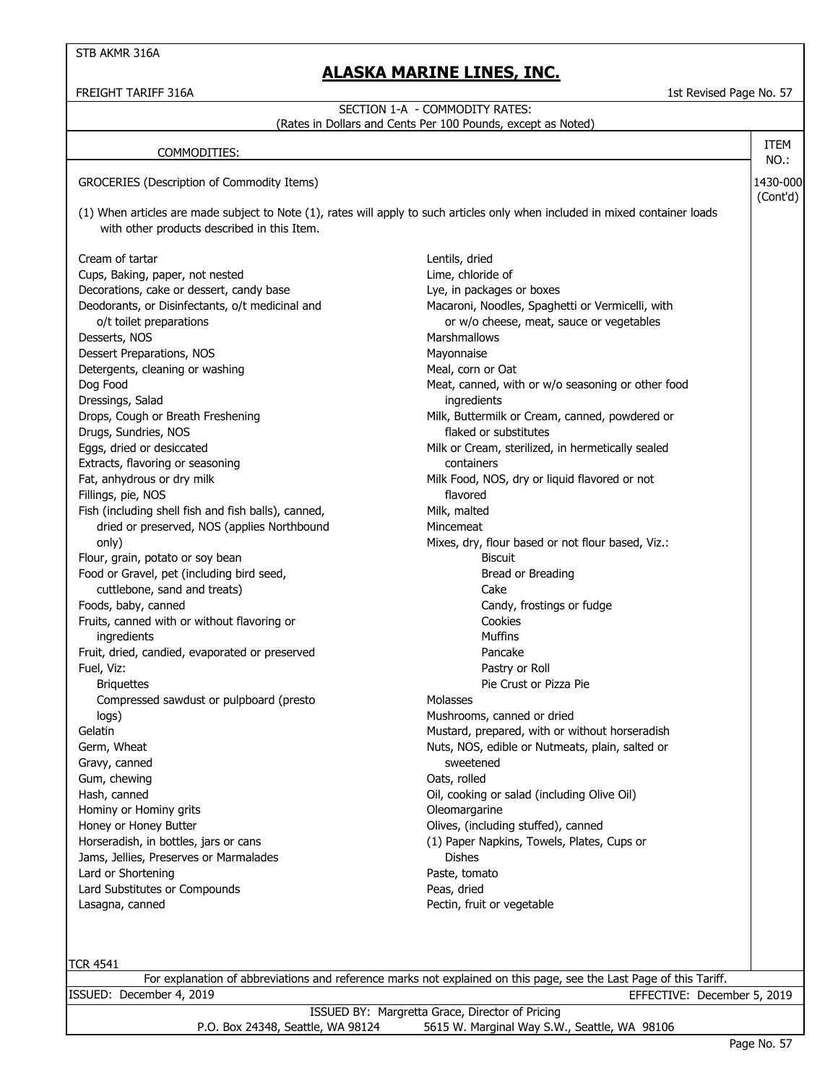### **ALASKA MARINE LINES, INC.**

FREIGHT TARIFF 316A 1st Revised Page No. 57

#### 1430-000 (Cont'd) (1) When articles are made subject to Note (1), rates will apply to such articles only when included in mixed container loads with other products described in this Item. Cream of tartar and the control of tartar and the cream of tartar and the cream of tartar and the cream of tartar and the cream of tartar and the cream of tartar and the cream of tartar and the cream of tartar and the crea Cups, Baking, paper, not nested Lime, chloride of Decorations, cake or dessert, candy base **Lye, in packages or boxes** Deodorants, or Disinfectants, o/t medicinal and Macaroni, Noodles, Spaghetti or Vermicelli, with o/t toilet preparations or w/o cheese, meat, sauce or vegetables Desserts, NOS Marshmallows Dessert Preparations, NOS Mayonnaise Detergents, cleaning or washing Meal, corn or Oat Dog Food **Meat, canned, with or w/o seasoning or other food** Meat, canned, with or w/o seasoning or other food Dressings, Salad ingredients Drops, Cough or Breath Freshening Theorem Milk, Buttermilk or Cream, canned, powdered or Drugs, Sundries, NOS **in the substitutes** of substitutes of the substitutes of the substitutes of the substitutes Eggs, dried or desiccated Milk or Cream, sterilized, in hermetically sealed Extracts, flavoring or seasoning containers Fat, anhydrous or dry milk Milk Food, NOS, dry or liquid flavored or not Fillings, pie, NOS flavored Fish (including shell fish and fish balls), canned, Milk, malted dried or preserved, NOS (applies Northbound Mincemeat only) Mixes, dry, flour based or not flour based, Viz.: Flour, grain, potato or soy bean Biscuit Food or Gravel, pet (including bird seed, Bread or Breading and Breading section of Breading section of Breading cuttlebone, sand and treats) Cake Foods, baby, canned **Candy, canned** Candy, frostings or fudge Fruits, canned with or without flavoring or Cookies ingredients Muffins Fruit, dried, candied, evaporated or preserved example 20 and 20 and 20 and 20 and 20 and 20 and 20 and 20 and 20 and 20 and 20 and 20 and 20 and 20 and 20 and 20 and 20 and 20 and 20 and 20 and 20 and 20 and 20 and 20 and Fuel, Viz: Pastry or Roll Briquettes **Pie Crust or Pizza Pie** Crust or Pizza Pie Compressed sawdust or pulpboard (presto Molasses logs) Mushrooms, canned or dried Gelatin Gelatin Mustard, prepared, with or without horseradish Germ, Wheat **Nuts**, Nos, edible or Nutmeats, plain, salted or Nutmeats, plain, salted or Gravy, canned sweetened Gum, chewing **Canadian Communist Communist Communist Communist Communist Communist Communist Communist Communist Communist Communist Communist Communist Communist Communist Communist Communist Communist Communist Communist** Hash, canned **Alternative Community** Community Community Community Community Community Community Community Community Community Community Community Community Community Community Community Community Community Community Commu Hominy or Hominy grits **Conservative Conservative Conservative** Oleomargarine Honey or Honey Butter **Contains a Setup Accord Container** Olives, (including stuffed), canned Horseradish, in bottles, jars or cans (1) Paper Napkins, Towels, Plates, Cups or Jams, Jellies, Preserves or Marmalades Dishes Lard or Shortening **Paste, tomato** Lard Substitutes or Compounds **Peas, dried** Lasagna, canned Pectin, fruit or vegetable SECTION 1-A - COMMODITY RATES: (Rates in Dollars and Cents Per 100 Pounds, except as Noted) COMMODITIES: GROCERIES (Description of Commodity Items) ITEM NO.:

| . |                                                                                                                    |                             |  |
|---|--------------------------------------------------------------------------------------------------------------------|-----------------------------|--|
|   | For explanation of abbreviations and reference marks not explained on this page, see the Last Page of this Tariff. |                             |  |
|   | ISSUED: December 4, 2019                                                                                           | EFFECTIVE: December 5, 2019 |  |
|   | ISSUED BY: Margretta Grace, Director of Pricing                                                                    |                             |  |
|   | 5615 W. Marginal Way S.W., Seattle, WA 98106<br>P.O. Box 24348, Seattle, WA 98124                                  |                             |  |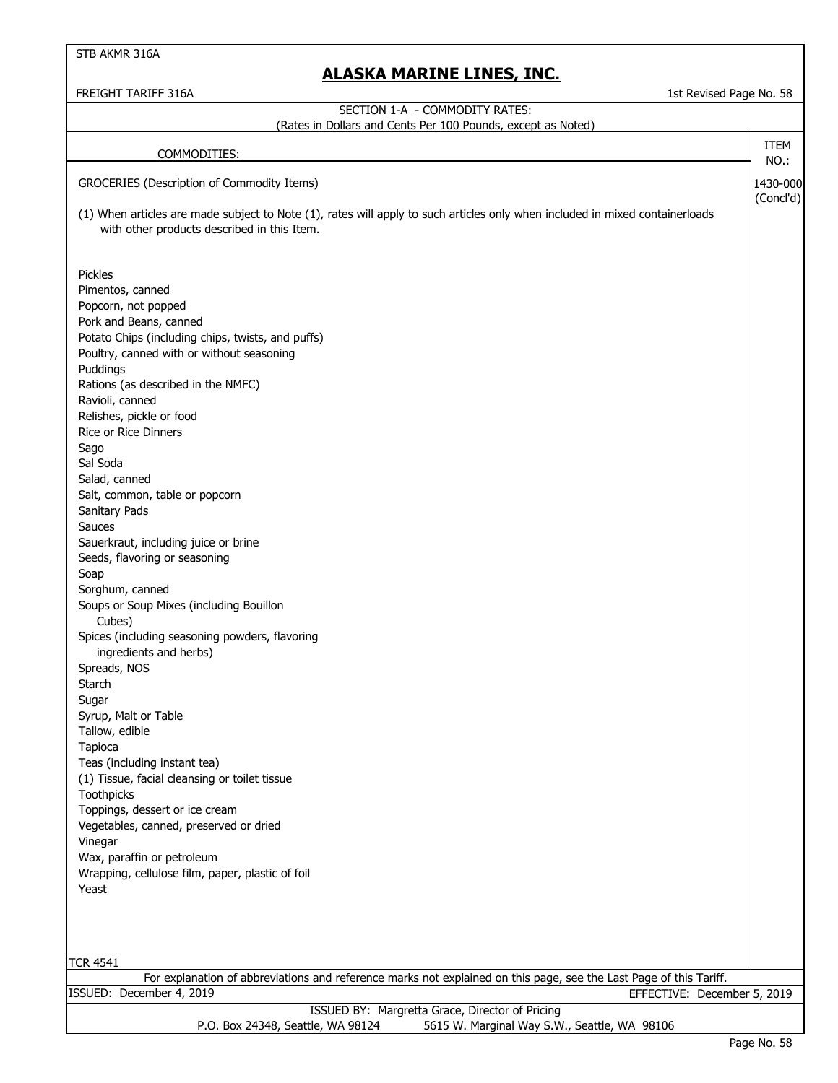STB AKMR 316A

### **ALASKA MARINE LINES, INC.**

| 1st Revised Page No. 58<br>FREIGHT TARIFF 316A                                                                                                                              |                     |  |  |  |
|-----------------------------------------------------------------------------------------------------------------------------------------------------------------------------|---------------------|--|--|--|
| SECTION 1-A - COMMODITY RATES:                                                                                                                                              |                     |  |  |  |
| (Rates in Dollars and Cents Per 100 Pounds, except as Noted)                                                                                                                |                     |  |  |  |
| COMMODITIES:                                                                                                                                                                | <b>ITEM</b><br>NO.: |  |  |  |
| GROCERIES (Description of Commodity Items)                                                                                                                                  | 1430-000            |  |  |  |
|                                                                                                                                                                             | (Concl'd)           |  |  |  |
| (1) When articles are made subject to Note (1), rates will apply to such articles only when included in mixed containerloads<br>with other products described in this Item. |                     |  |  |  |
| Pickles                                                                                                                                                                     |                     |  |  |  |
| Pimentos, canned                                                                                                                                                            |                     |  |  |  |
| Popcorn, not popped                                                                                                                                                         |                     |  |  |  |
| Pork and Beans, canned<br>Potato Chips (including chips, twists, and puffs)                                                                                                 |                     |  |  |  |
| Poultry, canned with or without seasoning                                                                                                                                   |                     |  |  |  |
| Puddings                                                                                                                                                                    |                     |  |  |  |
| Rations (as described in the NMFC)                                                                                                                                          |                     |  |  |  |
| Ravioli, canned                                                                                                                                                             |                     |  |  |  |
| Relishes, pickle or food                                                                                                                                                    |                     |  |  |  |
| <b>Rice or Rice Dinners</b>                                                                                                                                                 |                     |  |  |  |
| Sago                                                                                                                                                                        |                     |  |  |  |
| Sal Soda<br>Salad, canned                                                                                                                                                   |                     |  |  |  |
| Salt, common, table or popcorn                                                                                                                                              |                     |  |  |  |
| Sanitary Pads                                                                                                                                                               |                     |  |  |  |
| Sauces                                                                                                                                                                      |                     |  |  |  |
| Sauerkraut, including juice or brine                                                                                                                                        |                     |  |  |  |
| Seeds, flavoring or seasoning                                                                                                                                               |                     |  |  |  |
| Soap                                                                                                                                                                        |                     |  |  |  |
| Sorghum, canned<br>Soups or Soup Mixes (including Bouillon                                                                                                                  |                     |  |  |  |
| Cubes)                                                                                                                                                                      |                     |  |  |  |
| Spices (including seasoning powders, flavoring                                                                                                                              |                     |  |  |  |
| ingredients and herbs)                                                                                                                                                      |                     |  |  |  |
| Spreads, NOS                                                                                                                                                                |                     |  |  |  |
| Starch                                                                                                                                                                      |                     |  |  |  |
| Sugar                                                                                                                                                                       |                     |  |  |  |
| Syrup, Malt or Table<br>Tallow, edible                                                                                                                                      |                     |  |  |  |
| Tapioca                                                                                                                                                                     |                     |  |  |  |
| Teas (including instant tea)                                                                                                                                                |                     |  |  |  |
| (1) Tissue, facial cleansing or toilet tissue<br>Toothpicks                                                                                                                 |                     |  |  |  |
| Toppings, dessert or ice cream                                                                                                                                              |                     |  |  |  |
| Vegetables, canned, preserved or dried                                                                                                                                      |                     |  |  |  |
| Vinegar                                                                                                                                                                     |                     |  |  |  |
| Wax, paraffin or petroleum                                                                                                                                                  |                     |  |  |  |
| Wrapping, cellulose film, paper, plastic of foil                                                                                                                            |                     |  |  |  |
| Yeast                                                                                                                                                                       |                     |  |  |  |
|                                                                                                                                                                             |                     |  |  |  |
| <b>TCR 4541</b>                                                                                                                                                             |                     |  |  |  |
| For explanation of abbreviations and reference marks not explained on this page, see the Last Page of this Tariff.                                                          |                     |  |  |  |
| ISSUED: December 4, 2019<br>EFFECTIVE: December 5, 2019                                                                                                                     |                     |  |  |  |
| ISSUED BY: Margretta Grace, Director of Pricing<br>P.O. Box 24348, Seattle, WA 98124<br>5615 W. Marginal Way S.W., Seattle, WA 98106                                        |                     |  |  |  |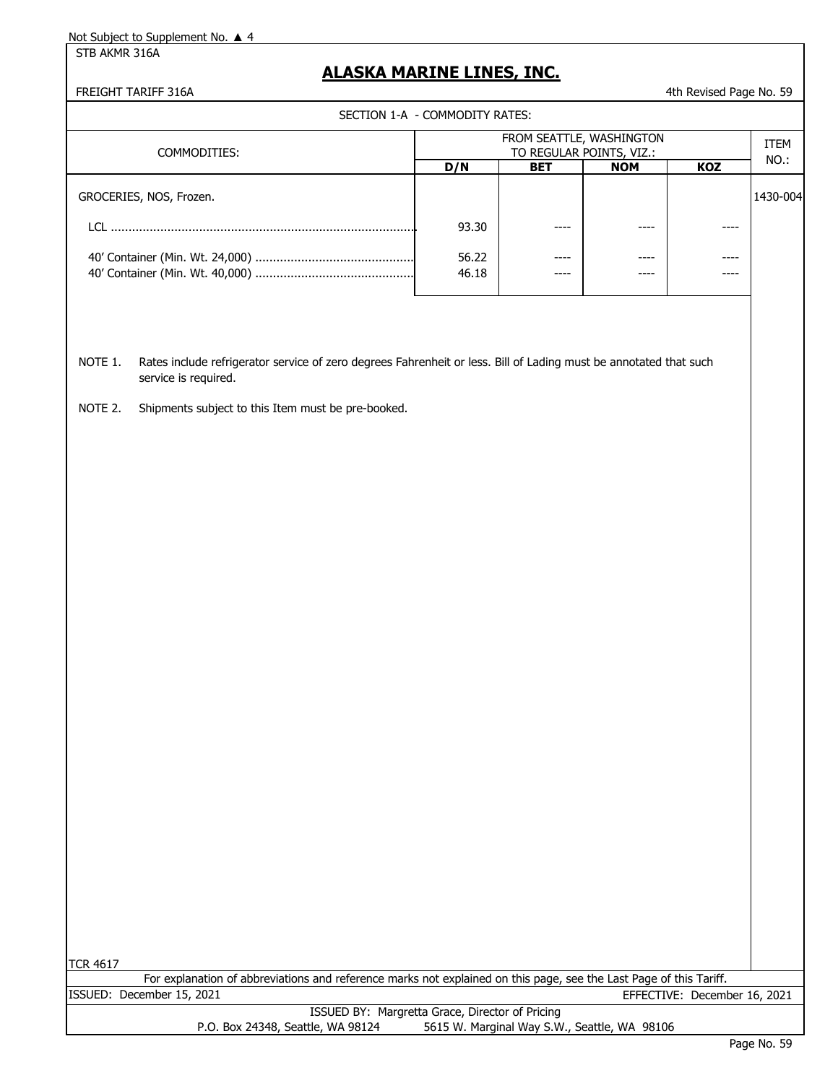STB AKMR 316A

### **ALASKA MARINE LINES, INC.**

FREIGHT TARIFF 316A **All and Struck and Struck and Struck and Struck and All and Struck and All Across Add Across A** 

SECTION 1-A - COMMODITY RATES:

|       | FROM SEATTLE, WASHINGTON<br>TO REGULAR POINTS, VIZ.: |            |            |          |
|-------|------------------------------------------------------|------------|------------|----------|
| D/N   | <b>BET</b>                                           | <b>NOM</b> | <b>KOZ</b> | NO.:     |
|       |                                                      |            |            | 1430-004 |
| 93.30 | $--- -$                                              | ----       | ----       |          |
| 56.22 | ----                                                 | ----       | ----       |          |
| 46.18 | $--- -$                                              | ----       | ----       |          |
|       |                                                      |            |            |          |

NOTE 1. Rates include refrigerator service of zero degrees Fahrenheit or less. Bill of Lading must be annotated that such service is required.

NOTE 2. Shipments subject to this Item must be pre-booked.

|                           | For explanation of abbreviations and reference marks not explained on this page, see the Last Page of this Tariff. |                              |  |
|---------------------------|--------------------------------------------------------------------------------------------------------------------|------------------------------|--|
| ISSUED: December 15, 2021 |                                                                                                                    | EFFECTIVE: December 16, 2021 |  |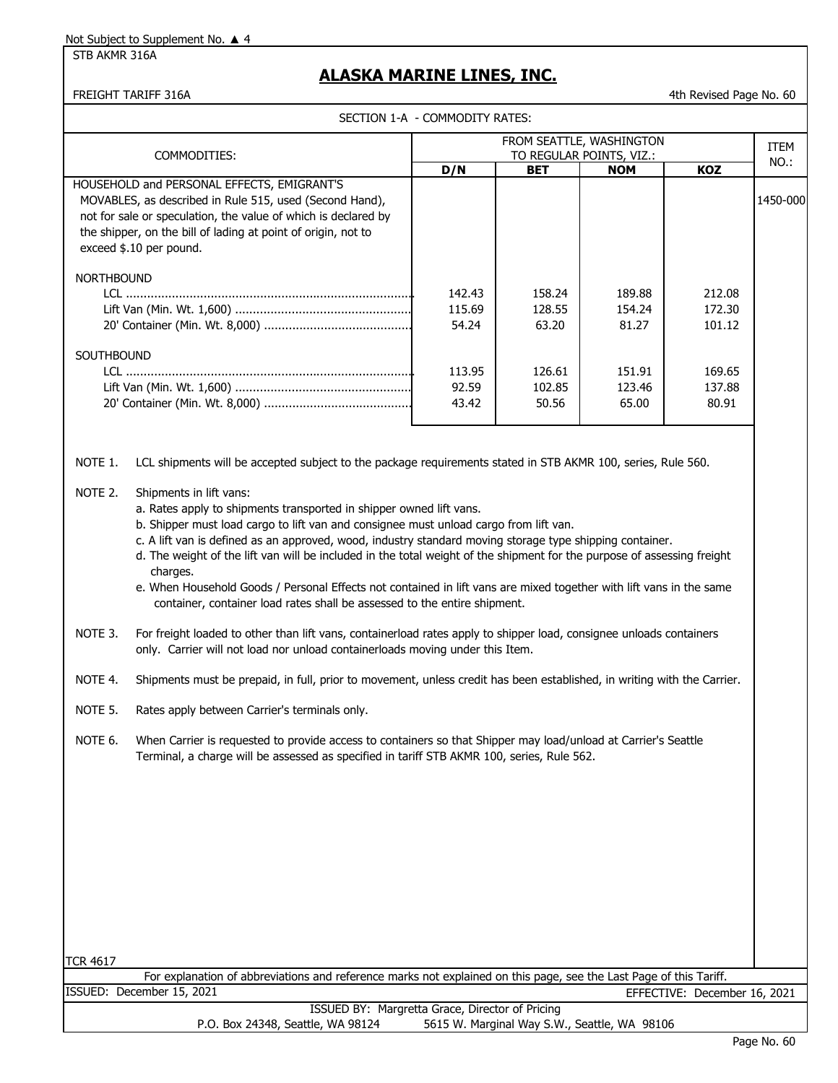STB AKMR 316A

### **ALASKA MARINE LINES, INC.**

FREIGHT TARIFF 316A 60

SECTION 1-A - COMMODITY RATES:

|                                                                |                                                                                                                                                                                                                                                                                                                                                                                                                                                                                                                                                                                                                                                                                                                                                                                                                                                                                                                                                                                                                                                                                                                                                                                                                                                                                                                                                                    | SECTION 1-A - COMMODITY RATES: |                           |                           |                              |             |
|----------------------------------------------------------------|--------------------------------------------------------------------------------------------------------------------------------------------------------------------------------------------------------------------------------------------------------------------------------------------------------------------------------------------------------------------------------------------------------------------------------------------------------------------------------------------------------------------------------------------------------------------------------------------------------------------------------------------------------------------------------------------------------------------------------------------------------------------------------------------------------------------------------------------------------------------------------------------------------------------------------------------------------------------------------------------------------------------------------------------------------------------------------------------------------------------------------------------------------------------------------------------------------------------------------------------------------------------------------------------------------------------------------------------------------------------|--------------------------------|---------------------------|---------------------------|------------------------------|-------------|
|                                                                |                                                                                                                                                                                                                                                                                                                                                                                                                                                                                                                                                                                                                                                                                                                                                                                                                                                                                                                                                                                                                                                                                                                                                                                                                                                                                                                                                                    |                                |                           | FROM SEATTLE, WASHINGTON  |                              | <b>ITEM</b> |
| COMMODITIES:                                                   |                                                                                                                                                                                                                                                                                                                                                                                                                                                                                                                                                                                                                                                                                                                                                                                                                                                                                                                                                                                                                                                                                                                                                                                                                                                                                                                                                                    |                                |                           | TO REGULAR POINTS, VIZ.:  |                              | NO.:        |
|                                                                |                                                                                                                                                                                                                                                                                                                                                                                                                                                                                                                                                                                                                                                                                                                                                                                                                                                                                                                                                                                                                                                                                                                                                                                                                                                                                                                                                                    | D/N                            | <b>BET</b>                | <b>NOM</b>                | KOZ                          |             |
|                                                                | HOUSEHOLD and PERSONAL EFFECTS, EMIGRANT'S<br>MOVABLES, as described in Rule 515, used (Second Hand),<br>not for sale or speculation, the value of which is declared by<br>the shipper, on the bill of lading at point of origin, not to<br>exceed \$.10 per pound.                                                                                                                                                                                                                                                                                                                                                                                                                                                                                                                                                                                                                                                                                                                                                                                                                                                                                                                                                                                                                                                                                                |                                |                           |                           |                              | 1450-000    |
| <b>NORTHBOUND</b>                                              |                                                                                                                                                                                                                                                                                                                                                                                                                                                                                                                                                                                                                                                                                                                                                                                                                                                                                                                                                                                                                                                                                                                                                                                                                                                                                                                                                                    | 142.43<br>115.69<br>54.24      | 158.24<br>128.55<br>63.20 | 189.88<br>154.24<br>81.27 | 212.08<br>172.30<br>101.12   |             |
| SOUTHBOUND                                                     |                                                                                                                                                                                                                                                                                                                                                                                                                                                                                                                                                                                                                                                                                                                                                                                                                                                                                                                                                                                                                                                                                                                                                                                                                                                                                                                                                                    | 113.95<br>92.59<br>43.42       | 126.61<br>102.85<br>50.56 | 151.91<br>123.46<br>65.00 | 169.65<br>137.88<br>80.91    |             |
| NOTE 1.<br>NOTE 2.<br>NOTE 3.<br>NOTE 4.<br>NOTE 5.<br>NOTE 6. | LCL shipments will be accepted subject to the package requirements stated in STB AKMR 100, series, Rule 560.<br>Shipments in lift vans:<br>a. Rates apply to shipments transported in shipper owned lift vans.<br>b. Shipper must load cargo to lift van and consignee must unload cargo from lift van.<br>c. A lift van is defined as an approved, wood, industry standard moving storage type shipping container.<br>d. The weight of the lift van will be included in the total weight of the shipment for the purpose of assessing freight<br>charges.<br>e. When Household Goods / Personal Effects not contained in lift vans are mixed together with lift vans in the same<br>container, container load rates shall be assessed to the entire shipment.<br>For freight loaded to other than lift vans, containerload rates apply to shipper load, consignee unloads containers<br>only. Carrier will not load nor unload containerloads moving under this Item.<br>Shipments must be prepaid, in full, prior to movement, unless credit has been established, in writing with the Carrier.<br>Rates apply between Carrier's terminals only.<br>When Carrier is requested to provide access to containers so that Shipper may load/unload at Carrier's Seattle<br>Terminal, a charge will be assessed as specified in tariff STB AKMR 100, series, Rule 562. |                                |                           |                           |                              |             |
| <b>TCR 4617</b>                                                | For explanation of abbreviations and reference marks not explained on this page, see the Last Page of this Tariff.                                                                                                                                                                                                                                                                                                                                                                                                                                                                                                                                                                                                                                                                                                                                                                                                                                                                                                                                                                                                                                                                                                                                                                                                                                                 |                                |                           |                           |                              |             |
|                                                                | ISSUED: December 15, 2021                                                                                                                                                                                                                                                                                                                                                                                                                                                                                                                                                                                                                                                                                                                                                                                                                                                                                                                                                                                                                                                                                                                                                                                                                                                                                                                                          |                                |                           |                           | EFFECTIVE: December 16, 2021 |             |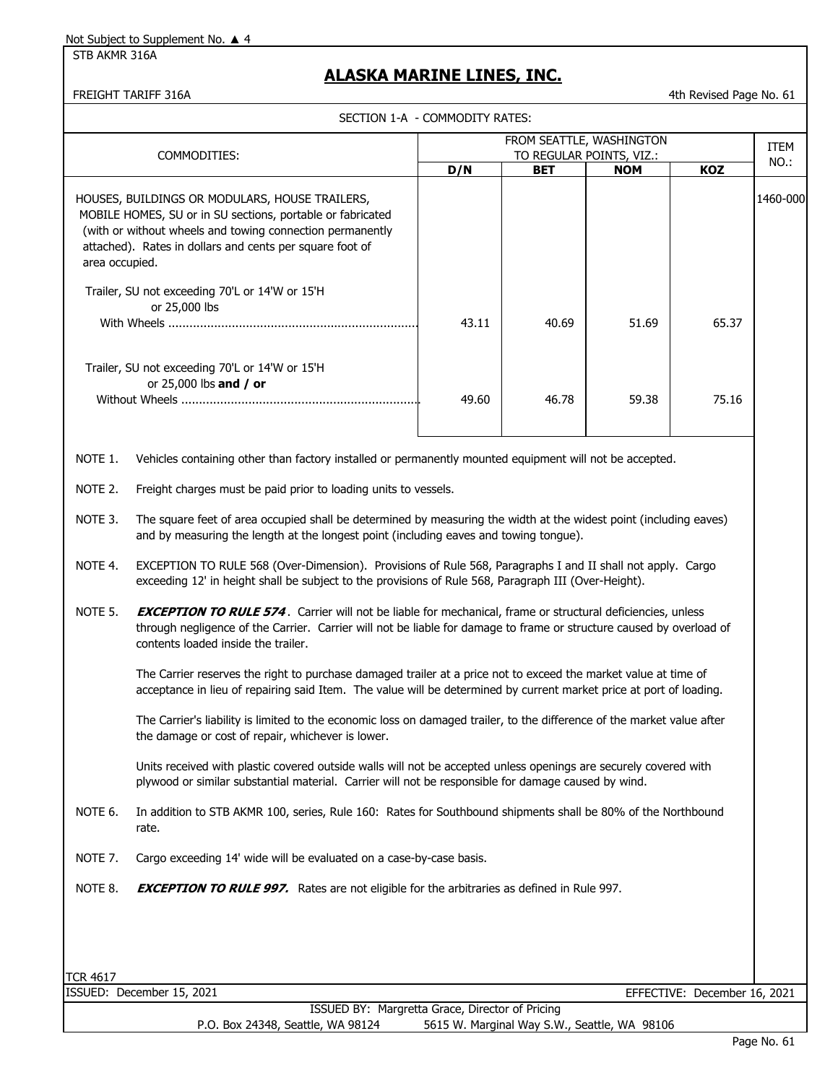STB AKMR 316A

### **ALASKA MARINE LINES, INC.**

FREIGHT TARIFF 316A 4th Revised Page No. 61

|                                   | SECTION 1-A - COMMODITY RATES:                                                                                                                                                                                                                                                   |       |       |            |                              |                     |  |
|-----------------------------------|----------------------------------------------------------------------------------------------------------------------------------------------------------------------------------------------------------------------------------------------------------------------------------|-------|-------|------------|------------------------------|---------------------|--|
|                                   | FROM SEATTLE, WASHINGTON<br>TO REGULAR POINTS, VIZ.:                                                                                                                                                                                                                             |       |       |            |                              |                     |  |
| COMMODITIES:<br>D/N<br><b>BET</b> |                                                                                                                                                                                                                                                                                  |       |       |            | KOZ                          | <b>ITEM</b><br>NO.: |  |
| area occupied.                    | HOUSES, BUILDINGS OR MODULARS, HOUSE TRAILERS,<br>MOBILE HOMES, SU or in SU sections, portable or fabricated<br>(with or without wheels and towing connection permanently<br>attached). Rates in dollars and cents per square foot of                                            |       |       | <b>NOM</b> |                              | 1460-000            |  |
|                                   | Trailer, SU not exceeding 70'L or 14'W or 15'H<br>or 25,000 lbs                                                                                                                                                                                                                  | 43.11 | 40.69 | 51.69      | 65.37                        |                     |  |
|                                   | Trailer, SU not exceeding 70'L or 14'W or 15'H<br>or 25,000 lbs and / or                                                                                                                                                                                                         | 49.60 | 46.78 | 59.38      | 75.16                        |                     |  |
| NOTE 1.                           | Vehicles containing other than factory installed or permanently mounted equipment will not be accepted.                                                                                                                                                                          |       |       |            |                              |                     |  |
| NOTE 2.                           | Freight charges must be paid prior to loading units to vessels.                                                                                                                                                                                                                  |       |       |            |                              |                     |  |
| NOTE 3.                           | The square feet of area occupied shall be determined by measuring the width at the widest point (including eaves)<br>and by measuring the length at the longest point (including eaves and towing tongue).                                                                       |       |       |            |                              |                     |  |
| NOTE 4.                           | EXCEPTION TO RULE 568 (Over-Dimension). Provisions of Rule 568, Paragraphs I and II shall not apply. Cargo<br>exceeding 12' in height shall be subject to the provisions of Rule 568, Paragraph III (Over-Height).                                                               |       |       |            |                              |                     |  |
| NOTE 5.                           | <b>EXCEPTION TO RULE 574.</b> Carrier will not be liable for mechanical, frame or structural deficiencies, unless<br>through negligence of the Carrier. Carrier will not be liable for damage to frame or structure caused by overload of<br>contents loaded inside the trailer. |       |       |            |                              |                     |  |
|                                   | The Carrier reserves the right to purchase damaged trailer at a price not to exceed the market value at time of<br>acceptance in lieu of repairing said Item. The value will be determined by current market price at port of loading.                                           |       |       |            |                              |                     |  |
|                                   | The Carrier's liability is limited to the economic loss on damaged trailer, to the difference of the market value after<br>the damage or cost of repair, whichever is lower.                                                                                                     |       |       |            |                              |                     |  |
|                                   | Units received with plastic covered outside walls will not be accepted unless openings are securely covered with<br>plywood or similar substantial material. Carrier will not be responsible for damage caused by wind.                                                          |       |       |            |                              |                     |  |
| NOTE 6.                           | In addition to STB AKMR 100, series, Rule 160: Rates for Southbound shipments shall be 80% of the Northbound<br>rate.                                                                                                                                                            |       |       |            |                              |                     |  |
| NOTE 7.                           | Cargo exceeding 14' wide will be evaluated on a case-by-case basis.                                                                                                                                                                                                              |       |       |            |                              |                     |  |
| NOTE 8.                           | <b>EXCEPTION TO RULE 997.</b> Rates are not eligible for the arbitraries as defined in Rule 997.                                                                                                                                                                                 |       |       |            |                              |                     |  |
| <b>TCR 4617</b>                   |                                                                                                                                                                                                                                                                                  |       |       |            |                              |                     |  |
|                                   | ISSUED: December 15, 2021                                                                                                                                                                                                                                                        |       |       |            | EFFECTIVE: December 16, 2021 |                     |  |
|                                   | ISSUED BY: Margretta Grace, Director of Pricing                                                                                                                                                                                                                                  |       |       |            |                              |                     |  |

P.O. Box 24348, Seattle, WA 98124 5615 W. Marginal Way S.W., Seattle, WA 98106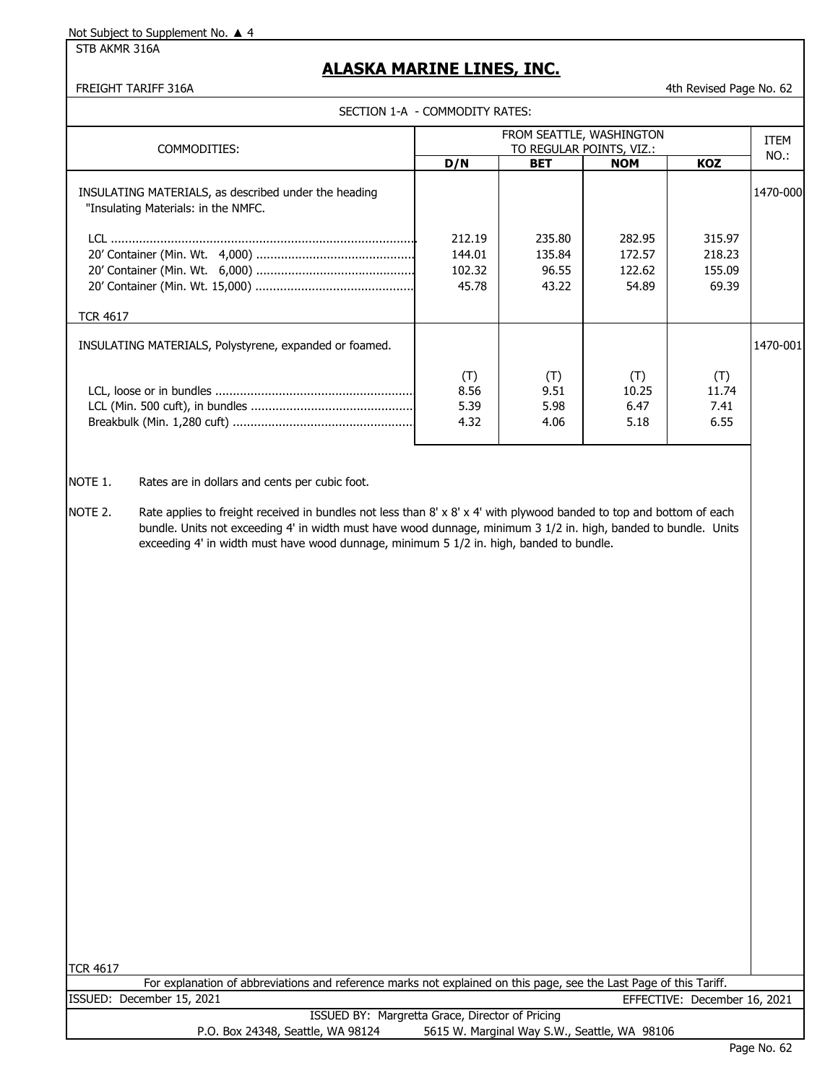STB AKMR 316A

### **ALASKA MARINE LINES, INC.**

FREIGHT TARIFF 316A 4th Revised Page No. 62

SECTION 1-A - COMMODITY RATES:

| COMMODITIES:                                                                                | FROM SEATTLE, WASHINGTON<br>TO REGULAR POINTS, VIZ.: |                                    |                                     |                                     |          |  |
|---------------------------------------------------------------------------------------------|------------------------------------------------------|------------------------------------|-------------------------------------|-------------------------------------|----------|--|
|                                                                                             | D/N                                                  | <b>BET</b>                         | <b>NOM</b>                          | <b>KOZ</b>                          | NO.:     |  |
| INSULATING MATERIALS, as described under the heading<br>"Insulating Materials: in the NMFC. |                                                      |                                    |                                     |                                     | 1470-000 |  |
|                                                                                             | 212.19<br>144.01<br>102.32<br>45.78                  | 235.80<br>135.84<br>96.55<br>43.22 | 282.95<br>172.57<br>122.62<br>54.89 | 315.97<br>218.23<br>155.09<br>69.39 |          |  |
| <b>TCR 4617</b>                                                                             |                                                      |                                    |                                     |                                     |          |  |
| INSULATING MATERIALS, Polystyrene, expanded or foamed.                                      |                                                      |                                    |                                     |                                     | 1470-001 |  |
|                                                                                             | (T)<br>8.56<br>5.39<br>4.32                          | (T)<br>9.51<br>5.98<br>4.06        | (T)<br>10.25<br>6.47<br>5.18        | (T)<br>11.74<br>7.41<br>6.55        |          |  |

NOTE 1. Rates are in dollars and cents per cubic foot.

NOTE 2. Rate applies to freight received in bundles not less than 8' x 8' x 4' with plywood banded to top and bottom of each bundle. Units not exceeding 4' in width must have wood dunnage, minimum 3 1/2 in. high, banded to bundle. Units exceeding 4' in width must have wood dunnage, minimum 5 1/2 in. high, banded to bundle.

|                           | For explanation of abbreviations and reference marks not explained on this page, see the Last Page of this Tariff. |                                                 |  |  |                              |  |
|---------------------------|--------------------------------------------------------------------------------------------------------------------|-------------------------------------------------|--|--|------------------------------|--|
| ISSUED: December 15, 2021 |                                                                                                                    |                                                 |  |  | EFFECTIVE: December 16, 2021 |  |
|                           |                                                                                                                    | ISSUED BY: Margretta Grace, Director of Pricing |  |  |                              |  |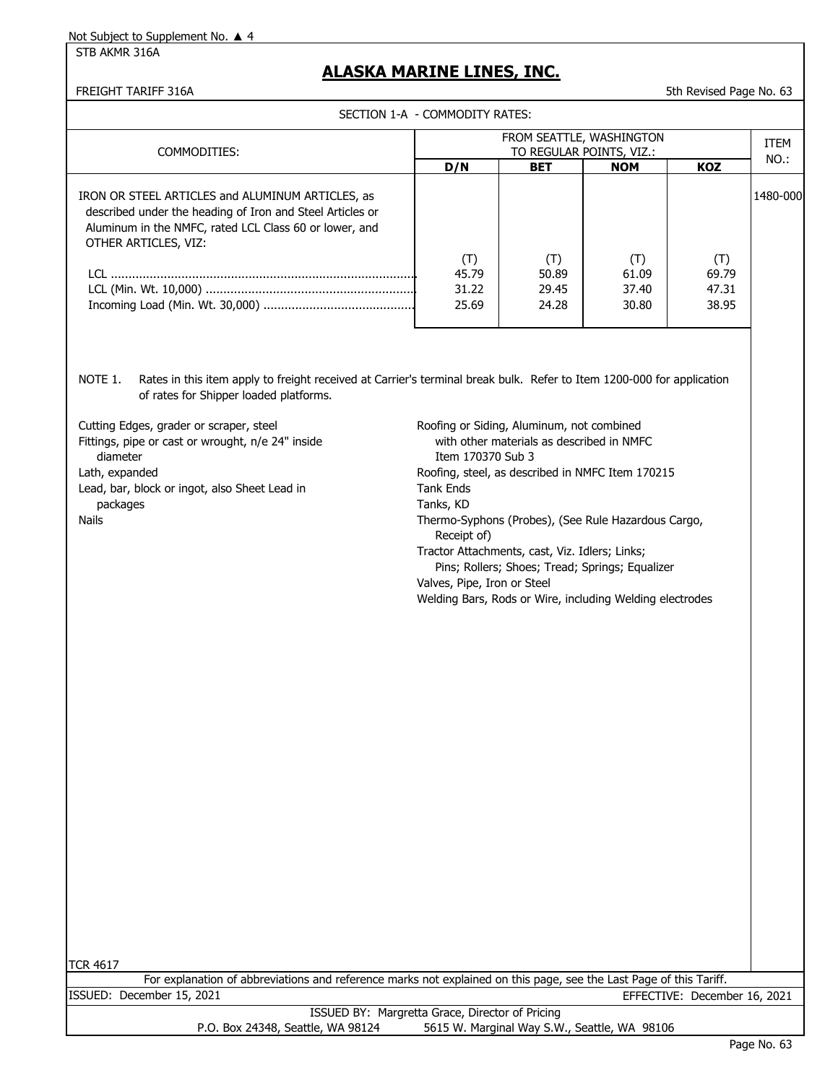STB AKMR 316A

### **ALASKA MARINE LINES, INC.**

FREIGHT TARIFF 316A 53 (1999) 12 and 20 and 20 and 30 and 30 and 30 and 30 and 30 and 30 and 30 and 30 and 30 and 30 and 30 and 30 and 30 and 30 and 30 and 30 and 30 and 30 and 30 and 30 and 30 and 30 and 30 and 30 and 30

SECTION 1-A - COMMODITY RATES:

| SECTION I-A - COMMODITY RATES:                                                                                                                                                                  |                                                      |                                |                                |                                |          |
|-------------------------------------------------------------------------------------------------------------------------------------------------------------------------------------------------|------------------------------------------------------|--------------------------------|--------------------------------|--------------------------------|----------|
| COMMODITIES:                                                                                                                                                                                    | FROM SEATTLE, WASHINGTON<br>TO REGULAR POINTS, VIZ.: |                                |                                |                                |          |
|                                                                                                                                                                                                 | D/N                                                  | <b>BET</b>                     | <b>NOM</b>                     | <b>KOZ</b>                     | NO.:     |
| IRON OR STEEL ARTICLES and ALUMINUM ARTICLES, as<br>described under the heading of Iron and Steel Articles or<br>Aluminum in the NMFC, rated LCL Class 60 or lower, and<br>OTHER ARTICLES, VIZ: | (T)<br>45.79<br>31.22<br>25.69                       | (T)<br>50.89<br>29.45<br>24.28 | (T)<br>61.09<br>37.40<br>30.80 | (T)<br>69.79<br>47.31<br>38.95 | 1480-000 |
|                                                                                                                                                                                                 |                                                      |                                |                                |                                |          |

NOTE 1. Rates in this item apply to freight received at Carrier's terminal break bulk. Refer to Item 1200-000 for application of rates for Shipper loaded platforms.

| Cutting Edges, grader or scraper, steel<br>Fittings, pipe or cast or wrought, n/e 24" inside<br>diameter<br>Lath, expanded | Roofing or Siding, Aluminum, not combined<br>with other materials as described in NMFC<br>Trem 170370 Sub 3<br>Roofing, steel, as described in NMFC Item 170215 |
|----------------------------------------------------------------------------------------------------------------------------|-----------------------------------------------------------------------------------------------------------------------------------------------------------------|
|                                                                                                                            |                                                                                                                                                                 |
| Lead, bar, block or ingot, also Sheet Lead in                                                                              | Tank Ends                                                                                                                                                       |
| packages                                                                                                                   | Tanks, KD                                                                                                                                                       |
| Nails                                                                                                                      | Thermo-Syphons (Probes), (See Rule Hazardous Cargo,<br>Receipt of)                                                                                              |
|                                                                                                                            | Tractor Attachments, cast, Viz. Idlers; Links;                                                                                                                  |
|                                                                                                                            | Pins; Rollers; Shoes; Tread; Springs; Equalizer                                                                                                                 |
|                                                                                                                            | Valves, Pipe, Iron or Steel                                                                                                                                     |
|                                                                                                                            | Welding Bars, Rods or Wire, including Welding electrodes                                                                                                        |

| For explanation of abbreviations and reference marks not explained on this page, see the Last Page of this Tariff. |                              |  |
|--------------------------------------------------------------------------------------------------------------------|------------------------------|--|
| ISSUED: December 15, 2021                                                                                          | EFFECTIVE: December 16, 2021 |  |
| <b>ICCLIED RV: Margrotta Craco, Director of Driging</b>                                                            |                              |  |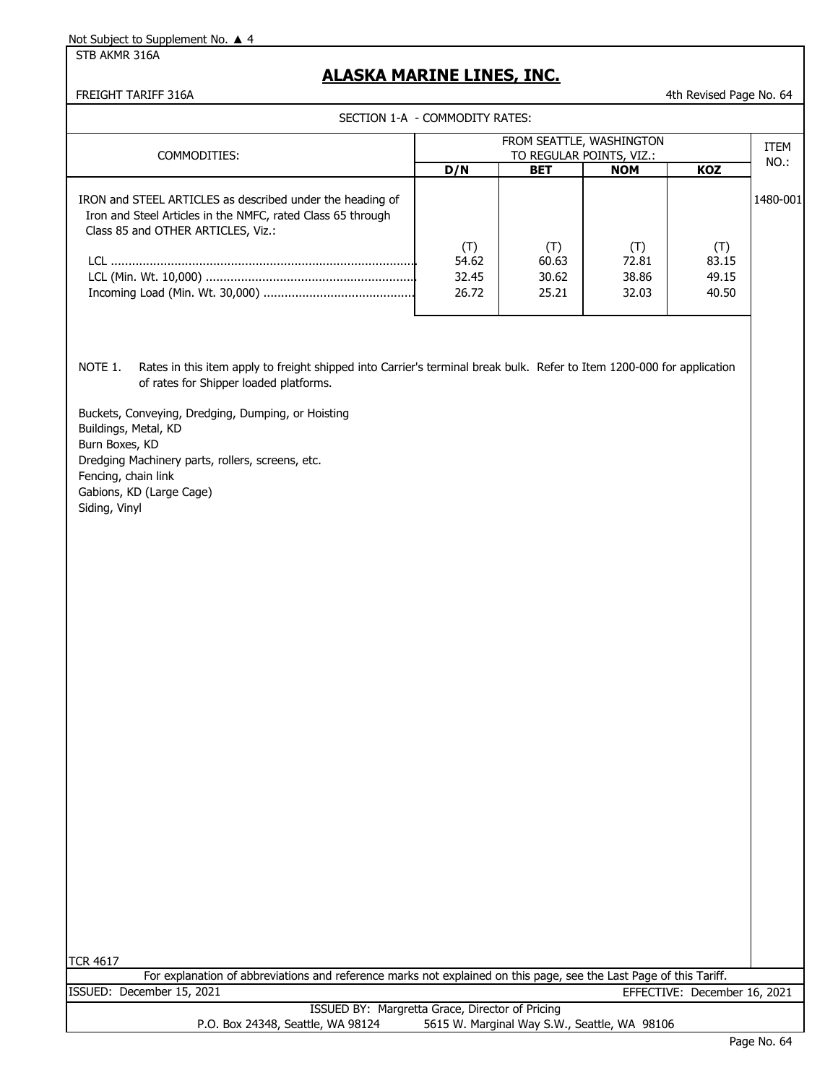STB AKMR 316A

### **ALASKA MARINE LINES, INC.**

FREIGHT TARIFF 316A 4th Revised Page No. 64

SECTION 1-A - COMMODITY RATES:

| COMMODITIES:                                                                                                                                                           | FROM SEATTLE, WASHINGTON<br>TO REGULAR POINTS, VIZ.: |                                |                                |                                |          |
|------------------------------------------------------------------------------------------------------------------------------------------------------------------------|------------------------------------------------------|--------------------------------|--------------------------------|--------------------------------|----------|
|                                                                                                                                                                        | D/N                                                  | <b>BET</b>                     | <b>NOM</b>                     | KOZ                            | NO.:     |
| IRON and STEEL ARTICLES as described under the heading of<br>Iron and Steel Articles in the NMFC, rated Class 65 through<br>Class 85 and OTHER ARTICLES, Viz.:<br>LCL. | (T)<br>54.62<br>32.45<br>26.72                       | (T)<br>60.63<br>30.62<br>25.21 | (T)<br>72.81<br>38.86<br>32.03 | (T)<br>83.15<br>49.15<br>40.50 | 1480-001 |

NOTE 1. Rates in this item apply to freight shipped into Carrier's terminal break bulk. Refer to Item 1200-000 for application of rates for Shipper loaded platforms.

Buckets, Conveying, Dredging, Dumping, or Hoisting Buildings, Metal, KD Burn Boxes, KD Dredging Machinery parts, rollers, screens, etc. Fencing, chain link Gabions, KD (Large Cage) Siding, Vinyl

|                                                 | For explanation of abbreviations and reference marks not explained on this page, see the Last Page of this Tariff. |  |  |  |  |
|-------------------------------------------------|--------------------------------------------------------------------------------------------------------------------|--|--|--|--|
| ISSUED: December 15, 2021                       | EFFECTIVE: December 16, 2021                                                                                       |  |  |  |  |
| ISSUED BY: Margretta Grace, Director of Pricing |                                                                                                                    |  |  |  |  |
| P.O. Box 24348, Seattle, WA 98124               | 5615 W. Marginal Way S.W., Seattle, WA 98106                                                                       |  |  |  |  |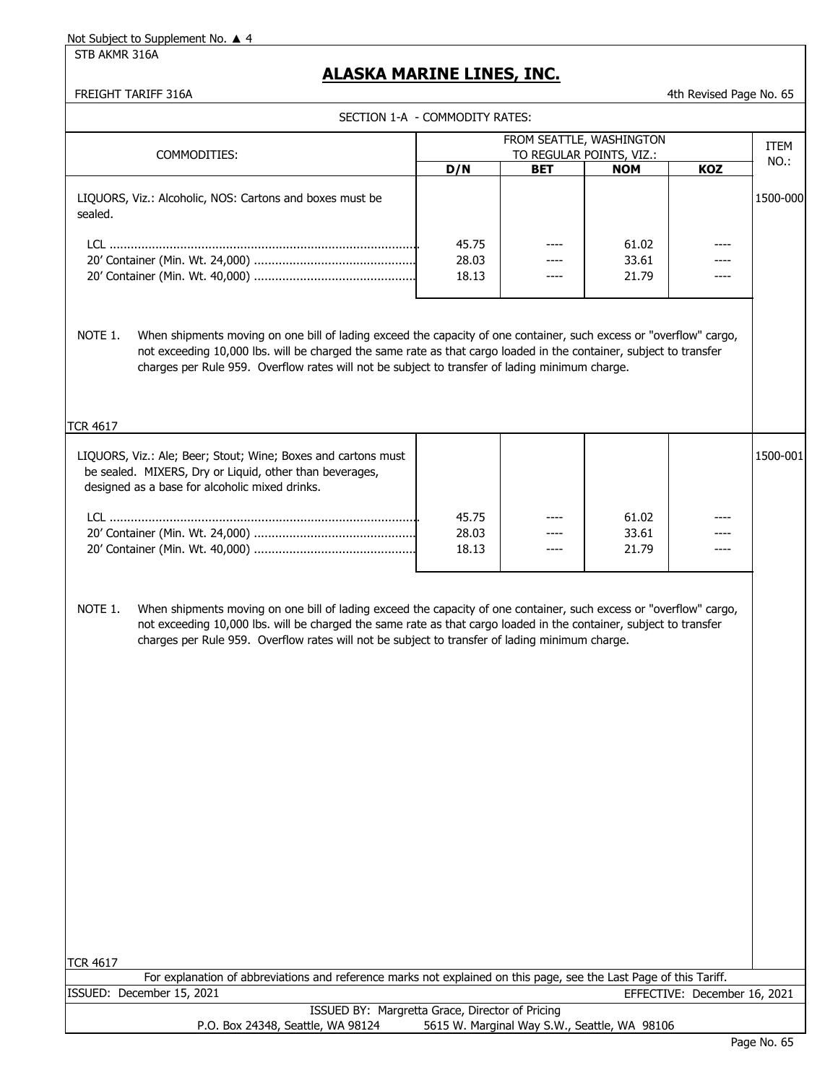STB AKMR 316A

### **ALASKA MARINE LINES, INC.**

FREIGHT TARIFF 316A 4th Revised Page No. 65

|                                                                                                                                                                                                                                                                                                                                                       | SECTION 1-A - COMMODITY RATES: |            | FROM SEATTLE, WASHINGTON |     |             |
|-------------------------------------------------------------------------------------------------------------------------------------------------------------------------------------------------------------------------------------------------------------------------------------------------------------------------------------------------------|--------------------------------|------------|--------------------------|-----|-------------|
| COMMODITIES:                                                                                                                                                                                                                                                                                                                                          |                                |            | TO REGULAR POINTS, VIZ.: |     | <b>ITEM</b> |
|                                                                                                                                                                                                                                                                                                                                                       | D/N                            | <b>BET</b> | <b>NOM</b>               | KOZ | NO.:        |
| LIQUORS, Viz.: Alcoholic, NOS: Cartons and boxes must be<br>sealed.                                                                                                                                                                                                                                                                                   |                                |            |                          |     | 1500-000    |
|                                                                                                                                                                                                                                                                                                                                                       | 45.75<br>28.03<br>18.13        |            | 61.02<br>33.61<br>21.79  |     |             |
| When shipments moving on one bill of lading exceed the capacity of one container, such excess or "overflow" cargo,<br>NOTE 1.<br>not exceeding 10,000 lbs. will be charged the same rate as that cargo loaded in the container, subject to transfer<br>charges per Rule 959. Overflow rates will not be subject to transfer of lading minimum charge. |                                |            |                          |     |             |
| <b>TCR 4617</b><br>LIQUORS, Viz.: Ale; Beer; Stout; Wine; Boxes and cartons must<br>be sealed. MIXERS, Dry or Liquid, other than beverages,<br>designed as a base for alcoholic mixed drinks.                                                                                                                                                         |                                |            |                          |     | 1500-001    |
|                                                                                                                                                                                                                                                                                                                                                       | 45.75<br>28.03<br>18.13        |            | 61.02<br>33.61<br>21.79  |     |             |
| NOTE 1.<br>When shipments moving on one bill of lading exceed the capacity of one container, such excess or "overflow" cargo,<br>not exceeding 10,000 lbs. will be charged the same rate as that cargo loaded in the container, subject to transfer<br>charges per Rule 959. Overflow rates will not be subject to transfer of lading minimum charge. |                                |            |                          |     |             |
|                                                                                                                                                                                                                                                                                                                                                       |                                |            |                          |     |             |
|                                                                                                                                                                                                                                                                                                                                                       |                                |            |                          |     |             |
|                                                                                                                                                                                                                                                                                                                                                       |                                |            |                          |     |             |

TCR 4617

For explanation of abbreviations and reference marks not explained on this page, see the Last Page of this Tariff. ISSUED: December 15, 2021 EFFECTIVE: December 16, 2021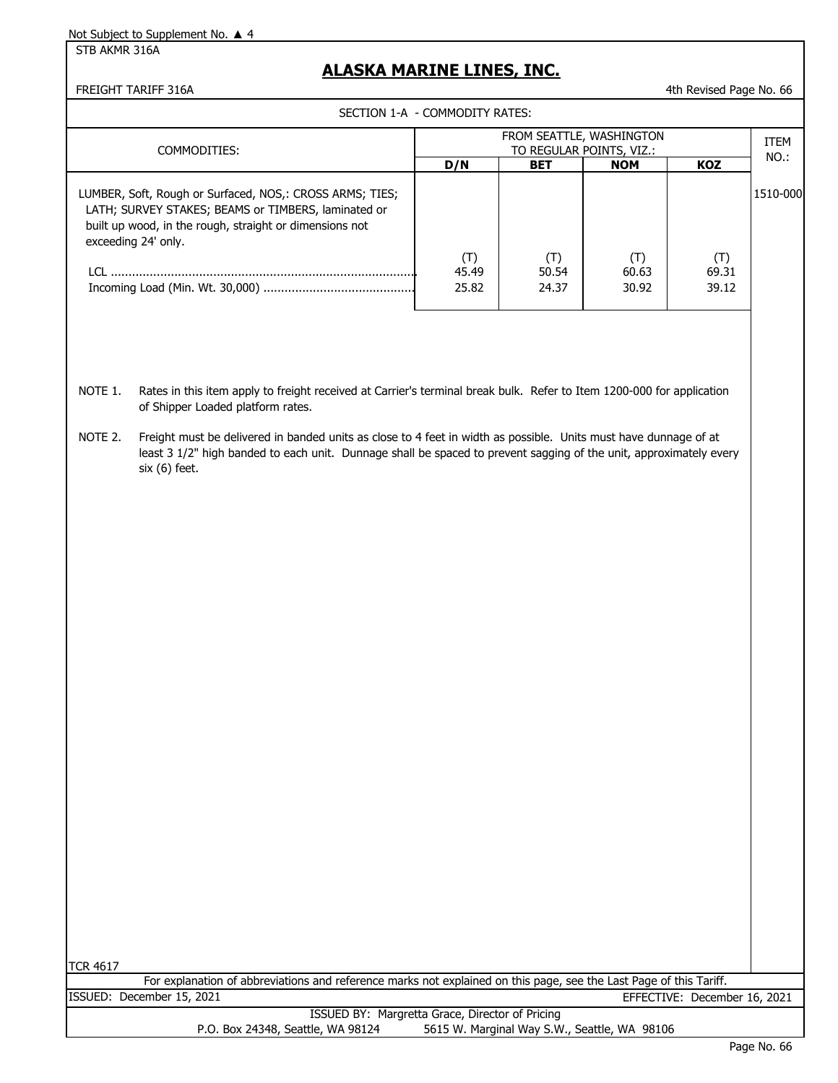STB AKMR 316A

### **ALASKA MARINE LINES, INC.**

FREIGHT TARIFF 316A 4th Revised Page No. 66

SECTION 1-A - COMMODITY RATES:

| COMMODITIES:                                                                                                                                                                                              | FROM SEATTLE, WASHINGTON<br>TO REGULAR POINTS, VIZ.: |                       |                       |                                  | <b>ITEM</b><br>$NO.$ : |  |  |
|-----------------------------------------------------------------------------------------------------------------------------------------------------------------------------------------------------------|------------------------------------------------------|-----------------------|-----------------------|----------------------------------|------------------------|--|--|
|                                                                                                                                                                                                           | D/N                                                  | <b>BET</b>            | <b>NOM</b>            | KOZ                              |                        |  |  |
| LUMBER, Soft, Rough or Surfaced, NOS,: CROSS ARMS; TIES;<br>LATH; SURVEY STAKES; BEAMS or TIMBERS, laminated or<br>built up wood, in the rough, straight or dimensions not<br>exceeding 24' only.<br>ו רו | (T)<br>45.49<br>25.82                                | (T)<br>50.54<br>24.37 | (T)<br>60.63<br>30.92 | $(\mathsf{T})$<br>69.31<br>39.12 | 1510-000               |  |  |

- NOTE 1. Rates in this item apply to freight received at Carrier's terminal break bulk. Refer to Item 1200-000 for application of Shipper Loaded platform rates.
- NOTE 2. Freight must be delivered in banded units as close to 4 feet in width as possible. Units must have dunnage of at least 3 1/2" high banded to each unit. Dunnage shall be spaced to prevent sagging of the unit, approximately every six (6) feet.

|                           | For explanation of abbreviations and reference marks not explained on this page, see the Last Page of this Tariff. |                              |
|---------------------------|--------------------------------------------------------------------------------------------------------------------|------------------------------|
| ISSUED: December 15, 2021 |                                                                                                                    | EFFECTIVE: December 16, 2021 |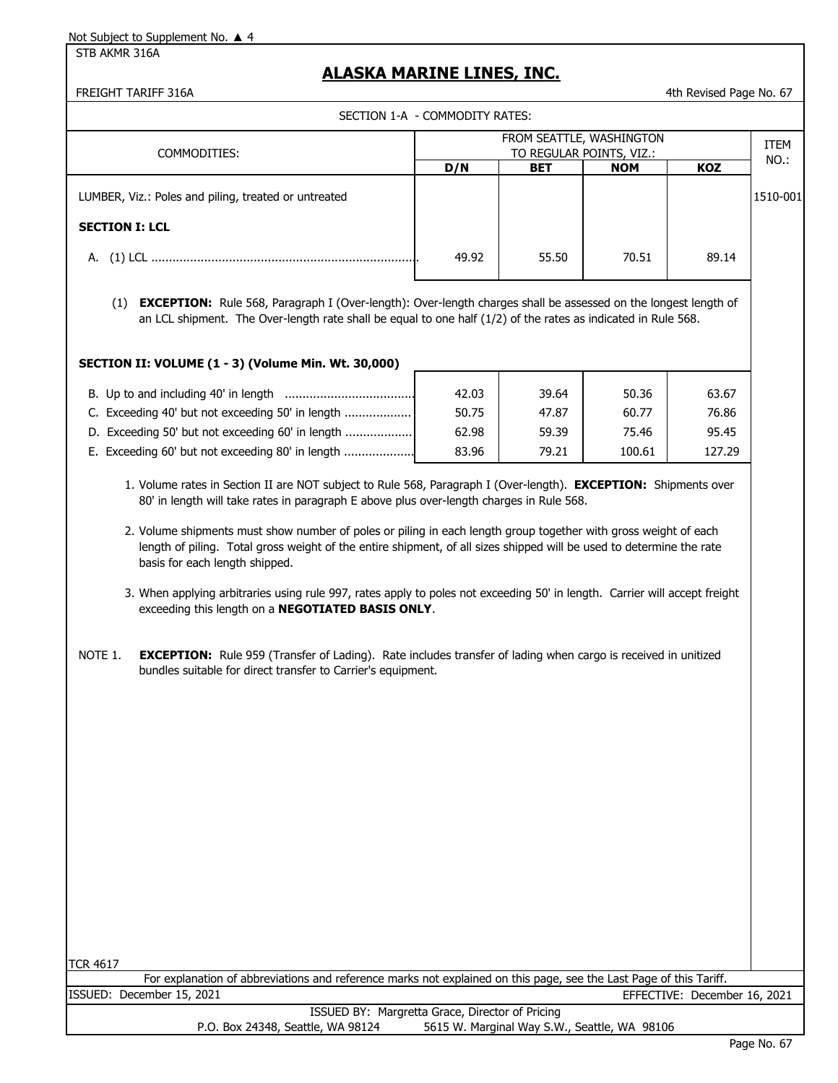STB AKMR 316A

### **ALASKA MARINE LINES, INC.**

FREIGHT TARIFF 316A 4th Revised Page No. 67

| SECTION 1-A - COMMODITY RATES:                       |                                                      |            |            |            |              |  |
|------------------------------------------------------|------------------------------------------------------|------------|------------|------------|--------------|--|
| COMMODITIES:                                         | FROM SEATTLE, WASHINGTON<br>TO REGULAR POINTS, VIZ.: |            |            |            | ITEM<br>NO.: |  |
|                                                      | D/N                                                  | <b>BET</b> | <b>NOM</b> | <b>KOZ</b> |              |  |
| LUMBER, Viz.: Poles and piling, treated or untreated |                                                      |            |            |            | 1510-001     |  |
| <b>SECTION I: LCL</b>                                |                                                      |            |            |            |              |  |
|                                                      | 49.92                                                | 55.50      | 70.51      | 89.14      |              |  |

(1) **EXCEPTION:** Rule 568, Paragraph I (Over-length): Over-length charges shall be assessed on the longest length of an LCL shipment. The Over-length rate shall be equal to one half (1/2) of the rates as indicated in Rule 568.

#### **SECTION II: VOLUME (1 - 3) (Volume Min. Wt. 30,000)**

| B. Up to and including 40' in length             | 42.03 | 39.64 | 50.36  | 63.67  |
|--------------------------------------------------|-------|-------|--------|--------|
| C. Exceeding 40' but not exceeding 50' in length | 50.75 | 47.87 | 60.77  | 76.86  |
| D. Exceeding 50' but not exceeding 60' in length | 62.98 | 59.39 | 75.46  | 95.45  |
| E. Exceeding 60' but not exceeding 80' in length | 83.96 | 79.21 | 100.61 | 127.29 |

- 1. Volume rates in Section II are NOT subject to Rule 568, Paragraph I (Over-length). **EXCEPTION:** Shipments over 80' in length will take rates in paragraph E above plus over-length charges in Rule 568.
- 2. Volume shipments must show number of poles or piling in each length group together with gross weight of each length of piling. Total gross weight of the entire shipment, of all sizes shipped will be used to determine the rate basis for each length shipped.
- 3. When applying arbitraries using rule 997, rates apply to poles not exceeding 50' in length. Carrier will accept freight exceeding this length on a **NEGOTIATED BASIS ONLY**.
- NOTE 1. **EXCEPTION:** Rule 959 (Transfer of Lading). Rate includes transfer of lading when cargo is received in unitized bundles suitable for direct transfer to Carrier's equipment.

TCR 4617

ISSUED: December 15, 2021 EFFECTIVE: December 16, 2021 For explanation of abbreviations and reference marks not explained on this page, see the Last Page of this Tariff.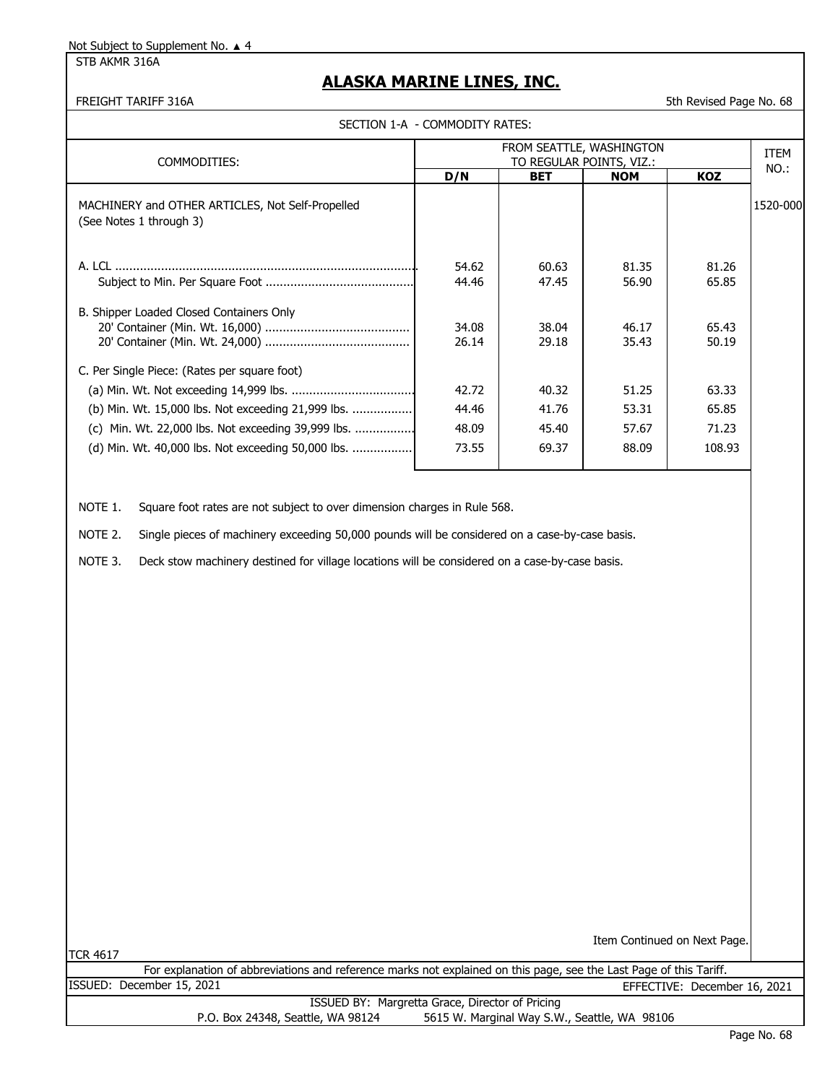STB AKMR 316A

### **ALASKA MARINE LINES, INC.**

#### FREIGHT TARIFF 316A 5th Revised Page No. 68

SECTION 1-A - COMMODITY RATES:

| FROM SEATTLE, WASHINGTON                                                    |                          |                |                |                |             |
|-----------------------------------------------------------------------------|--------------------------|----------------|----------------|----------------|-------------|
| COMMODITIES:                                                                | TO REGULAR POINTS, VIZ.: |                |                |                | <b>ITEM</b> |
|                                                                             | D/N                      | <b>BET</b>     | <b>NOM</b>     | KOZ            | NO.:        |
| MACHINERY and OTHER ARTICLES, Not Self-Propelled<br>(See Notes 1 through 3) |                          |                |                |                | 1520-000    |
|                                                                             | 54.62<br>44.46           | 60.63<br>47.45 | 81.35<br>56.90 | 81.26<br>65.85 |             |
| B. Shipper Loaded Closed Containers Only                                    | 34.08<br>26.14           | 38.04<br>29.18 | 46.17<br>35.43 | 65.43<br>50.19 |             |
| C. Per Single Piece: (Rates per square foot)                                |                          |                |                |                |             |
|                                                                             | 42.72                    | 40.32          | 51.25          | 63.33          |             |
| (b) Min. Wt. 15,000 lbs. Not exceeding 21,999 lbs.                          | 44.46                    | 41.76          | 53.31          | 65.85          |             |
| (c) Min. Wt. 22,000 lbs. Not exceeding 39,999 lbs.                          | 48.09                    | 45.40          | 57.67          | 71.23          |             |
| (d) Min. Wt. 40,000 lbs. Not exceeding 50,000 lbs.                          | 73.55                    | 69.37          | 88.09          | 108.93         |             |

NOTE 1. Square foot rates are not subject to over dimension charges in Rule 568.

NOTE 2. Single pieces of machinery exceeding 50,000 pounds will be considered on a case-by-case basis.

NOTE 3. Deck stow machinery destined for village locations will be considered on a case-by-case basis.

|                                                 | Item Continued on Next Page.                                                                                       |  |  |  |  |
|-------------------------------------------------|--------------------------------------------------------------------------------------------------------------------|--|--|--|--|
| <b>ITCR 4617</b>                                |                                                                                                                    |  |  |  |  |
|                                                 | For explanation of abbreviations and reference marks not explained on this page, see the Last Page of this Tariff. |  |  |  |  |
|                                                 | ISSUED: December 15, 2021<br>EFFECTIVE: December 16, 2021                                                          |  |  |  |  |
| ISSUED BY: Margretta Grace, Director of Pricing |                                                                                                                    |  |  |  |  |
|                                                 | 5615 W. Marginal Way S.W., Seattle, WA 98106<br>P.O. Box 24348, Seattle, WA 98124                                  |  |  |  |  |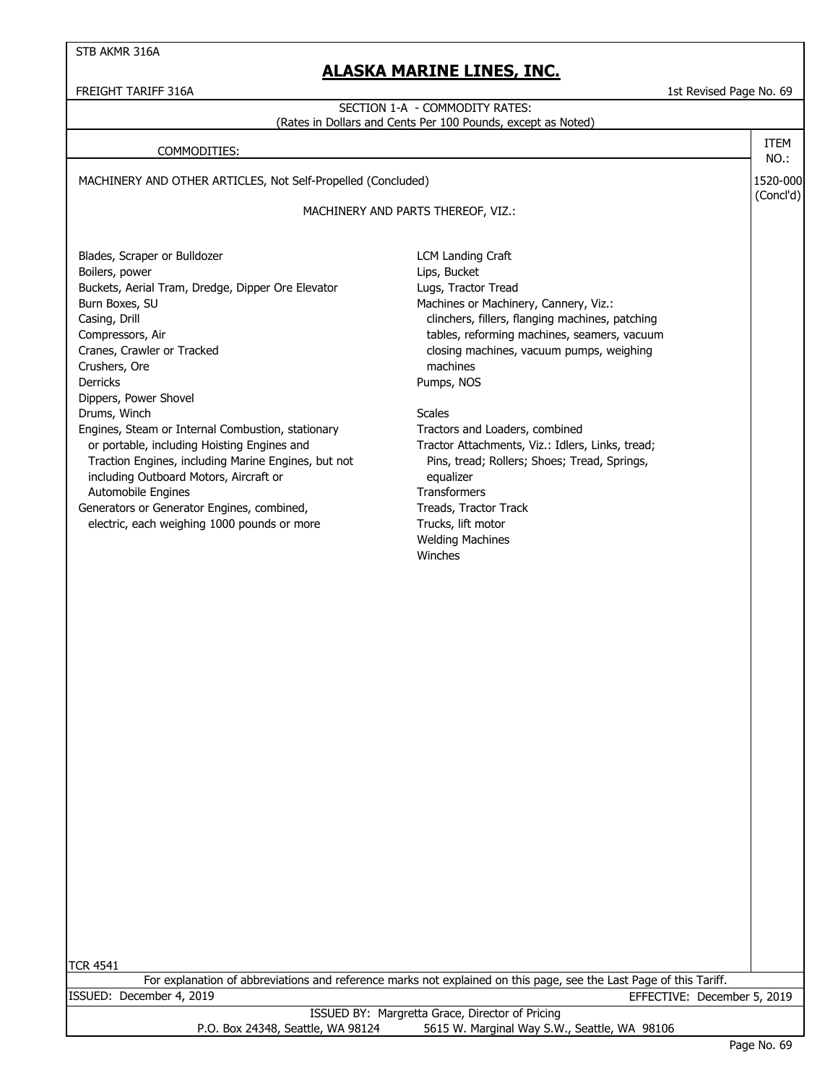STB AKMR 316A

### **ALASKA MARINE LINES, INC.**

# FREIGHT TARIFF 316A 1st Revised Page No. 69 MACHINERY AND OTHER ARTICLES, Not Self-Propelled (Concluded) 1520-000 (Concl'd) Blades, Scraper or Bulldozer **LCM** Landing Craft Boilers, power and the contract of the contract of the contract of the contract of the contract of the contract of the contract of the contract of the contract of the contract of the contract of the contract of the contrac Buckets, Aerial Tram, Dredge, Dipper Ore Elevator **Lugs, Tractor Tread** Burn Boxes, SU **Burn Boxes, SU** Annual Machines or Machinery, Cannery, Viz.: Casing, Drill Casing, Drill clinchers, fillers, flanging machines, patching Compressors, Air tables, reforming machines, seamers, vacuum Cranes, Crawler or Tracked closing machines, vacuum pumps, weighing Crushers, Ore machines Derricks Pumps, NOS Dippers, Power Shovel Drums, Winch Scales and Scales Scales Scales Scales Engines, Steam or Internal Combustion, stationary Tractors and Loaders, combined or portable, including Hoisting Engines and Tractor Attachments, Viz.: Idlers, Links, tread; Traction Engines, including Marine Engines, but not Pins, tread; Rollers; Shoes; Tread, Springs, including Outboard Motors, Aircraft or equalizer Automobile Engines Transformers Generators or Generator Engines, combined, Treads, Tractor Track electric, each weighing 1000 pounds or more Trucks, lift motor Welding Machines Winches TCR 4541 COMMODITIES: For explanation of abbreviations and reference marks not explained on this page, see the Last Page of this Tariff. MACHINERY AND PARTS THEREOF, VIZ.: ISSUED BY: Margretta Grace, Director of Pricing P.O. Box 24348, Seattle, WA 98124 5615 W. Marginal Way S.W., Seattle, WA 98106 ISSUED: December 4, 2019 EFFECTIVE: December 5, 2019 SECTION 1-A - COMMODITY RATES: (Rates in Dollars and Cents Per 100 Pounds, except as Noted) ITEM NO.: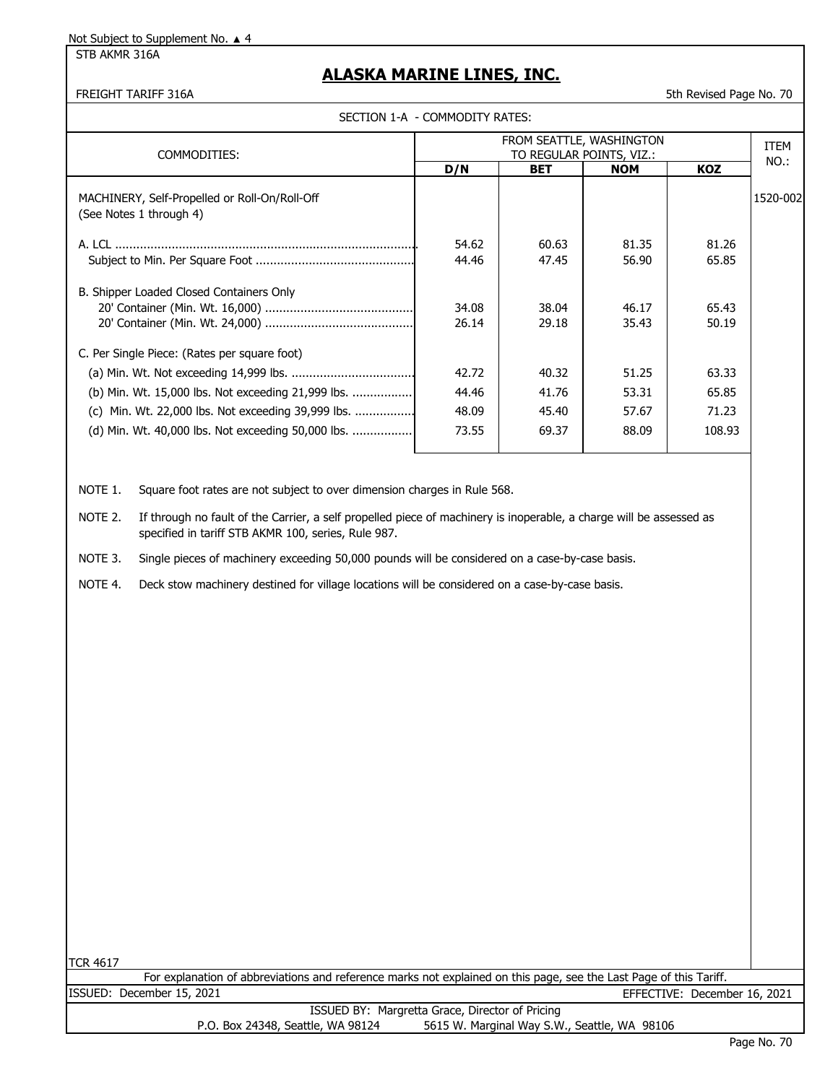STB AKMR 316A

#### **ALASKA MARINE LINES, INC.**

FREIGHT TARIFF 316A 5th Revised Page No. 70

|  | SECTION 1-A  - COMMODITY RATES: |
|--|---------------------------------|
|--|---------------------------------|

|                                                                          |                          |            | FROM SEATTLE, WASHINGTON |            | <b>ITEM</b> |
|--------------------------------------------------------------------------|--------------------------|------------|--------------------------|------------|-------------|
| COMMODITIES:                                                             | TO REGULAR POINTS, VIZ.: |            |                          |            | NO.:        |
|                                                                          | D/N                      | <b>BET</b> | <b>NOM</b>               | <b>KOZ</b> |             |
| MACHINERY, Self-Propelled or Roll-On/Roll-Off<br>(See Notes 1 through 4) |                          |            |                          |            | 1520-002    |
|                                                                          | 54.62                    | 60.63      | 81.35                    | 81.26      |             |
|                                                                          | 44.46                    | 47.45      | 56.90                    | 65.85      |             |
|                                                                          |                          |            |                          |            |             |
| B. Shipper Loaded Closed Containers Only                                 |                          |            |                          |            |             |
|                                                                          | 34.08                    | 38.04      | 46.17                    | 65.43      |             |
|                                                                          | 26.14                    | 29.18      | 35.43                    | 50.19      |             |
| C. Per Single Piece: (Rates per square foot)                             |                          |            |                          |            |             |
|                                                                          | 42.72                    | 40.32      | 51.25                    | 63.33      |             |
| (b) Min. Wt. 15,000 lbs. Not exceeding 21,999 lbs.                       | 44.46                    | 41.76      | 53.31                    | 65.85      |             |
| (c) Min. Wt. 22,000 lbs. Not exceeding 39,999 lbs.                       | 48.09                    | 45.40      | 57.67                    | 71.23      |             |
| (d) Min. Wt. 40,000 lbs. Not exceeding 50,000 lbs.                       | 73.55                    | 69.37      | 88.09                    | 108.93     |             |
|                                                                          |                          |            |                          |            |             |

NOTE 1. Square foot rates are not subject to over dimension charges in Rule 568.

NOTE 2. If through no fault of the Carrier, a self propelled piece of machinery is inoperable, a charge will be assessed as specified in tariff STB AKMR 100, series, Rule 987.

NOTE 3. Single pieces of machinery exceeding 50,000 pounds will be considered on a case-by-case basis.

NOTE 4. Deck stow machinery destined for village locations will be considered on a case-by-case basis.

TCR 4617

For explanation of abbreviations and reference marks not explained on this page, see the Last Page of this Tariff. ISSUED: December 15, 2021 EFFECTIVE: December 16, 2021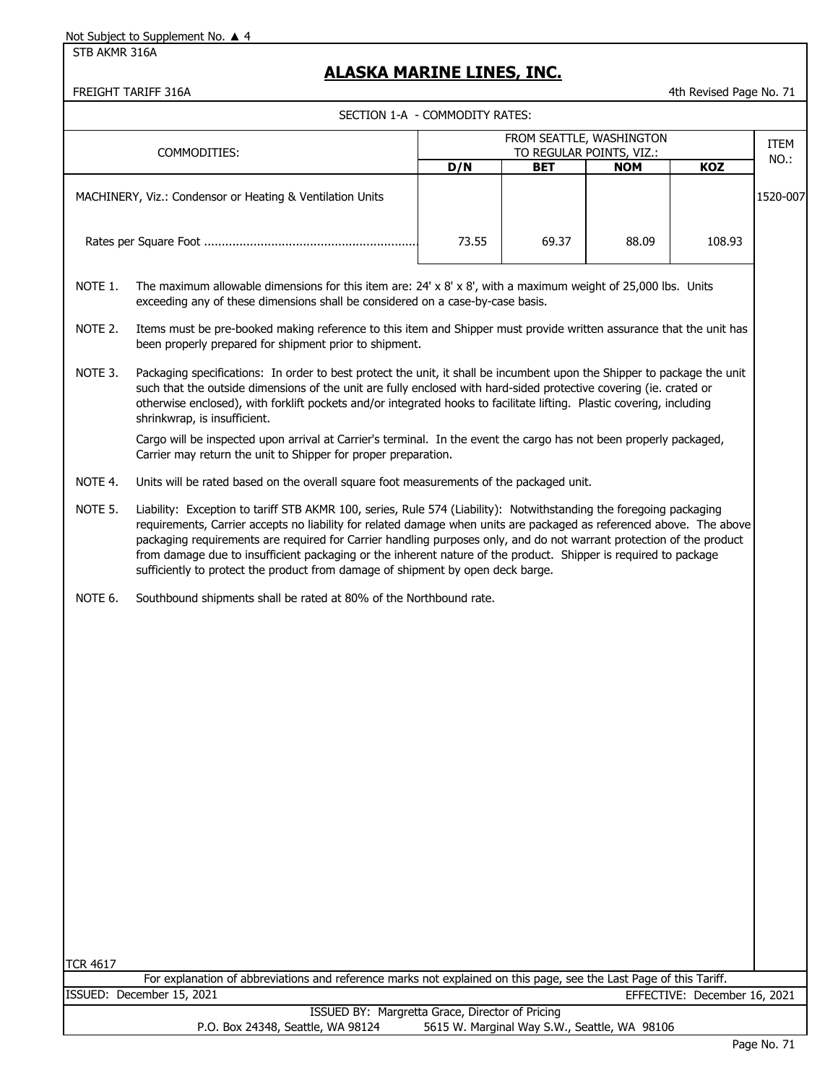STB AKMR 316A

## **ALASKA MARINE LINES, INC.**

FREIGHT TARIFF 316A **1988** 10.71

SECTION 1-A - COMMODITY RATES:

|                 | SECTION 1-A - COMMODITY RATES:                                                                                                                                                                                                                                                                                                                                                                                                                                                                                                                                           |       |            |                                              |                              |          |
|-----------------|--------------------------------------------------------------------------------------------------------------------------------------------------------------------------------------------------------------------------------------------------------------------------------------------------------------------------------------------------------------------------------------------------------------------------------------------------------------------------------------------------------------------------------------------------------------------------|-------|------------|----------------------------------------------|------------------------------|----------|
|                 |                                                                                                                                                                                                                                                                                                                                                                                                                                                                                                                                                                          |       |            | FROM SEATTLE, WASHINGTON                     |                              | ITEM     |
|                 | COMMODITIES:                                                                                                                                                                                                                                                                                                                                                                                                                                                                                                                                                             |       |            | TO REGULAR POINTS, VIZ.:                     |                              | NO.:     |
|                 |                                                                                                                                                                                                                                                                                                                                                                                                                                                                                                                                                                          | D/N   | <b>BET</b> | <b>NOM</b>                                   | KOZ                          |          |
|                 | MACHINERY, Viz.: Condensor or Heating & Ventilation Units                                                                                                                                                                                                                                                                                                                                                                                                                                                                                                                |       |            |                                              |                              | 1520-007 |
|                 |                                                                                                                                                                                                                                                                                                                                                                                                                                                                                                                                                                          | 73.55 | 69.37      | 88.09                                        | 108.93                       |          |
| NOTE 1.         | The maximum allowable dimensions for this item are: $24' \times 8' \times 8'$ , with a maximum weight of 25,000 lbs. Units<br>exceeding any of these dimensions shall be considered on a case-by-case basis.                                                                                                                                                                                                                                                                                                                                                             |       |            |                                              |                              |          |
| NOTE 2.         | Items must be pre-booked making reference to this item and Shipper must provide written assurance that the unit has<br>been properly prepared for shipment prior to shipment.                                                                                                                                                                                                                                                                                                                                                                                            |       |            |                                              |                              |          |
| NOTE 3.         | Packaging specifications: In order to best protect the unit, it shall be incumbent upon the Shipper to package the unit<br>such that the outside dimensions of the unit are fully enclosed with hard-sided protective covering (ie. crated or<br>otherwise enclosed), with forklift pockets and/or integrated hooks to facilitate lifting. Plastic covering, including<br>shrinkwrap, is insufficient.                                                                                                                                                                   |       |            |                                              |                              |          |
|                 | Cargo will be inspected upon arrival at Carrier's terminal. In the event the cargo has not been properly packaged,<br>Carrier may return the unit to Shipper for proper preparation.                                                                                                                                                                                                                                                                                                                                                                                     |       |            |                                              |                              |          |
| NOTE 4.         | Units will be rated based on the overall square foot measurements of the packaged unit.                                                                                                                                                                                                                                                                                                                                                                                                                                                                                  |       |            |                                              |                              |          |
| NOTE 5.         | Liability: Exception to tariff STB AKMR 100, series, Rule 574 (Liability): Notwithstanding the foregoing packaging<br>requirements, Carrier accepts no liability for related damage when units are packaged as referenced above. The above<br>packaging requirements are required for Carrier handling purposes only, and do not warrant protection of the product<br>from damage due to insufficient packaging or the inherent nature of the product. Shipper is required to package<br>sufficiently to protect the product from damage of shipment by open deck barge. |       |            |                                              |                              |          |
| NOTE 6.         | Southbound shipments shall be rated at 80% of the Northbound rate.                                                                                                                                                                                                                                                                                                                                                                                                                                                                                                       |       |            |                                              |                              |          |
|                 |                                                                                                                                                                                                                                                                                                                                                                                                                                                                                                                                                                          |       |            |                                              |                              |          |
|                 |                                                                                                                                                                                                                                                                                                                                                                                                                                                                                                                                                                          |       |            |                                              |                              |          |
|                 |                                                                                                                                                                                                                                                                                                                                                                                                                                                                                                                                                                          |       |            |                                              |                              |          |
|                 |                                                                                                                                                                                                                                                                                                                                                                                                                                                                                                                                                                          |       |            |                                              |                              |          |
|                 |                                                                                                                                                                                                                                                                                                                                                                                                                                                                                                                                                                          |       |            |                                              |                              |          |
|                 |                                                                                                                                                                                                                                                                                                                                                                                                                                                                                                                                                                          |       |            |                                              |                              |          |
|                 |                                                                                                                                                                                                                                                                                                                                                                                                                                                                                                                                                                          |       |            |                                              |                              |          |
|                 |                                                                                                                                                                                                                                                                                                                                                                                                                                                                                                                                                                          |       |            |                                              |                              |          |
|                 |                                                                                                                                                                                                                                                                                                                                                                                                                                                                                                                                                                          |       |            |                                              |                              |          |
|                 |                                                                                                                                                                                                                                                                                                                                                                                                                                                                                                                                                                          |       |            |                                              |                              |          |
|                 |                                                                                                                                                                                                                                                                                                                                                                                                                                                                                                                                                                          |       |            |                                              |                              |          |
| <b>TCR 4617</b> |                                                                                                                                                                                                                                                                                                                                                                                                                                                                                                                                                                          |       |            |                                              |                              |          |
|                 | For explanation of abbreviations and reference marks not explained on this page, see the Last Page of this Tariff.                                                                                                                                                                                                                                                                                                                                                                                                                                                       |       |            |                                              |                              |          |
|                 | ISSUED: December 15, 2021                                                                                                                                                                                                                                                                                                                                                                                                                                                                                                                                                |       |            |                                              | EFFECTIVE: December 16, 2021 |          |
|                 | ISSUED BY: Margretta Grace, Director of Pricing<br>P.O. Box 24348, Seattle, WA 98124                                                                                                                                                                                                                                                                                                                                                                                                                                                                                     |       |            | 5615 W. Marginal Way S.W., Seattle, WA 98106 |                              |          |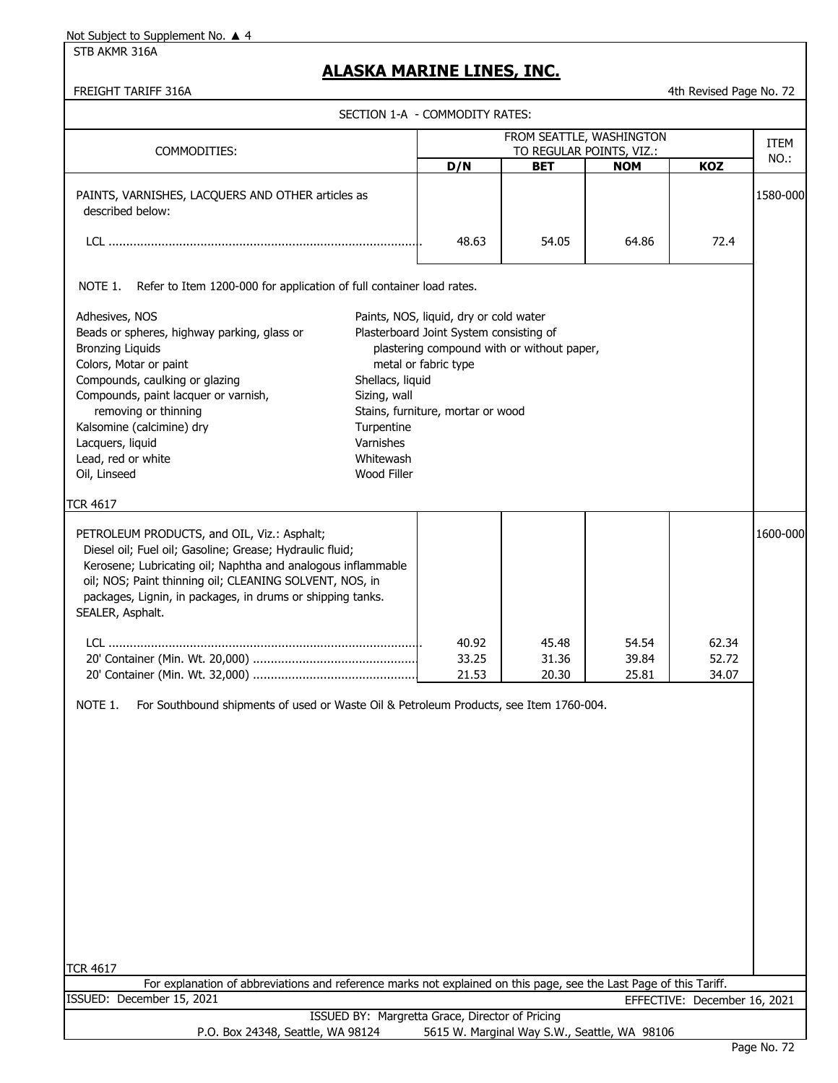STB AKMR 316A

### **ALASKA MARINE LINES, INC.**

FREIGHT TARIFF 316A **All Accords** 2014 12:00 12:00 12:00 12:00 12:00 12:00 12:00 12:00 12:00 12:00 12:00 12:00 12:00 12:00 12:00 12:00 12:00 12:00 12:00 12:00 12:00 12:00 12:00 12:00 12:00 12:00 12:00 12:00 12:00 12:00 12:

|                                                                                                                                                                                                                                                                                                                                         | SECTION 1-A - COMMODITY RATES:                                                                                                                                                                 |                                         |                                            |                                              |                              |             |
|-----------------------------------------------------------------------------------------------------------------------------------------------------------------------------------------------------------------------------------------------------------------------------------------------------------------------------------------|------------------------------------------------------------------------------------------------------------------------------------------------------------------------------------------------|-----------------------------------------|--------------------------------------------|----------------------------------------------|------------------------------|-------------|
|                                                                                                                                                                                                                                                                                                                                         |                                                                                                                                                                                                | FROM SEATTLE, WASHINGTON                |                                            |                                              |                              | <b>ITEM</b> |
| COMMODITIES:                                                                                                                                                                                                                                                                                                                            |                                                                                                                                                                                                |                                         | TO REGULAR POINTS, VIZ.:                   |                                              |                              | NO.:        |
|                                                                                                                                                                                                                                                                                                                                         |                                                                                                                                                                                                | D/N                                     | <b>BET</b>                                 | <b>NOM</b>                                   | <b>KOZ</b>                   |             |
| PAINTS, VARNISHES, LACQUERS AND OTHER articles as<br>described below:                                                                                                                                                                                                                                                                   |                                                                                                                                                                                                |                                         |                                            |                                              |                              | 1580-000    |
|                                                                                                                                                                                                                                                                                                                                         |                                                                                                                                                                                                | 48.63                                   | 54.05                                      | 64.86                                        | 72.4                         |             |
| Refer to Item 1200-000 for application of full container load rates.<br>NOTE 1.                                                                                                                                                                                                                                                         |                                                                                                                                                                                                |                                         |                                            |                                              |                              |             |
| Adhesives, NOS<br>Beads or spheres, highway parking, glass or<br><b>Bronzing Liquids</b><br>Colors, Motar or paint<br>Compounds, caulking or glazing<br>Compounds, paint lacquer or varnish,<br>removing or thinning<br>Kalsomine (calcimine) dry<br>Lacquers, liquid<br>Lead, red or white<br>Oil, Linseed                             | Paints, NOS, liquid, dry or cold water<br>metal or fabric type<br>Shellacs, liquid<br>Sizing, wall<br>Stains, furniture, mortar or wood<br>Turpentine<br>Varnishes<br>Whitewash<br>Wood Filler | Plasterboard Joint System consisting of | plastering compound with or without paper, |                                              |                              |             |
| <b>TCR 4617</b><br>PETROLEUM PRODUCTS, and OIL, Viz.: Asphalt;<br>Diesel oil; Fuel oil; Gasoline; Grease; Hydraulic fluid;<br>Kerosene; Lubricating oil; Naphtha and analogous inflammable<br>oil; NOS; Paint thinning oil; CLEANING SOLVENT, NOS, in<br>packages, Lignin, in packages, in drums or shipping tanks.<br>SEALER, Asphalt. |                                                                                                                                                                                                | 40.92<br>33.25                          | 45.48<br>31.36                             | 54.54<br>39.84                               | 62.34<br>52.72               | 1600-000    |
| NOTE 1.<br>For Southbound shipments of used or Waste Oil & Petroleum Products, see Item 1760-004.                                                                                                                                                                                                                                       |                                                                                                                                                                                                | 21.53                                   | 20.30                                      | 25.81                                        | 34.07                        |             |
| <b>TCR 4617</b>                                                                                                                                                                                                                                                                                                                         |                                                                                                                                                                                                |                                         |                                            |                                              |                              |             |
| For explanation of abbreviations and reference marks not explained on this page, see the Last Page of this Tariff.                                                                                                                                                                                                                      |                                                                                                                                                                                                |                                         |                                            |                                              |                              |             |
| ISSUED: December 15, 2021                                                                                                                                                                                                                                                                                                               |                                                                                                                                                                                                |                                         |                                            |                                              | EFFECTIVE: December 16, 2021 |             |
| P.O. Box 24348, Seattle, WA 98124                                                                                                                                                                                                                                                                                                       | ISSUED BY: Margretta Grace, Director of Pricing                                                                                                                                                |                                         |                                            | 5615 W. Marginal Way S.W., Seattle, WA 98106 |                              |             |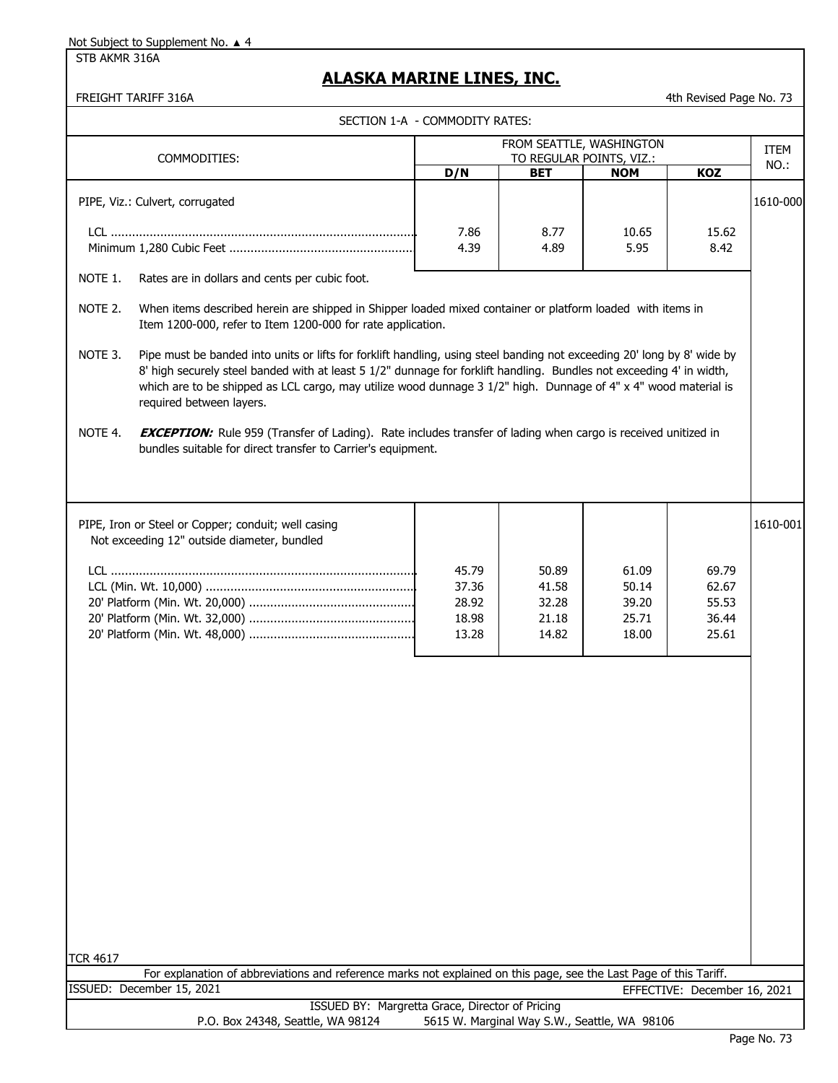STB AKMR 316A

# **ALASKA MARINE LINES, INC.**

|                    | <b>FREIGHT TARIFF 316A</b>                                                                                                                                                                                                                                                                           |                                |                                              |                          | 4th Revised Page No. 73      |          |
|--------------------|------------------------------------------------------------------------------------------------------------------------------------------------------------------------------------------------------------------------------------------------------------------------------------------------------|--------------------------------|----------------------------------------------|--------------------------|------------------------------|----------|
|                    |                                                                                                                                                                                                                                                                                                      | SECTION 1-A - COMMODITY RATES: |                                              |                          |                              |          |
|                    | COMMODITIES:                                                                                                                                                                                                                                                                                         |                                | FROM SEATTLE, WASHINGTON                     | TO REGULAR POINTS, VIZ.: |                              | ITEM     |
|                    |                                                                                                                                                                                                                                                                                                      | D/N                            | <b>BET</b>                                   | <b>NOM</b>               | KOZ                          | NO.:     |
|                    | PIPE, Viz.: Culvert, corrugated                                                                                                                                                                                                                                                                      |                                |                                              |                          |                              | 1610-000 |
|                    |                                                                                                                                                                                                                                                                                                      | 7.86<br>4.39                   | 8.77<br>4.89                                 | 10.65<br>5.95            | 15.62<br>8.42                |          |
| NOTE 1.            | Rates are in dollars and cents per cubic foot.                                                                                                                                                                                                                                                       |                                |                                              |                          |                              |          |
| NOTE 2.<br>NOTE 3. | When items described herein are shipped in Shipper loaded mixed container or platform loaded with items in<br>Item 1200-000, refer to Item 1200-000 for rate application.<br>Pipe must be banded into units or lifts for forklift handling, using steel banding not exceeding 20' long by 8' wide by |                                |                                              |                          |                              |          |
|                    | 8' high securely steel banded with at least 5 1/2" dunnage for forklift handling. Bundles not exceeding 4' in width,<br>which are to be shipped as LCL cargo, may utilize wood dunnage $3\ 1/2$ " high. Dunnage of 4" x 4" wood material is<br>required between layers.                              |                                |                                              |                          |                              |          |
| NOTE 4.            | <b>EXCEPTION:</b> Rule 959 (Transfer of Lading). Rate includes transfer of lading when cargo is received unitized in<br>bundles suitable for direct transfer to Carrier's equipment.                                                                                                                 |                                |                                              |                          |                              |          |
|                    | PIPE, Iron or Steel or Copper; conduit; well casing<br>Not exceeding 12" outside diameter, bundled                                                                                                                                                                                                   |                                |                                              |                          |                              | 1610-001 |
|                    |                                                                                                                                                                                                                                                                                                      | 45.79                          | 50.89                                        | 61.09                    | 69.79                        |          |
|                    |                                                                                                                                                                                                                                                                                                      | 37.36<br>28.92                 | 41.58<br>32.28                               | 50.14<br>39.20           | 62.67<br>55.53               |          |
|                    |                                                                                                                                                                                                                                                                                                      | 18.98                          | 21.18                                        | 25.71                    | 36.44                        |          |
|                    |                                                                                                                                                                                                                                                                                                      | 13.28                          | 14.82                                        | 18.00                    | 25.61                        |          |
|                    |                                                                                                                                                                                                                                                                                                      |                                |                                              |                          |                              |          |
|                    |                                                                                                                                                                                                                                                                                                      |                                |                                              |                          |                              |          |
|                    |                                                                                                                                                                                                                                                                                                      |                                |                                              |                          |                              |          |
|                    |                                                                                                                                                                                                                                                                                                      |                                |                                              |                          |                              |          |
|                    |                                                                                                                                                                                                                                                                                                      |                                |                                              |                          |                              |          |
|                    |                                                                                                                                                                                                                                                                                                      |                                |                                              |                          |                              |          |
|                    |                                                                                                                                                                                                                                                                                                      |                                |                                              |                          |                              |          |
|                    |                                                                                                                                                                                                                                                                                                      |                                |                                              |                          |                              |          |
|                    |                                                                                                                                                                                                                                                                                                      |                                |                                              |                          |                              |          |
|                    |                                                                                                                                                                                                                                                                                                      |                                |                                              |                          |                              |          |
| <b>TCR 4617</b>    | For explanation of abbreviations and reference marks not explained on this page, see the Last Page of this Tariff.                                                                                                                                                                                   |                                |                                              |                          |                              |          |
|                    | ISSUED: December 15, 2021                                                                                                                                                                                                                                                                            |                                |                                              |                          | EFFECTIVE: December 16, 2021 |          |
|                    | ISSUED BY: Margretta Grace, Director of Pricing<br>P.O. Box 24348, Seattle, WA 98124                                                                                                                                                                                                                 |                                | 5615 W. Marginal Way S.W., Seattle, WA 98106 |                          |                              |          |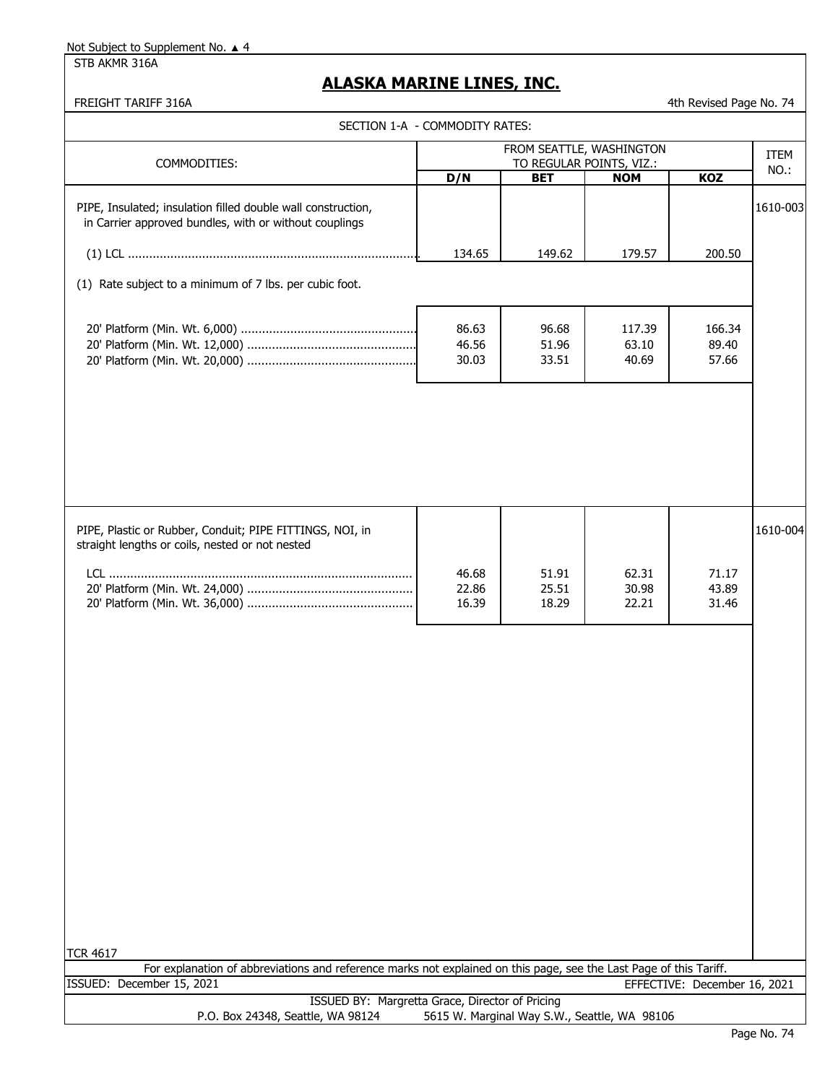STB AKMR 316A

## **ALASKA MARINE LINES, INC.**

FREIGHT TARIFF 316A 4th Revised Page No. 74

| SECTION 1-A - COMMODITY RATES:                                                                                                                  |                         |                                                      |                          |                              |                     |
|-------------------------------------------------------------------------------------------------------------------------------------------------|-------------------------|------------------------------------------------------|--------------------------|------------------------------|---------------------|
| COMMODITIES:                                                                                                                                    |                         | FROM SEATTLE, WASHINGTON<br>TO REGULAR POINTS, VIZ.: |                          |                              | <b>ITEM</b><br>NO.: |
| PIPE, Insulated; insulation filled double wall construction,<br>in Carrier approved bundles, with or without couplings                          | D/N                     | <b>BET</b>                                           | <b>NOM</b>               | KOZ                          | 1610-003            |
|                                                                                                                                                 | 134.65                  | 149.62                                               | 179.57                   | 200.50                       |                     |
| (1) Rate subject to a minimum of 7 lbs. per cubic foot.                                                                                         |                         |                                                      |                          |                              |                     |
|                                                                                                                                                 | 86.63<br>46.56<br>30.03 | 96.68<br>51.96<br>33.51                              | 117.39<br>63.10<br>40.69 | 166.34<br>89.40<br>57.66     |                     |
|                                                                                                                                                 |                         |                                                      |                          |                              |                     |
| PIPE, Plastic or Rubber, Conduit; PIPE FITTINGS, NOI, in<br>straight lengths or coils, nested or not nested                                     |                         |                                                      |                          |                              | 1610-004            |
|                                                                                                                                                 | 46.68<br>22.86<br>16.39 | 51.91<br>25.51<br>18.29                              | 62.31<br>30.98<br>22.21  | 71.17<br>43.89<br>31.46      |                     |
|                                                                                                                                                 |                         |                                                      |                          |                              |                     |
|                                                                                                                                                 |                         |                                                      |                          |                              |                     |
|                                                                                                                                                 |                         |                                                      |                          |                              |                     |
|                                                                                                                                                 |                         |                                                      |                          |                              |                     |
|                                                                                                                                                 |                         |                                                      |                          |                              |                     |
| <b>TCR 4617</b>                                                                                                                                 |                         |                                                      |                          |                              |                     |
| For explanation of abbreviations and reference marks not explained on this page, see the Last Page of this Tariff.<br>ISSUED: December 15, 2021 |                         |                                                      |                          | EFFECTIVE: December 16, 2021 |                     |
| ISSUED BY: Margretta Grace, Director of Pricing<br>P.O. Box 24348, Seattle, WA 98124                                                            |                         | 5615 W. Marginal Way S.W., Seattle, WA 98106         |                          |                              |                     |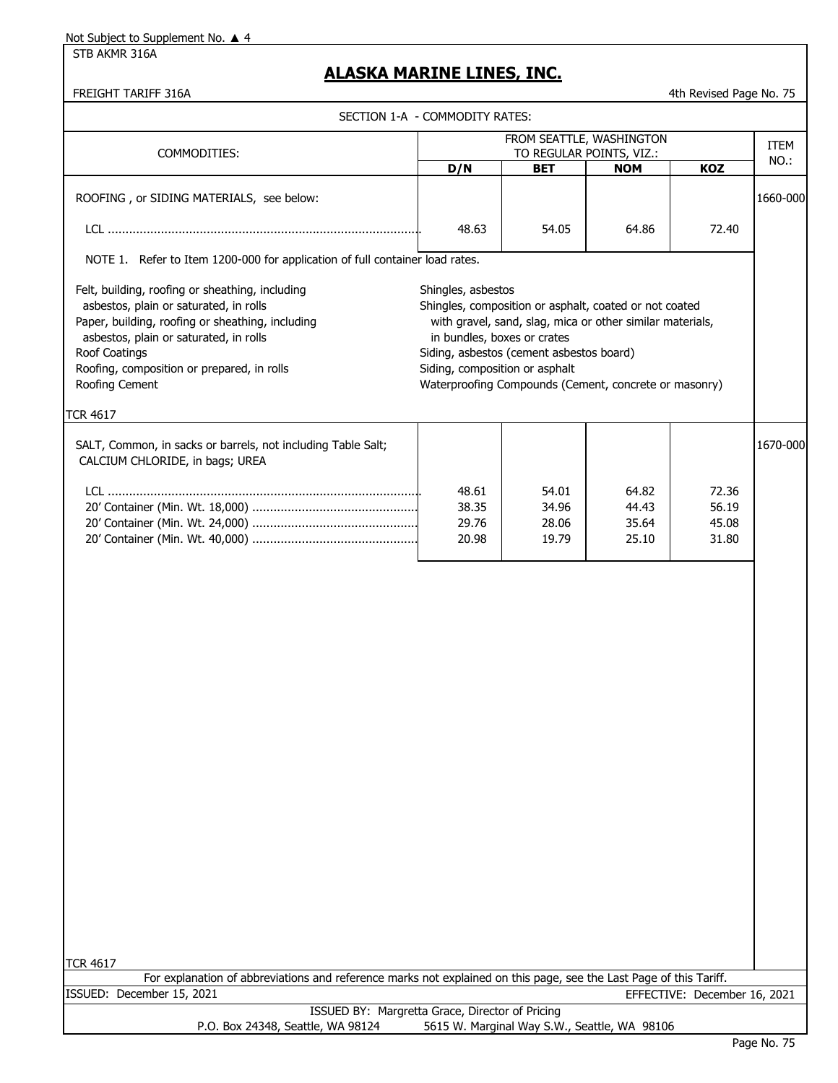STB AKMR 316A

### **ALASKA MARINE LINES, INC.**

| FREIGHT TARIFF 316A                                                                                                                                                                                                                                                      |                                                                                     |                                                                                                                                                                                                                          |                                        | 4th Revised Page No. 75      |             |
|--------------------------------------------------------------------------------------------------------------------------------------------------------------------------------------------------------------------------------------------------------------------------|-------------------------------------------------------------------------------------|--------------------------------------------------------------------------------------------------------------------------------------------------------------------------------------------------------------------------|----------------------------------------|------------------------------|-------------|
|                                                                                                                                                                                                                                                                          | SECTION 1-A - COMMODITY RATES:                                                      |                                                                                                                                                                                                                          |                                        |                              |             |
|                                                                                                                                                                                                                                                                          |                                                                                     | FROM SEATTLE, WASHINGTON                                                                                                                                                                                                 |                                        |                              | <b>ITEM</b> |
| COMMODITIES:                                                                                                                                                                                                                                                             | D/N                                                                                 | <b>BET</b>                                                                                                                                                                                                               | TO REGULAR POINTS, VIZ.:<br><b>NOM</b> | KOZ                          | NO.:        |
| ROOFING, or SIDING MATERIALS, see below:                                                                                                                                                                                                                                 |                                                                                     |                                                                                                                                                                                                                          |                                        |                              | 1660-000    |
|                                                                                                                                                                                                                                                                          | 48.63                                                                               | 54.05                                                                                                                                                                                                                    | 64.86                                  | 72.40                        |             |
| NOTE 1. Refer to Item 1200-000 for application of full container load rates.                                                                                                                                                                                             |                                                                                     |                                                                                                                                                                                                                          |                                        |                              |             |
| Felt, building, roofing or sheathing, including<br>asbestos, plain or saturated, in rolls<br>Paper, building, roofing or sheathing, including<br>asbestos, plain or saturated, in rolls<br>Roof Coatings<br>Roofing, composition or prepared, in rolls<br>Roofing Cement | Shingles, asbestos<br>in bundles, boxes or crates<br>Siding, composition or asphalt | Shingles, composition or asphalt, coated or not coated<br>with gravel, sand, slag, mica or other similar materials,<br>Siding, asbestos (cement asbestos board)<br>Waterproofing Compounds (Cement, concrete or masonry) |                                        |                              |             |
| <b>TCR 4617</b>                                                                                                                                                                                                                                                          |                                                                                     |                                                                                                                                                                                                                          |                                        |                              |             |
| SALT, Common, in sacks or barrels, not including Table Salt;<br>CALCIUM CHLORIDE, in bags; UREA                                                                                                                                                                          |                                                                                     |                                                                                                                                                                                                                          |                                        |                              | 1670-000    |
|                                                                                                                                                                                                                                                                          | 48.61<br>38.35                                                                      | 54.01<br>34.96                                                                                                                                                                                                           | 64.82<br>44.43                         | 72.36<br>56.19               |             |
|                                                                                                                                                                                                                                                                          | 29.76                                                                               | 28.06                                                                                                                                                                                                                    | 35.64                                  | 45.08                        |             |
|                                                                                                                                                                                                                                                                          | 20.98                                                                               | 19.79                                                                                                                                                                                                                    | 25.10                                  | 31.80                        |             |
| <b>TCR 4617</b>                                                                                                                                                                                                                                                          |                                                                                     |                                                                                                                                                                                                                          |                                        |                              |             |
| For explanation of abbreviations and reference marks not explained on this page, see the Last Page of this Tariff.<br>ISSUED: December 15, 2021                                                                                                                          |                                                                                     |                                                                                                                                                                                                                          |                                        | EFFECTIVE: December 16, 2021 |             |
| ISSUED BY: Margretta Grace, Director of Pricing                                                                                                                                                                                                                          |                                                                                     |                                                                                                                                                                                                                          |                                        |                              |             |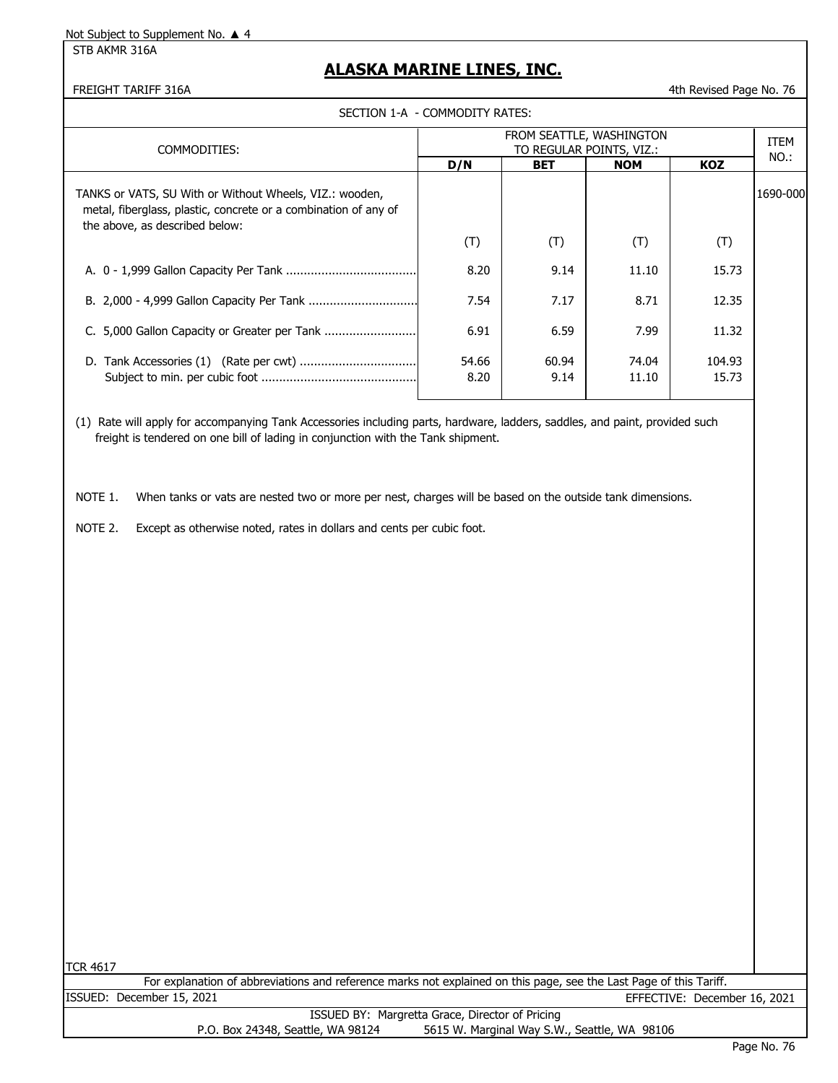STB AKMR 316A

### **ALASKA MARINE LINES, INC.**

#### FREIGHT TARIFF 316A **1988** 10.76

SECTION 1-A - COMMODITY RATES:

| COMMODITIES:                                                                                                                                                                                                    | FROM SEATTLE, WASHINGTON<br>TO REGULAR POINTS, VIZ.: |               |                |                 | <b>ITEM</b> |
|-----------------------------------------------------------------------------------------------------------------------------------------------------------------------------------------------------------------|------------------------------------------------------|---------------|----------------|-----------------|-------------|
|                                                                                                                                                                                                                 | D/N                                                  | <b>BET</b>    | <b>NOM</b>     | <b>KOZ</b>      | NO.:        |
| TANKS or VATS, SU With or Without Wheels, VIZ.: wooden,<br>metal, fiberglass, plastic, concrete or a combination of any of<br>the above, as described below:                                                    |                                                      |               |                |                 | 1690-000    |
|                                                                                                                                                                                                                 | (T)                                                  | (T)           | (T)            | (T)             |             |
|                                                                                                                                                                                                                 | 8.20                                                 | 9.14          | 11.10          | 15.73           |             |
|                                                                                                                                                                                                                 | 7.54                                                 | 7.17          | 8.71           | 12.35           |             |
| C. 5,000 Gallon Capacity or Greater per Tank                                                                                                                                                                    | 6.91                                                 | 6.59          | 7.99           | 11.32           |             |
|                                                                                                                                                                                                                 | 54.66<br>8.20                                        | 60.94<br>9.14 | 74.04<br>11.10 | 104.93<br>15.73 |             |
| (1) Rate will apply for accompanying Tank Accessories including parts, hardware, ladders, saddles, and paint, provided such<br>freight is tendered on one bill of lading in conjunction with the Tank shipment. |                                                      |               |                |                 |             |

NOTE 1. When tanks or vats are nested two or more per nest, charges will be based on the outside tank dimensions.

NOTE 2. Except as otherwise noted, rates in dollars and cents per cubic foot.

| ۰, |
|----|
|    |

|                                   | For explanation of abbreviations and reference marks not explained on this page, see the Last Page of this Tariff. |
|-----------------------------------|--------------------------------------------------------------------------------------------------------------------|
| ISSUED: December 15, 2021         | EFFECTIVE: December 16, 2021                                                                                       |
|                                   | ISSUED BY: Margretta Grace, Director of Pricing                                                                    |
| P.O. Box 24348, Seattle, WA 98124 | 5615 W. Marginal Way S.W., Seattle, WA 98106                                                                       |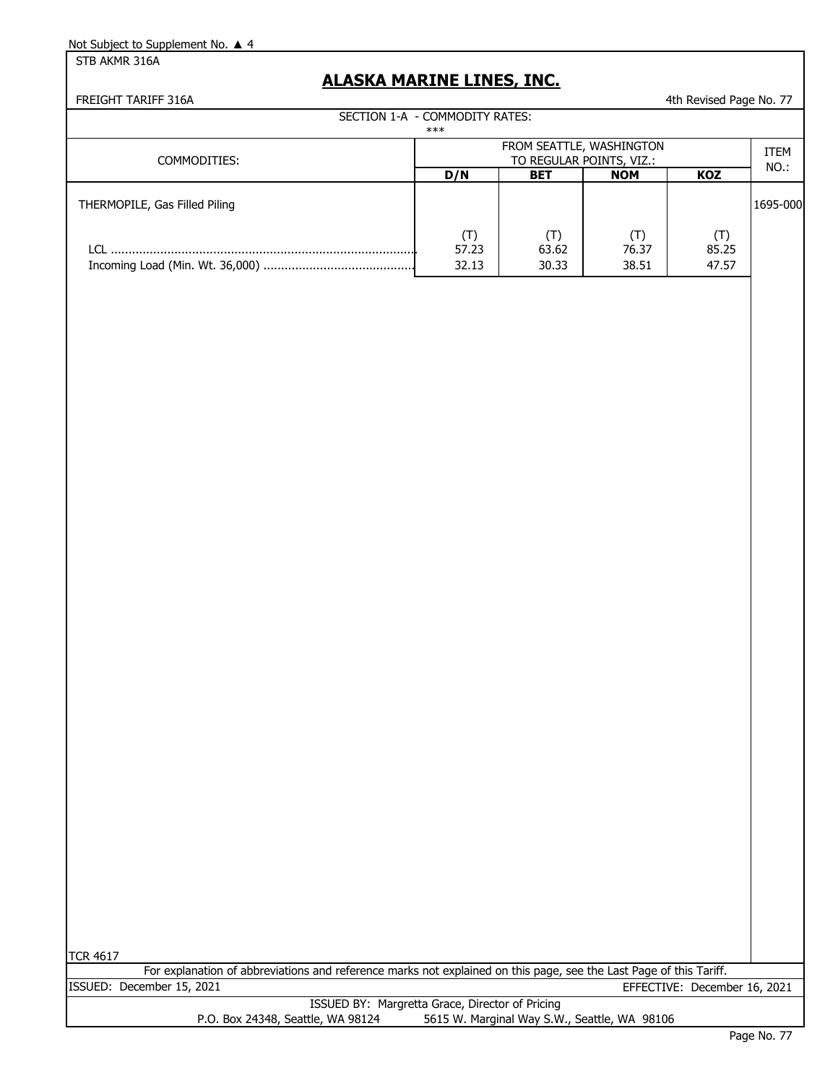STB AKMR 316A

## **ALASKA MARINE LINES, INC.**

FREIGHT TARIFF 316A **4th Revised Page No. 77** 

|                               | SECTION 1-A - COMMODITY RATES:<br>***                |                       |                                  |                |                     |
|-------------------------------|------------------------------------------------------|-----------------------|----------------------------------|----------------|---------------------|
| COMMODITIES:                  | FROM SEATTLE, WASHINGTON<br>TO REGULAR POINTS, VIZ.: |                       |                                  |                | <b>ITEM</b><br>NO.: |
|                               | D/N                                                  | <b>BET</b>            | <b>NOM</b>                       | <b>KOZ</b>     |                     |
| THERMOPILE, Gas Filled Piling |                                                      |                       |                                  |                | 1695-000            |
|                               | $(\mathsf{T})$<br>57.23<br>32.13                     | 'T)<br>63.62<br>30.33 | $(\mathsf{T})$<br>76.37<br>38.51 | 85.25<br>47.57 |                     |

| ,<br>.<br>O. |  |
|--------------|--|
|--------------|--|

| For explanation of abbreviations and reference marks not explained on this page, see the Last Page of this Tariff. |  |  |  |                              |  |
|--------------------------------------------------------------------------------------------------------------------|--|--|--|------------------------------|--|
| ISSUED: December 15, 2021                                                                                          |  |  |  | EFFECTIVE: December 16, 2021 |  |

|                                   | ISSUED BY: Margretta Grace, Director of Pricing |
|-----------------------------------|-------------------------------------------------|
| P.O. Box 24348, Seattle, WA 98124 | 5615 W. Marginal Way S.W., Seattle, WA 98106    |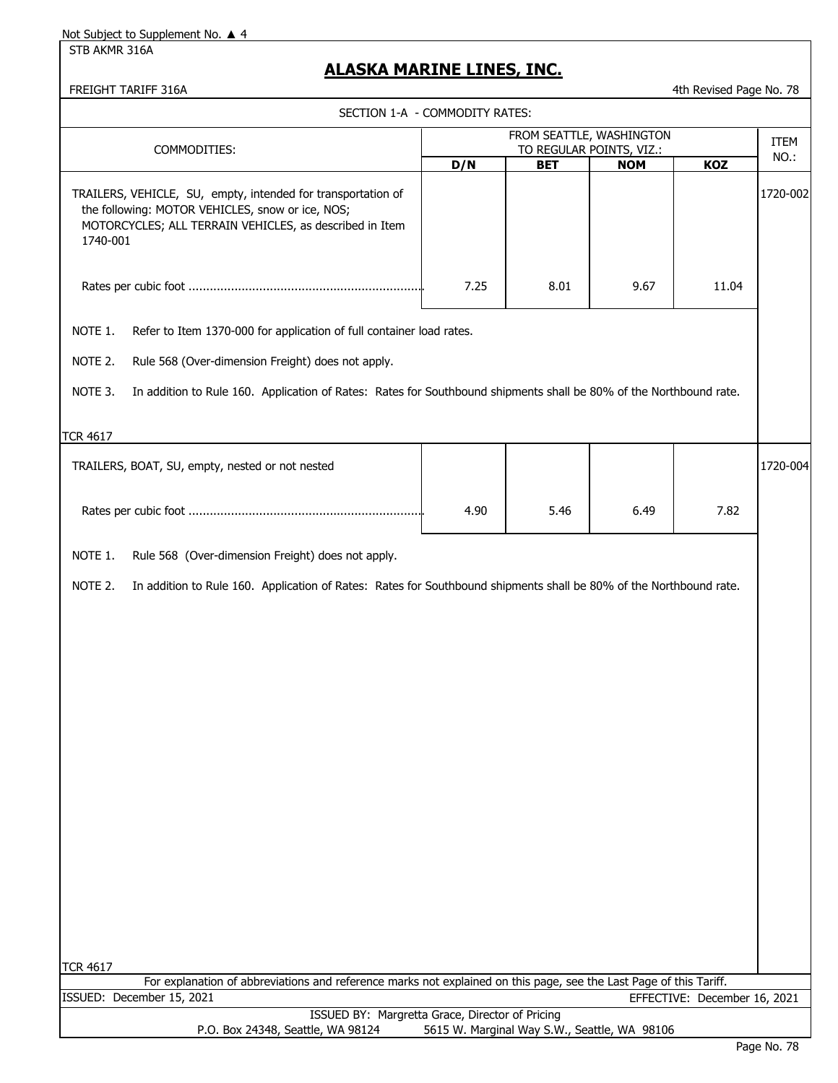STB AKMR 316A

### **ALASKA MARINE LINES, INC.**

SECTION 1-A - COMMODITY RATES:

FREIGHT TARIFF 316A **4th Revised Page No. 78** 

|                                                                                                                                                                                         |      | FROM SEATTLE, WASHINGTON               |            |                              | <b>ITEM</b> |
|-----------------------------------------------------------------------------------------------------------------------------------------------------------------------------------------|------|----------------------------------------|------------|------------------------------|-------------|
| COMMODITIES:                                                                                                                                                                            | D/N  | TO REGULAR POINTS, VIZ.:<br><b>BET</b> | <b>NOM</b> | KOZ                          | NO.:        |
| TRAILERS, VEHICLE, SU, empty, intended for transportation of<br>the following: MOTOR VEHICLES, snow or ice, NOS;<br>MOTORCYCLES; ALL TERRAIN VEHICLES, as described in Item<br>1740-001 |      |                                        |            |                              | 1720-002    |
|                                                                                                                                                                                         | 7.25 | 8.01                                   | 9.67       | 11.04                        |             |
| NOTE 1.<br>Refer to Item 1370-000 for application of full container load rates.                                                                                                         |      |                                        |            |                              |             |
| NOTE 2.<br>Rule 568 (Over-dimension Freight) does not apply.                                                                                                                            |      |                                        |            |                              |             |
| NOTE 3.<br>In addition to Rule 160. Application of Rates: Rates for Southbound shipments shall be 80% of the Northbound rate.                                                           |      |                                        |            |                              |             |
| TCR 4617                                                                                                                                                                                |      |                                        |            |                              |             |
| TRAILERS, BOAT, SU, empty, nested or not nested                                                                                                                                         |      |                                        |            |                              | 1720-004    |
|                                                                                                                                                                                         | 4.90 | 5.46                                   | 6.49       | 7.82                         |             |
| NOTE 1.<br>Rule 568 (Over-dimension Freight) does not apply.                                                                                                                            |      |                                        |            |                              |             |
| NOTE 2.<br>In addition to Rule 160. Application of Rates: Rates for Southbound shipments shall be 80% of the Northbound rate.                                                           |      |                                        |            |                              |             |
|                                                                                                                                                                                         |      |                                        |            |                              |             |
|                                                                                                                                                                                         |      |                                        |            |                              |             |
|                                                                                                                                                                                         |      |                                        |            |                              |             |
| <b>TCR 4617</b><br>For explanation of abbreviations and reference marks not explained on this page, see the Last Page of this Tariff.                                                   |      |                                        |            |                              |             |
| ISSUED: December 15, 2021                                                                                                                                                               |      |                                        |            | EFFECTIVE: December 16, 2021 |             |
| ISSUED BY: Margretta Grace, Director of Pricing                                                                                                                                         |      |                                        |            |                              |             |

P.O. Box 24348, Seattle, WA 98124 5615 W. Marginal Way S.W., Seattle, WA 98106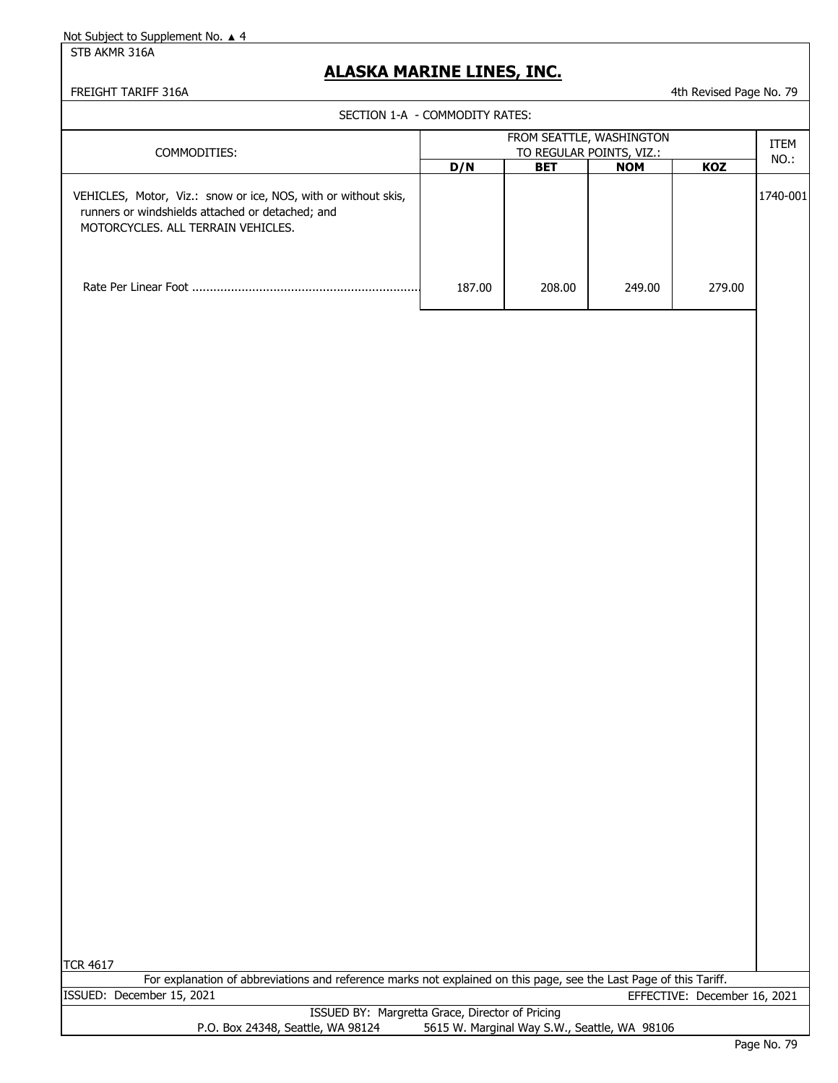STB AKMR 316A

#### **ALASKA MARINE LINES, INC.**

FREIGHT TARIFF 316A 4th Revised Page No. 79

SECTION 1-A - COMMODITY RATES:

| COMMODITIES:                                                                                                                                             | FROM SEATTLE, WASHINGTON<br>TO REGULAR POINTS, VIZ.: |            |            |        |          |  |
|----------------------------------------------------------------------------------------------------------------------------------------------------------|------------------------------------------------------|------------|------------|--------|----------|--|
|                                                                                                                                                          | D/N                                                  | <b>BET</b> | <b>NOM</b> | KOZ    | NO.:     |  |
| VEHICLES, Motor, Viz.: snow or ice, NOS, with or without skis,<br>runners or windshields attached or detached; and<br>MOTORCYCLES, ALL TERRAIN VEHICLES. |                                                      |            |            |        | 1740-001 |  |
|                                                                                                                                                          | 187.00                                               | 208.00     | 249.00     | 279.00 |          |  |
|                                                                                                                                                          |                                                      |            |            |        |          |  |

TCR 4617

ISSUED: December 15, 2021 EFFECTIVE: December 16, 2021 For explanation of abbreviations and reference marks not explained on this page, see the Last Page of this Tariff.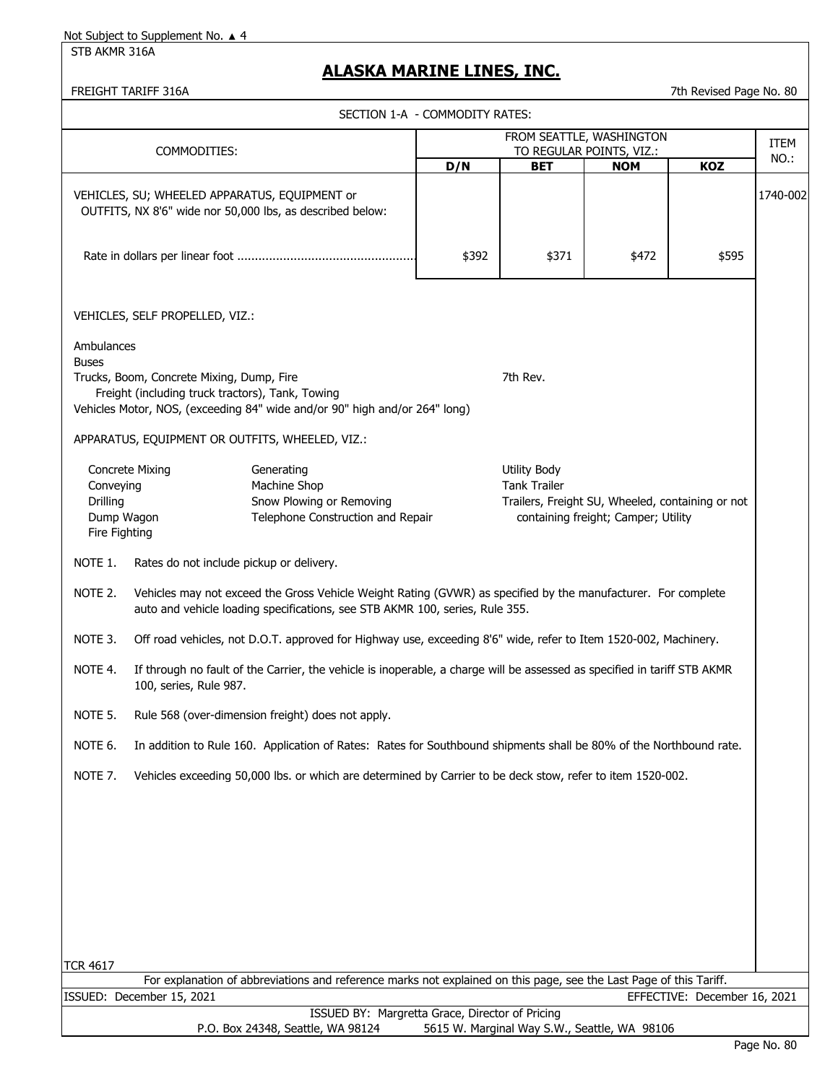STB AKMR 316A

### **ALASKA MARINE LINES, INC.**

FREIGHT TARIFF 316A 7th Revised Page No. 80

|                                                                                                                                                                               |                                                                                                                                                                                               | SECTION 1-A - COMMODITY RATES:                                                                                     |                                                                                                                                       |                                              |                                                      |                              |          |  |
|-------------------------------------------------------------------------------------------------------------------------------------------------------------------------------|-----------------------------------------------------------------------------------------------------------------------------------------------------------------------------------------------|--------------------------------------------------------------------------------------------------------------------|---------------------------------------------------------------------------------------------------------------------------------------|----------------------------------------------|------------------------------------------------------|------------------------------|----------|--|
|                                                                                                                                                                               | COMMODITIES:                                                                                                                                                                                  |                                                                                                                    |                                                                                                                                       |                                              | FROM SEATTLE, WASHINGTON<br>TO REGULAR POINTS, VIZ.: |                              | ITEM     |  |
|                                                                                                                                                                               |                                                                                                                                                                                               |                                                                                                                    | D/N                                                                                                                                   | <b>BET</b>                                   | <b>NOM</b>                                           | <b>KOZ</b>                   | NO.:     |  |
|                                                                                                                                                                               |                                                                                                                                                                                               | VEHICLES, SU; WHEELED APPARATUS, EQUIPMENT or<br>OUTFITS, NX 8'6" wide nor 50,000 lbs, as described below:         |                                                                                                                                       |                                              |                                                      |                              | 1740-002 |  |
| \$392<br>\$371<br>\$472<br>\$595                                                                                                                                              |                                                                                                                                                                                               |                                                                                                                    |                                                                                                                                       |                                              |                                                      |                              |          |  |
|                                                                                                                                                                               | VEHICLES, SELF PROPELLED, VIZ.:                                                                                                                                                               |                                                                                                                    |                                                                                                                                       |                                              |                                                      |                              |          |  |
| Ambulances<br><b>Buses</b>                                                                                                                                                    | Trucks, Boom, Concrete Mixing, Dump, Fire<br>Freight (including truck tractors), Tank, Towing                                                                                                 | Vehicles Motor, NOS, (exceeding 84" wide and/or 90" high and/or 264" long)                                         |                                                                                                                                       | 7th Rev.                                     |                                                      |                              |          |  |
|                                                                                                                                                                               |                                                                                                                                                                                               | APPARATUS, EQUIPMENT OR OUTFITS, WHEELED, VIZ.:                                                                    |                                                                                                                                       |                                              |                                                      |                              |          |  |
| <b>Concrete Mixing</b><br>Generating<br>Machine Shop<br>Conveying<br>Drilling<br>Snow Plowing or Removing<br>Telephone Construction and Repair<br>Dump Wagon<br>Fire Fighting |                                                                                                                                                                                               |                                                                                                                    | <b>Utility Body</b><br><b>Tank Trailer</b><br>Trailers, Freight SU, Wheeled, containing or not<br>containing freight; Camper; Utility |                                              |                                                      |                              |          |  |
| NOTE 1.                                                                                                                                                                       |                                                                                                                                                                                               | Rates do not include pickup or delivery.                                                                           |                                                                                                                                       |                                              |                                                      |                              |          |  |
| NOTE 2.                                                                                                                                                                       | Vehicles may not exceed the Gross Vehicle Weight Rating (GVWR) as specified by the manufacturer. For complete<br>auto and vehicle loading specifications, see STB AKMR 100, series, Rule 355. |                                                                                                                    |                                                                                                                                       |                                              |                                                      |                              |          |  |
| NOTE 3.                                                                                                                                                                       |                                                                                                                                                                                               | Off road vehicles, not D.O.T. approved for Highway use, exceeding 8'6" wide, refer to Item 1520-002, Machinery.    |                                                                                                                                       |                                              |                                                      |                              |          |  |
| NOTE 4.                                                                                                                                                                       | If through no fault of the Carrier, the vehicle is inoperable, a charge will be assessed as specified in tariff STB AKMR<br>100, series, Rule 987.                                            |                                                                                                                    |                                                                                                                                       |                                              |                                                      |                              |          |  |
| NOTE 5.                                                                                                                                                                       |                                                                                                                                                                                               | Rule 568 (over-dimension freight) does not apply.                                                                  |                                                                                                                                       |                                              |                                                      |                              |          |  |
| NOTE 6.                                                                                                                                                                       |                                                                                                                                                                                               | In addition to Rule 160. Application of Rates: Rates for Southbound shipments shall be 80% of the Northbound rate. |                                                                                                                                       |                                              |                                                      |                              |          |  |
| NOTE 7.                                                                                                                                                                       |                                                                                                                                                                                               | Vehicles exceeding 50,000 lbs. or which are determined by Carrier to be deck stow, refer to item 1520-002.         |                                                                                                                                       |                                              |                                                      |                              |          |  |
|                                                                                                                                                                               |                                                                                                                                                                                               |                                                                                                                    |                                                                                                                                       |                                              |                                                      |                              |          |  |
|                                                                                                                                                                               |                                                                                                                                                                                               |                                                                                                                    |                                                                                                                                       |                                              |                                                      |                              |          |  |
|                                                                                                                                                                               |                                                                                                                                                                                               |                                                                                                                    |                                                                                                                                       |                                              |                                                      |                              |          |  |
| <b>TCR 4617</b>                                                                                                                                                               |                                                                                                                                                                                               |                                                                                                                    |                                                                                                                                       |                                              |                                                      |                              |          |  |
|                                                                                                                                                                               |                                                                                                                                                                                               | For explanation of abbreviations and reference marks not explained on this page, see the Last Page of this Tariff. |                                                                                                                                       |                                              |                                                      |                              |          |  |
|                                                                                                                                                                               | ISSUED: December 15, 2021                                                                                                                                                                     | ISSUED BY: Margretta Grace, Director of Pricing                                                                    |                                                                                                                                       |                                              |                                                      | EFFECTIVE: December 16, 2021 |          |  |
|                                                                                                                                                                               |                                                                                                                                                                                               | P.O. Box 24348, Seattle, WA 98124                                                                                  |                                                                                                                                       | 5615 W. Marginal Way S.W., Seattle, WA 98106 |                                                      |                              |          |  |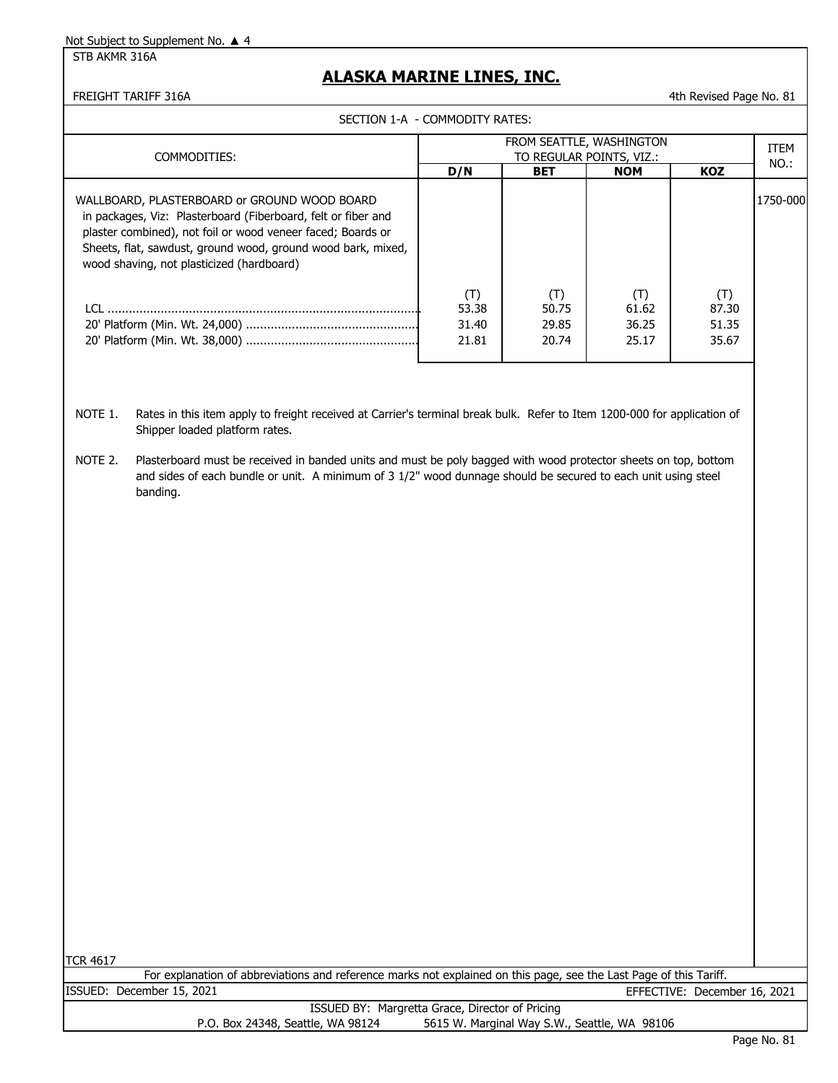STB AKMR 316A

#### **ALASKA MARINE LINES, INC.**

FREIGHT TARIFF 316A **1986 120 Automobile 1996 120 Automobile 1996 120 Automobile 1996 120 Automobile 1996 120 Automobile 1996 120 Automobile 1996 120 Automobile 1996 120 Automobile 1996 120 Automobile 1996 120 Automobile 1** 

|                                                                                                                                                                                                                                                                                           | SECTION 1-A - COMMODITY RATES: |                                |                                |                                |             |
|-------------------------------------------------------------------------------------------------------------------------------------------------------------------------------------------------------------------------------------------------------------------------------------------|--------------------------------|--------------------------------|--------------------------------|--------------------------------|-------------|
| COMMODITIES:                                                                                                                                                                                                                                                                              |                                | FROM SEATTLE, WASHINGTON       | TO REGULAR POINTS, VIZ.:       |                                | <b>ITEM</b> |
|                                                                                                                                                                                                                                                                                           | D/N                            | <b>BET</b>                     | <b>NOM</b>                     | <b>KOZ</b>                     | NO.:        |
| WALLBOARD, PLASTERBOARD or GROUND WOOD BOARD<br>in packages, Viz: Plasterboard (Fiberboard, felt or fiber and<br>plaster combined), not foil or wood veneer faced; Boards or<br>Sheets, flat, sawdust, ground wood, ground wood bark, mixed,<br>wood shaving, not plasticized (hardboard) |                                |                                |                                |                                | 1750-000    |
| ו רו                                                                                                                                                                                                                                                                                      | (T)<br>53.38<br>31.40<br>21.81 | (T)<br>50.75<br>29.85<br>20.74 | (T)<br>61.62<br>36.25<br>25.17 | (T)<br>87.30<br>51.35<br>35.67 |             |

- NOTE 1. Rates in this item apply to freight received at Carrier's terminal break bulk. Refer to Item 1200-000 for application of Shipper loaded platform rates.
- NOTE 2. Plasterboard must be received in banded units and must be poly bagged with wood protector sheets on top, bottom and sides of each bundle or unit. A minimum of 3 1/2" wood dunnage should be secured to each unit using steel banding.

TCR 4617

ISSUED: December 15, 2021 EFFECTIVE: December 16, 2021 For explanation of abbreviations and reference marks not explained on this page, see the Last Page of this Tariff.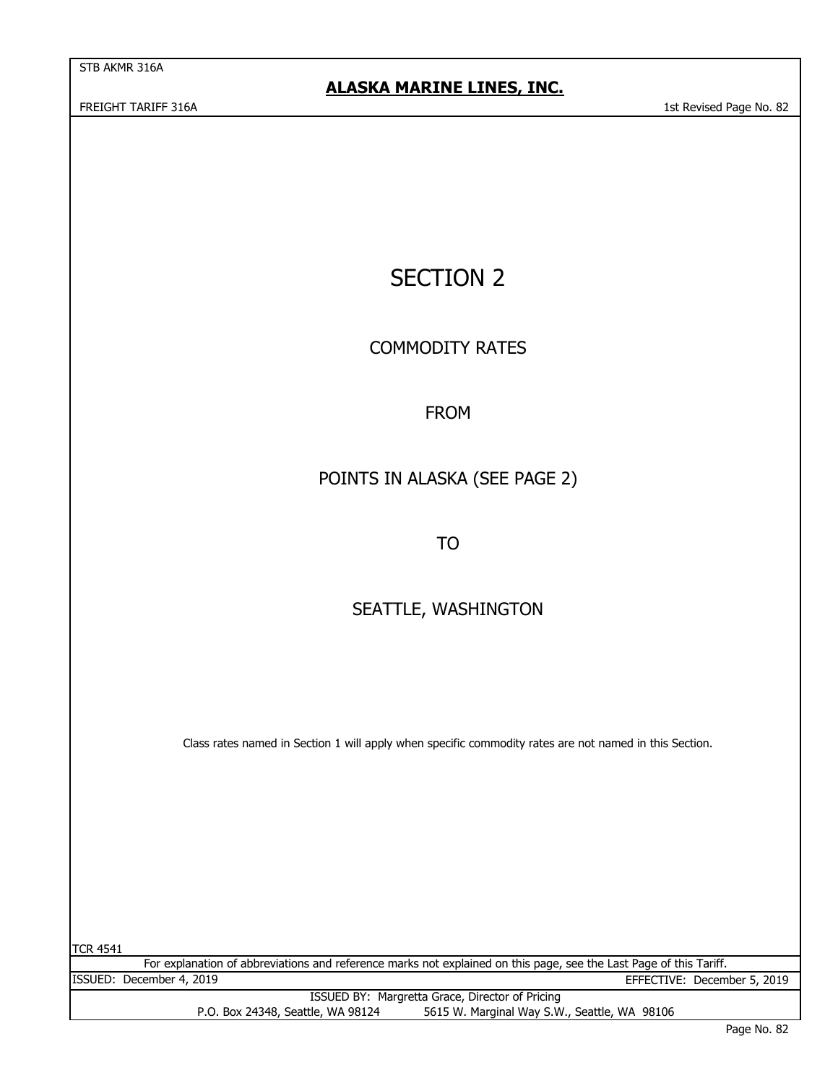STB AKMR 316A

# SECTION 2

COMMODITY RATES

## FROM

# POINTS IN ALASKA (SEE PAGE 2)

TO

# SEATTLE, WASHINGTON

Class rates named in Section 1 will apply when specific commodity rates are not named in this Section.

TCR 4541

For explanation of abbreviations and reference marks not explained on this page, see the Last Page of this Tariff. ISSUED: December 4, 2019 EFFECTIVE: December 5, 2019 ISSUED BY: Margretta Grace, Director of Pricing

P.O. Box 24348, Seattle, WA 98124 5615 W. Marginal Way S.W., Seattle, WA 98106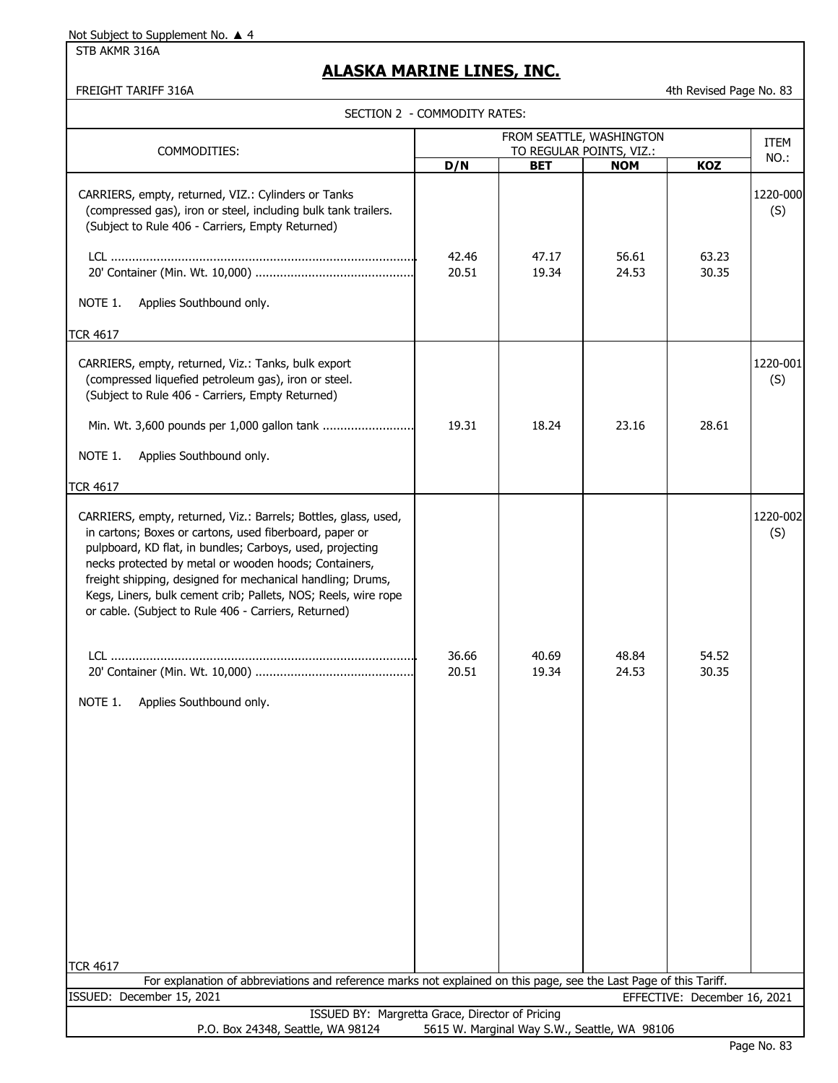STB AKMR 316A

### **ALASKA MARINE LINES, INC.**

FREIGHT TARIFF 316A **4th Revised Page No. 83** 

|  | SECTION 2 - COMMODITY RATES: |
|--|------------------------------|
|--|------------------------------|

| SECTION Z - COMMODITY KATES:<br>COMMODITIES:                                                                                                                                                                                                                                                                                                                                                                                                                                                       |                | <b>ITEM</b>                                  |                |                              |                 |
|----------------------------------------------------------------------------------------------------------------------------------------------------------------------------------------------------------------------------------------------------------------------------------------------------------------------------------------------------------------------------------------------------------------------------------------------------------------------------------------------------|----------------|----------------------------------------------|----------------|------------------------------|-----------------|
|                                                                                                                                                                                                                                                                                                                                                                                                                                                                                                    | D/N            | TO REGULAR POINTS, VIZ.:<br><b>BET</b>       | <b>NOM</b>     | KOZ                          | NO.:            |
| CARRIERS, empty, returned, VIZ.: Cylinders or Tanks<br>(compressed gas), iron or steel, including bulk tank trailers.<br>(Subject to Rule 406 - Carriers, Empty Returned)                                                                                                                                                                                                                                                                                                                          | 42.46<br>20.51 | 47.17<br>19.34                               | 56.61<br>24.53 | 63.23<br>30.35               | 1220-000<br>(S) |
| NOTE 1.<br>Applies Southbound only.                                                                                                                                                                                                                                                                                                                                                                                                                                                                |                |                                              |                |                              |                 |
| <b>TCR 4617</b><br>CARRIERS, empty, returned, Viz.: Tanks, bulk export<br>(compressed liquefied petroleum gas), iron or steel.<br>(Subject to Rule 406 - Carriers, Empty Returned)<br>Min. Wt. 3,600 pounds per 1,000 gallon tank<br>NOTE 1.<br>Applies Southbound only.                                                                                                                                                                                                                           | 19.31          | 18.24                                        | 23.16          | 28.61                        | 1220-001<br>(S) |
| <b>TCR 4617</b><br>CARRIERS, empty, returned, Viz.: Barrels; Bottles, glass, used,<br>in cartons; Boxes or cartons, used fiberboard, paper or<br>pulpboard, KD flat, in bundles; Carboys, used, projecting<br>necks protected by metal or wooden hoods; Containers,<br>freight shipping, designed for mechanical handling; Drums,<br>Kegs, Liners, bulk cement crib; Pallets, NOS; Reels, wire rope<br>or cable. (Subject to Rule 406 - Carriers, Returned)<br>NOTE 1.<br>Applies Southbound only. | 36.66<br>20.51 | 40.69<br>19.34                               | 48.84<br>24.53 | 54.52<br>30.35               | 1220-002<br>(S) |
| <b>TCR 4617</b><br>For explanation of abbreviations and reference marks not explained on this page, see the Last Page of this Tariff.                                                                                                                                                                                                                                                                                                                                                              |                |                                              |                |                              |                 |
| ISSUED: December 15, 2021                                                                                                                                                                                                                                                                                                                                                                                                                                                                          |                |                                              |                | EFFECTIVE: December 16, 2021 |                 |
| ISSUED BY: Margretta Grace, Director of Pricing                                                                                                                                                                                                                                                                                                                                                                                                                                                    |                |                                              |                |                              |                 |
| P.O. Box 24348, Seattle, WA 98124                                                                                                                                                                                                                                                                                                                                                                                                                                                                  |                | 5615 W. Marginal Way S.W., Seattle, WA 98106 |                |                              |                 |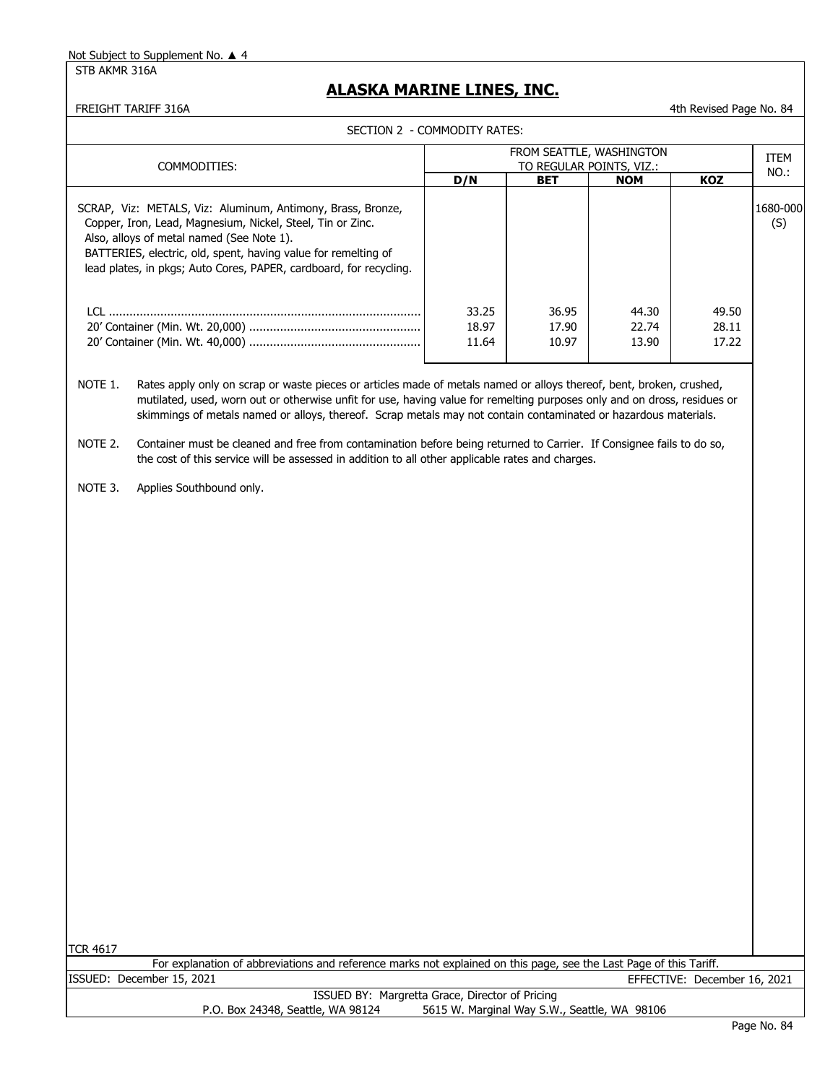STB AKMR 316A

#### **ALASKA MARINE LINES, INC.**

FREIGHT TARIFF 316A 4th Revised Page No. 84

SECTION 2 - COMMODITY RATES:

| COMMODITIES:                                                                                                                                                                                                                                                                                                   |                         | FROM SEATTLE, WASHINGTON<br>TO REGULAR POINTS, VIZ.: |                         |                         |                 |  |
|----------------------------------------------------------------------------------------------------------------------------------------------------------------------------------------------------------------------------------------------------------------------------------------------------------------|-------------------------|------------------------------------------------------|-------------------------|-------------------------|-----------------|--|
|                                                                                                                                                                                                                                                                                                                | D/N                     | <b>BET</b>                                           | <b>NOM</b>              | <b>KOZ</b>              | NO.:            |  |
| SCRAP, Viz: METALS, Viz: Aluminum, Antimony, Brass, Bronze,<br>Copper, Iron, Lead, Magnesium, Nickel, Steel, Tin or Zinc.<br>Also, alloys of metal named (See Note 1).<br>BATTERIES, electric, old, spent, having value for remelting of<br>lead plates, in pkgs; Auto Cores, PAPER, cardboard, for recycling. |                         |                                                      |                         |                         | 1680-000<br>(S) |  |
|                                                                                                                                                                                                                                                                                                                | 33.25<br>18.97<br>11.64 | 36.95<br>17.90<br>10.97                              | 44.30<br>22.74<br>13.90 | 49.50<br>28.11<br>17.22 |                 |  |

NOTE 1. Rates apply only on scrap or waste pieces or articles made of metals named or alloys thereof, bent, broken, crushed, mutilated, used, worn out or otherwise unfit for use, having value for remelting purposes only and on dross, residues or skimmings of metals named or alloys, thereof. Scrap metals may not contain contaminated or hazardous materials.

NOTE 2. Container must be cleaned and free from contamination before being returned to Carrier. If Consignee fails to do so, the cost of this service will be assessed in addition to all other applicable rates and charges.

NOTE 3. Applies Southbound only.

TCR 4617

For explanation of abbreviations and reference marks not explained on this page, see the Last Page of this Tariff.

ISSUED: December 15, 2021

EFFECTIVE: December 16, 2021 ISSUED BY: Margretta Grace, Director of Pricing

P.O. Box 24348, Seattle, WA 98124 5615 W. Marginal Way S.W., Seattle, WA 98106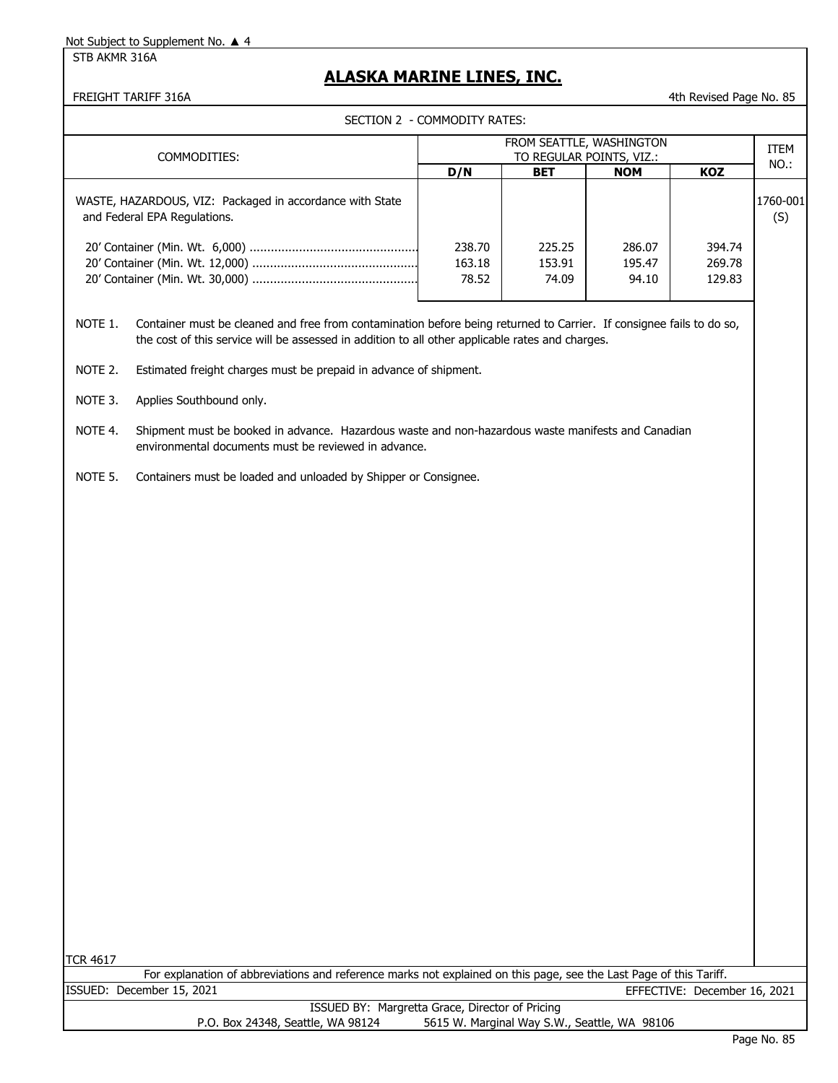STB AKMR 316A

## **ALASKA MARINE LINES, INC.**

ISSUED: December 15, 2021

FREIGHT TARIFF 316A 65

|  |  | SECTION 2 - COMMODITY RATES: |  |
|--|--|------------------------------|--|
|--|--|------------------------------|--|

| FROM SEATTLE, WASHINGTON<br><b>ITEM</b><br>COMMODITIES:<br>TO REGULAR POINTS, VIZ.:<br>NO.:<br>D/N<br>KOZ<br><b>BET</b><br><b>NOM</b><br>1760-001<br>WASTE, HAZARDOUS, VIZ: Packaged in accordance with State<br>and Federal EPA Regulations.<br>(S)<br>238.70<br>225.25<br>286.07<br>394.74<br>163.18<br>153.91<br>195.47<br>269.78<br>78.52<br>74.09<br>129.83<br>94.10<br>Container must be cleaned and free from contamination before being returned to Carrier. If consignee fails to do so,<br>NOTE 1.<br>the cost of this service will be assessed in addition to all other applicable rates and charges.<br>Estimated freight charges must be prepaid in advance of shipment.<br>NOTE 2.<br>NOTE 3.<br>Applies Southbound only.<br>Shipment must be booked in advance. Hazardous waste and non-hazardous waste manifests and Canadian<br>NOTE 4.<br>environmental documents must be reviewed in advance.<br>NOTE 5.<br>Containers must be loaded and unloaded by Shipper or Consignee.<br>For explanation of abbreviations and reference marks not explained on this page, see the Last Page of this Tariff. |                 | SECTION 2 - COMMODITY RATES: |  |  |  |  |  |
|----------------------------------------------------------------------------------------------------------------------------------------------------------------------------------------------------------------------------------------------------------------------------------------------------------------------------------------------------------------------------------------------------------------------------------------------------------------------------------------------------------------------------------------------------------------------------------------------------------------------------------------------------------------------------------------------------------------------------------------------------------------------------------------------------------------------------------------------------------------------------------------------------------------------------------------------------------------------------------------------------------------------------------------------------------------------------------------------------------------------|-----------------|------------------------------|--|--|--|--|--|
|                                                                                                                                                                                                                                                                                                                                                                                                                                                                                                                                                                                                                                                                                                                                                                                                                                                                                                                                                                                                                                                                                                                      |                 |                              |  |  |  |  |  |
|                                                                                                                                                                                                                                                                                                                                                                                                                                                                                                                                                                                                                                                                                                                                                                                                                                                                                                                                                                                                                                                                                                                      |                 |                              |  |  |  |  |  |
|                                                                                                                                                                                                                                                                                                                                                                                                                                                                                                                                                                                                                                                                                                                                                                                                                                                                                                                                                                                                                                                                                                                      |                 |                              |  |  |  |  |  |
|                                                                                                                                                                                                                                                                                                                                                                                                                                                                                                                                                                                                                                                                                                                                                                                                                                                                                                                                                                                                                                                                                                                      |                 |                              |  |  |  |  |  |
|                                                                                                                                                                                                                                                                                                                                                                                                                                                                                                                                                                                                                                                                                                                                                                                                                                                                                                                                                                                                                                                                                                                      |                 |                              |  |  |  |  |  |
|                                                                                                                                                                                                                                                                                                                                                                                                                                                                                                                                                                                                                                                                                                                                                                                                                                                                                                                                                                                                                                                                                                                      |                 |                              |  |  |  |  |  |
|                                                                                                                                                                                                                                                                                                                                                                                                                                                                                                                                                                                                                                                                                                                                                                                                                                                                                                                                                                                                                                                                                                                      |                 |                              |  |  |  |  |  |
|                                                                                                                                                                                                                                                                                                                                                                                                                                                                                                                                                                                                                                                                                                                                                                                                                                                                                                                                                                                                                                                                                                                      |                 |                              |  |  |  |  |  |
|                                                                                                                                                                                                                                                                                                                                                                                                                                                                                                                                                                                                                                                                                                                                                                                                                                                                                                                                                                                                                                                                                                                      |                 |                              |  |  |  |  |  |
|                                                                                                                                                                                                                                                                                                                                                                                                                                                                                                                                                                                                                                                                                                                                                                                                                                                                                                                                                                                                                                                                                                                      |                 |                              |  |  |  |  |  |
|                                                                                                                                                                                                                                                                                                                                                                                                                                                                                                                                                                                                                                                                                                                                                                                                                                                                                                                                                                                                                                                                                                                      |                 |                              |  |  |  |  |  |
|                                                                                                                                                                                                                                                                                                                                                                                                                                                                                                                                                                                                                                                                                                                                                                                                                                                                                                                                                                                                                                                                                                                      |                 |                              |  |  |  |  |  |
|                                                                                                                                                                                                                                                                                                                                                                                                                                                                                                                                                                                                                                                                                                                                                                                                                                                                                                                                                                                                                                                                                                                      |                 |                              |  |  |  |  |  |
|                                                                                                                                                                                                                                                                                                                                                                                                                                                                                                                                                                                                                                                                                                                                                                                                                                                                                                                                                                                                                                                                                                                      |                 |                              |  |  |  |  |  |
|                                                                                                                                                                                                                                                                                                                                                                                                                                                                                                                                                                                                                                                                                                                                                                                                                                                                                                                                                                                                                                                                                                                      |                 |                              |  |  |  |  |  |
|                                                                                                                                                                                                                                                                                                                                                                                                                                                                                                                                                                                                                                                                                                                                                                                                                                                                                                                                                                                                                                                                                                                      |                 |                              |  |  |  |  |  |
|                                                                                                                                                                                                                                                                                                                                                                                                                                                                                                                                                                                                                                                                                                                                                                                                                                                                                                                                                                                                                                                                                                                      |                 |                              |  |  |  |  |  |
|                                                                                                                                                                                                                                                                                                                                                                                                                                                                                                                                                                                                                                                                                                                                                                                                                                                                                                                                                                                                                                                                                                                      |                 |                              |  |  |  |  |  |
|                                                                                                                                                                                                                                                                                                                                                                                                                                                                                                                                                                                                                                                                                                                                                                                                                                                                                                                                                                                                                                                                                                                      |                 |                              |  |  |  |  |  |
|                                                                                                                                                                                                                                                                                                                                                                                                                                                                                                                                                                                                                                                                                                                                                                                                                                                                                                                                                                                                                                                                                                                      |                 |                              |  |  |  |  |  |
|                                                                                                                                                                                                                                                                                                                                                                                                                                                                                                                                                                                                                                                                                                                                                                                                                                                                                                                                                                                                                                                                                                                      |                 |                              |  |  |  |  |  |
|                                                                                                                                                                                                                                                                                                                                                                                                                                                                                                                                                                                                                                                                                                                                                                                                                                                                                                                                                                                                                                                                                                                      |                 |                              |  |  |  |  |  |
|                                                                                                                                                                                                                                                                                                                                                                                                                                                                                                                                                                                                                                                                                                                                                                                                                                                                                                                                                                                                                                                                                                                      |                 |                              |  |  |  |  |  |
|                                                                                                                                                                                                                                                                                                                                                                                                                                                                                                                                                                                                                                                                                                                                                                                                                                                                                                                                                                                                                                                                                                                      | <b>TCR 4617</b> |                              |  |  |  |  |  |

ISSUED BY: Margretta Grace, Director of Pricing P.O. Box 24348, Seattle, WA 98124 5615 W. Marginal Way S.W., Seattle, WA 98106

EFFECTIVE: December 16, 2021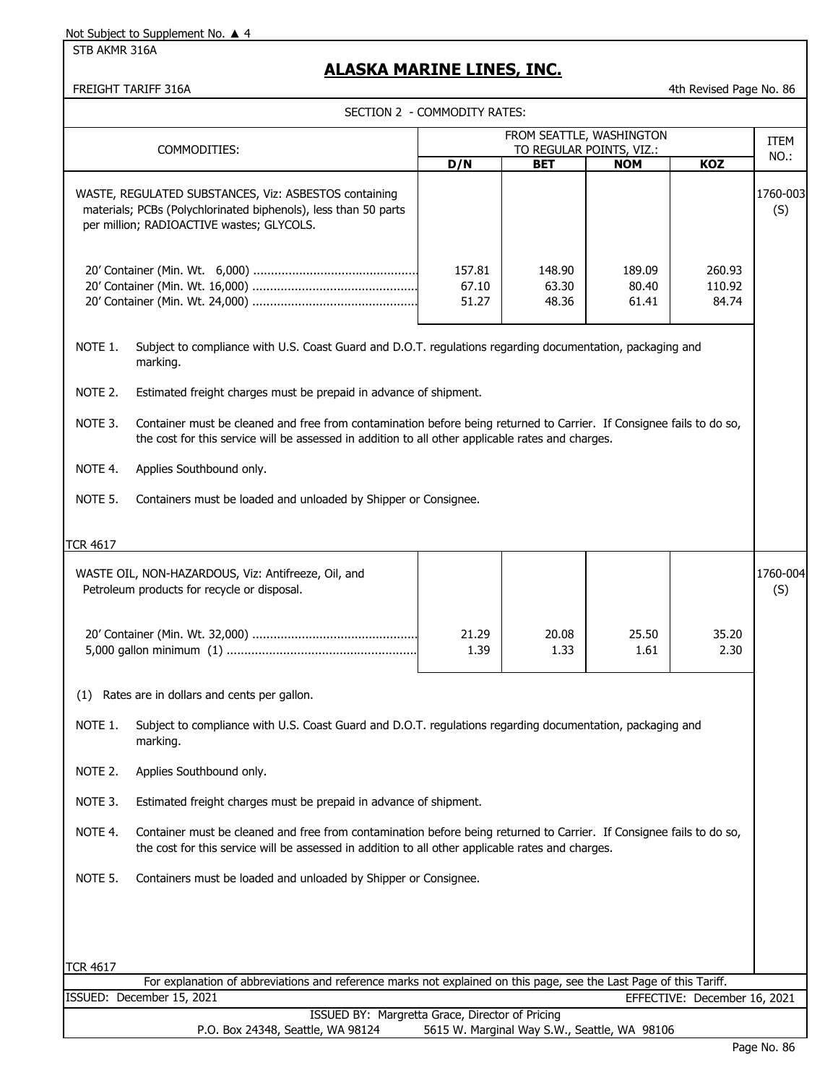STB AKMR 316A

## **ALASKA MARINE LINES, INC.**

FREIGHT TARIFF 316A 4th Revised Page No. 86

|                 | אטוני וועחמו ווטובותו                                                                                                                                                                                                     |                              |                                              |                          | דנוו ו/כעואכט רמעכ ויוט. טט  |                 |
|-----------------|---------------------------------------------------------------------------------------------------------------------------------------------------------------------------------------------------------------------------|------------------------------|----------------------------------------------|--------------------------|------------------------------|-----------------|
|                 |                                                                                                                                                                                                                           | SECTION 2 - COMMODITY RATES: |                                              |                          |                              |                 |
|                 | FROM SEATTLE, WASHINGTON<br>TO REGULAR POINTS, VIZ.:<br>COMMODITIES:                                                                                                                                                      |                              |                                              |                          | ITEM                         |                 |
|                 |                                                                                                                                                                                                                           | D/N                          | <b>BET</b>                                   | <b>NOM</b>               | <b>KOZ</b>                   | NO.:            |
|                 | WASTE, REGULATED SUBSTANCES, Viz: ASBESTOS containing<br>materials; PCBs (Polychlorinated biphenols), less than 50 parts<br>per million; RADIOACTIVE wastes; GLYCOLS.                                                     |                              |                                              |                          |                              | 1760-003<br>(S) |
|                 |                                                                                                                                                                                                                           | 157.81<br>67.10<br>51.27     | 148.90<br>63.30<br>48.36                     | 189.09<br>80.40<br>61.41 | 260.93<br>110.92<br>84.74    |                 |
| NOTE 1.         | Subject to compliance with U.S. Coast Guard and D.O.T. regulations regarding documentation, packaging and<br>marking.                                                                                                     |                              |                                              |                          |                              |                 |
| NOTE 2.         | Estimated freight charges must be prepaid in advance of shipment.                                                                                                                                                         |                              |                                              |                          |                              |                 |
| NOTE 3.         | Container must be cleaned and free from contamination before being returned to Carrier. If Consignee fails to do so,<br>the cost for this service will be assessed in addition to all other applicable rates and charges. |                              |                                              |                          |                              |                 |
| NOTE 4.         | Applies Southbound only.                                                                                                                                                                                                  |                              |                                              |                          |                              |                 |
| NOTE 5.         | Containers must be loaded and unloaded by Shipper or Consignee.                                                                                                                                                           |                              |                                              |                          |                              |                 |
| <b>TCR 4617</b> |                                                                                                                                                                                                                           |                              |                                              |                          |                              |                 |
|                 | WASTE OIL, NON-HAZARDOUS, Viz: Antifreeze, Oil, and<br>Petroleum products for recycle or disposal.                                                                                                                        |                              |                                              |                          |                              | 1760-004<br>(S) |
|                 |                                                                                                                                                                                                                           | 21.29<br>1.39                | 20.08<br>1.33                                | 25.50<br>1.61            | 35.20<br>2.30                |                 |
| (1)             | Rates are in dollars and cents per gallon.                                                                                                                                                                                |                              |                                              |                          |                              |                 |
| NOTE 1.         | Subject to compliance with U.S. Coast Guard and D.O.T. regulations regarding documentation, packaging and<br>marking.                                                                                                     |                              |                                              |                          |                              |                 |
| NOTE 2.         | Applies Southbound only.                                                                                                                                                                                                  |                              |                                              |                          |                              |                 |
| NOTE 3.         | Estimated freight charges must be prepaid in advance of shipment.                                                                                                                                                         |                              |                                              |                          |                              |                 |
| NOTE 4.         | Container must be cleaned and free from contamination before being returned to Carrier. If Consignee fails to do so,<br>the cost for this service will be assessed in addition to all other applicable rates and charges. |                              |                                              |                          |                              |                 |
| NOTE 5.         | Containers must be loaded and unloaded by Shipper or Consignee.                                                                                                                                                           |                              |                                              |                          |                              |                 |
| <b>TCR 4617</b> |                                                                                                                                                                                                                           |                              |                                              |                          |                              |                 |
|                 | For explanation of abbreviations and reference marks not explained on this page, see the Last Page of this Tariff.<br>ISSUED: December 15, 2021                                                                           |                              |                                              |                          | EFFECTIVE: December 16, 2021 |                 |
|                 | ISSUED BY: Margretta Grace, Director of Pricing                                                                                                                                                                           |                              |                                              |                          |                              |                 |
|                 | P.O. Box 24348, Seattle, WA 98124                                                                                                                                                                                         |                              | 5615 W. Marginal Way S.W., Seattle, WA 98106 |                          |                              |                 |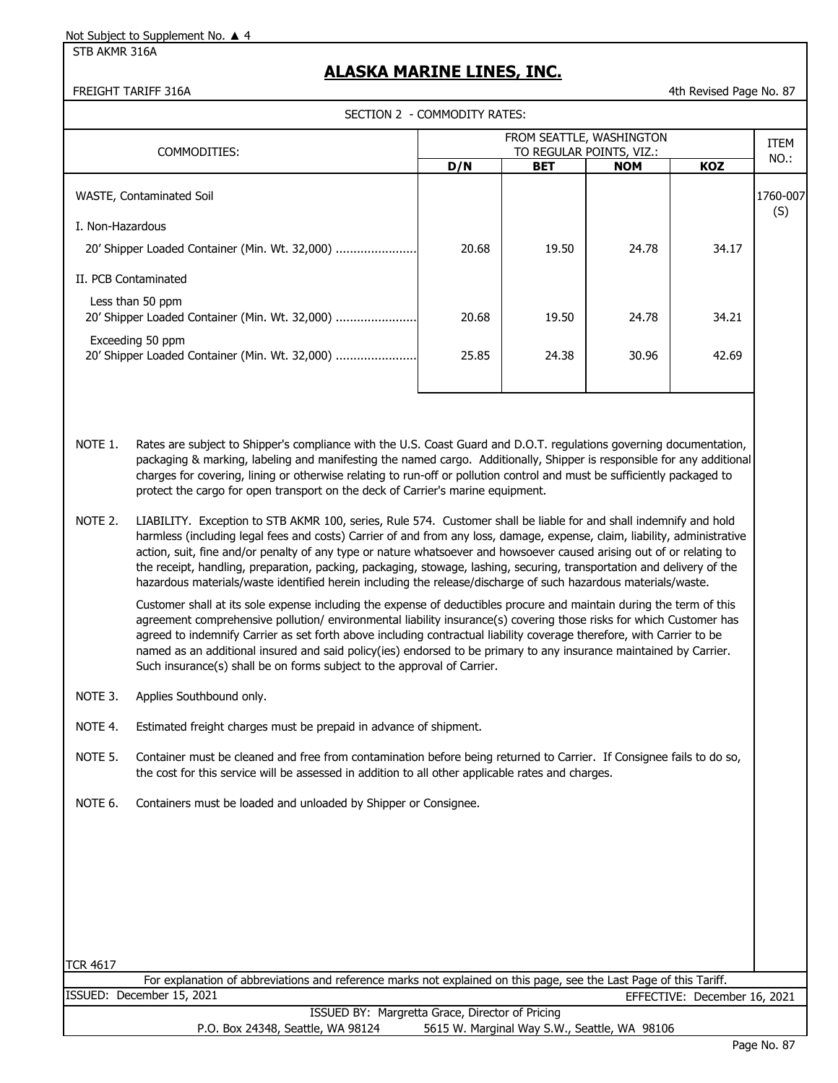STB AKMR 316A

#### **ALASKA MARINE LINES, INC.**

FREIGHT TARIFF 316A 4th Revised Page No. 87

| SECTION 2 - COMMODITY RATES:                                                                                                                                                                                                                                                                                                                                                                                                                                           |                                                                                                                                                                                                                                                                                                                                                                                                                                                                                                                                                                                                                     |                                                      |            |            |            |                 |
|------------------------------------------------------------------------------------------------------------------------------------------------------------------------------------------------------------------------------------------------------------------------------------------------------------------------------------------------------------------------------------------------------------------------------------------------------------------------|---------------------------------------------------------------------------------------------------------------------------------------------------------------------------------------------------------------------------------------------------------------------------------------------------------------------------------------------------------------------------------------------------------------------------------------------------------------------------------------------------------------------------------------------------------------------------------------------------------------------|------------------------------------------------------|------------|------------|------------|-----------------|
| COMMODITIES:                                                                                                                                                                                                                                                                                                                                                                                                                                                           |                                                                                                                                                                                                                                                                                                                                                                                                                                                                                                                                                                                                                     | FROM SEATTLE, WASHINGTON<br>TO REGULAR POINTS, VIZ.: |            |            |            | <b>ITEM</b>     |
|                                                                                                                                                                                                                                                                                                                                                                                                                                                                        |                                                                                                                                                                                                                                                                                                                                                                                                                                                                                                                                                                                                                     | D/N                                                  | <b>BET</b> | <b>NOM</b> | <b>KOZ</b> | NO.:            |
| WASTE, Contaminated Soil                                                                                                                                                                                                                                                                                                                                                                                                                                               |                                                                                                                                                                                                                                                                                                                                                                                                                                                                                                                                                                                                                     |                                                      |            |            |            | 1760-007<br>(S) |
| I. Non-Hazardous                                                                                                                                                                                                                                                                                                                                                                                                                                                       |                                                                                                                                                                                                                                                                                                                                                                                                                                                                                                                                                                                                                     |                                                      |            |            |            |                 |
| 20' Shipper Loaded Container (Min. Wt. 32,000)                                                                                                                                                                                                                                                                                                                                                                                                                         |                                                                                                                                                                                                                                                                                                                                                                                                                                                                                                                                                                                                                     | 20.68                                                | 19.50      | 24.78      | 34.17      |                 |
|                                                                                                                                                                                                                                                                                                                                                                                                                                                                        | II. PCB Contaminated                                                                                                                                                                                                                                                                                                                                                                                                                                                                                                                                                                                                |                                                      |            |            |            |                 |
| Less than 50 ppm<br>20' Shipper Loaded Container (Min. Wt. 32,000)                                                                                                                                                                                                                                                                                                                                                                                                     |                                                                                                                                                                                                                                                                                                                                                                                                                                                                                                                                                                                                                     | 20.68                                                | 19.50      | 24.78      | 34.21      |                 |
| Exceeding 50 ppm<br>20' Shipper Loaded Container (Min. Wt. 32,000)                                                                                                                                                                                                                                                                                                                                                                                                     |                                                                                                                                                                                                                                                                                                                                                                                                                                                                                                                                                                                                                     | 25.85                                                | 24.38      | 30.96      | 42.69      |                 |
| NOTE 1.<br>Rates are subject to Shipper's compliance with the U.S. Coast Guard and D.O.T. regulations governing documentation,<br>packaging & marking, labeling and manifesting the named cargo. Additionally, Shipper is responsible for any additional<br>charges for covering, lining or otherwise relating to run-off or pollution control and must be sufficiently packaged to<br>protect the cargo for open transport on the deck of Carrier's marine equipment. |                                                                                                                                                                                                                                                                                                                                                                                                                                                                                                                                                                                                                     |                                                      |            |            |            |                 |
| NOTE 2.                                                                                                                                                                                                                                                                                                                                                                                                                                                                | LIABILITY. Exception to STB AKMR 100, series, Rule 574. Customer shall be liable for and shall indemnify and hold<br>harmless (including legal fees and costs) Carrier of and from any loss, damage, expense, claim, liability, administrative<br>action, suit, fine and/or penalty of any type or nature whatsoever and howsoever caused arising out of or relating to<br>the receipt, handling, preparation, packing, packaging, stowage, lashing, securing, transportation and delivery of the<br>hazardous materials/waste identified herein including the release/discharge of such hazardous materials/waste. |                                                      |            |            |            |                 |

Customer shall at its sole expense including the expense of deductibles procure and maintain during the term of this agreement comprehensive pollution/ environmental liability insurance(s) covering those risks for which Customer has agreed to indemnify Carrier as set forth above including contractual liability coverage therefore, with Carrier to be named as an additional insured and said policy(ies) endorsed to be primary to any insurance maintained by Carrier. Such insurance(s) shall be on forms subject to the approval of Carrier.

- NOTE 3. Applies Southbound only.
- NOTE 4. Estimated freight charges must be prepaid in advance of shipment.
- NOTE 5. Container must be cleaned and free from contamination before being returned to Carrier. If Consignee fails to do so, the cost for this service will be assessed in addition to all other applicable rates and charges.
- NOTE 6. Containers must be loaded and unloaded by Shipper or Consignee.

TCR 4617

ISSUED: December 15, 2021 For explanation of abbreviations and reference marks not explained on this page, see the Last Page of this Tariff. EFFECTIVE: December 16, 2021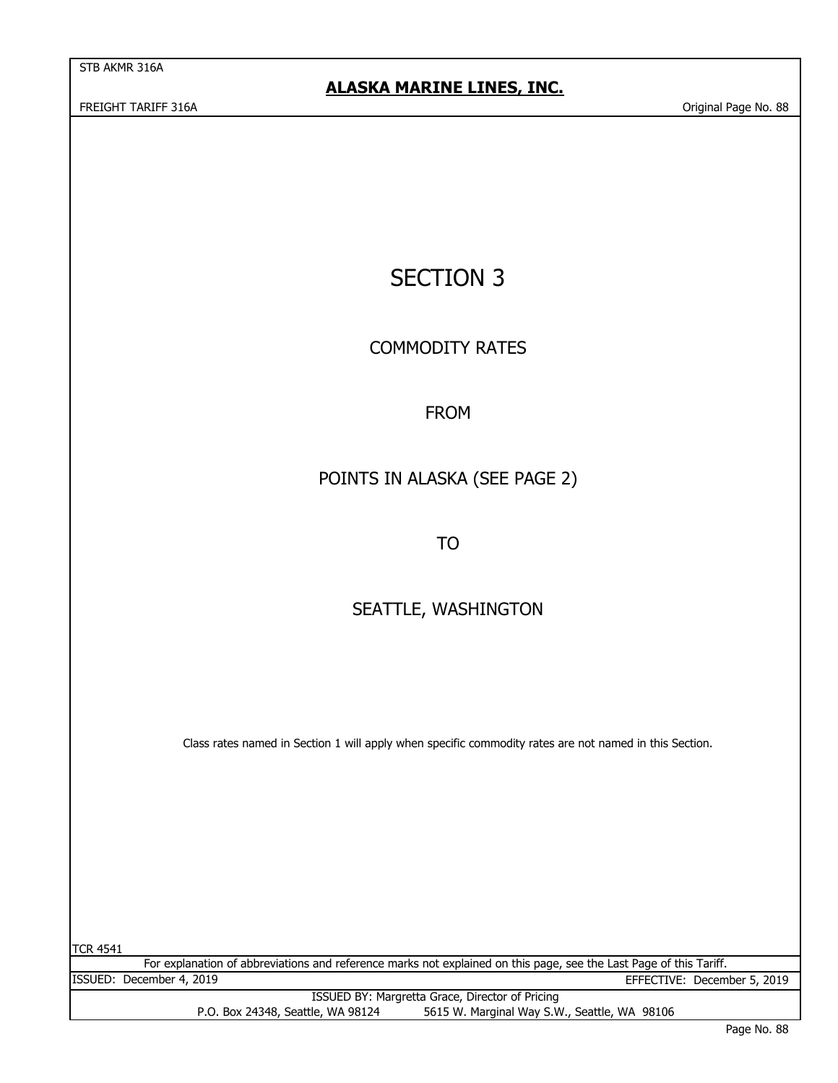STB AKMR 316A

FREIGHT TARIFF 316A Original Page No. 88

# SECTION 3

COMMODITY RATES

## FROM

# POINTS IN ALASKA (SEE PAGE 2)

TO

# SEATTLE, WASHINGTON

Class rates named in Section 1 will apply when specific commodity rates are not named in this Section.

TCR 4541

For explanation of abbreviations and reference marks not explained on this page, see the Last Page of this Tariff. ISSUED BY: Margretta Grace, Director of Pricing ISSUED: December 4, 2019 EFFECTIVE: December 5, 2019

P.O. Box 24348, Seattle, WA 98124 5615 W. Marginal Way S.W., Seattle, WA 98106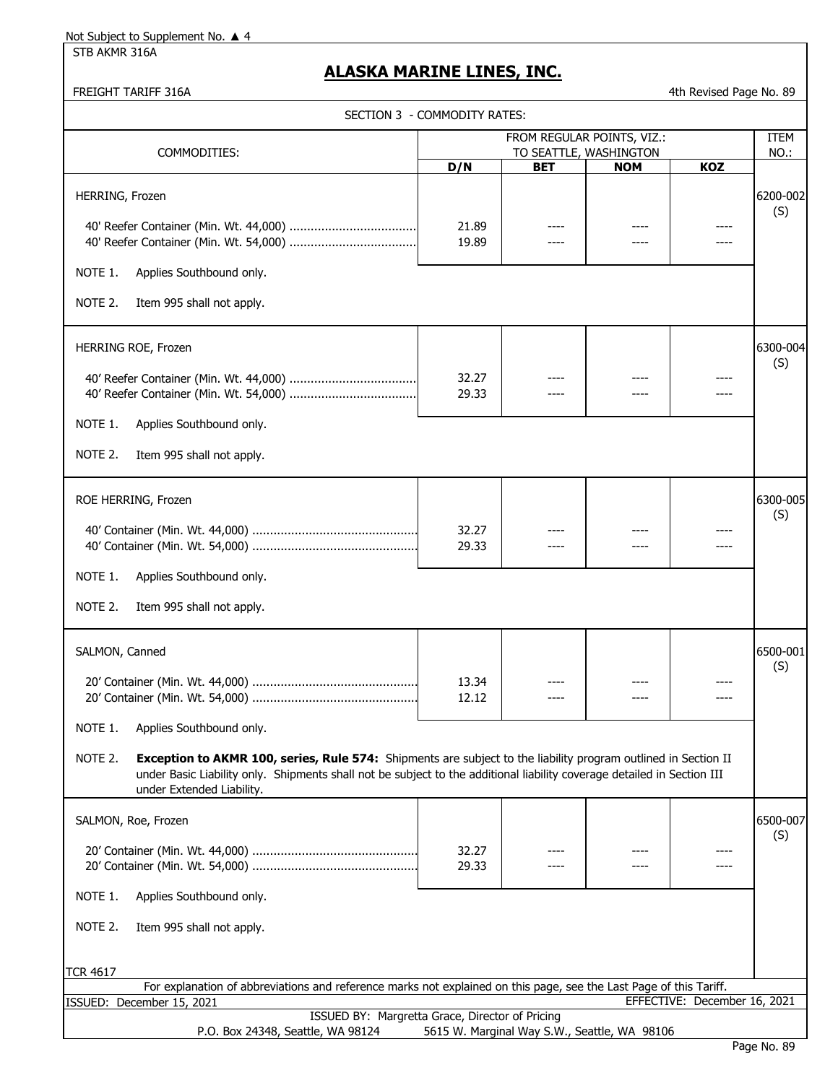NOTE 1. Applies Southbound only.

COMMODITIES:

40' Reefer Container (Min. Wt. 44,000) ....................................

40' Reefer Container (Min. Wt. 54,000) ....................................

STB AKMR 316A

#### **ALASKA MARINE LINES, INC.**

TCR 4617

#### FREIGHT TARIFF 316A 4th Revised Page No. 89

ITEM NO.:

(S)

| SECTION 3  - COMMODITY RATES: |  |
|-------------------------------|--|
|                               |  |

HERRING, Frozen 6200-002

21.89 ---- ---- ---- ---- -----19.89 ---- ---- ---- ---- -----

FROM REGULAR POINTS, VIZ.:

**D/N BET NOM KOZ** TO SEATTLE, WASHINGTON

| NOTE 2.<br>Item 995 shall not apply.                                                                                                                                                                                                                                              |                |  |          |
|-----------------------------------------------------------------------------------------------------------------------------------------------------------------------------------------------------------------------------------------------------------------------------------|----------------|--|----------|
| HERRING ROE, Frozen                                                                                                                                                                                                                                                               |                |  | 6300-004 |
|                                                                                                                                                                                                                                                                                   | 32.27<br>29.33 |  | (S)      |
| NOTE 1.<br>Applies Southbound only.                                                                                                                                                                                                                                               |                |  |          |
| NOTE 2.<br>Item 995 shall not apply.                                                                                                                                                                                                                                              |                |  |          |
| ROE HERRING, Frozen                                                                                                                                                                                                                                                               |                |  | 6300-005 |
|                                                                                                                                                                                                                                                                                   | 32.27<br>29.33 |  | (S)      |
| NOTE 1.<br>Applies Southbound only.                                                                                                                                                                                                                                               |                |  |          |
| NOTE 2.<br>Item 995 shall not apply.                                                                                                                                                                                                                                              |                |  |          |
| SALMON, Canned                                                                                                                                                                                                                                                                    |                |  | 6500-001 |
|                                                                                                                                                                                                                                                                                   | 13.34<br>12.12 |  | (S)      |
| NOTE 1.<br>Applies Southbound only.                                                                                                                                                                                                                                               |                |  |          |
| NOTE 2.<br>Exception to AKMR 100, series, Rule 574: Shipments are subject to the liability program outlined in Section II<br>under Basic Liability only. Shipments shall not be subject to the additional liability coverage detailed in Section III<br>under Extended Liability. |                |  |          |
| SALMON, Roe, Frozen                                                                                                                                                                                                                                                               |                |  | 6500-007 |
|                                                                                                                                                                                                                                                                                   | 32.27<br>29.33 |  | (S)      |
| NOTE 1.<br>Applies Southbound only.                                                                                                                                                                                                                                               |                |  |          |
| NOTE 2.<br>Item 995 shall not apply.                                                                                                                                                                                                                                              |                |  |          |
| CD 1617                                                                                                                                                                                                                                                                           |                |  |          |

|                                                 | For explanation of abbreviations and reference marks not explained on this page, see the Last Page of this Tariff. |                                   |                                              |  |                              |  |  |
|-------------------------------------------------|--------------------------------------------------------------------------------------------------------------------|-----------------------------------|----------------------------------------------|--|------------------------------|--|--|
|                                                 | ISSUED: December 15, 2021                                                                                          |                                   |                                              |  | EFFECTIVE: December 16, 2021 |  |  |
| ISSUED BY: Margretta Grace, Director of Pricing |                                                                                                                    |                                   |                                              |  |                              |  |  |
|                                                 |                                                                                                                    | P.O. Box 24348, Seattle, WA 98124 | 5615 W. Marginal Way S.W., Seattle, WA 98106 |  |                              |  |  |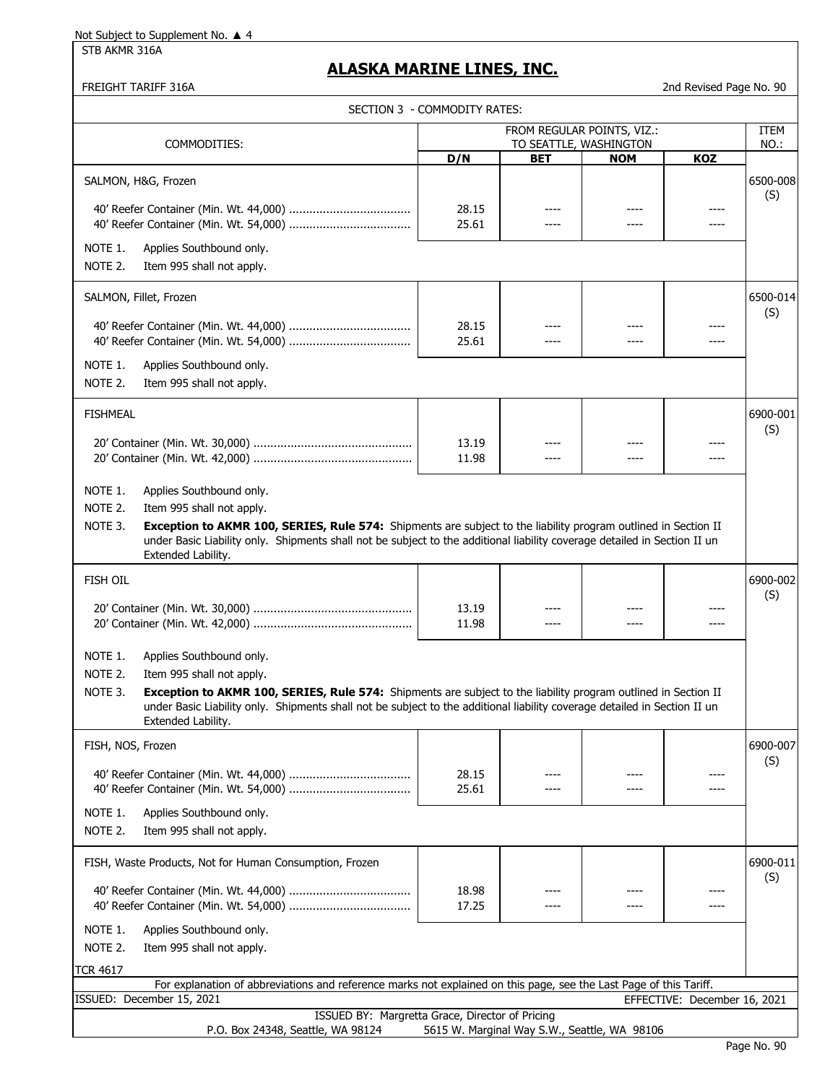STB AKMR 316A

#### **ALASKA MARINE LINES, INC.**

FREIGHT TARIFF 316A 2nd Revised Page No. 90

|                                                                                                                                                                                                                                                                                                                      | SECTION 3 - COMMODITY RATES: |                                              |            |                              |                 |
|----------------------------------------------------------------------------------------------------------------------------------------------------------------------------------------------------------------------------------------------------------------------------------------------------------------------|------------------------------|----------------------------------------------|------------|------------------------------|-----------------|
| FROM REGULAR POINTS, VIZ.:                                                                                                                                                                                                                                                                                           |                              |                                              |            |                              | ITEM            |
| COMMODITIES:                                                                                                                                                                                                                                                                                                         | D/N                          | TO SEATTLE, WASHINGTON<br><b>BET</b>         | <b>NOM</b> | KOZ                          | NO.:            |
| SALMON, H&G, Frozen                                                                                                                                                                                                                                                                                                  |                              |                                              |            |                              | 6500-008<br>(S) |
|                                                                                                                                                                                                                                                                                                                      | 28.15<br>25.61               | ----                                         |            |                              |                 |
| NOTE 1.<br>Applies Southbound only.<br>Item 995 shall not apply.<br>NOTE 2.                                                                                                                                                                                                                                          |                              |                                              |            |                              |                 |
| SALMON, Fillet, Frozen                                                                                                                                                                                                                                                                                               |                              |                                              |            |                              | 6500-014<br>(S) |
|                                                                                                                                                                                                                                                                                                                      | 28.15<br>25.61               | ----<br>----                                 | ----       |                              |                 |
| NOTE 1.<br>Applies Southbound only.<br>NOTE 2.<br>Item 995 shall not apply.                                                                                                                                                                                                                                          |                              |                                              |            |                              |                 |
| <b>FISHMEAL</b>                                                                                                                                                                                                                                                                                                      |                              |                                              |            |                              | 6900-001<br>(S) |
|                                                                                                                                                                                                                                                                                                                      | 13.19<br>11.98               | ----<br>----                                 | ----       | ----                         |                 |
| NOTE 1.<br>Applies Southbound only.                                                                                                                                                                                                                                                                                  |                              |                                              |            |                              |                 |
| NOTE 2.<br>Item 995 shall not apply.<br>NOTE 3.<br>Exception to AKMR 100, SERIES, Rule 574: Shipments are subject to the liability program outlined in Section II<br>under Basic Liability only. Shipments shall not be subject to the additional liability coverage detailed in Section II un<br>Extended Lability. |                              |                                              |            |                              |                 |
| FISH OIL                                                                                                                                                                                                                                                                                                             |                              |                                              |            |                              | 6900-002<br>(S) |
|                                                                                                                                                                                                                                                                                                                      | 13.19<br>11.98               | ----                                         |            |                              |                 |
| NOTE 1.<br>Applies Southbound only.<br>NOTE 2.<br>Item 995 shall not apply.                                                                                                                                                                                                                                          |                              |                                              |            |                              |                 |
| NOTE 3.<br>Exception to AKMR 100, SERIES, Rule 574: Shipments are subject to the liability program outlined in Section II<br>under Basic Liability only. Shipments shall not be subject to the additional liability coverage detailed in Section II un<br>Extended Lability.                                         |                              |                                              |            |                              |                 |
| FISH, NOS, Frozen                                                                                                                                                                                                                                                                                                    |                              |                                              |            |                              | 6900-007<br>(S) |
|                                                                                                                                                                                                                                                                                                                      | 28.15<br>25.61               |                                              |            |                              |                 |
| NOTE 1.<br>Applies Southbound only.<br>NOTE 2.<br>Item 995 shall not apply.                                                                                                                                                                                                                                          |                              |                                              |            |                              |                 |
| FISH, Waste Products, Not for Human Consumption, Frozen                                                                                                                                                                                                                                                              |                              |                                              |            |                              | 6900-011<br>(S) |
|                                                                                                                                                                                                                                                                                                                      | 18.98<br>17.25               |                                              |            |                              |                 |
| NOTE 1.<br>Applies Southbound only.<br>NOTE 2.<br>Item 995 shall not apply.                                                                                                                                                                                                                                          |                              |                                              |            |                              |                 |
| <b>TCR 4617</b>                                                                                                                                                                                                                                                                                                      |                              |                                              |            |                              |                 |
| For explanation of abbreviations and reference marks not explained on this page, see the Last Page of this Tariff.<br>ISSUED: December 15, 2021                                                                                                                                                                      |                              |                                              |            | EFFECTIVE: December 16, 2021 |                 |
| ISSUED BY: Margretta Grace, Director of Pricing<br>P.O. Box 24348, Seattle, WA 98124                                                                                                                                                                                                                                 |                              | 5615 W. Marginal Way S.W., Seattle, WA 98106 |            |                              |                 |